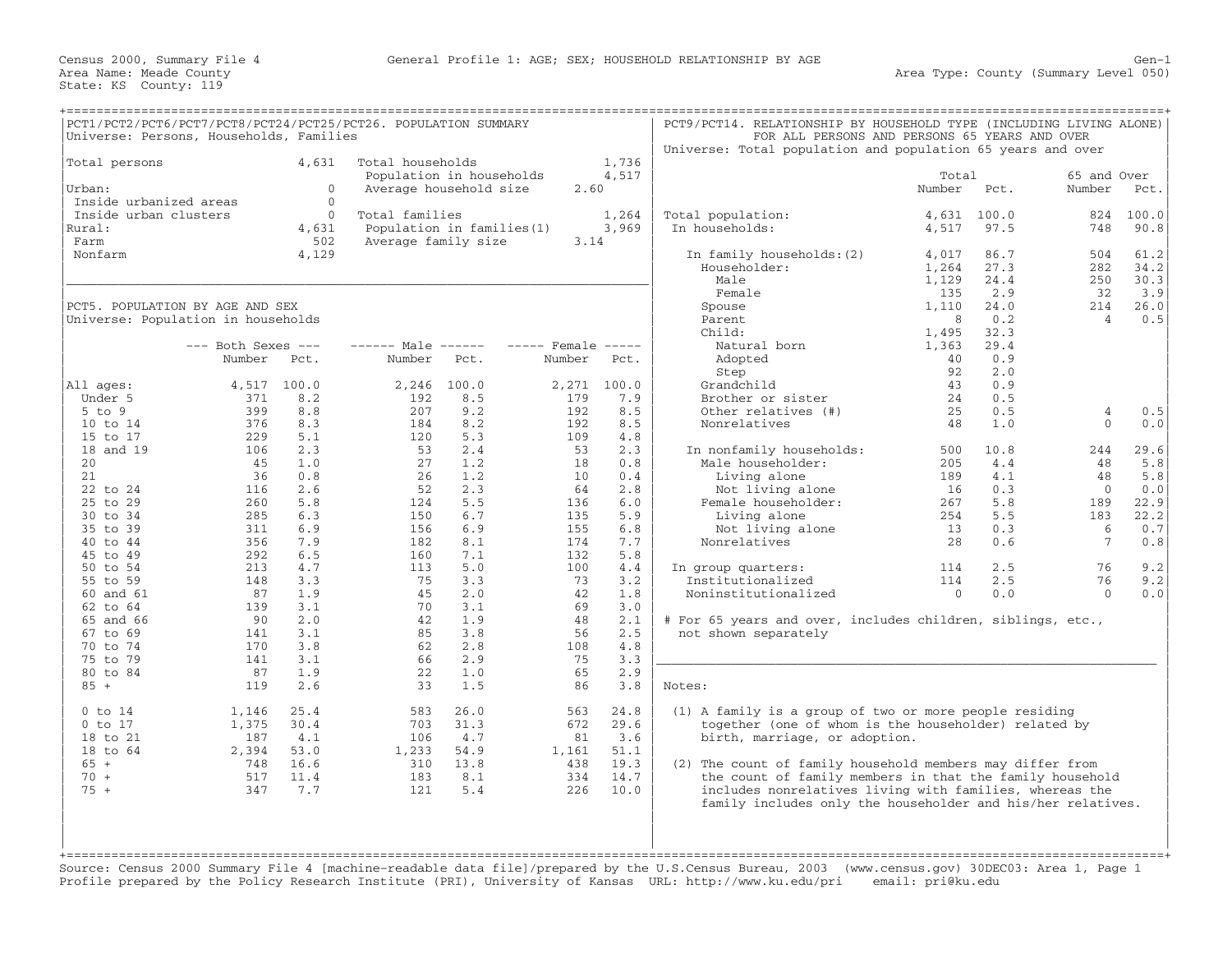|                        | PCT1/PCT2/PCT6/PCT7/PCT8/PCT24/PCT25/PCT26. POPULATION SUMMARY<br>Universe: Persons, Households, Families |            |                        |                            |                    |             | PCT9/PCT14. RELATIONSHIP BY HOUSEHOLD TYPE (INCLUDING LIVING ALONE) | FOR ALL PERSONS AND PERSONS 65 YEARS AND OVER |              |                 |              |
|------------------------|-----------------------------------------------------------------------------------------------------------|------------|------------------------|----------------------------|--------------------|-------------|---------------------------------------------------------------------|-----------------------------------------------|--------------|-----------------|--------------|
|                        |                                                                                                           |            |                        |                            |                    |             | Universe: Total population and population 65 years and over         |                                               |              |                 |              |
| Total persons          |                                                                                                           | 4,631      | Total households       |                            |                    | 1,736       |                                                                     |                                               |              |                 |              |
|                        |                                                                                                           |            |                        | Population in households   |                    | 4,517       |                                                                     | Total                                         |              | 65 and Over     |              |
| Urban:                 |                                                                                                           | $\Omega$   |                        | Average household size     | 2.60               |             |                                                                     | Number                                        | Pct.         | Number          | Pct.         |
| Inside urbanized areas |                                                                                                           | $\Omega$   |                        |                            |                    |             |                                                                     |                                               |              |                 |              |
| Inside urban clusters  |                                                                                                           | $\Omega$   | Total families         |                            |                    | 1,264       | Total population:                                                   | 4,631                                         | 100.0        | 824             | 100.0        |
| Rural:                 |                                                                                                           | 4,631      |                        | Population in families (1) |                    | 3,969       | In households:                                                      | 4,517                                         | 97.5         | 748             | 90.8         |
| Farm                   |                                                                                                           | 502        | Average family size    |                            | 3.14               |             |                                                                     |                                               |              |                 |              |
| Nonfarm                |                                                                                                           | 4,129      |                        |                            |                    |             | In family households: (2)                                           | 4,017                                         | 86.7<br>27.3 | 504             | 61.2         |
|                        |                                                                                                           |            |                        |                            |                    |             | Householder:<br>Male                                                | 1,264<br>1,129                                | 24.4         | 282<br>250      | 34.2<br>30.3 |
|                        |                                                                                                           |            |                        |                            |                    |             | Female                                                              | 135                                           | 2.9          | 32              | 3.9          |
|                        | PCT5. POPULATION BY AGE AND SEX                                                                           |            |                        |                            |                    |             | Spouse                                                              | 1,110                                         | 24.0         | 214             | 26.0         |
|                        | Universe: Population in households                                                                        |            |                        |                            |                    |             | Parent                                                              | 8                                             | 0.2          | $\overline{4}$  | 0.5          |
|                        |                                                                                                           |            |                        |                            |                    |             | Child:                                                              | 1,495                                         | 32.3         |                 |              |
|                        | $---$ Both Sexes $---$                                                                                    |            | $--- - -$ Male $--- -$ |                            | $---$ Female $---$ |             | Natural born                                                        | 1,363                                         | 29.4         |                 |              |
|                        | Number                                                                                                    | Pct.       | Number                 | Pct.                       | Number             | Pct.        | Adopted                                                             | 40                                            | 0.9          |                 |              |
|                        |                                                                                                           |            |                        |                            |                    |             | Step                                                                | 92                                            | 2.0          |                 |              |
| All ages:              | 4,517                                                                                                     | 100.0      | 2,246                  | 100.0                      |                    | 2,271 100.0 | Grandchild                                                          | 43                                            | 0.9          |                 |              |
| Under 5                | 371                                                                                                       | 8.2        | 192                    | 8.5                        | 179                | 7.9         | Brother or sister                                                   | 24                                            | 0.5          |                 |              |
| $5$ to $9$             | 399                                                                                                       | 8.8        | 207                    | 9.2                        | 192                | 8.5         | Other relatives (#)                                                 | 25                                            | 0.5          | $\overline{4}$  | 0.5          |
| 10 to 14               | 376                                                                                                       | 8.3        | 184                    | 8.2                        | 192                | 8.5         | Nonrelatives                                                        | 48                                            | 1.0          | $\Omega$        | 0.0          |
| 15 to 17               | 229                                                                                                       | 5.1        | 120                    | 5.3                        | 109                | 4.8         |                                                                     |                                               |              |                 |              |
| 18 and 19              | 106                                                                                                       | 2.3        | 53                     | 2.4                        | 53                 | 2.3         | In nonfamily households:                                            | 500                                           | 10.8         | 244             | 29.6         |
| 20                     | 45                                                                                                        | 1.0        | 27                     | 1.2                        | 18                 | 0.8         | Male householder:                                                   | 205                                           | 4.4          | 48              | 5.8          |
| 21                     | 36                                                                                                        | 0.8        | 26                     | 1.2                        | 10 <sup>°</sup>    | 0.4         | Living alone                                                        | 189                                           | 4.1          | 48              | 5.8          |
| 22 to 24               | 116                                                                                                       | 2.6        | 52                     | 2.3                        | 64                 | 2.8         | Not living alone                                                    | 16                                            | 0.3          | $\overline{0}$  | 0.0          |
| 25 to 29               | 260                                                                                                       | 5.8        | 124                    | 5.5                        | 136                | 6.0         | Female householder:                                                 | 267                                           | 5.8          | 189             | 22.9         |
| 30 to 34               | 285                                                                                                       | 6.3        | 150                    | 6.7                        | 135                | 5.9         | Living alone                                                        | 254                                           | 5.5          | 183             | 22.2         |
| 35 to 39               | 311                                                                                                       | 6.9        | 156                    | 6.9                        | 155                | 6.8         | Not living alone                                                    | 13                                            | 0.3          | 6               | 0.7          |
| 40 to 44               | 356                                                                                                       | 7.9        | 182                    | 8.1                        | 174                | 7.7         | Nonrelatives                                                        | 28                                            | 0.6          | $7\phantom{.0}$ | 0.8          |
| 45 to 49               | 292                                                                                                       | 6.5        | 160                    | 7.1                        | 132                | 5.8         |                                                                     |                                               |              |                 |              |
| 50 to 54               | 213                                                                                                       | 4.7        | 113                    | 5.0                        | 100                | 4.4         | In group quarters:                                                  | 114                                           | 2.5          | 76              | 9.2          |
| 55 to 59               | 148                                                                                                       | 3.3        | 75                     | 3.3                        | 73                 | 3.2         | Institutionalized                                                   | 114                                           | 2.5          | 76<br>$\Omega$  | 9.2          |
| 60 and 61<br>62 to 64  | 87<br>139                                                                                                 | 1.9<br>3.1 | 45<br>70               | 2.0<br>3.1                 | 42<br>69           | 1.8<br>3.0  | Noninstitutionalized                                                | $\mathbf{0}$                                  | 0.0          |                 | 0.0          |
| 65 and 66              | 90                                                                                                        | 2.0        | 42                     | 1.9                        | 48                 | 2.1         | # For 65 years and over, includes children, siblings, etc.,         |                                               |              |                 |              |
| 67 to 69               | 141                                                                                                       | 3.1        | 85                     | 3.8                        | 56                 | 2.5         | not shown separately                                                |                                               |              |                 |              |
| 70 to 74               | 170                                                                                                       | 3.8        | 62                     | 2.8                        | 108                | 4.8         |                                                                     |                                               |              |                 |              |
| 75 to 79               | 141                                                                                                       | 3.1        | 66                     | 2.9                        | 75                 | 3.3         |                                                                     |                                               |              |                 |              |
| 80 to 84               | 87                                                                                                        | 1.9        | 22                     | 1.0                        | 65                 | 2.9         |                                                                     |                                               |              |                 |              |
| $85 +$                 | 119                                                                                                       | 2.6        | 33                     | 1.5                        | 86                 | 3.8         | Notes:                                                              |                                               |              |                 |              |
|                        |                                                                                                           |            |                        |                            |                    |             |                                                                     |                                               |              |                 |              |
| $0$ to $14$            | 1,146                                                                                                     | 25.4       | 583                    | 26.0                       | 563                | 24.8        | (1) A family is a group of two or more people residing              |                                               |              |                 |              |
| $0$ to 17              | 1,375                                                                                                     | 30.4       | 703                    | 31.3                       | 672                | 29.6        | together (one of whom is the householder) related by                |                                               |              |                 |              |
| 18 to 21               | 187                                                                                                       | 4.1        | 106                    | 4.7                        | 81                 | 3.6         | birth, marriage, or adoption.                                       |                                               |              |                 |              |
| 18 to 64               | 2,394                                                                                                     | 53.0       | 1,233                  | 54.9                       | 1,161              | 51.1        |                                                                     |                                               |              |                 |              |
| $65 +$                 | 748                                                                                                       | 16.6       | 310                    | 13.8                       | 438                | 19.3        | (2) The count of family household members may differ from           |                                               |              |                 |              |
| $70 +$                 | 517                                                                                                       | 11.4       | 183                    | 8.1                        | 334                | 14.7        | the count of family members in that the family household            |                                               |              |                 |              |
| $75 +$                 | 347                                                                                                       | 7.7        | 121                    | 5.4                        | 226                | 10.0        | includes nonrelatives living with families, whereas the             |                                               |              |                 |              |
|                        |                                                                                                           |            |                        |                            |                    |             | family includes only the householder and his/her relatives.         |                                               |              |                 |              |
|                        |                                                                                                           |            |                        |                            |                    |             |                                                                     |                                               |              |                 |              |
|                        |                                                                                                           |            |                        |                            |                    |             |                                                                     |                                               |              |                 |              |
|                        |                                                                                                           |            |                        |                            |                    |             |                                                                     |                                               |              |                 |              |
|                        |                                                                                                           |            |                        |                            |                    |             |                                                                     |                                               |              |                 |              |

Source: Census 2000 Summary File 4 [machine−readable data file]/prepared by the U.S.Census Bureau, 2003 (www.census.gov) 30DEC03: Area 1, Page 1 Profile prepared by the Policy Research Institute (PRI), University of Kansas URL: http://www.ku.edu/pri email: pri@ku.edu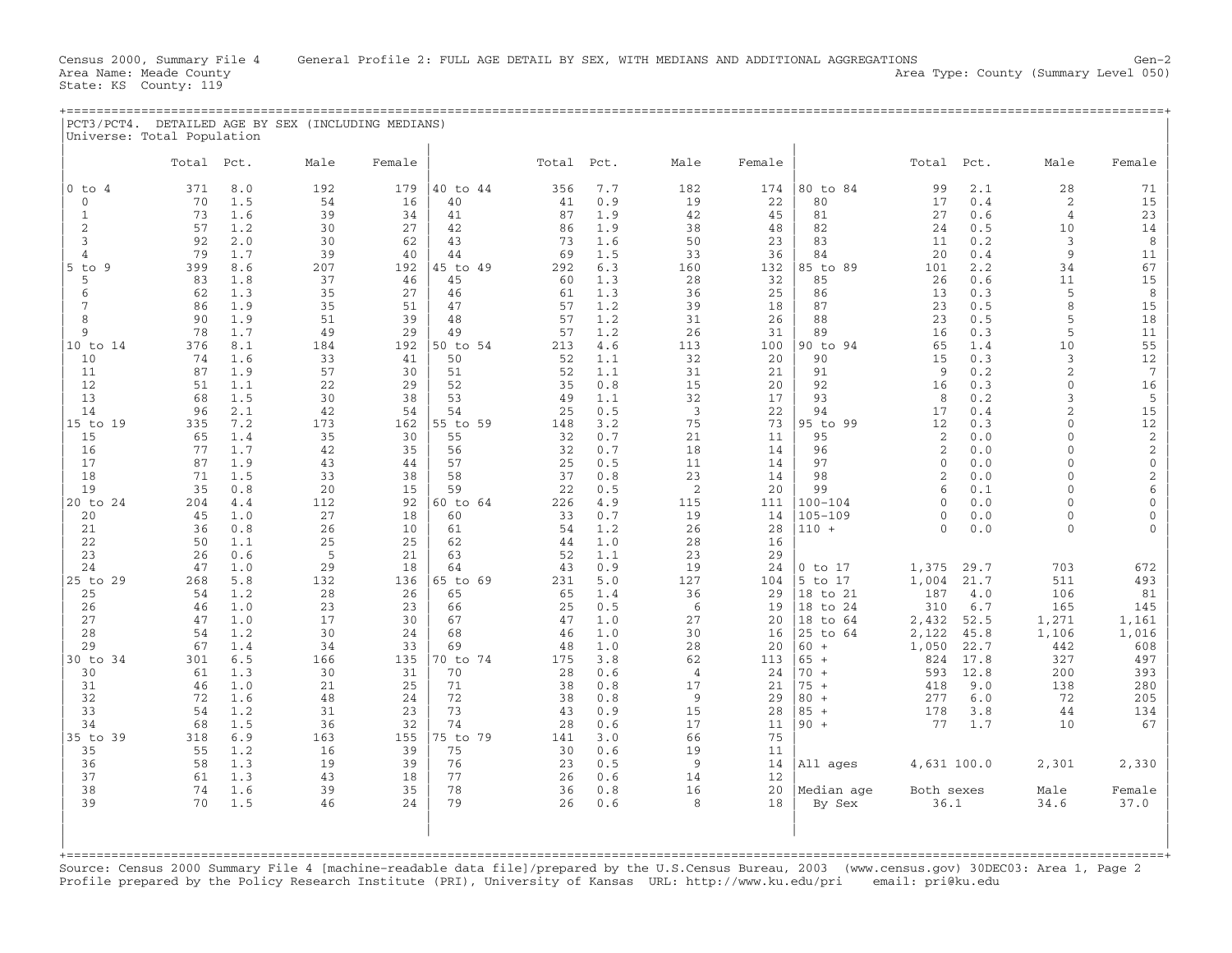State: KS County: 119

| PCT3/PCT4. DETAILED AGE BY SEX (INCLUDING MEDIANS) |  |  |  |
|----------------------------------------------------|--|--|--|
|                                                    |  |  |  |
| Universe: Total Population                         |  |  |  |
|                                                    |  |  |  |

|                     | Total     | Pct.       | Male      | Female    |                | Total     | Pct.       | Male                    | Female    |                            | Total              | Pct.         | Male                             | Female                       |
|---------------------|-----------|------------|-----------|-----------|----------------|-----------|------------|-------------------------|-----------|----------------------------|--------------------|--------------|----------------------------------|------------------------------|
| $0$ to $4$          | 371       | 8.0        | 192       | 179       | 40 to 44       | 356       | 7.7        | 182                     | 174       | 80 to 84                   | 99                 | 2.1          | 28                               | 71                           |
| $\mathbf 0$         | 70        | 1.5        | 54        | 16        | 40             | 41        | 0.9        | 19                      | 22        | 80                         | 17                 | 0.4          | $\sqrt{2}$                       | 15                           |
| $\mathbf{1}$<br>2   | 73<br>57  | 1.6        | 39<br>30  | 34<br>27  | 41<br>42       | 87<br>86  | 1.9        | 42<br>38                | 45        | 81<br>82                   | 27<br>24           | 0.6<br>0.5   | 4<br>10                          | 23<br>14                     |
| 3                   | 92        | 1.2<br>2.0 | 30        | 62        | 43             | 73        | 1.9<br>1.6 | 50                      | 48<br>23  | 83                         | 11                 | 0.2          | 3                                | 8                            |
| 4                   | 79        | 1.7        | 39        | 40        | 44             | 69        | 1.5        | 33                      | 36        | 84                         | 20                 | 0.4          | $\overline{9}$                   | 11                           |
| $5$ to<br>-9        | 399       | 8.6        | 207       | 192       | 45 to 49       | 292       | 6.3        | 160                     | 132       | 85 to<br>89                | 101                | 2.2          | 34                               | 67                           |
| 5                   | 83        | 1.8        | 37        | 46        | 45             | 60        | 1.3        | 28                      | 32        | 85                         | 26                 | 0.6          | 11                               | 15                           |
| 6<br>$\overline{7}$ | 62<br>86  | 1.3<br>1.9 | 35<br>35  | 27<br>51  | 46<br>47       | 61<br>57  | 1.3<br>1.2 | 36<br>39                | 25<br>18  | 86<br>87                   | 13<br>23           | 0.3<br>0.5   | 5<br>$\,8\,$                     | 8<br>15                      |
| 8                   | 90        | 1.9        | 51        | 39        | 48             | 57        | 1.2        | 31                      | 26        | 88                         | 23                 | 0.5          | 5                                | 18                           |
| $\overline{9}$      | 78        | 1.7        | 49        | 29        | 49             | 57        | 1.2        | 26                      | 31        | 89                         | 16                 | 0.3          | 5                                | 11                           |
| 10 to 14            | 376       | 8.1        | 184       | 192       | 50 to 54       | 213       | 4.6        | 113                     | 100       | 90 to 94                   | 65                 | 1.4          | 10                               | 55                           |
| 10                  | 74        | 1.6        | 33        | 41        | 50             | 52        | 1.1        | 32                      | 20        | 90                         | 15                 | 0.3          | $\mathfrak{Z}$<br>$\overline{2}$ | 12<br>7                      |
| 11<br>12            | 87<br>51  | 1.9<br>1.1 | 57<br>22  | 30<br>29  | 51<br>52       | 52<br>35  | 1.1<br>0.8 | 31<br>15                | 21<br>20  | 91<br>92                   | 9<br>16            | 0.2<br>0.3   | $\mathbf{0}$                     | 16                           |
| 13                  | 68        | 1.5        | 30        | 38        | 53             | 49        | 1.1        | 32                      | 17        | 93                         | 8                  | 0.2          | 3                                | 5                            |
| 14                  | 96        | 2.1        | 42        | 54        | 54             | 25        | 0.5        | $\overline{\mathbf{3}}$ | 22        | 94                         | 17                 | 0.4          | $\overline{2}$                   | 15                           |
| 15 to 19            | 335       | 7.2        | 173       | 162       | 55 to 59       | 148       | 3.2        | 75                      | 73<br>11  | 95 to 99                   | 12                 | 0.3          | $\Omega$<br>$\Omega$             | 12                           |
| 15<br>16            | 65<br>77  | 1.4<br>1.7 | 35<br>42  | 30<br>35  | 55<br>56       | 32<br>32  | 0.7<br>0.7 | 21<br>18                | 14        | 95<br>96                   | 2<br>2             | 0.0<br>0.0   | $\Omega$                         | $\sqrt{2}$<br>$\overline{c}$ |
| 17                  | 87        | 1.9        | 43        | 44        | 57             | 25        | 0.5        | 11                      | 14        | 97                         | $\Omega$           | 0.0          | $\Omega$                         | $\mathsf{O}\xspace$          |
| 18                  | 71        | 1.5        | 33        | 38        | 58             | 37        | 0.8        | 23                      | 14        | 98                         | $\mathfrak{D}$     | 0.0          | $\Omega$                         | $\overline{c}$               |
| 19                  | 35        | 0.8        | 20        | 15        | 59             | 22        | 0.5        | 2                       | 20        | 99                         | 6                  | 0.1          | $\Omega$                         | $\sqrt{6}$                   |
| 20 to 24<br>20      | 204<br>45 | 4.4<br>1.0 | 112<br>27 | 92<br>18  | 60 to 64<br>60 | 226<br>33 | 4.9<br>0.7 | 115<br>19               | 111<br>14 | $100 - 104$<br>$105 - 109$ | $\cap$<br>$\Omega$ | 0.0<br>0.0   | $\cap$<br>$\Omega$               | $\mathbf{0}$<br>$\mathbf 0$  |
| 21                  | 36        | 0.8        | 26        | 10        | 61             | 54        | 1.2        | 26                      | 28        | $110 +$                    | $\Omega$           | 0.0          | $\Omega$                         | $\Omega$                     |
| 22                  | 50        | 1.1        | 25        | 25        | 62             | 44        | 1.0        | 28                      | 16        |                            |                    |              |                                  |                              |
| 23                  | 26        | 0.6        | 5         | 21        | 63             | 52        | 1.1        | 23                      | 29        |                            |                    |              |                                  |                              |
| 24<br>25 to 29      | 47<br>268 | 1.0<br>5.8 | 29<br>132 | 18<br>136 | 64<br>65 to 69 | 43<br>231 | 0.9<br>5.0 | 19<br>127               | 24<br>104 | $0$ to $17$<br>5 to 17     | 1,375<br>1,004     | 29.7<br>21.7 | 703<br>511                       | 672<br>493                   |
| 25                  | 54        | 1.2        | 28        | 26        | 65             | 65        | 1.4        | 36                      | 29        | 18 to 21                   | 187                | 4.0          | 106                              | 81                           |
| 26                  | 46        | 1.0        | 23        | 23        | 66             | 25        | 0.5        | -6                      | 19        | 18 to 24                   | 310                | 6.7          | 165                              | 145                          |
| 27                  | 47        | 1.0        | 17        | 30        | 67             | 47        | 1.0        | 27                      | 20        | 18 to 64                   | 2,432              | 52.5         | 1,271                            | 1,161                        |
| 28<br>29            | 54<br>67  | 1.2<br>1.4 | 30<br>34  | 24<br>33  | 68<br>69       | 46<br>48  | 1.0<br>1.0 | 30<br>28                | 16<br>20  | 25 to 64<br>$60 +$         | 2,122<br>1,050     | 45.8<br>22.7 | 1,106<br>442                     | 1,016<br>608                 |
| 30 to 34            | 301       | 6.5        | 166       | 135       | 70 to 74       | 175       | 3.8        | 62                      | 113       | $65 +$                     | 824                | 17.8         | 327                              | 497                          |
| 30                  | 61        | 1.3        | 30        | 31        | 70             | 28        | 0.6        | 4                       | 24        | $70 +$                     | 593                | 12.8         | 200                              | 393                          |
| 31                  | 46        | 1.0        | 21        | 25        | 71             | 38        | 0.8        | 17                      | 21        | $75 +$                     | 418                | 9.0          | 138                              | 280                          |
| 32<br>33            | 72<br>54  | 1.6<br>1.2 | 48<br>31  | 24<br>23  | 72<br>73       | 38<br>43  | 0.8<br>0.9 | 9<br>15                 | 29<br>28  | $80 +$<br>$85 +$           | 277<br>178         | 6.0<br>3.8   | 72<br>44                         | 205<br>134                   |
| 34                  | 68        | 1.5        | 36        | 32        | 74             | 28        | 0.6        | 17                      | 11        | $90 +$                     | 77                 | 1.7          | 10                               | 67                           |
| 35 to 39            | 318       | 6.9        | 163       | 155       | 75 to 79       | 141       | 3.0        | 66                      | 75        |                            |                    |              |                                  |                              |
| 35                  | 55        | 1.2        | 16        | 39        | 75             | 30        | 0.6        | 19                      | 11        |                            |                    |              |                                  |                              |
| 36<br>37            | 58<br>61  | 1.3<br>1.3 | 19<br>43  | 39<br>18  | 76<br>77       | 23<br>26  | 0.5<br>0.6 | 9<br>14                 | 14<br>12  | All ages                   | 4,631 100.0        |              | 2,301                            | 2,330                        |
| 38                  | 74        | 1.6        | 39        | 35        | 78             | 36        | 0.8        | 16                      | 20        | Median age                 | Both sexes         |              | Male                             | Female                       |
| 39                  | 70        | 1.5        | 46        | 2.4       | 79             | 26        | 0.6        | 8                       | 18        | By Sex                     | 36.1               |              | 34.6                             | 37.0                         |
|                     |           |            |           |           |                |           |            |                         |           |                            |                    |              |                                  |                              |
|                     |           |            |           |           |                |           |            |                         |           |                            |                    |              |                                  |                              |
| $+$ = = = = = = = : |           |            |           |           |                |           |            |                         |           |                            |                    |              |                                  |                              |

Source: Census 2000 Summary File 4 [machine−readable data file]/prepared by the U.S.Census Bureau, 2003 (www.census.gov) 30DEC03: Area 1, Page 2 Profile prepared by the Policy Research Institute (PRI), University of Kansas URL: http://www.ku.edu/pri email: pri@ku.edu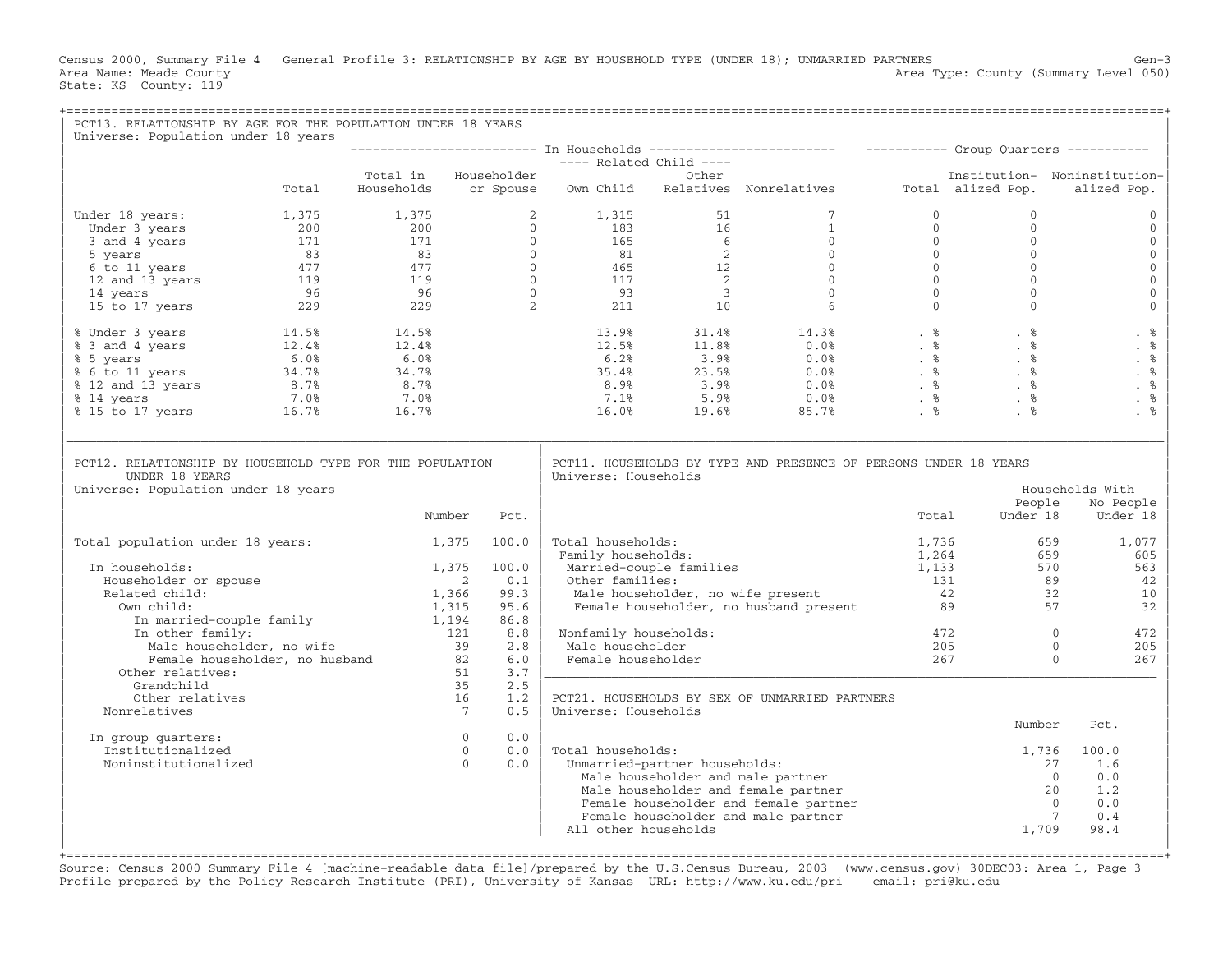Census 2000, Summary File 4 General Profile 3: RELATIONSHIP BY AGE BY HOUSEHOLD TYPE (UNDER 18); UNMARRIED PARTNERS Gen−3<br>Area Name: Meade County Level 050) Area Type: County (Summary Level 050) State: KS County: 119

| PCT13. RELATIONSHIP BY AGE FOR THE POPULATION UNDER 18 YEARS<br>Universe: Population under 18 years                                                                                                                                                                 |                                          |                                   |                                         |                               |                                                                                                                                                                                                                                                                                                                                |                                |                                                                             |                                             |
|---------------------------------------------------------------------------------------------------------------------------------------------------------------------------------------------------------------------------------------------------------------------|------------------------------------------|-----------------------------------|-----------------------------------------|-------------------------------|--------------------------------------------------------------------------------------------------------------------------------------------------------------------------------------------------------------------------------------------------------------------------------------------------------------------------------|--------------------------------|-----------------------------------------------------------------------------|---------------------------------------------|
|                                                                                                                                                                                                                                                                     |                                          |                                   |                                         |                               |                                                                                                                                                                                                                                                                                                                                |                                |                                                                             |                                             |
|                                                                                                                                                                                                                                                                     |                                          |                                   |                                         |                               |                                                                                                                                                                                                                                                                                                                                |                                |                                                                             |                                             |
| Total                                                                                                                                                                                                                                                               | Total in Householder                     |                                   |                                         |                               | Households or Spouse Own Child Relatives Nonrelatives Total alized Pop.                                                                                                                                                                                                                                                        |                                |                                                                             | Institution- Noninstitution-<br>alized Pop. |
| Under 18 years:                                                                                                                                                                                                                                                     |                                          |                                   |                                         |                               |                                                                                                                                                                                                                                                                                                                                | $\mathbf{0}$<br>$\overline{0}$ | $\Omega$<br>$\Omega$                                                        | $\Omega$<br>$\mathbf{0}$                    |
|                                                                                                                                                                                                                                                                     |                                          |                                   |                                         |                               |                                                                                                                                                                                                                                                                                                                                |                                | $\mathbf{0}$                                                                | $\mathbf{0}$                                |
|                                                                                                                                                                                                                                                                     |                                          |                                   |                                         |                               |                                                                                                                                                                                                                                                                                                                                |                                | $\mathbf{0}$                                                                | $\mathbf 0$                                 |
|                                                                                                                                                                                                                                                                     |                                          |                                   |                                         |                               |                                                                                                                                                                                                                                                                                                                                |                                | $\Omega$                                                                    | $\mathbf{0}$                                |
|                                                                                                                                                                                                                                                                     |                                          |                                   |                                         |                               |                                                                                                                                                                                                                                                                                                                                |                                | $\Omega$                                                                    | $\mathbf 0$                                 |
|                                                                                                                                                                                                                                                                     |                                          |                                   |                                         |                               |                                                                                                                                                                                                                                                                                                                                |                                | $\Omega$                                                                    | $\mathsf{O}\xspace$                         |
|                                                                                                                                                                                                                                                                     |                                          |                                   |                                         |                               |                                                                                                                                                                                                                                                                                                                                |                                | $\begin{bmatrix} 0 \\ 0 \\ 0 \\ 0 \\ 0 \\ 0 \\ 0 \end{bmatrix}$<br>$\Omega$ | $\mathbf 0$                                 |
| % Under 3 years<br>% 3 and 4 years<br>% 5 years<br>% 5 years<br>% 6 to 11 years<br>% 12 and 13 years<br>% 12 and 13 years<br>% 14 years<br>% 15 to 17 years<br>% 15 to 17 years<br>% 16.7%<br>% 16.7%<br>% 16.7%<br>% 16.7%<br>16.7%<br>16.7%<br>16.7%<br>16.7%<br> |                                          |                                   |                                         |                               | $\begin{array}{cccccccc} 13.9\% & & & 31.4\% & & & 14.3\% & & & & 8 & & & 8 \\ 12.5\% & & & 11.8\% & & & 0.0\% & & & \& & 8 & & 8 \\ 6.2\% & & & 3.9\% & & & 0.0\% & & & \& & 8 & & 8 \\ 35.4\% & & & 23.5\% & & & 0.0\% & & & \& & 8 & & 8 \\ 8.9\% & & & 3.9\% & & & 0.0\% & & & \& & 8 & & 8 \\ 7.1\% & & & 5.9\% & & & 0.$ |                                |                                                                             | . %                                         |
|                                                                                                                                                                                                                                                                     |                                          |                                   |                                         |                               |                                                                                                                                                                                                                                                                                                                                |                                |                                                                             | . $%$<br>. %                                |
|                                                                                                                                                                                                                                                                     |                                          |                                   |                                         |                               |                                                                                                                                                                                                                                                                                                                                |                                |                                                                             | . $\frac{6}{6}$                             |
|                                                                                                                                                                                                                                                                     |                                          |                                   |                                         |                               |                                                                                                                                                                                                                                                                                                                                |                                |                                                                             | . %                                         |
|                                                                                                                                                                                                                                                                     |                                          |                                   |                                         |                               |                                                                                                                                                                                                                                                                                                                                |                                |                                                                             | . %                                         |
|                                                                                                                                                                                                                                                                     |                                          |                                   |                                         |                               |                                                                                                                                                                                                                                                                                                                                |                                |                                                                             | . %                                         |
| PCT12. RELATIONSHIP BY HOUSEHOLD TYPE FOR THE POPULATION<br>UNDER 18 YEARS                                                                                                                                                                                          |                                          |                                   | Universe: Households                    |                               | PCT11. HOUSEHOLDS BY TYPE AND PRESENCE OF PERSONS UNDER 18 YEARS                                                                                                                                                                                                                                                               |                                |                                                                             |                                             |
| Universe: Population under 18 years                                                                                                                                                                                                                                 |                                          |                                   |                                         |                               |                                                                                                                                                                                                                                                                                                                                |                                |                                                                             | Households With                             |
|                                                                                                                                                                                                                                                                     |                                          |                                   |                                         |                               |                                                                                                                                                                                                                                                                                                                                |                                | People                                                                      | No People                                   |
|                                                                                                                                                                                                                                                                     | Number                                   | Pct.                              |                                         |                               |                                                                                                                                                                                                                                                                                                                                | Total                          | Under 18                                                                    | Under 18                                    |
| Total population under 18 years:                                                                                                                                                                                                                                    | $1,375$ 100.0                            |                                   | Total households:<br>Family households: |                               |                                                                                                                                                                                                                                                                                                                                | 1,736<br>1,264                 | 659<br>659                                                                  | 1,077<br>605                                |
| In households:                                                                                                                                                                                                                                                      | 1,375                                    | 100.0                             |                                         | Married-couple families       |                                                                                                                                                                                                                                                                                                                                | 1,133                          | 570                                                                         | 563                                         |
| Householder or spouse                                                                                                                                                                                                                                               |                                          | 0.1<br>$\overline{2}$             | Other families:                         |                               |                                                                                                                                                                                                                                                                                                                                |                                | 89                                                                          | 42                                          |
| Related child:                                                                                                                                                                                                                                                      | 1,366                                    | 99.3                              |                                         |                               | Other families:<br>Male householder, no wife present<br>Female householder, no husband present<br>89                                                                                                                                                                                                                           |                                | 32                                                                          | 10                                          |
| Own child:                                                                                                                                                                                                                                                          | 1,315                                    | 95.6                              |                                         |                               |                                                                                                                                                                                                                                                                                                                                |                                | 57                                                                          | 32                                          |
| In married-couple family 1,194<br>In other family: 121                                                                                                                                                                                                              |                                          | 86.8                              |                                         |                               |                                                                                                                                                                                                                                                                                                                                |                                |                                                                             |                                             |
| In other family:<br>a other family:<br>Male householder, no wife and the same of the same of the same of the same of the same of the same of the same of the same of the same of the same of the same of the same of the same of the same of the sam                | $\begin{array}{c} 121 \\ 39 \end{array}$ | 8.8                               | Nonfamily households:                   |                               |                                                                                                                                                                                                                                                                                                                                | $\frac{472}{205}$              | $\bigcirc$                                                                  | 472                                         |
|                                                                                                                                                                                                                                                                     |                                          | 2.8                               | Male householder                        |                               |                                                                                                                                                                                                                                                                                                                                |                                | $\Omega$                                                                    | 205                                         |
|                                                                                                                                                                                                                                                                     |                                          | 6.0                               | Female householder                      |                               |                                                                                                                                                                                                                                                                                                                                | 267                            | $\Omega$                                                                    | 267                                         |
| Other relatives:                                                                                                                                                                                                                                                    |                                          | 51<br>3.7                         |                                         |                               |                                                                                                                                                                                                                                                                                                                                |                                |                                                                             |                                             |
| Grandchild<br>Other relatives                                                                                                                                                                                                                                       |                                          | 35<br>2.5<br>16<br>1.2            |                                         |                               | PCT21. HOUSEHOLDS BY SEX OF UNMARRIED PARTNERS                                                                                                                                                                                                                                                                                 |                                |                                                                             |                                             |
| Nonrelatives                                                                                                                                                                                                                                                        |                                          | $7\overline{ }$<br>0.5            | Universe: Households                    |                               |                                                                                                                                                                                                                                                                                                                                |                                |                                                                             |                                             |
|                                                                                                                                                                                                                                                                     |                                          |                                   |                                         |                               |                                                                                                                                                                                                                                                                                                                                |                                | Number                                                                      | Pct.                                        |
| In group quarters:                                                                                                                                                                                                                                                  |                                          | 0.0<br>$\overline{0}$             |                                         |                               |                                                                                                                                                                                                                                                                                                                                |                                |                                                                             |                                             |
| Institutionalized                                                                                                                                                                                                                                                   |                                          | $\overline{0}$<br>0.0<br>$\Omega$ | Total households:                       |                               |                                                                                                                                                                                                                                                                                                                                |                                | 1,736                                                                       | 100.0                                       |
| Noninstitutionalized                                                                                                                                                                                                                                                |                                          | 0.0                               |                                         | Unmarried-partner households: | Male householder and male partner                                                                                                                                                                                                                                                                                              |                                | 27<br>$\bigcirc$                                                            | 1.6<br>0.0                                  |
|                                                                                                                                                                                                                                                                     |                                          |                                   |                                         |                               | Male householder and female partner                                                                                                                                                                                                                                                                                            |                                | 20                                                                          | 1.2                                         |
|                                                                                                                                                                                                                                                                     |                                          |                                   |                                         |                               | Female householder and female partner                                                                                                                                                                                                                                                                                          |                                | $\bigcirc$                                                                  | 0.0                                         |
|                                                                                                                                                                                                                                                                     |                                          |                                   |                                         |                               | Female householder and male partner                                                                                                                                                                                                                                                                                            |                                | $7\overline{ }$                                                             | 0.4                                         |
|                                                                                                                                                                                                                                                                     |                                          |                                   | All other households                    |                               |                                                                                                                                                                                                                                                                                                                                |                                | 1,709                                                                       | 98.4                                        |
|                                                                                                                                                                                                                                                                     |                                          |                                   |                                         |                               |                                                                                                                                                                                                                                                                                                                                |                                |                                                                             |                                             |

Source: Census 2000 Summary File 4 [machine−readable data file]/prepared by the U.S.Census Bureau, 2003 (www.census.gov) 30DEC03: Area 1, Page 3 Profile prepared by the Policy Research Institute (PRI), University of Kansas URL: http://www.ku.edu/pri email: pri@ku.edu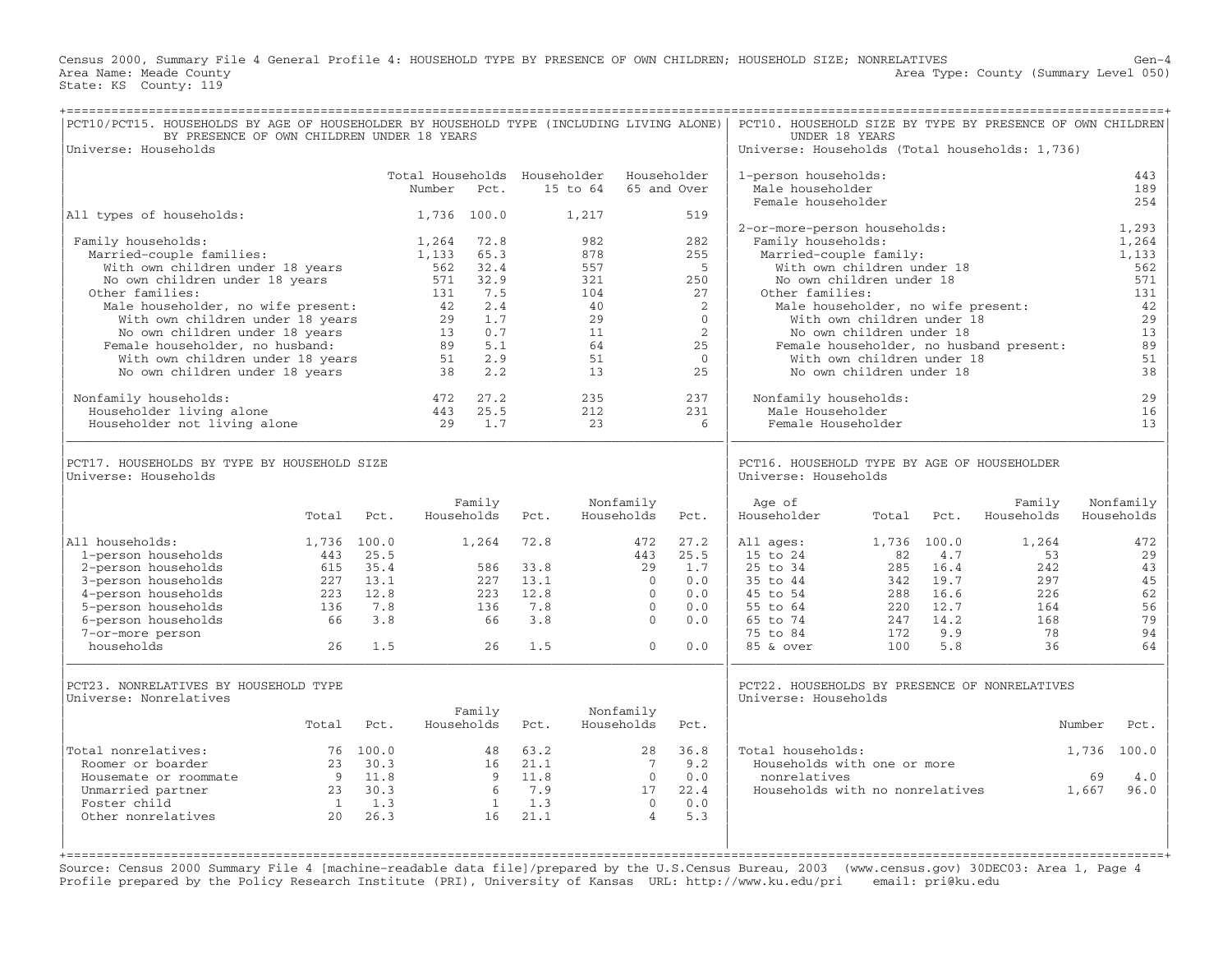Census 2000, Summary File 4 General Profile 4: HOUSEHOLD TYPE BY PRESENCE OF OWN CHILDREN; HOUSEHOLD SIZE; NONRELATIVES Gen−4 Area Name: Meade County Level 050) Area Type: County (Summary Level 050) State: KS County: 119

| PCT10/PCT15. HOUSEHOLDS BY AGE OF HOUSEHOLDER BY HOUSEHOLD TYPE (INCLUDING LIVING ALONE)<br>BY PRESENCE OF OWN CHILDREN UNDER 18 YEARS<br>Universe: Households                                                    |                    |             |                                                 |                                                   |             |                                             |                          |                                               | PCT10. HOUSEHOLD SIZE BY TYPE BY PRESENCE OF OWN CHILDREN<br>UNDER 18 YEARS<br>Universe: Households (Total households: 1,736) |                                                                                                                            |                  |                                         |                                                          |
|-------------------------------------------------------------------------------------------------------------------------------------------------------------------------------------------------------------------|--------------------|-------------|-------------------------------------------------|---------------------------------------------------|-------------|---------------------------------------------|--------------------------|-----------------------------------------------|-------------------------------------------------------------------------------------------------------------------------------|----------------------------------------------------------------------------------------------------------------------------|------------------|-----------------------------------------|----------------------------------------------------------|
|                                                                                                                                                                                                                   |                    |             | Total Households Householder<br>Number          | Pct.                                              |             | 15 to 64                                    |                          | Householder<br>65 and Over                    | 1-person households:<br>Male householder<br>Female householder                                                                |                                                                                                                            |                  |                                         | 443<br>189<br>254                                        |
| All types of households:                                                                                                                                                                                          |                    |             |                                                 | 1,736 100.0                                       |             | 1,217                                       |                          | 519                                           |                                                                                                                               |                                                                                                                            |                  |                                         |                                                          |
| Family households:<br>Married-couple families:<br>With own children under 18 years<br>No own children under 18 years<br>Other families:<br>Male householder, no wife present:<br>With own children under 18 years |                    |             | 1,264<br>1,133<br>562<br>571<br>131<br>42<br>29 | 72.8<br>65.3<br>32.4<br>32.9<br>7.5<br>2.4<br>1.7 |             | 982<br>878<br>557<br>321<br>104<br>40<br>29 |                          | 282<br>255<br>5<br>250<br>27<br>2<br>$\Omega$ | 2-or-more-person households:<br>Family households:<br>Married-couple family:<br>Other families:                               | With own children under 18<br>No own children under 18<br>Male householder, no wife present:<br>With own children under 18 |                  |                                         | 1,293<br>1,264<br>1,133<br>562<br>571<br>131<br>42<br>29 |
| No own children under 18 years                                                                                                                                                                                    |                    |             | 13                                              | 0.7                                               |             | 11                                          |                          | 2                                             |                                                                                                                               | No own children under 18                                                                                                   |                  |                                         | 13                                                       |
| Female householder, no husband:<br>With own children under 18 years                                                                                                                                               |                    |             | 89<br>51                                        | 5.1<br>2.9                                        |             | 64<br>51                                    |                          | 25<br>$\overline{0}$                          |                                                                                                                               | With own children under 18                                                                                                 |                  | Female householder, no husband present: | 89<br>51                                                 |
| No own children under 18 years                                                                                                                                                                                    |                    |             | 38                                              | 2.2                                               |             | 13                                          |                          | 25                                            |                                                                                                                               | No own children under 18                                                                                                   |                  |                                         | 38                                                       |
| Nonfamily households:<br>Householder living alone<br>Householder not living alone                                                                                                                                 |                    |             | 472<br>443<br>29                                | 27.2<br>25.5<br>1.7                               |             | 235<br>212<br>23                            |                          | 237<br>231<br>6                               | Nonfamily households:<br>Male Householder<br>Female Householder                                                               |                                                                                                                            |                  |                                         | 29<br>16<br>13                                           |
| PCT17. HOUSEHOLDS BY TYPE BY HOUSEHOLD SIZE<br>Universe: Households                                                                                                                                               |                    |             |                                                 |                                                   |             |                                             |                          |                                               | PCT16. HOUSEHOLD TYPE BY AGE OF HOUSEHOLDER<br>Universe: Households                                                           |                                                                                                                            |                  |                                         |                                                          |
|                                                                                                                                                                                                                   | Total              | Pct.        |                                                 | Family<br>Households                              | Pct.        |                                             | Nonfamily<br>Households  | Pct.                                          | Age of<br>Householder                                                                                                         | Total                                                                                                                      | Pct.             | Family<br>Households                    | Nonfamily<br>Households                                  |
| All households:<br>1-person households                                                                                                                                                                            | 1,736 100.0<br>443 | 25.5        |                                                 | 1,264                                             | 72.8        |                                             | 472<br>443               | 27.2<br>25.5                                  | All ages:<br>15 to 24                                                                                                         | 1,736 100.0<br>82                                                                                                          | 4.7              | 1,264<br>53                             | 472<br>29                                                |
| 2-person households                                                                                                                                                                                               | 615                | 35.4        |                                                 | 586                                               | 33.8        |                                             | 29                       | 1.7                                           | 25 to 34                                                                                                                      | 285                                                                                                                        | 16.4             | 242                                     | 43                                                       |
| 3-person households                                                                                                                                                                                               | 227                | 13.1        |                                                 | 227                                               | 13.1        |                                             | $\Omega$                 | 0.0                                           | 35 to 44                                                                                                                      | 342                                                                                                                        | 19.7             | 297                                     | 45                                                       |
| 4-person households<br>5-person households                                                                                                                                                                        | 223<br>136         | 12.8<br>7.8 |                                                 | 223<br>136                                        | 12.8<br>7.8 |                                             | $\Omega$<br>$\mathbf{0}$ | 0.0<br>0.0                                    | 45 to 54<br>55 to 64                                                                                                          | 288                                                                                                                        | 16.6<br>220 12.7 | 226<br>164                              | 62<br>56                                                 |
| 6-person households                                                                                                                                                                                               | 66                 | 3.8         |                                                 | 66                                                | 3.8         |                                             | $\Omega$                 | 0.0                                           | 65 to 74                                                                                                                      | 247                                                                                                                        | 14.2             | 168                                     | 79                                                       |
| 7-or-more person                                                                                                                                                                                                  |                    |             |                                                 |                                                   |             |                                             |                          |                                               | 75 to 84                                                                                                                      | 172                                                                                                                        | 9.9              | 78                                      | 94                                                       |
| households                                                                                                                                                                                                        | 26                 | 1.5         |                                                 | 26                                                | 1.5         |                                             | $\mathbf{O}$             | 0.0                                           | 85 & over                                                                                                                     | 100                                                                                                                        | 5.8              | 36                                      | 64                                                       |
| PCT23. NONRELATIVES BY HOUSEHOLD TYPE<br>Universe: Nonrelatives                                                                                                                                                   |                    |             |                                                 |                                                   |             |                                             |                          |                                               | PCT22. HOUSEHOLDS BY PRESENCE OF NONRELATIVES<br>Universe: Households                                                         |                                                                                                                            |                  |                                         |                                                          |
|                                                                                                                                                                                                                   | Total              | Pct.        |                                                 | Family<br>Households                              | Pct.        |                                             | Nonfamily<br>Households  | Pct.                                          |                                                                                                                               |                                                                                                                            |                  |                                         | Number<br>Pct.                                           |
| Total nonrelatives:                                                                                                                                                                                               |                    | 76 100.0    |                                                 | 48                                                | 63.2        |                                             | 28                       | 36.8                                          | Total households:                                                                                                             |                                                                                                                            |                  |                                         | 1,736<br>100.0                                           |
| Roomer or boarder                                                                                                                                                                                                 | 23                 | 30.3        |                                                 | 16                                                | 21.1        |                                             | 7                        | 9.2                                           | Households with one or more                                                                                                   |                                                                                                                            |                  |                                         |                                                          |
| Housemate or roommate                                                                                                                                                                                             | 9                  | 11.8        |                                                 | - 9                                               | 11.8        |                                             | $\overline{0}$           | 0.0                                           | nonrelatives                                                                                                                  |                                                                                                                            |                  |                                         | 69<br>4.0                                                |
| Unmarried partner<br>Foster child                                                                                                                                                                                 | 23<br>1            | 30.3<br>1.3 |                                                 | 6<br>$\mathbf{1}$                                 | 7.9<br>1.3  |                                             | 17<br>$\overline{0}$     | 22.4<br>0.0                                   | Households with no nonrelatives                                                                                               |                                                                                                                            |                  |                                         | 1,667<br>96.0                                            |
| Other nonrelatives                                                                                                                                                                                                | 20                 | 26.3        |                                                 | 16                                                | 21.1        |                                             | $\overline{4}$           | 5.3                                           |                                                                                                                               |                                                                                                                            |                  |                                         |                                                          |
|                                                                                                                                                                                                                   |                    |             |                                                 |                                                   |             |                                             |                          |                                               |                                                                                                                               |                                                                                                                            |                  |                                         |                                                          |

Source: Census 2000 Summary File 4 [machine−readable data file]/prepared by the U.S.Census Bureau, 2003 (www.census.gov) 30DEC03: Area 1, Page 4 Profile prepared by the Policy Research Institute (PRI), University of Kansas URL: http://www.ku.edu/pri email: pri@ku.edu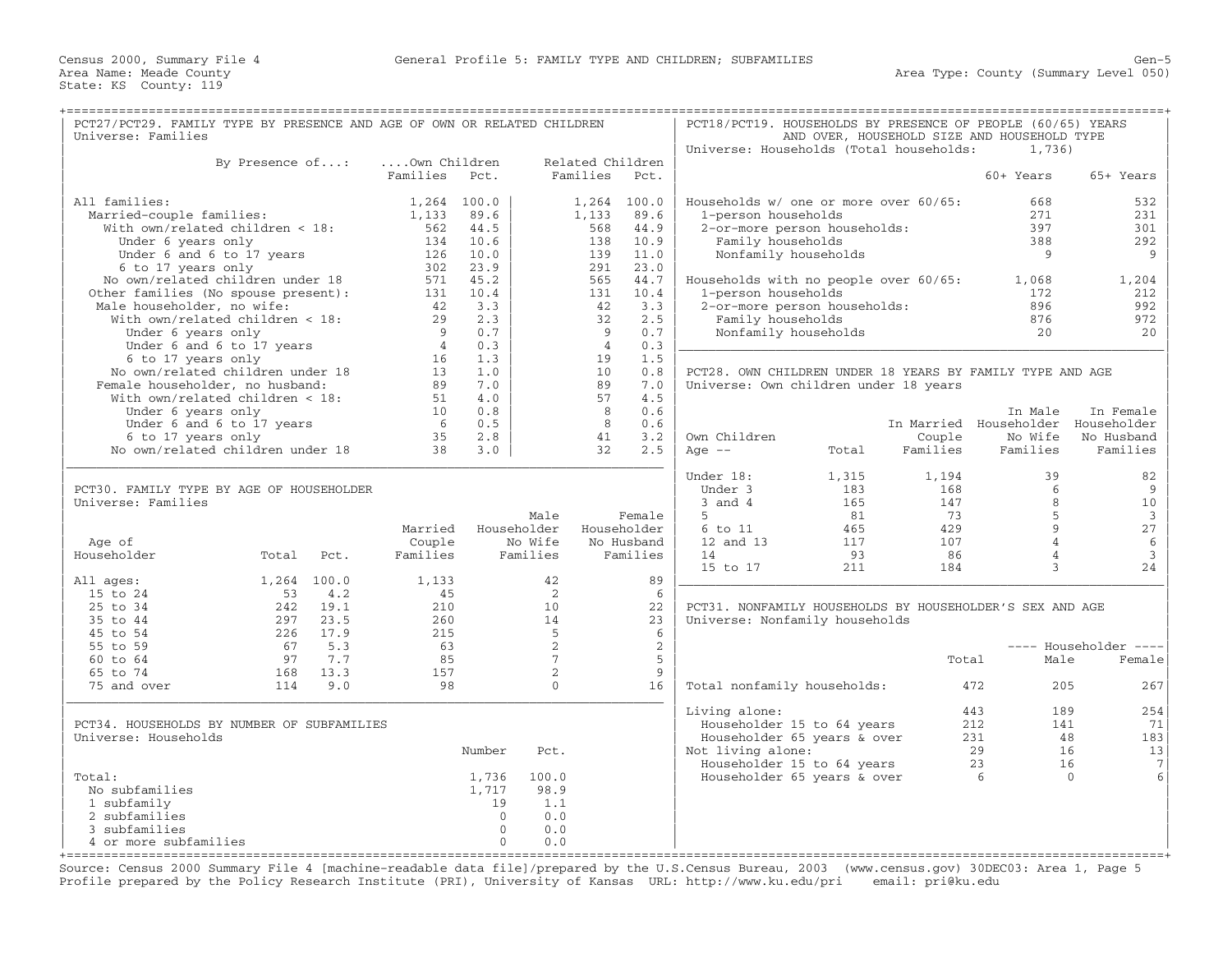| PCT27/PCT29. FAMILY TYPE BY PRESENCE AND AGE OF OWN OR RELATED CHILDREN |                 |             |                 |          |                 |                  |                | PCT18/PCT19. HOUSEHOLDS BY PRESENCE OF PEOPLE (60/65) YEARS |       |          |                                             |                                             |
|-------------------------------------------------------------------------|-----------------|-------------|-----------------|----------|-----------------|------------------|----------------|-------------------------------------------------------------|-------|----------|---------------------------------------------|---------------------------------------------|
| Universe: Families                                                      |                 |             |                 |          |                 |                  |                |                                                             |       |          | AND OVER, HOUSEHOLD SIZE AND HOUSEHOLD TYPE |                                             |
|                                                                         |                 |             |                 |          |                 |                  |                | Universe: Households (Total households:                     |       |          | 1,736)                                      |                                             |
|                                                                         | By Presence of: |             | Own Children    |          |                 | Related Children |                |                                                             |       |          |                                             |                                             |
|                                                                         |                 |             | Families        | Pct.     |                 | Families         | Pct.           |                                                             |       |          | 60+ Years                                   | 65+ Years                                   |
|                                                                         |                 |             |                 |          |                 |                  |                |                                                             |       |          |                                             |                                             |
| All families:                                                           |                 |             | 1,264 100.0     |          |                 | $1,264$ 100.0    |                | Households w/ one or more over 60/65:                       |       |          | 668                                         | 532                                         |
| Married-couple families:                                                |                 |             | 1,133           | 89.6     |                 | 1,133            | 89.6           | 1-person households                                         |       |          | 271                                         | 231                                         |
| With own/related children < 18:                                         |                 |             | 562             | 44.5     |                 | 568              | 44.9           | 2-or-more person households:                                |       |          | 397                                         | 301                                         |
| Under 6 years only                                                      |                 |             |                 | 134 10.6 |                 | 138              | 10.9           | Family households                                           |       |          | 388                                         | 292                                         |
| Under 6 and 6 to 17 years                                               |                 |             | 126             | 10.0     |                 | 139              | 11.0           | Nonfamily households                                        |       |          | 9                                           | 9                                           |
| 6 to 17 years only                                                      |                 |             | 302             | 23.9     |                 | 291              | 23.0           |                                                             |       |          |                                             |                                             |
| No own/related children under 18                                        |                 |             |                 | 571 45.2 |                 | 565              | 44.7           | Households with no people over 60/65:                       |       |          | 1,068                                       | 1,204                                       |
| Other families (No spouse present):                                     |                 |             | 131             | 10.4     |                 | 131              | 10.4           | 1-person households                                         |       |          | 172                                         | 212                                         |
| Male householder, no wife:                                              |                 |             | 42              | 3.3      |                 | 42               | 3.3            | 2-or-more person households:                                |       |          | 896                                         | 992                                         |
| With own/related children < 18:                                         |                 |             | 29              | 2.3      |                 | 32               | 2.5            | Family households                                           |       |          | 876                                         | 972                                         |
| Under 6 years only                                                      |                 |             | 9               | 0.7      |                 | 9                | 0.7            | Nonfamily households                                        |       |          | 2.0                                         | 20                                          |
| Under 6 and 6 to 17 years                                               |                 |             | $\overline{4}$  | 0.3      |                 | $\overline{4}$   | 0.3            |                                                             |       |          |                                             |                                             |
| 6 to 17 years only                                                      |                 |             | 16              | 1.3      |                 | 19               | 1.5            |                                                             |       |          |                                             |                                             |
| No own/related children under 18                                        |                 |             | 13 <sup>7</sup> | 1.0      |                 | 10 <sup>1</sup>  | 0.8            | PCT28. OWN CHILDREN UNDER 18 YEARS BY FAMILY TYPE AND AGE   |       |          |                                             |                                             |
| Female householder, no husband:                                         |                 |             | 89              | 7.0      |                 | 89               | 7.0            | Universe: Own children under 18 years                       |       |          |                                             |                                             |
| With own/related children < 18:                                         |                 |             | 51              | 4.0      |                 | 57               | 4.5            |                                                             |       |          |                                             |                                             |
| Under 6 years only                                                      |                 |             | 10              | 0.8      |                 | 8                | 0.6            |                                                             |       |          | In Male                                     | In Female                                   |
| Under 6 and 6 to 17 years                                               |                 |             | - 6             | 0.5      |                 | 8                | 0.6            |                                                             |       |          | In Married Householder Householder          |                                             |
| 6 to 17 years only                                                      |                 |             | 35              | 2.8      |                 | 41               | 3.2            | Own Children                                                |       | Couple   | No Wife                                     | No Husband                                  |
| No own/related children under 18                                        |                 |             | 38              | 3.0      |                 | 32               | 2.5            | Age $--$                                                    | Total | Families | Families                                    | Families                                    |
|                                                                         |                 |             |                 |          |                 |                  |                |                                                             |       |          |                                             |                                             |
|                                                                         |                 |             |                 |          |                 |                  |                | Under 18:                                                   | 1,315 | 1,194    | 39                                          | 82                                          |
| PCT30. FAMILY TYPE BY AGE OF HOUSEHOLDER                                |                 |             |                 |          |                 |                  |                | Under 3                                                     | 183   | 168      | 6                                           | 9                                           |
| Universe: Families                                                      |                 |             |                 |          |                 |                  |                | $3$ and $4$                                                 | 165   | 147      | 8                                           | 10                                          |
|                                                                         |                 |             |                 |          | Male            |                  | Female         | 5                                                           | 81    | 73       | 5                                           | $\overline{3}$                              |
|                                                                         |                 |             | Married         |          | Householder     | Householder      |                | 6 to 11                                                     | 465   | 429      | $\mathbf{Q}$                                | 27                                          |
| Age of                                                                  |                 |             | Couple          |          | No Wife         |                  | No Husband     | 12 and 13                                                   | 117   | 107      | $\overline{4}$                              | $6\,$                                       |
| Householder                                                             | Total           | Pct.        | Families        |          | Families        |                  | Families       | 14                                                          | 93    | 86       | $\overline{4}$                              | $\mathbf{3}$                                |
|                                                                         |                 |             |                 |          |                 |                  |                | 15 to 17                                                    | 211   | 184      | $\mathbf{3}$                                | 24                                          |
| All ages:                                                               |                 | 1,264 100.0 | 1,133           |          | 42              |                  | 89             |                                                             |       |          |                                             |                                             |
| 15 to 24                                                                | 53              | 4.2         | 45              |          | 2               |                  | 6              |                                                             |       |          |                                             |                                             |
| 25 to 34                                                                | 242             | 19.1        | 210             |          | 10              |                  | 22             | PCT31. NONFAMILY HOUSEHOLDS BY HOUSEHOLDER'S SEX AND AGE    |       |          |                                             |                                             |
| 35 to 44                                                                | 297             | 23.5        | 260             |          | 14              |                  | 23             | Universe: Nonfamily households                              |       |          |                                             |                                             |
| 45 to 54                                                                | 226             | 17.9        | 215             |          | 5               |                  | 6              |                                                             |       |          |                                             |                                             |
| 55 to 59                                                                | 67              | 5.3         | 63              |          | 2               |                  | $\overline{2}$ |                                                             |       |          |                                             | ---- Householder<br>$\qquad \qquad - - - -$ |
| 60 to 64                                                                | 97              | 7.7         | 85              |          | $7\phantom{.0}$ |                  | 5              |                                                             |       | Total    | Male                                        | Female                                      |
| 65 to 74                                                                | 168             | 13.3        | 157             |          | 2               |                  | $\overline{9}$ |                                                             |       |          |                                             |                                             |
| 75 and over                                                             | 114             | 9.0         | 98              |          | $\mathbf{0}$    |                  | 16             | Total nonfamily households:                                 |       |          | 472<br>205                                  | 267                                         |
|                                                                         |                 |             |                 |          |                 |                  |                |                                                             |       |          |                                             |                                             |
|                                                                         |                 |             |                 |          |                 |                  |                | Living alone:                                               |       |          | 443<br>189                                  | 254                                         |
| PCT34. HOUSEHOLDS BY NUMBER OF SUBFAMILIES                              |                 |             |                 |          |                 |                  |                | Householder 15 to 64 years                                  |       |          | 212<br>141                                  | 71                                          |
| Universe: Households                                                    |                 |             |                 |          |                 |                  |                | Householder 65 years & over                                 |       |          | 231                                         | 183<br>48                                   |
|                                                                         |                 |             |                 | Number   | Pct.            |                  |                | Not living alone:                                           |       |          | 29                                          | 16<br>13                                    |
|                                                                         |                 |             |                 |          |                 |                  |                | Householder 15 to 64 years                                  |       |          | 23                                          | 16<br>$7\phantom{.0}$                       |
| Total:                                                                  |                 |             |                 | 1,736    | 100.0           |                  |                | Householder 65 years & over                                 |       |          | 6                                           | 6<br>$\Omega$                               |
| No subfamilies                                                          |                 |             |                 | 1,717    | 98.9            |                  |                |                                                             |       |          |                                             |                                             |
| 1 subfamily                                                             |                 |             |                 | 19       | 1.1             |                  |                |                                                             |       |          |                                             |                                             |
| 2 subfamilies                                                           |                 |             |                 | $\Omega$ | 0.0             |                  |                |                                                             |       |          |                                             |                                             |
| 3 subfamilies                                                           |                 |             |                 | $\Omega$ | 0.0             |                  |                |                                                             |       |          |                                             |                                             |
| 4 or more subfamilies                                                   |                 |             |                 | $\Omega$ | 0.0             |                  |                |                                                             |       |          |                                             |                                             |
|                                                                         |                 |             |                 |          |                 |                  |                |                                                             |       |          |                                             |                                             |

+===================================================================================================================================================+Source: Census 2000 Summary File 4 [machine−readable data file]/prepared by the U.S.Census Bureau, 2003 (www.census.gov) 30DEC03: Area 1, Page 5 Profile prepared by the Policy Research Institute (PRI), University of Kansas URL: http://www.ku.edu/pri email: pri@ku.edu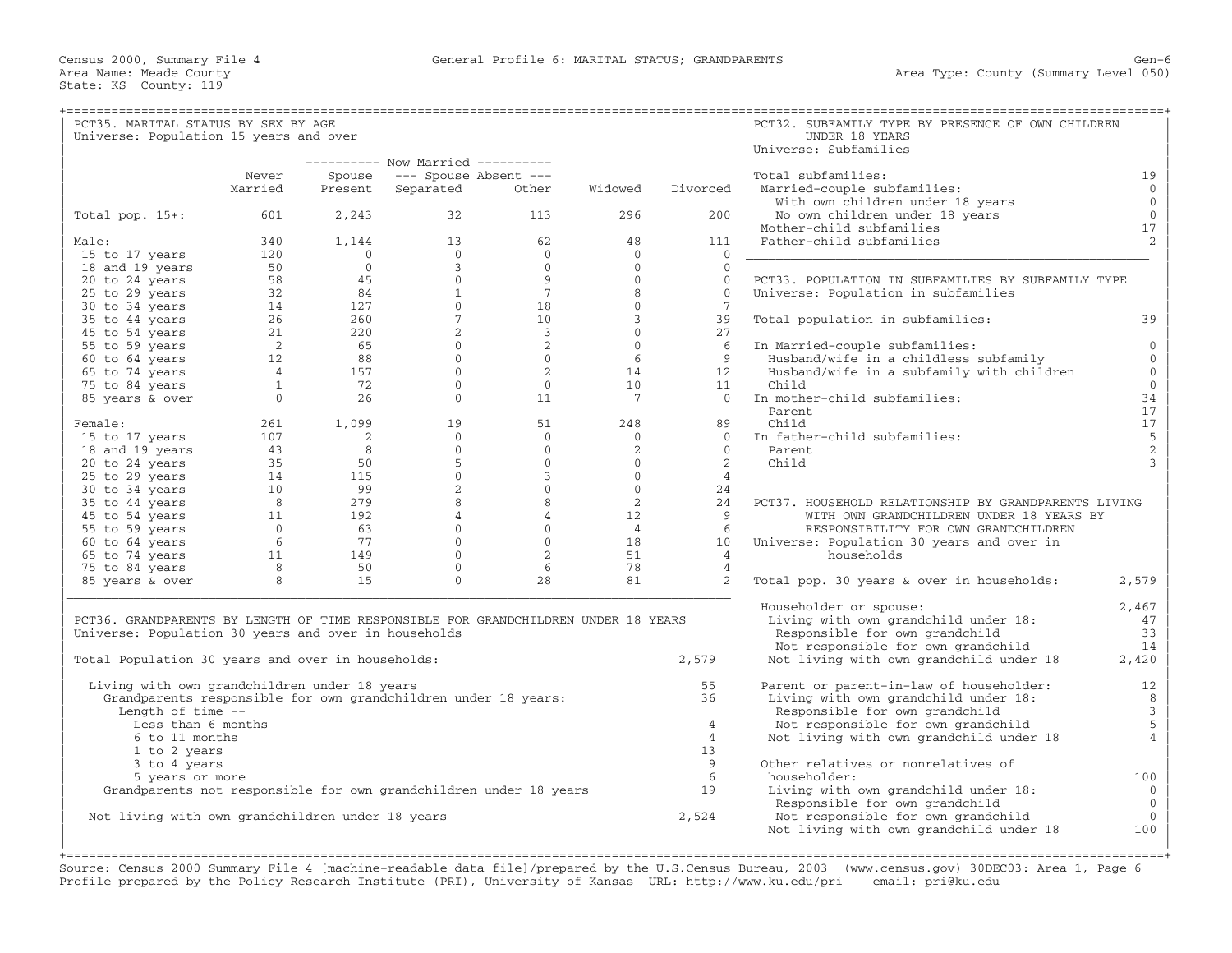| PCT35. MARITAL STATUS BY SEX BY AGE                                                |                       |                         |                                                     |                                  |                      |                 | PCT32. SUBFAMILY TYPE BY PRESENCE OF OWN CHILDREN                                 |                   |
|------------------------------------------------------------------------------------|-----------------------|-------------------------|-----------------------------------------------------|----------------------------------|----------------------|-----------------|-----------------------------------------------------------------------------------|-------------------|
| Universe: Population 15 years and over                                             |                       |                         |                                                     |                                  |                      |                 | UNDER 18 YEARS                                                                    |                   |
|                                                                                    |                       |                         |                                                     |                                  |                      |                 | Universe: Subfamilies                                                             |                   |
|                                                                                    |                       |                         | --------- Now Married ---------                     |                                  |                      |                 |                                                                                   |                   |
|                                                                                    | Never                 | Spouse                  | --- Spouse Absent ---                               |                                  |                      |                 | Total subfamilies:                                                                | 19                |
|                                                                                    | Married               | Present                 | Separated                                           | Other                            | Widowed              | Divorced        | Married-couple subfamilies:                                                       | $\mathbf{0}$      |
|                                                                                    |                       |                         |                                                     |                                  |                      |                 | With own children under 18 years                                                  | $\overline{0}$    |
| Total pop. $15+:$                                                                  | 601                   | 2,243                   | 32                                                  | 113                              | 296                  | 200             | No own children under 18 years<br>Mother-child subfamilies                        | $\mathbb O$<br>17 |
|                                                                                    | 340                   |                         | 13                                                  | 62                               | 48                   |                 | Father-child subfamilies                                                          | 2                 |
| Male:<br>15 to 17 years                                                            | 120                   | 1,144<br>$\overline{0}$ | $\Omega$                                            | $\Omega$                         | $\Omega$             | 111<br>$\Omega$ |                                                                                   |                   |
| 18 and 19 years                                                                    | 50                    | $\Omega$                | $\overline{3}$                                      | $\Omega$                         | $\Omega$             | $\Omega$        |                                                                                   |                   |
| 20 to 24 years                                                                     | 58                    |                         | $\overline{0}$                                      | 9                                | $\mathbf{0}$         | $\overline{0}$  | PCT33. POPULATION IN SUBFAMILIES BY SUBFAMILY TYPE                                |                   |
| 25 to 29 years                                                                     | 32                    |                         | $\frac{45}{84}$<br>$\begin{matrix}0\\1\end{matrix}$ | 7                                | 8                    | $\mathbf{0}$    | Universe: Population in subfamilies                                               |                   |
| 30 to 34 years                                                                     | 14                    |                         | $\frac{127}{260}$<br>$\Omega$                       | 18                               | $\Omega$             | $7\phantom{.0}$ |                                                                                   |                   |
| 35 to 44 years                                                                     | 26                    | 260                     | 7 <sup>7</sup>                                      | 10                               | $\mathcal{E}$        | 39              | Total population in subfamilies:                                                  | 39                |
| 45 to 54 years                                                                     | 21                    | 220                     | $\overline{2}$                                      | $\overline{3}$                   | $\Omega$             | 27              |                                                                                   |                   |
| 55 to 59 years                                                                     | $\overline{2}$        |                         | $\overline{0}$                                      | 2                                | $\overline{0}$       | 6               | In Married-couple subfamilies:                                                    | $\Omega$          |
| 60 to 64 years                                                                     | 12                    | 65<br>88                | $\Omega$                                            | $\overline{0}$                   | - 6                  | 9               | Husband/wife in a childless subfamily                                             | $\Omega$          |
| 65 to 74 years                                                                     | $\overline{4}$        | 157                     | $\overline{0}$                                      | 2                                | 14                   | 12              | Husband/wife in a subfamily with children                                         | $\mathbf{0}$      |
| 75 to 84 years                                                                     | $\mathbf{1}$          | 72                      | $\overline{0}$                                      | $\overline{0}$                   | 10                   | 11              | Child                                                                             | $\mathbf{0}$      |
| 85 years & over                                                                    | $\Omega$              | 2.6                     | $\Omega$                                            | 11                               | 7                    | $\Omega$        | In mother-child subfamilies:                                                      | 34                |
|                                                                                    |                       |                         |                                                     |                                  |                      |                 | Parent.                                                                           | 17                |
| Female:                                                                            | 261                   | 1,099                   | 19                                                  | 51                               | 248                  | 89              | Child                                                                             | 17                |
| 15 to 17 years                                                                     | 107                   | 2                       | $\Omega$                                            | $\Omega$                         | $\Omega$             | $\Omega$        | In father-child subfamilies:                                                      | 5                 |
| 18 and 19 years                                                                    | 43                    | 8                       | $\Omega$                                            | $\Omega$                         | 2                    | $\Omega$        | Parent                                                                            | $\sqrt{2}$        |
| 20 to 24 years                                                                     | 35                    | 50                      | 5                                                   | $\overline{0}$                   | $\circ$              | 2               | Child                                                                             | $\overline{3}$    |
| 25 to 29 years                                                                     | 14                    | 115                     | $\overline{0}$                                      | $\overline{3}$                   | $\overline{0}$       | $\overline{4}$  |                                                                                   |                   |
| 30 to 34 years                                                                     | 10                    | 99                      | $2^{\circ}$                                         | $\overline{0}$                   | $\Omega$             | 24              |                                                                                   |                   |
| 35 to 44 years                                                                     | 8 <sup>8</sup>        | 279                     | 8                                                   | 8                                | $\overline{2}$       | 24              | PCT37. HOUSEHOLD RELATIONSHIP BY GRANDPARENTS LIVING                              |                   |
| 45 to 54 years                                                                     | 11                    | 192                     | $\overline{4}$<br>$\overline{0}$                    | $\overline{4}$<br>$\overline{0}$ | 12                   | 9               | WITH OWN GRANDCHILDREN UNDER 18 YEARS BY                                          |                   |
| 55 to 59 years<br>60 to 64 years                                                   | $\overline{0}$<br>- 6 | 63<br>77                | $\Omega$                                            | $\Omega$                         | $\overline{4}$<br>18 | 6<br>10         | RESPONSIBILITY FOR OWN GRANDCHILDREN<br>Universe: Population 30 years and over in |                   |
| 65 to 74 years                                                                     | 11                    | 149                     | $\overline{0}$                                      | 2                                | 51                   | $\overline{4}$  | households                                                                        |                   |
| 75 to 84 years                                                                     | 8                     | 50                      | $\overline{0}$                                      | 6                                | 78                   | $\overline{4}$  |                                                                                   |                   |
| 85 years & over                                                                    | 8                     | 15                      | $\Omega$                                            | 28                               | 81                   | $\mathcal{L}$   | Total pop. 30 years & over in households:                                         | 2,579             |
|                                                                                    |                       |                         |                                                     |                                  |                      |                 |                                                                                   |                   |
|                                                                                    |                       |                         |                                                     |                                  |                      |                 | Householder or spouse:                                                            | 2,467             |
| PCT36. GRANDPARENTS BY LENGTH OF TIME RESPONSIBLE FOR GRANDCHILDREN UNDER 18 YEARS |                       |                         |                                                     |                                  |                      |                 | Living with own grandchild under 18:                                              | 47                |
| Universe: Population 30 years and over in households                               |                       |                         |                                                     |                                  |                      |                 | Responsible for own grandchild                                                    | 33                |
|                                                                                    |                       |                         |                                                     |                                  |                      |                 | Not responsible for own grandchild                                                | 14                |
| Total Population 30 years and over in households:                                  |                       |                         |                                                     |                                  |                      | 2,579           | Not living with own grandchild under 18                                           | 2,420             |
| Living with own grandchildren under 18 years                                       |                       |                         |                                                     |                                  |                      | 55              | Parent or parent-in-law of householder:                                           | 12                |
| Grandparents responsible for own grandchildren under 18 years:                     |                       |                         |                                                     |                                  |                      | 36              | Living with own grandchild under 18:                                              | 8                 |
| Length of time --                                                                  |                       |                         |                                                     |                                  |                      |                 | Responsible for own grandchild                                                    | $\mathsf 3$       |
| Less than 6 months                                                                 |                       |                         |                                                     |                                  |                      | $\overline{4}$  | Not responsible for own grandchild                                                | 5                 |
| 6 to 11 months                                                                     |                       |                         |                                                     |                                  |                      | $\overline{4}$  | Not living with own grandchild under 18                                           | $\overline{4}$    |
| 1 to 2 years                                                                       |                       |                         |                                                     |                                  |                      | 13              |                                                                                   |                   |
| 3 to 4 years                                                                       |                       |                         |                                                     |                                  |                      | 9               | Other relatives or nonrelatives of                                                |                   |
| 5 years or more                                                                    |                       |                         |                                                     |                                  |                      | 6               | householder:                                                                      | 100               |
| Grandparents not responsible for own grandchildren under 18 years                  |                       |                         |                                                     |                                  |                      | 19              | Living with own grandchild under 18:                                              | $\overline{0}$    |
|                                                                                    |                       |                         |                                                     |                                  |                      |                 | Responsible for own grandchild                                                    | $\mathbf{0}$      |
| Not living with own grandchildren under 18 years                                   |                       |                         |                                                     |                                  |                      | 2,524           | Not responsible for own grandchild<br>Not living with own grandchild under 18     | $\mathbf{0}$      |
|                                                                                    |                       |                         |                                                     |                                  |                      |                 |                                                                                   | 100               |
|                                                                                    |                       |                         |                                                     |                                  |                      |                 |                                                                                   |                   |

Source: Census 2000 Summary File 4 [machine−readable data file]/prepared by the U.S.Census Bureau, 2003 (www.census.gov) 30DEC03: Area 1, Page 6 Profile prepared by the Policy Research Institute (PRI), University of Kansas URL: http://www.ku.edu/pri email: pri@ku.edu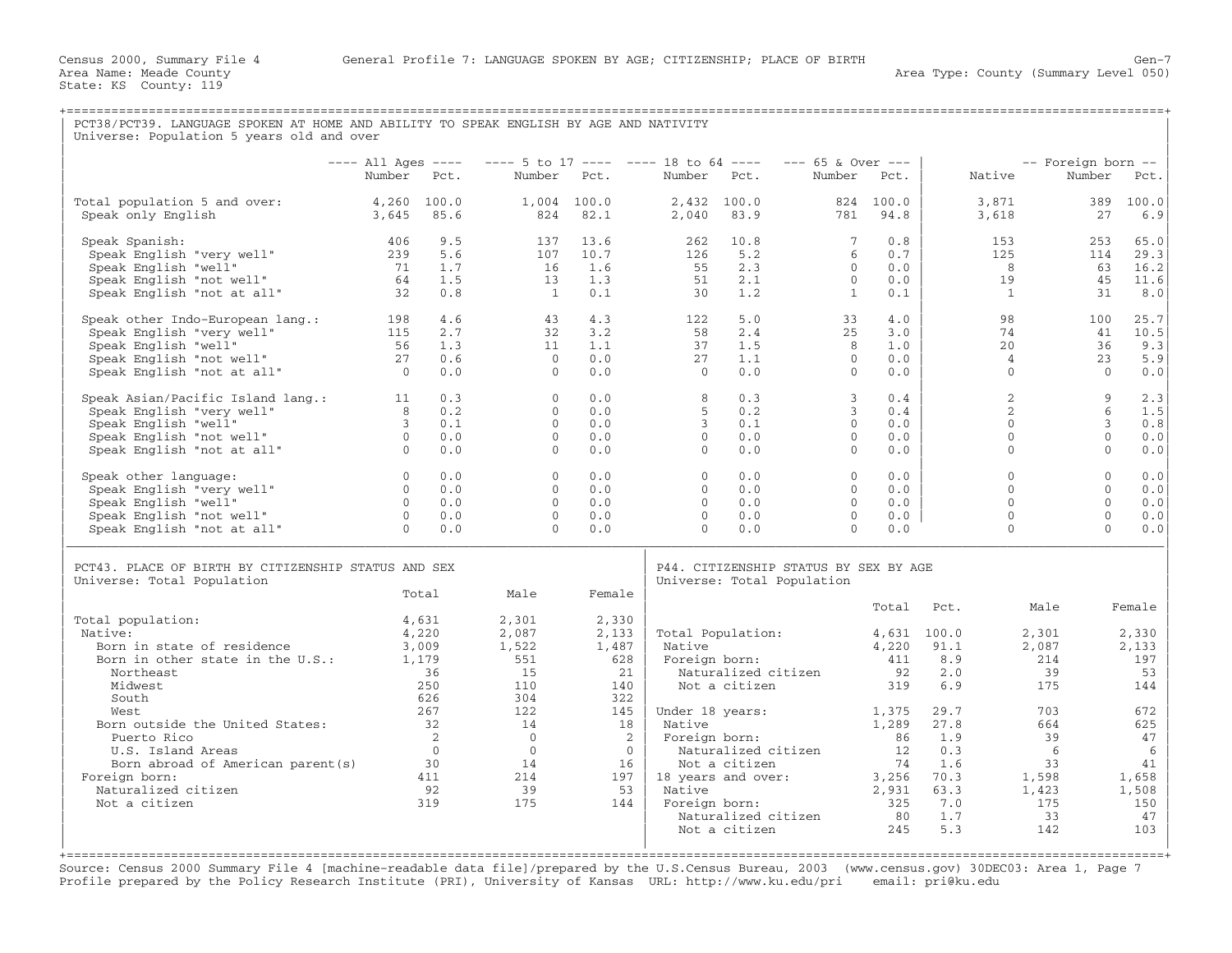State: KS County: 119

| PCT38/PCT39. LANGUAGE SPOKEN AT HOME AND ABILITY TO SPEAK ENGLISH BY AGE AND NATIVITY<br>Universe: Population 5 years old and over                                                    |                                                                            |                                                                          |                                                                                |                                                                                   |                                                         |                                                                                                        |                                                             |                                                           |                                                                      |                                                      |                                                                                                 |
|---------------------------------------------------------------------------------------------------------------------------------------------------------------------------------------|----------------------------------------------------------------------------|--------------------------------------------------------------------------|--------------------------------------------------------------------------------|-----------------------------------------------------------------------------------|---------------------------------------------------------|--------------------------------------------------------------------------------------------------------|-------------------------------------------------------------|-----------------------------------------------------------|----------------------------------------------------------------------|------------------------------------------------------|-------------------------------------------------------------------------------------------------|
|                                                                                                                                                                                       | $---$ All Ages $---$                                                       |                                                                          | $--- 5$ to 17 ---- ---- 18 to 64 ----                                          |                                                                                   |                                                         |                                                                                                        | $--- 65$ & Over $---$                                       |                                                           |                                                                      | -- Foreign born --                                   |                                                                                                 |
|                                                                                                                                                                                       | Number Pct.                                                                |                                                                          |                                                                                | Number Pct.                                                                       | Number Pct.                                             |                                                                                                        | Number Pct.                                                 |                                                           | Native                                                               | Number                                               | Pct.                                                                                            |
| Total population 5 and over:<br>Speak only English                                                                                                                                    | 4,260 100.0<br>3,645                                                       | 85.6                                                                     | 824                                                                            | 1,004 100.0<br>82.1                                                               | 2,040                                                   | $2,432$ 100.0<br>83.9                                                                                  | 781                                                         | 824 100.0<br>94.8                                         | 3,871<br>3,618                                                       | 389<br>27                                            | 100.0<br>6.9                                                                                    |
| Speak Spanish:<br>Speak English "very well"<br>Speak English "well"<br>Speak English "not well"<br>Speak English "not at all"                                                         | 406<br>239<br>71<br>64<br>32                                               | 9.5<br>5.6<br>1.7<br>1.5<br>0.8                                          | 137<br>107<br>16<br>13<br>$\mathbf{1}$                                         | 13.6<br>10.7<br>1.6<br>1.3<br>0.1                                                 | 262<br>126<br>55<br>51<br>30                            | 10.8<br>5.2<br>2.3<br>2.1<br>1.2                                                                       | $7\overline{ }$<br>6<br>$\circ$<br>$\Omega$<br>$\mathbf{1}$ | 0.8<br>0.7<br>0.0<br>0.0<br>0.1                           | 153<br>125<br>8<br>19<br>1                                           | 253<br>114<br>63                                     | 65.0<br>29.3<br>16.2<br>45<br>11.6<br>8.0<br>31                                                 |
| Speak other Indo-European lang.:<br>Speak English "very well"<br>Speak English "well"<br>Speak English "not well"<br>Speak English "not at all"                                       | 198<br>115<br>56<br>27<br>$\overline{0}$                                   | 4.6<br>2.7<br>1.3<br>0.6<br>0.0                                          | 43<br>32<br>11<br>$\bigcirc$<br>$\Omega$                                       | 4.3<br>3.2<br>1.1<br>0.0<br>0.0                                                   | 122<br>58<br>37<br>27<br>$\Omega$                       | 5.0<br>2.4<br>1.5<br>1.1<br>0.0                                                                        | 33<br>25<br>8<br>$\Omega$<br>$\Omega$                       | 4.0<br>3.0<br>1.0<br>0.0<br>0.0                           | 98<br>74<br>2.0<br>4<br>$\mathbf{0}$                                 | 100                                                  | 25.7<br>41<br>10.5<br>36<br>9.3<br>23<br>5.9<br>$\Omega$<br>0.0                                 |
| Speak Asian/Pacific Island lang.: 11<br>Speak English "very well"<br>Speak English "well"<br>Speak English "not well"<br>Speak English "not at all"                                   | 8 <sup>1</sup><br>$\begin{array}{c} 3 \\ 3 \\ 0 \\ 0 \end{array}$          | 0.3<br>0.2<br>0.1<br>0.0<br>0.0                                          | $\Omega$<br>$\Omega$<br>$\Omega$<br>$\Omega$<br>$\Omega$                       | 0.0<br>0.0<br>0.0<br>0.0<br>0.0                                                   | 8<br>5<br>$\mathbf{3}$<br>$\Omega$<br>$\Omega$          | 0.3<br>0.2<br>0.1<br>0.0<br>0.0                                                                        | 3<br>$\mathbf{3}$<br>$\Omega$<br>$\Omega$<br>$\Omega$       | 0.4<br>0.4<br>0.0<br>0.0<br>0.0                           | $\overline{2}$<br>$\mathfrak{D}$<br>$\Omega$<br>$\Omega$<br>$\Omega$ |                                                      | $\mathbf{Q}$<br>2.3<br>6<br>1.5<br>0.8<br>3<br>$\Omega$<br>0.0<br>$\Omega$<br>0.0               |
| Speak other language:<br>Speak English "very well"<br>Speak English "well"<br>Speak English "not well"<br>Speak English "not at all"                                                  | $\overline{0}$<br>$\Omega$<br>$\overline{0}$<br>$\overline{0}$<br>$\Omega$ | 0.0<br>0.0<br>0.0<br>0.0<br>0.0                                          | $\overline{0}$<br>$\Omega$<br>$\Omega$<br>$\Omega$<br>$\Omega$                 | 0.0<br>0.0<br>0.0<br>0.0<br>0.0                                                   | $\circ$<br>$\Omega$<br>$\Omega$<br>$\Omega$<br>$\Omega$ | 0.0<br>0.0<br>0.0<br>0.0<br>0.0                                                                        | $\circ$<br>$\Omega$<br>$\Omega$<br>$\mathbf{0}$<br>$\Omega$ | 0.0<br>0.0<br>0.0<br>0.0<br>0.0                           | $\mathbf{0}$<br>$\Omega$<br>$\Omega$<br>$\Omega$<br>$\Omega$         |                                                      | $\mathbf{0}$<br>0.0<br>$\Omega$<br>0.0<br>$\Omega$<br>0.0<br>$\Omega$<br>0.0<br>$\Omega$<br>0.0 |
| PCT43. PLACE OF BIRTH BY CITIZENSHIP STATUS AND SEX<br>Universe: Total Population                                                                                                     |                                                                            |                                                                          |                                                                                |                                                                                   |                                                         | P44. CITIZENSHIP STATUS BY SEX BY AGE<br>Universe: Total Population                                    |                                                             |                                                           |                                                                      |                                                      |                                                                                                 |
|                                                                                                                                                                                       |                                                                            | Total                                                                    | Male                                                                           | Female                                                                            |                                                         |                                                                                                        |                                                             |                                                           | Total Pct.                                                           | Male                                                 | Female                                                                                          |
| Total population:<br>Native:<br>Born in state of residence<br>Born in other state in the U.S.:<br>Northeast<br>Midwest                                                                | 3,009<br>1,179                                                             | 4,631<br>4,220<br>36<br>250                                              | 2,301<br>2,087<br>1,522<br>551<br>15<br>110                                    | 2,330<br>2,133<br>1,487<br>628<br>21<br>140                                       | Native                                                  | Total Population: 4,631 100.0<br>Foreign born:<br>Naturalized citizen<br>Not a citizen                 |                                                             | 411<br>92<br>319                                          | 4,220 91.1<br>8.9<br>2.0<br>6.9                                      | 2,301<br>2,087<br>214<br>39<br>175                   | 2,330<br>2,133<br>197<br>53<br>144                                                              |
| South<br>West<br>Born outside the United States:<br>Puerto Rico<br>U.S. Island Areas<br>Born abroad of American parent(s) 30<br>Foreign born:<br>Naturalized citizen<br>Not a citizen |                                                                            | 626<br>267<br>32<br>$\overline{2}$<br>$\overline{0}$<br>411<br>92<br>319 | 304<br>122<br>14<br>$\overline{0}$<br>$\overline{0}$<br>14<br>214<br>39<br>175 | 322<br>145<br>18<br>$\overline{\phantom{a}}$<br>$\overline{0}$<br>16<br>53<br>144 | Native<br>Native<br>Foreign born:                       | Under 18 years:<br>Foreign born:<br>Naturalized citizen<br>Not a citizen<br>$197$   18 years and over: |                                                             | 1,375<br>1,289<br>86<br>12<br>74<br>3,256<br>2,931<br>325 | 29.7<br>27.8<br>1.9<br>0.3<br>1.6<br>70.3<br>63.3<br>7.0             | 703<br>664<br>39<br>6<br>33<br>1,598<br>1,423<br>175 | 672<br>625<br>47<br>6<br>41<br>1,658<br>1,508<br>150                                            |
|                                                                                                                                                                                       |                                                                            |                                                                          |                                                                                |                                                                                   |                                                         | Naturalized citizen<br>Not a citizen                                                                   |                                                             | 80<br>245                                                 | 1.7<br>5.3                                                           | 33<br>142                                            | 47<br>103                                                                                       |

Source: Census 2000 Summary File 4 [machine−readable data file]/prepared by the U.S.Census Bureau, 2003 (www.census.gov) 30DEC03: Area 1, Page 7 Profile prepared by the Policy Research Institute (PRI), University of Kansas URL: http://www.ku.edu/pri email: pri@ku.edu

| | | +===================================================================================================================================================+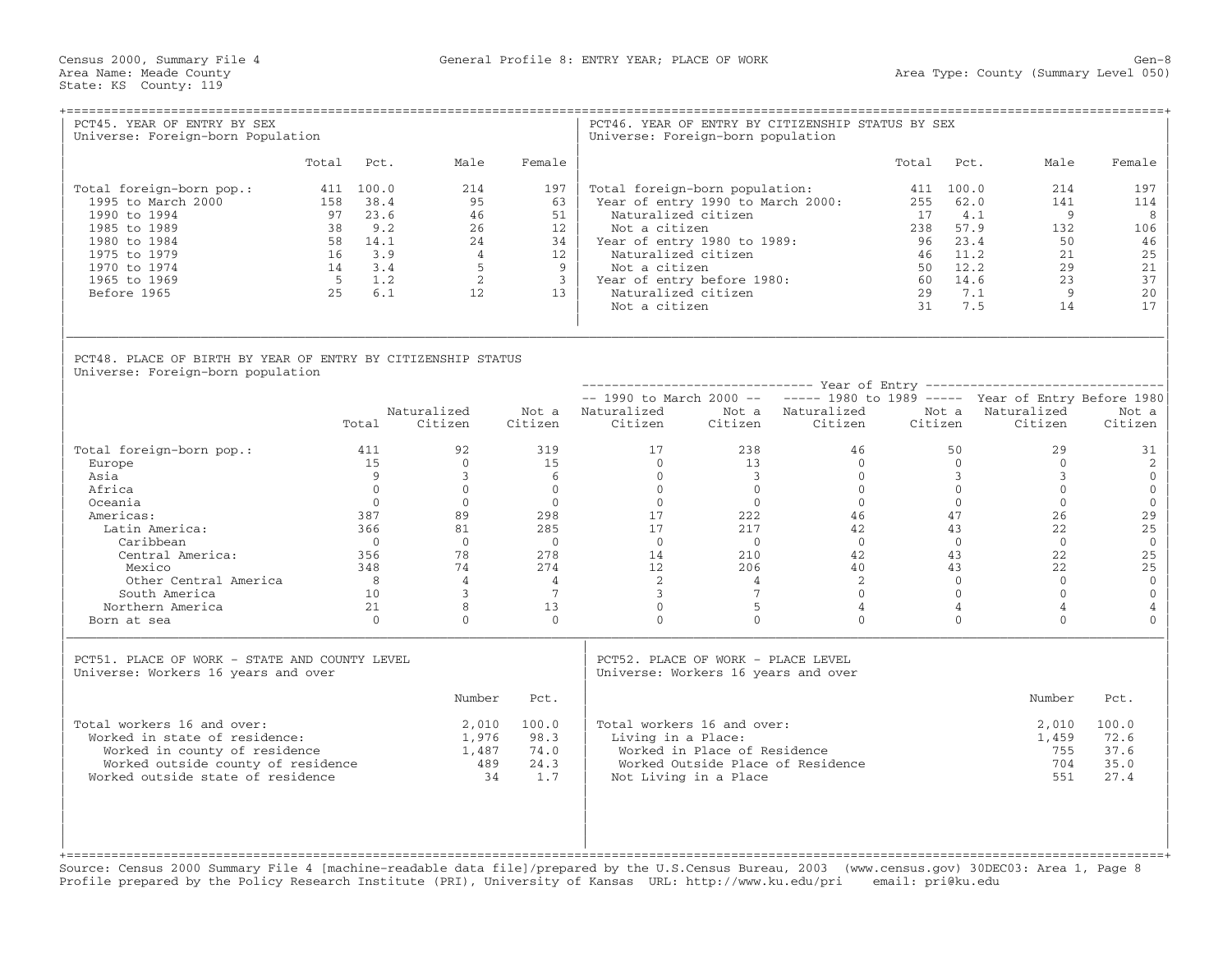Census 2000, Summary File 4 General Profile 8: ENTRY YEAR; PLACE OF WORK Gen−8

| PCT45. YEAR OF ENTRY BY SEX<br>Universe: Foreign-born Population                                                                                                                                                       |                |                                                                                                                          |                                                                                                                                                     |                                                                                                                            | Universe: Foreign-born population                                                                                                                                                                                                                        |                                                                                                                                                                   | PCT46. YEAR OF ENTRY BY CITIZENSHIP STATUS BY SEX                                                                                       |                                               |                                                                                                                                                    |                                                                                                                                                          |                                                                                                                                                             |
|------------------------------------------------------------------------------------------------------------------------------------------------------------------------------------------------------------------------|----------------|--------------------------------------------------------------------------------------------------------------------------|-----------------------------------------------------------------------------------------------------------------------------------------------------|----------------------------------------------------------------------------------------------------------------------------|----------------------------------------------------------------------------------------------------------------------------------------------------------------------------------------------------------------------------------------------------------|-------------------------------------------------------------------------------------------------------------------------------------------------------------------|-----------------------------------------------------------------------------------------------------------------------------------------|-----------------------------------------------|----------------------------------------------------------------------------------------------------------------------------------------------------|----------------------------------------------------------------------------------------------------------------------------------------------------------|-------------------------------------------------------------------------------------------------------------------------------------------------------------|
|                                                                                                                                                                                                                        |                | Total Pct.                                                                                                               | Male                                                                                                                                                | Female                                                                                                                     |                                                                                                                                                                                                                                                          |                                                                                                                                                                   |                                                                                                                                         | Total                                         | Pct.                                                                                                                                               | Male                                                                                                                                                     | Female                                                                                                                                                      |
| Total foreign-born pop.:<br>1995 to March 2000<br>1990 to 1994<br>1985 to 1989<br>1980 to 1984<br>1975 to 1979<br>1970 to 1974<br>1965 to 1969<br>Before 1965                                                          | 5 <sup>5</sup> | 411 100.0<br>158 38.4<br>97 23.6<br>38 9.2<br>58 14.1<br>$16 \qquad 3.9$<br>$14 \quad 3.4$<br>1.2<br>25 6.1              | 214<br>95<br>46<br>26<br>24<br>$\overline{4}$<br>5<br>$\overline{2}$<br>12                                                                          | 197<br>63<br>51<br>12 <sup>°</sup><br>34<br>12<br>$\overline{9}$<br>$\overline{\mathbf{3}}$<br>13                          | Total foreign-born population:<br>Year of entry 1990 to March 2000:<br>Naturalized citizen<br>Not a citizen<br>Year of entry 1980 to 1989:<br>Naturalized citizen<br>Not a citizen<br>Year of entry before 1980:<br>Naturalized citizen<br>Not a citizen |                                                                                                                                                                   |                                                                                                                                         | 255<br>17<br>96<br>46<br>50<br>60<br>29<br>31 | 411 100.0<br>62.0<br>4.1<br>238 57.9<br>23.4<br>11.2<br>12.2<br>14.6<br>7.1<br>7.5                                                                 | 214<br>141<br>$\overline{9}$<br>132<br>50<br>21<br>2.9<br>23<br>- 9<br>14                                                                                | 197<br>114<br>8<br>106<br>46<br>25<br>21<br>37<br>20<br>17                                                                                                  |
| PCT48. PLACE OF BIRTH BY YEAR OF ENTRY BY CITIZENSHIP STATUS<br>Universe: Foreign-born population                                                                                                                      |                |                                                                                                                          |                                                                                                                                                     |                                                                                                                            |                                                                                                                                                                                                                                                          |                                                                                                                                                                   |                                                                                                                                         |                                               |                                                                                                                                                    |                                                                                                                                                          |                                                                                                                                                             |
|                                                                                                                                                                                                                        |                |                                                                                                                          |                                                                                                                                                     |                                                                                                                            |                                                                                                                                                                                                                                                          |                                                                                                                                                                   |                                                                                                                                         |                                               |                                                                                                                                                    |                                                                                                                                                          |                                                                                                                                                             |
|                                                                                                                                                                                                                        |                | Total                                                                                                                    | Naturalized<br>Citizen                                                                                                                              | Citizen                                                                                                                    | $--$ 1990 to March 2000 -- $---$ 1980 to 1989 ----- Year of Entry Before 1980<br>Not a Naturalized<br>Citizen                                                                                                                                            | Citizen                                                                                                                                                           | Not a Naturalized<br>Citizen                                                                                                            | Citizen                                       | Not a                                                                                                                                              | Naturalized<br>Citizen                                                                                                                                   | Not a<br>Citizen                                                                                                                                            |
| Total foreign-born pop.:<br>Europe<br>Asia<br>Africa<br>Oceania<br>Americas:<br>Latin America:<br>Caribbean<br>Central America:<br>Mexico<br>Other Central America<br>South America<br>Northern America<br>Born at sea |                | 411<br>15<br>9<br>$\Omega$<br>$\Omega$<br>387<br>366<br>$\bigcirc$<br>356<br>348<br>8 <sup>2</sup><br>10<br>21<br>$\cap$ | 92<br>$\Omega$<br>$\mathbf{3}$<br>$\Omega$<br>$\Omega$<br>89<br>81<br>$\overline{0}$<br>78<br>74<br>$\overline{4}$<br>$\mathbf{3}$<br>8<br>$\Omega$ | 319<br>15<br>6<br>$\Omega$<br>$\bigcap$<br>298<br>285<br>$\bigcirc$<br>278<br>274<br>$\overline{4}$<br>7<br>13<br>$\Omega$ | 17<br>$\Omega$<br>$\overline{0}$<br>$\Omega$<br>$\Omega$<br>17<br>17<br>$\Omega$<br>14<br>12 <sup>°</sup><br>2<br>$\mathbf{3}$<br>$\circ$<br>$\Omega$                                                                                                    | 238<br>13<br>$\overline{\mathbf{3}}$<br>$\Omega$<br>$\bigcap$<br>222<br>217<br>$\overline{0}$<br>210<br>206<br>$\overline{4}$<br>$7\phantom{.0}$<br>5<br>$\Omega$ | 46<br>$\Omega$<br>$\Omega$<br>$\Omega$<br>$\Omega$<br>46<br>42<br>$\bigcirc$<br>42<br>40<br>2<br>$\Omega$<br>$\overline{4}$<br>$\Omega$ |                                               | 50<br>$\Omega$<br>$\overline{3}$<br>$\Omega$<br>$\Omega$<br>47<br>43<br>$\Omega$<br>43<br>43<br>$\Omega$<br>$\Omega$<br>$\overline{4}$<br>$\Omega$ | 29<br>$\Omega$<br>$\overline{3}$<br>$\Omega$<br>$\Omega$<br>26<br>22<br>$\overline{0}$<br>22<br>22<br>$\Omega$<br>$\Omega$<br>$\overline{4}$<br>$\Omega$ | 31<br>2<br>$\mathbf 0$<br>$\mathsf{O}$<br>$\mathbf{0}$<br>29<br>25<br>$\overline{0}$<br>25<br>25<br>$\overline{0}$<br>$\mathbb O$<br>$\sqrt{4}$<br>$\Omega$ |
| PCT51. PLACE OF WORK - STATE AND COUNTY LEVEL<br>Universe: Workers 16 years and over                                                                                                                                   |                |                                                                                                                          |                                                                                                                                                     |                                                                                                                            | PCT52. PLACE OF WORK - PLACE LEVEL<br>Universe: Workers 16 years and over                                                                                                                                                                                |                                                                                                                                                                   |                                                                                                                                         |                                               |                                                                                                                                                    |                                                                                                                                                          |                                                                                                                                                             |
|                                                                                                                                                                                                                        |                |                                                                                                                          | Number                                                                                                                                              | Pct.                                                                                                                       |                                                                                                                                                                                                                                                          |                                                                                                                                                                   |                                                                                                                                         |                                               |                                                                                                                                                    | Number                                                                                                                                                   | Pct.                                                                                                                                                        |
| Total workers 16 and over:<br>Worked in state of residence:<br>Worked in county of residence<br>Worked outside county of residence<br>Worked outside state of residence                                                |                |                                                                                                                          | 2,010<br>1,976<br>1,487<br>489<br>34                                                                                                                | 100.0<br>98.3<br>74.0<br>24.3<br>1.7                                                                                       | Total workers 16 and over:<br>Living in a Place:                                                                                                                                                                                                         | Worked in Place of Residence<br>Not Living in a Place                                                                                                             | Worked Outside Place of Residence                                                                                                       |                                               |                                                                                                                                                    | 2,010<br>1,459<br>755<br>704<br>551                                                                                                                      | 100.0<br>72.6<br>37.6<br>35.0<br>27.4                                                                                                                       |

Source: Census 2000 Summary File 4 [machine−readable data file]/prepared by the U.S.Census Bureau, 2003 (www.census.gov) 30DEC03: Area 1, Page 8 Profile prepared by the Policy Research Institute (PRI), University of Kansas URL: http://www.ku.edu/pri email: pri@ku.edu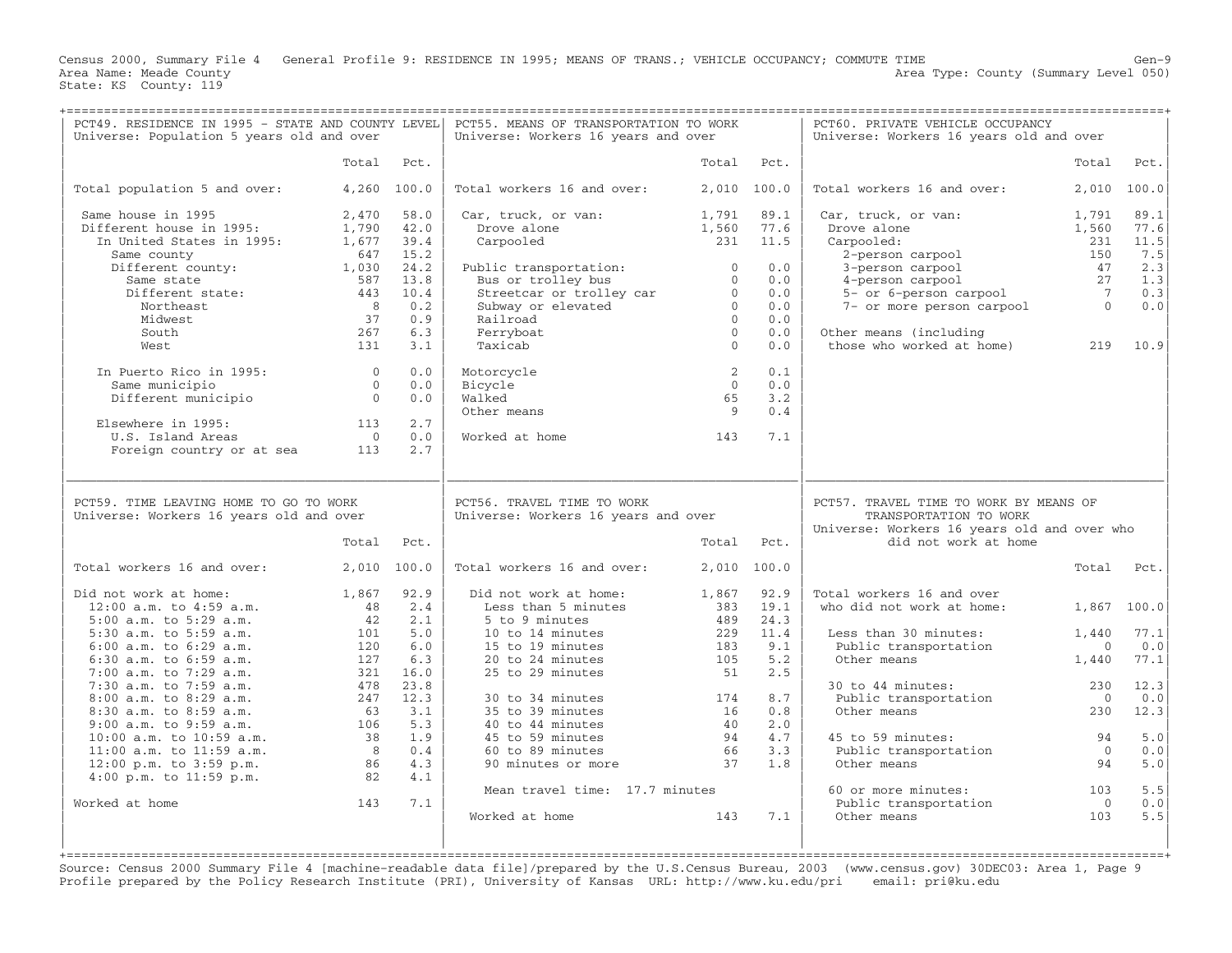Census 2000, Summary File 4 General Profile 9: RESIDENCE IN 1995; MEANS OF TRANS.; VEHICLE OCCUPANCY; COMMUTE TIME Gen−9<br>Area Name: Meade County Level 050) Area Type: County (Summary Level 050) State: KS County: 119

+===================================================================================================================================================+

| PCT49. RESIDENCE IN 1995 - STATE AND COUNTY LEVEL<br>Universe: Population 5 years old and over |                |              | PCT55. MEANS OF TRANSPORTATION TO WORK<br>Universe: Workers 16 years and over |                          |              | PCT60. PRIVATE VEHICLE OCCUPANCY<br>Universe: Workers 16 years old and over |                       |                       |
|------------------------------------------------------------------------------------------------|----------------|--------------|-------------------------------------------------------------------------------|--------------------------|--------------|-----------------------------------------------------------------------------|-----------------------|-----------------------|
|                                                                                                | Total          | Pct.         |                                                                               | Total                    | Pct.         |                                                                             | Total                 | Pct.                  |
|                                                                                                |                |              |                                                                               |                          |              |                                                                             |                       |                       |
| Total population 5 and over:                                                                   |                | 4,260 100.0  | Total workers 16 and over:                                                    |                          | 2,010 100.0  | Total workers 16 and over:                                                  | 2,010                 | 100.0                 |
| Same house in 1995<br>Different house in 1995:                                                 | 2,470<br>1,790 | 58.0<br>42.0 | Car, truck, or van:<br>Drove alone                                            | 1,791<br>1,560           | 89.1<br>77.6 | Car, truck, or van:<br>Drove alone                                          | 1,791<br>1,560        | 89.1<br>77.6          |
| In United States in 1995:                                                                      | 1,677          | 39.4         | Carpooled                                                                     | 231                      | 11.5         | Carpooled:                                                                  | 231                   | 11.5                  |
| Same county                                                                                    | 647            | 15.2         |                                                                               |                          |              | 2-person carpool                                                            | 150                   | 7.5                   |
| Different county:                                                                              | 1,030          | 24.2         | Public transportation:                                                        | $\Omega$                 | 0.0          | 3-person carpool                                                            | 47                    | 2.3                   |
| Same state<br>Different state:                                                                 | 587<br>443     | 13.8<br>10.4 | Bus or trolley bus<br>Streetcar or trolley car                                | $\mathbf{0}$<br>$\Omega$ | 0.0<br>0.0   | 4-person carpool<br>5- or 6-person carpool                                  | 27<br>$\overline{7}$  | 1.3<br>0.3            |
| Northeast                                                                                      | 8 <sup>8</sup> | 0.2          | Subway or elevated                                                            | $\Omega$                 | 0.0          | 7- or more person carpool                                                   | $\overline{0}$        | ${\bf 0}$ . ${\bf 0}$ |
| Midwest                                                                                        | 37             | 0.9          | Railroad                                                                      | $\Omega$                 | 0.0          |                                                                             |                       |                       |
| South                                                                                          | 267            | 6.3          | Ferryboat                                                                     | $\mathbf{0}$             | 0.0          | Other means (including                                                      |                       |                       |
| West                                                                                           | 131            | 3.1          | Taxicab                                                                       | $\Omega$                 | 0.0          | those who worked at home)                                                   | 219                   | 10.9                  |
| In Puerto Rico in 1995:                                                                        | $\overline{0}$ | 0.0          | Motorcycle                                                                    | 2                        | 0.1          |                                                                             |                       |                       |
| Same municipio                                                                                 | $\overline{0}$ | 0.0          | Bicycle                                                                       | $\overline{0}$           | 0.0          |                                                                             |                       |                       |
| Different municipio                                                                            | $\Omega$       | 0.0          | Walked                                                                        | 65                       | 3.2          |                                                                             |                       |                       |
|                                                                                                |                |              | Other means                                                                   | - 9                      | 0.4          |                                                                             |                       |                       |
| Elsewhere in 1995:                                                                             | 113            | 2.7          |                                                                               |                          |              |                                                                             |                       |                       |
| U.S. Island Areas                                                                              | $\overline{0}$ | 0.0          | Worked at home                                                                | 143                      | 7.1          |                                                                             |                       |                       |
| Foreign country or at sea                                                                      | 113            | 2.7          |                                                                               |                          |              |                                                                             |                       |                       |
|                                                                                                |                |              |                                                                               |                          |              |                                                                             |                       |                       |
| PCT59. TIME LEAVING HOME TO GO TO WORK<br>Universe: Workers 16 years old and over              |                |              | PCT56. TRAVEL TIME TO WORK<br>Universe: Workers 16 years and over             |                          |              | PCT57. TRAVEL TIME TO WORK BY MEANS OF<br>TRANSPORTATION TO WORK            |                       |                       |
|                                                                                                | Total          | Pct.         |                                                                               |                          | Total Pct.   | Universe: Workers 16 years old and over who<br>did not work at home         |                       |                       |
| Total workers 16 and over:                                                                     | 2,010 100.0    |              | Total workers 16 and over:                                                    |                          | 2,010 100.0  |                                                                             | Total                 | Pct.                  |
| Did not work at home:                                                                          | 1,867          | 92.9         | Did not work at home:                                                         | 1,867                    | 92.9         | Total workers 16 and over                                                   |                       |                       |
| $12:00$ a.m. to $4:59$ a.m.                                                                    | 48             | 2.4          | Less than 5 minutes                                                           | 383                      | 19.1         | who did not work at home:                                                   | 1,867                 | 100.0                 |
| 5:00 a.m. to 5:29 a.m.                                                                         | 42             | 2.1          | 5 to 9 minutes                                                                | 489                      | 24.3         |                                                                             |                       |                       |
| 5:30 a.m. to 5:59 a.m.                                                                         | 101            | 5.0          | 10 to 14 minutes                                                              | 229                      | 11.4         | Less than 30 minutes:                                                       | 1,440                 | 77.1                  |
| $6:00$ a.m. to $6:29$ a.m.                                                                     | 120<br>127     | 6.0<br>6.3   | 15 to 19 minutes                                                              | 183                      | 9.1<br>5.2   | Public transportation<br>Other means                                        | $\Omega$              | 0.0                   |
| 6:30 a.m. to 6:59 a.m.<br>7:00 a.m. to 7:29 a.m.                                               |                |              | 20 to 24 minutes                                                              | 105                      |              |                                                                             | 1,440                 | 77.1                  |
|                                                                                                |                |              |                                                                               |                          |              |                                                                             |                       |                       |
|                                                                                                | 321            | 16.0         | 25 to 29 minutes                                                              | 51                       | 2.5          |                                                                             |                       |                       |
| 7:30 a.m. to 7:59 a.m.                                                                         | 478            | 23.8         |                                                                               |                          |              | 30 to 44 minutes:                                                           | 230                   | 12.3                  |
| 8:00 a.m. to 8:29 a.m.                                                                         | 247            | 12.3         | 30 to 34 minutes                                                              | 174                      | 8.7          | Public transportation                                                       | $\overline{0}$        | $0.0$                 |
| 8:30 a.m. to 8:59 a.m.<br>9:00 a.m. to 9:59 a.m.                                               | 63<br>106      | 3.1<br>5.3   | 35 to 39 minutes<br>40 to 44 minutes                                          | 16<br>40                 | 0.8<br>2.0   | Other means                                                                 | 230                   | 12.3                  |
| 10:00 a.m. to 10:59 a.m.                                                                       | 38             | 1.9          | 45 to 59 minutes                                                              | 94                       | 4.7          | 45 to 59 minutes:                                                           | 94                    | 5.0                   |
| 11:00 a.m. to 11:59 a.m.                                                                       | 8              | 0.4          | 60 to 89 minutes                                                              | 66                       | 3.3          | Public transportation                                                       | $\overline{0}$        | 0.0                   |
| $12:00$ p.m. to $3:59$ p.m.                                                                    | 86             | 4.3          | 90 minutes or more                                                            | 37                       | 1.8          | Other means                                                                 | 94                    | 5.0                   |
| $4:00$ p.m. to $11:59$ p.m.                                                                    | 82             | 4.1          |                                                                               |                          |              |                                                                             |                       |                       |
|                                                                                                |                |              | Mean travel time: 17.7 minutes                                                |                          |              | 60 or more minutes:                                                         | 103                   | 5.5                   |
| Worked at home                                                                                 | 143            | 7.1          | Worked at home                                                                | 143                      | 7.1          | Public transportation<br>Other means                                        | $\overline{0}$<br>103 | 0.0<br>5.5            |
|                                                                                                |                |              |                                                                               |                          |              |                                                                             |                       |                       |

Source: Census 2000 Summary File 4 [machine−readable data file]/prepared by the U.S.Census Bureau, 2003 (www.census.gov) 30DEC03: Area 1, Page 9 Profile prepared by the Policy Research Institute (PRI), University of Kansas URL: http://www.ku.edu/pri email: pri@ku.edu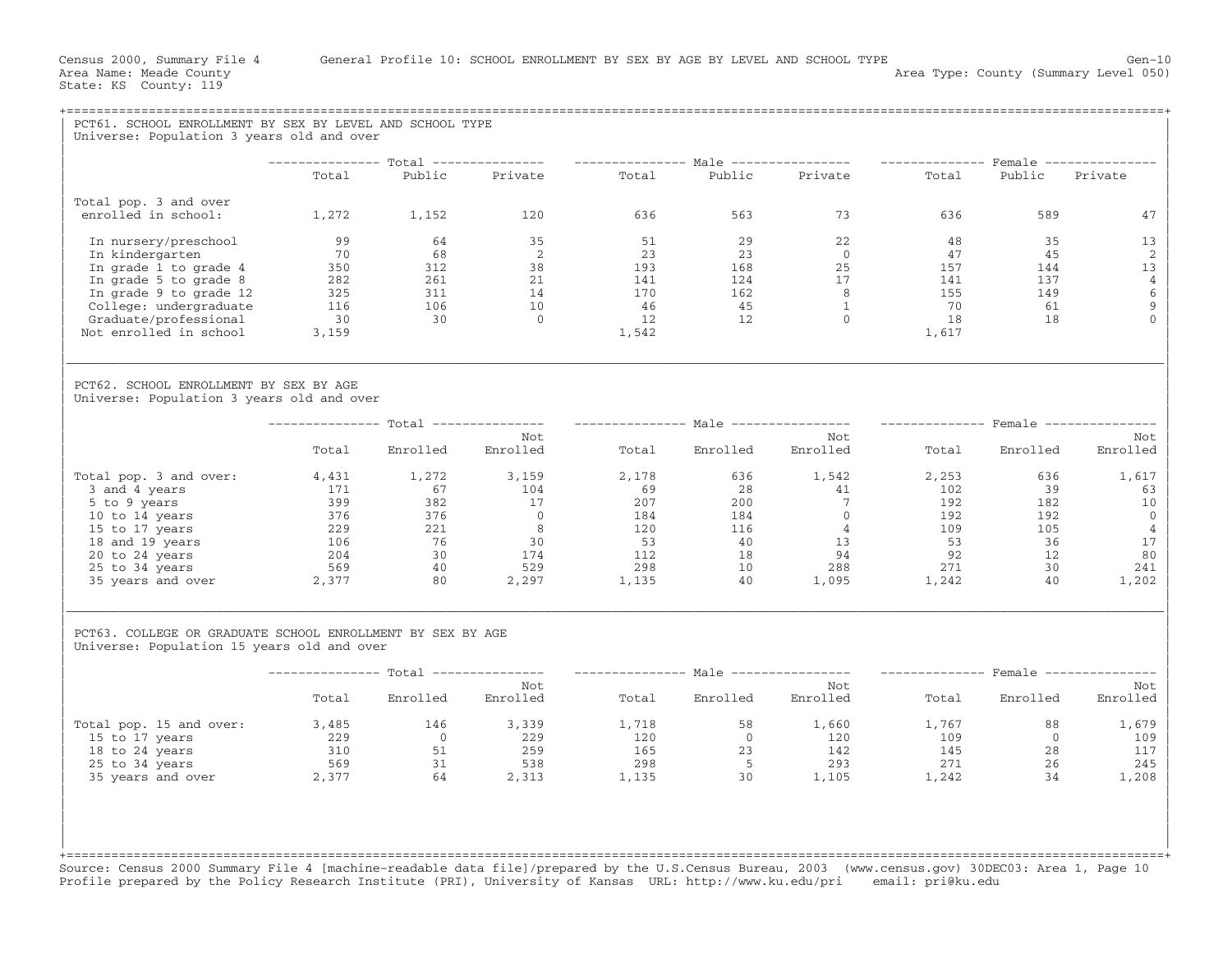| PCT61. SCHOOL ENROLLMENT BY SEX BY LEVEL AND SCHOOL TYPE                                                                                                                                                                                                                |                                                               |                   |                                                                                                                                         |       |                         |                                           |                                 |                |                 |
|-------------------------------------------------------------------------------------------------------------------------------------------------------------------------------------------------------------------------------------------------------------------------|---------------------------------------------------------------|-------------------|-----------------------------------------------------------------------------------------------------------------------------------------|-------|-------------------------|-------------------------------------------|---------------------------------|----------------|-----------------|
| Universe: Population 3 years old and over                                                                                                                                                                                                                               |                                                               |                   |                                                                                                                                         |       |                         |                                           |                                 |                |                 |
|                                                                                                                                                                                                                                                                         |                                                               |                   | -------------- Total --------------- --------------- Male --------------- -------------- Female ---------------<br>Total Public Private |       |                         | Total Public Private Total Public Private |                                 |                |                 |
|                                                                                                                                                                                                                                                                         |                                                               |                   |                                                                                                                                         |       |                         |                                           |                                 |                |                 |
| Total pop. 3 and over<br>enrolled in school:                                                                                                                                                                                                                            | 1,272 1,152                                                   |                   | 120                                                                                                                                     | 636   | 563                     | 73 — 10                                   | 636 11                          | 589            |                 |
|                                                                                                                                                                                                                                                                         |                                                               |                   |                                                                                                                                         |       |                         |                                           |                                 |                | 47              |
| In nursery/preschool                                                                                                                                                                                                                                                    | 99                                                            |                   |                                                                                                                                         |       |                         |                                           | 48                              | 35             | 13              |
| In kindergarten                                                                                                                                                                                                                                                         | 70                                                            |                   |                                                                                                                                         |       |                         |                                           | 47                              | 45             | 2               |
| In grade 1 to grade 4                                                                                                                                                                                                                                                   | 350                                                           |                   |                                                                                                                                         |       |                         |                                           | $157$<br>$141$<br>$155$<br>$70$ | 144            | 13              |
| In grade 5 to grade 8                                                                                                                                                                                                                                                   |                                                               |                   |                                                                                                                                         |       |                         |                                           |                                 | 137            | $\overline{4}$  |
| In grade 9 to grade 12                                                                                                                                                                                                                                                  | $\begin{array}{r} 282 \\ 325 \\ 116 \\ 30 \end{array}$<br>325 |                   |                                                                                                                                         |       |                         |                                           |                                 | 149            | 6               |
| College: undergraduate                                                                                                                                                                                                                                                  |                                                               |                   |                                                                                                                                         |       |                         |                                           |                                 | 61             | 9               |
| Graduate/professional                                                                                                                                                                                                                                                   |                                                               |                   |                                                                                                                                         |       |                         |                                           | 18                              | 18             | $\Omega$        |
| Not enrolled in school                                                                                                                                                                                                                                                  | 3,159                                                         |                   |                                                                                                                                         |       |                         |                                           | 1,617                           |                |                 |
| PCT62. SCHOOL ENROLLMENT BY SEX BY AGE<br>Universe: Population 3 years old and over                                                                                                                                                                                     |                                                               |                   |                                                                                                                                         |       |                         |                                           |                                 |                |                 |
|                                                                                                                                                                                                                                                                         |                                                               |                   |                                                                                                                                         |       |                         |                                           |                                 |                |                 |
|                                                                                                                                                                                                                                                                         |                                                               |                   | --------------- Total --------------- --------------- Male ---------------- -------------- Female ---------------                       |       |                         |                                           |                                 |                |                 |
|                                                                                                                                                                                                                                                                         | Total                                                         | Enrolled Enrolled | Not                                                                                                                                     |       | Total Enrolled Enrolled | Not                                       |                                 | Total Enrolled | Not<br>Enrolled |
| Total pop. 3 and over:                                                                                                                                                                                                                                                  |                                                               | 4,431 1,272 3,159 |                                                                                                                                         | 2,178 | 636 1,542               |                                           | 2,253                           | 636            | 1,617           |
|                                                                                                                                                                                                                                                                         |                                                               |                   |                                                                                                                                         |       |                         |                                           |                                 |                | 63              |
|                                                                                                                                                                                                                                                                         |                                                               |                   |                                                                                                                                         |       |                         |                                           |                                 |                | 10              |
|                                                                                                                                                                                                                                                                         |                                                               |                   |                                                                                                                                         |       |                         |                                           |                                 |                | $\overline{0}$  |
|                                                                                                                                                                                                                                                                         |                                                               |                   |                                                                                                                                         |       |                         |                                           |                                 |                | 4               |
|                                                                                                                                                                                                                                                                         |                                                               |                   |                                                                                                                                         |       |                         |                                           |                                 |                | 17              |
|                                                                                                                                                                                                                                                                         |                                                               |                   |                                                                                                                                         |       |                         |                                           |                                 |                | 80              |
|                                                                                                                                                                                                                                                                         |                                                               |                   |                                                                                                                                         |       |                         |                                           |                                 |                | 241             |
| 014 points and diverse the control of the control of the control of the control of the control of the control of the control of the control of the control of the control of the control of the control of the control of the                                           |                                                               |                   |                                                                                                                                         |       |                         |                                           |                                 |                | 1,202           |
| PCT63. COLLEGE OR GRADUATE SCHOOL ENROLLMENT BY SEX BY AGE<br>Universe: Population 15 years old and over                                                                                                                                                                |                                                               |                   |                                                                                                                                         |       |                         |                                           |                                 |                |                 |
|                                                                                                                                                                                                                                                                         |                                                               |                   | -------------- Total --------------- --------------- Male ---------------- -------------- Female --------------                         |       |                         |                                           |                                 |                |                 |
|                                                                                                                                                                                                                                                                         |                                                               |                   | Not                                                                                                                                     |       |                         | Not                                       |                                 |                | Not             |
|                                                                                                                                                                                                                                                                         | Total                                                         |                   | Enrolled Enrolled                                                                                                                       |       |                         | Total Enrolled Enrolled Total Enrolled    |                                 |                | Enrolled        |
| Total pop. 15 and over:                                                                                                                                                                                                                                                 | 3,485                                                         | 146               | 3,339                                                                                                                                   | 1,718 |                         | 58 1,660                                  | 1,767                           | 88             | 1,679           |
|                                                                                                                                                                                                                                                                         |                                                               |                   |                                                                                                                                         |       |                         |                                           |                                 | $\overline{0}$ | 109             |
|                                                                                                                                                                                                                                                                         |                                                               |                   |                                                                                                                                         |       |                         |                                           |                                 | 28             | 117             |
| 15 to 17 years<br>18 to 24 years<br>25 to 34 years<br>25 to 34 years<br>25 to 34 years<br>25 to 34 years<br>25 to 34 years<br>25 to 34 years<br>25 to 34 years<br>25 to 34 years<br>25 59<br>271<br>25 35 years<br>271<br>25 298<br>298<br>298<br>298<br>298<br>293<br> |                                                               |                   |                                                                                                                                         |       |                         |                                           |                                 | 26             | 245             |
|                                                                                                                                                                                                                                                                         |                                                               |                   |                                                                                                                                         |       |                         |                                           |                                 | 34             | 1,208           |
|                                                                                                                                                                                                                                                                         |                                                               |                   |                                                                                                                                         |       |                         |                                           |                                 |                |                 |

+===================================================================================================================================================+ Source: Census 2000 Summary File 4 [machine−readable data file]/prepared by the U.S.Census Bureau, 2003 (www.census.gov) 30DEC03: Area 1, Page 10 Profile prepared by the Policy Research Institute (PRI), University of Kansas URL: http://www.ku.edu/pri email: pri@ku.edu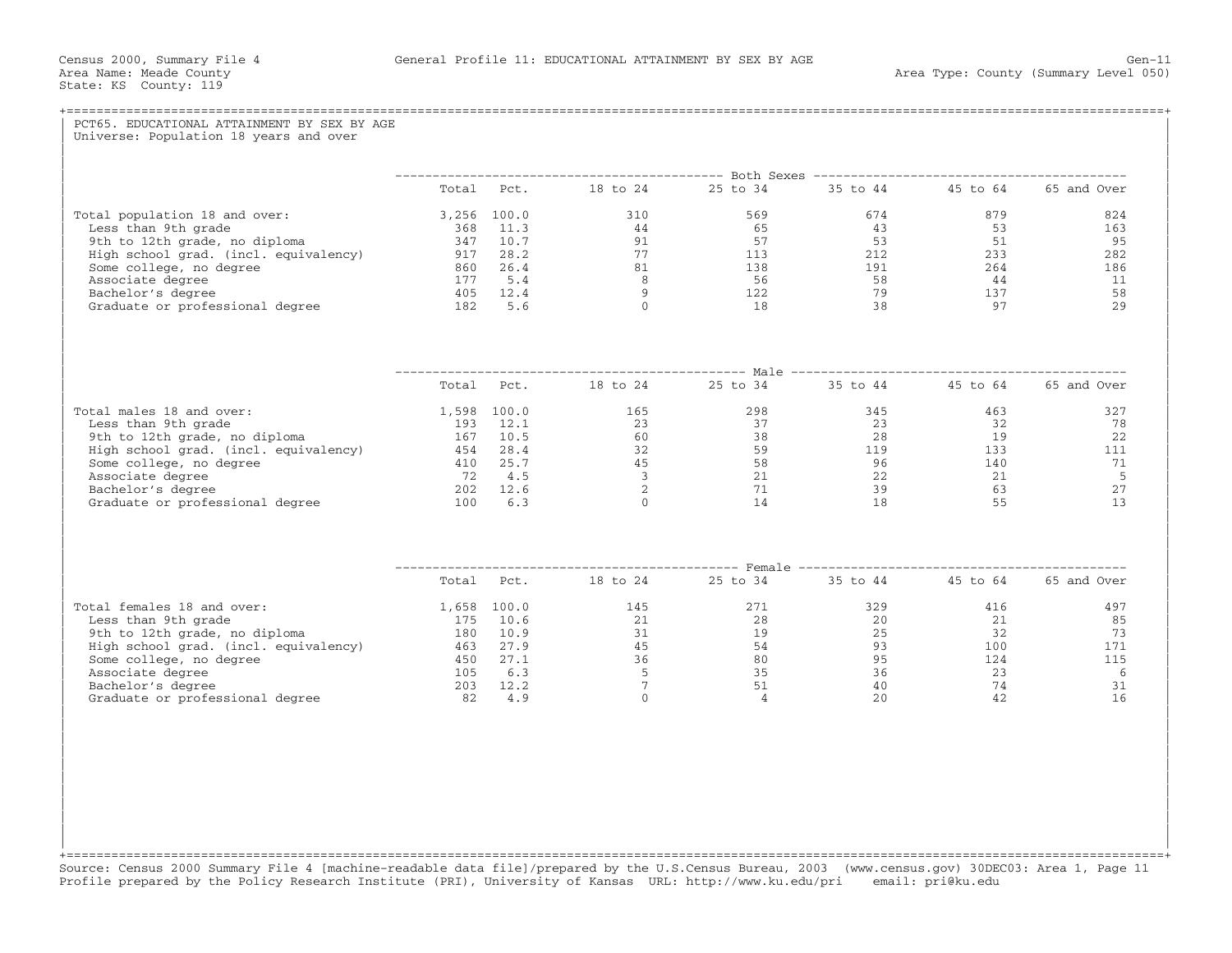| Total Pct. 18 to 24 25 to 34 35 to 44 45 to 64 65 and Over<br>$\begin{array}{cccc} 3\, , 256 & 100\, .0 & 310 \\ 368 & 11\, .3 & 44 \\ 347 & 10\, .7 & 91 \\ 917 & 28\, .2 & 77 \\ 860 & 26\, .4 & 81 \\ 177 & 5\, .4 & 8 \\ 405 & 12\, .4 & 9 \\ 182 & 5\, .6 & 0 \\ \end{array}$<br>$674$<br>$43$<br>$53$<br>879 — 1879 — 1880 — 1880 — 1880 — 1880 — 1880 — 1880 — 1880 — 1880 — 1880 — 1880 — 1880 — 1880 — 1880 — 1880 — 1880 — 1880 — 1880 — 1880 — 1880 — 1880 — 1880 — 1880 — 1880 — 1880 — 1880 — 1880 — 1880 — 1880 — 1880 — 1880 —<br>Total population 18 and over:<br>569<br>53<br>Less than 9th grade<br>65<br>9th to 12th grade, no diploma<br>57<br>51<br>$\begin{array}{cccc}\n 113 & 212 & 233 \\  138 & 191 & 264\n \end{array}$<br>High school grad. (incl. equivalency) 917 28.2<br>Some college, no degree<br>Associate degree<br>Bachelor's degree<br>56<br>58<br>44<br>$\begin{array}{ccc} 122 & & & 79 \\ 18 & & & 38 \end{array}$<br>$\begin{array}{c} 137 \\ 97 \end{array}$<br>79<br>Graduate or professional degree 182 5.6<br>Total Pct. 18 to 24 25 to 34 35 to 44 45 to 64 65 and Over<br>$\begin{array}{cccccc} 1,598 & 100.0 & & & & 165 & & & 298 & & 345 \\ 193 & 12.1 & & & 23 & & 37 & & 23 \\ 167 & 10.5 & & & 60 & & 38 & & 28 \\ 454 & 28.4 & & & 32 & & 59 & & 119 \\ \end{array}$<br>$\frac{463}{32}$<br>Total males 18 and over:<br>Less than 9th grade<br>9th to 12th grade, no diploma<br>19<br>Figh school grad. (incl. equivalency) 454 28.4<br>133<br>Some college, no degree<br>Associate degree<br>Bachelor's degree<br>140<br>$\begin{array}{c} 45 \\ 3 \\ 2 \\ 0 \end{array}$<br>$\begin{array}{ccc} 21 & 22 \\ 21 & 29 \\ 14 & 18 \end{array}$<br>$72 \t 4.5$<br>22<br>$\begin{array}{c} 21 \\ 63 \end{array}$<br>$\frac{22}{39}$<br>202 12.6<br>Graduate or professional degree<br>100 6.3<br>55<br>Total Pct. 18 to 24 25 to 34<br>35 to 44  45 to 64  65 and Over<br>271<br>329<br>Total females 18 and over:<br>1,658 100.0 145<br>416<br>$\begin{array}{cccc} 1,030 & 100\, .0 & 143\, \\ 175 & 10\, .6 & 21\, \\ 180 & 10\, .9 & 31\, \\ 463 & 27\, .9 & 45\, \\ 450 & 27\, .1 & 36\, \\ 105 & 6\, .3 & 5\, \\ 203 & 12\, .2 & 7\, \\ 82 & 4\, .9 & 0 \end{array}$<br>28<br>20<br>21<br>Less than 9th grade<br>$\begin{array}{cc} 175 & 10.6 \\ 180 & 10.9 \end{array}$<br>$\frac{15}{19}$<br>9th to 12th grade, no diploma<br>25<br>32<br>High school grad. (incl. equivalency)<br>463 27.9<br>54<br>$54$<br>$80$<br>$35$<br>$51$<br>$4$<br>93<br>95 124<br>23<br>93<br>95<br>36<br>40<br>20<br>Some college, no degree<br>Associate degree<br>Bachelor's degree<br>74<br>Graduate or professional degree 32 and 30 and 32 and 4.9<br>42 |         |  |  |  | PCT65. EDUCATIONAL ATTAINMENT BY SEX BY AGE<br>Universe: Population 18 years and over |
|------------------------------------------------------------------------------------------------------------------------------------------------------------------------------------------------------------------------------------------------------------------------------------------------------------------------------------------------------------------------------------------------------------------------------------------------------------------------------------------------------------------------------------------------------------------------------------------------------------------------------------------------------------------------------------------------------------------------------------------------------------------------------------------------------------------------------------------------------------------------------------------------------------------------------------------------------------------------------------------------------------------------------------------------------------------------------------------------------------------------------------------------------------------------------------------------------------------------------------------------------------------------------------------------------------------------------------------------------------------------------------------------------------------------------------------------------------------------------------------------------------------------------------------------------------------------------------------------------------------------------------------------------------------------------------------------------------------------------------------------------------------------------------------------------------------------------------------------------------------------------------------------------------------------------------------------------------------------------------------------------------------------------------------------------------------------------------------------------------------------------------------------------------------------------------------------------------------------------------------------------------------------------------------------------------------------------------------------------------------------------------------------------------------------------------------------------------------------------------------------------------------------------------------------------------------------------------------------------------------------------------------------------------------------------------------------------|---------|--|--|--|---------------------------------------------------------------------------------------|
|                                                                                                                                                                                                                                                                                                                                                                                                                                                                                                                                                                                                                                                                                                                                                                                                                                                                                                                                                                                                                                                                                                                                                                                                                                                                                                                                                                                                                                                                                                                                                                                                                                                                                                                                                                                                                                                                                                                                                                                                                                                                                                                                                                                                                                                                                                                                                                                                                                                                                                                                                                                                                                                                                                      |         |  |  |  |                                                                                       |
|                                                                                                                                                                                                                                                                                                                                                                                                                                                                                                                                                                                                                                                                                                                                                                                                                                                                                                                                                                                                                                                                                                                                                                                                                                                                                                                                                                                                                                                                                                                                                                                                                                                                                                                                                                                                                                                                                                                                                                                                                                                                                                                                                                                                                                                                                                                                                                                                                                                                                                                                                                                                                                                                                                      |         |  |  |  |                                                                                       |
|                                                                                                                                                                                                                                                                                                                                                                                                                                                                                                                                                                                                                                                                                                                                                                                                                                                                                                                                                                                                                                                                                                                                                                                                                                                                                                                                                                                                                                                                                                                                                                                                                                                                                                                                                                                                                                                                                                                                                                                                                                                                                                                                                                                                                                                                                                                                                                                                                                                                                                                                                                                                                                                                                                      | 824     |  |  |  |                                                                                       |
|                                                                                                                                                                                                                                                                                                                                                                                                                                                                                                                                                                                                                                                                                                                                                                                                                                                                                                                                                                                                                                                                                                                                                                                                                                                                                                                                                                                                                                                                                                                                                                                                                                                                                                                                                                                                                                                                                                                                                                                                                                                                                                                                                                                                                                                                                                                                                                                                                                                                                                                                                                                                                                                                                                      | 163     |  |  |  |                                                                                       |
|                                                                                                                                                                                                                                                                                                                                                                                                                                                                                                                                                                                                                                                                                                                                                                                                                                                                                                                                                                                                                                                                                                                                                                                                                                                                                                                                                                                                                                                                                                                                                                                                                                                                                                                                                                                                                                                                                                                                                                                                                                                                                                                                                                                                                                                                                                                                                                                                                                                                                                                                                                                                                                                                                                      | 95      |  |  |  |                                                                                       |
|                                                                                                                                                                                                                                                                                                                                                                                                                                                                                                                                                                                                                                                                                                                                                                                                                                                                                                                                                                                                                                                                                                                                                                                                                                                                                                                                                                                                                                                                                                                                                                                                                                                                                                                                                                                                                                                                                                                                                                                                                                                                                                                                                                                                                                                                                                                                                                                                                                                                                                                                                                                                                                                                                                      | 282     |  |  |  |                                                                                       |
|                                                                                                                                                                                                                                                                                                                                                                                                                                                                                                                                                                                                                                                                                                                                                                                                                                                                                                                                                                                                                                                                                                                                                                                                                                                                                                                                                                                                                                                                                                                                                                                                                                                                                                                                                                                                                                                                                                                                                                                                                                                                                                                                                                                                                                                                                                                                                                                                                                                                                                                                                                                                                                                                                                      | 186     |  |  |  |                                                                                       |
|                                                                                                                                                                                                                                                                                                                                                                                                                                                                                                                                                                                                                                                                                                                                                                                                                                                                                                                                                                                                                                                                                                                                                                                                                                                                                                                                                                                                                                                                                                                                                                                                                                                                                                                                                                                                                                                                                                                                                                                                                                                                                                                                                                                                                                                                                                                                                                                                                                                                                                                                                                                                                                                                                                      | 11      |  |  |  |                                                                                       |
|                                                                                                                                                                                                                                                                                                                                                                                                                                                                                                                                                                                                                                                                                                                                                                                                                                                                                                                                                                                                                                                                                                                                                                                                                                                                                                                                                                                                                                                                                                                                                                                                                                                                                                                                                                                                                                                                                                                                                                                                                                                                                                                                                                                                                                                                                                                                                                                                                                                                                                                                                                                                                                                                                                      | 58      |  |  |  |                                                                                       |
|                                                                                                                                                                                                                                                                                                                                                                                                                                                                                                                                                                                                                                                                                                                                                                                                                                                                                                                                                                                                                                                                                                                                                                                                                                                                                                                                                                                                                                                                                                                                                                                                                                                                                                                                                                                                                                                                                                                                                                                                                                                                                                                                                                                                                                                                                                                                                                                                                                                                                                                                                                                                                                                                                                      | 2.9     |  |  |  |                                                                                       |
|                                                                                                                                                                                                                                                                                                                                                                                                                                                                                                                                                                                                                                                                                                                                                                                                                                                                                                                                                                                                                                                                                                                                                                                                                                                                                                                                                                                                                                                                                                                                                                                                                                                                                                                                                                                                                                                                                                                                                                                                                                                                                                                                                                                                                                                                                                                                                                                                                                                                                                                                                                                                                                                                                                      |         |  |  |  |                                                                                       |
|                                                                                                                                                                                                                                                                                                                                                                                                                                                                                                                                                                                                                                                                                                                                                                                                                                                                                                                                                                                                                                                                                                                                                                                                                                                                                                                                                                                                                                                                                                                                                                                                                                                                                                                                                                                                                                                                                                                                                                                                                                                                                                                                                                                                                                                                                                                                                                                                                                                                                                                                                                                                                                                                                                      |         |  |  |  |                                                                                       |
|                                                                                                                                                                                                                                                                                                                                                                                                                                                                                                                                                                                                                                                                                                                                                                                                                                                                                                                                                                                                                                                                                                                                                                                                                                                                                                                                                                                                                                                                                                                                                                                                                                                                                                                                                                                                                                                                                                                                                                                                                                                                                                                                                                                                                                                                                                                                                                                                                                                                                                                                                                                                                                                                                                      | 327     |  |  |  |                                                                                       |
|                                                                                                                                                                                                                                                                                                                                                                                                                                                                                                                                                                                                                                                                                                                                                                                                                                                                                                                                                                                                                                                                                                                                                                                                                                                                                                                                                                                                                                                                                                                                                                                                                                                                                                                                                                                                                                                                                                                                                                                                                                                                                                                                                                                                                                                                                                                                                                                                                                                                                                                                                                                                                                                                                                      | 78      |  |  |  |                                                                                       |
|                                                                                                                                                                                                                                                                                                                                                                                                                                                                                                                                                                                                                                                                                                                                                                                                                                                                                                                                                                                                                                                                                                                                                                                                                                                                                                                                                                                                                                                                                                                                                                                                                                                                                                                                                                                                                                                                                                                                                                                                                                                                                                                                                                                                                                                                                                                                                                                                                                                                                                                                                                                                                                                                                                      | 22      |  |  |  |                                                                                       |
|                                                                                                                                                                                                                                                                                                                                                                                                                                                                                                                                                                                                                                                                                                                                                                                                                                                                                                                                                                                                                                                                                                                                                                                                                                                                                                                                                                                                                                                                                                                                                                                                                                                                                                                                                                                                                                                                                                                                                                                                                                                                                                                                                                                                                                                                                                                                                                                                                                                                                                                                                                                                                                                                                                      | 111     |  |  |  |                                                                                       |
|                                                                                                                                                                                                                                                                                                                                                                                                                                                                                                                                                                                                                                                                                                                                                                                                                                                                                                                                                                                                                                                                                                                                                                                                                                                                                                                                                                                                                                                                                                                                                                                                                                                                                                                                                                                                                                                                                                                                                                                                                                                                                                                                                                                                                                                                                                                                                                                                                                                                                                                                                                                                                                                                                                      | 71      |  |  |  |                                                                                       |
|                                                                                                                                                                                                                                                                                                                                                                                                                                                                                                                                                                                                                                                                                                                                                                                                                                                                                                                                                                                                                                                                                                                                                                                                                                                                                                                                                                                                                                                                                                                                                                                                                                                                                                                                                                                                                                                                                                                                                                                                                                                                                                                                                                                                                                                                                                                                                                                                                                                                                                                                                                                                                                                                                                      | 5       |  |  |  |                                                                                       |
|                                                                                                                                                                                                                                                                                                                                                                                                                                                                                                                                                                                                                                                                                                                                                                                                                                                                                                                                                                                                                                                                                                                                                                                                                                                                                                                                                                                                                                                                                                                                                                                                                                                                                                                                                                                                                                                                                                                                                                                                                                                                                                                                                                                                                                                                                                                                                                                                                                                                                                                                                                                                                                                                                                      | 27      |  |  |  |                                                                                       |
|                                                                                                                                                                                                                                                                                                                                                                                                                                                                                                                                                                                                                                                                                                                                                                                                                                                                                                                                                                                                                                                                                                                                                                                                                                                                                                                                                                                                                                                                                                                                                                                                                                                                                                                                                                                                                                                                                                                                                                                                                                                                                                                                                                                                                                                                                                                                                                                                                                                                                                                                                                                                                                                                                                      | 13      |  |  |  |                                                                                       |
|                                                                                                                                                                                                                                                                                                                                                                                                                                                                                                                                                                                                                                                                                                                                                                                                                                                                                                                                                                                                                                                                                                                                                                                                                                                                                                                                                                                                                                                                                                                                                                                                                                                                                                                                                                                                                                                                                                                                                                                                                                                                                                                                                                                                                                                                                                                                                                                                                                                                                                                                                                                                                                                                                                      |         |  |  |  |                                                                                       |
|                                                                                                                                                                                                                                                                                                                                                                                                                                                                                                                                                                                                                                                                                                                                                                                                                                                                                                                                                                                                                                                                                                                                                                                                                                                                                                                                                                                                                                                                                                                                                                                                                                                                                                                                                                                                                                                                                                                                                                                                                                                                                                                                                                                                                                                                                                                                                                                                                                                                                                                                                                                                                                                                                                      |         |  |  |  |                                                                                       |
|                                                                                                                                                                                                                                                                                                                                                                                                                                                                                                                                                                                                                                                                                                                                                                                                                                                                                                                                                                                                                                                                                                                                                                                                                                                                                                                                                                                                                                                                                                                                                                                                                                                                                                                                                                                                                                                                                                                                                                                                                                                                                                                                                                                                                                                                                                                                                                                                                                                                                                                                                                                                                                                                                                      | 497     |  |  |  |                                                                                       |
|                                                                                                                                                                                                                                                                                                                                                                                                                                                                                                                                                                                                                                                                                                                                                                                                                                                                                                                                                                                                                                                                                                                                                                                                                                                                                                                                                                                                                                                                                                                                                                                                                                                                                                                                                                                                                                                                                                                                                                                                                                                                                                                                                                                                                                                                                                                                                                                                                                                                                                                                                                                                                                                                                                      | 85      |  |  |  |                                                                                       |
|                                                                                                                                                                                                                                                                                                                                                                                                                                                                                                                                                                                                                                                                                                                                                                                                                                                                                                                                                                                                                                                                                                                                                                                                                                                                                                                                                                                                                                                                                                                                                                                                                                                                                                                                                                                                                                                                                                                                                                                                                                                                                                                                                                                                                                                                                                                                                                                                                                                                                                                                                                                                                                                                                                      | 73      |  |  |  |                                                                                       |
|                                                                                                                                                                                                                                                                                                                                                                                                                                                                                                                                                                                                                                                                                                                                                                                                                                                                                                                                                                                                                                                                                                                                                                                                                                                                                                                                                                                                                                                                                                                                                                                                                                                                                                                                                                                                                                                                                                                                                                                                                                                                                                                                                                                                                                                                                                                                                                                                                                                                                                                                                                                                                                                                                                      | 171     |  |  |  |                                                                                       |
|                                                                                                                                                                                                                                                                                                                                                                                                                                                                                                                                                                                                                                                                                                                                                                                                                                                                                                                                                                                                                                                                                                                                                                                                                                                                                                                                                                                                                                                                                                                                                                                                                                                                                                                                                                                                                                                                                                                                                                                                                                                                                                                                                                                                                                                                                                                                                                                                                                                                                                                                                                                                                                                                                                      | 115     |  |  |  |                                                                                       |
|                                                                                                                                                                                                                                                                                                                                                                                                                                                                                                                                                                                                                                                                                                                                                                                                                                                                                                                                                                                                                                                                                                                                                                                                                                                                                                                                                                                                                                                                                                                                                                                                                                                                                                                                                                                                                                                                                                                                                                                                                                                                                                                                                                                                                                                                                                                                                                                                                                                                                                                                                                                                                                                                                                      | 6<br>31 |  |  |  |                                                                                       |
|                                                                                                                                                                                                                                                                                                                                                                                                                                                                                                                                                                                                                                                                                                                                                                                                                                                                                                                                                                                                                                                                                                                                                                                                                                                                                                                                                                                                                                                                                                                                                                                                                                                                                                                                                                                                                                                                                                                                                                                                                                                                                                                                                                                                                                                                                                                                                                                                                                                                                                                                                                                                                                                                                                      | 16      |  |  |  |                                                                                       |
|                                                                                                                                                                                                                                                                                                                                                                                                                                                                                                                                                                                                                                                                                                                                                                                                                                                                                                                                                                                                                                                                                                                                                                                                                                                                                                                                                                                                                                                                                                                                                                                                                                                                                                                                                                                                                                                                                                                                                                                                                                                                                                                                                                                                                                                                                                                                                                                                                                                                                                                                                                                                                                                                                                      |         |  |  |  |                                                                                       |

+===================================================================================================================================================+Source: Census 2000 Summary File 4 [machine−readable data file]/prepared by the U.S.Census Bureau, 2003 (www.census.gov) 30DEC03: Area 1, Page 11 Profile prepared by the Policy Research Institute (PRI), University of Kansas URL: http://www.ku.edu/pri email: pri@ku.edu

| | | | | | | | | |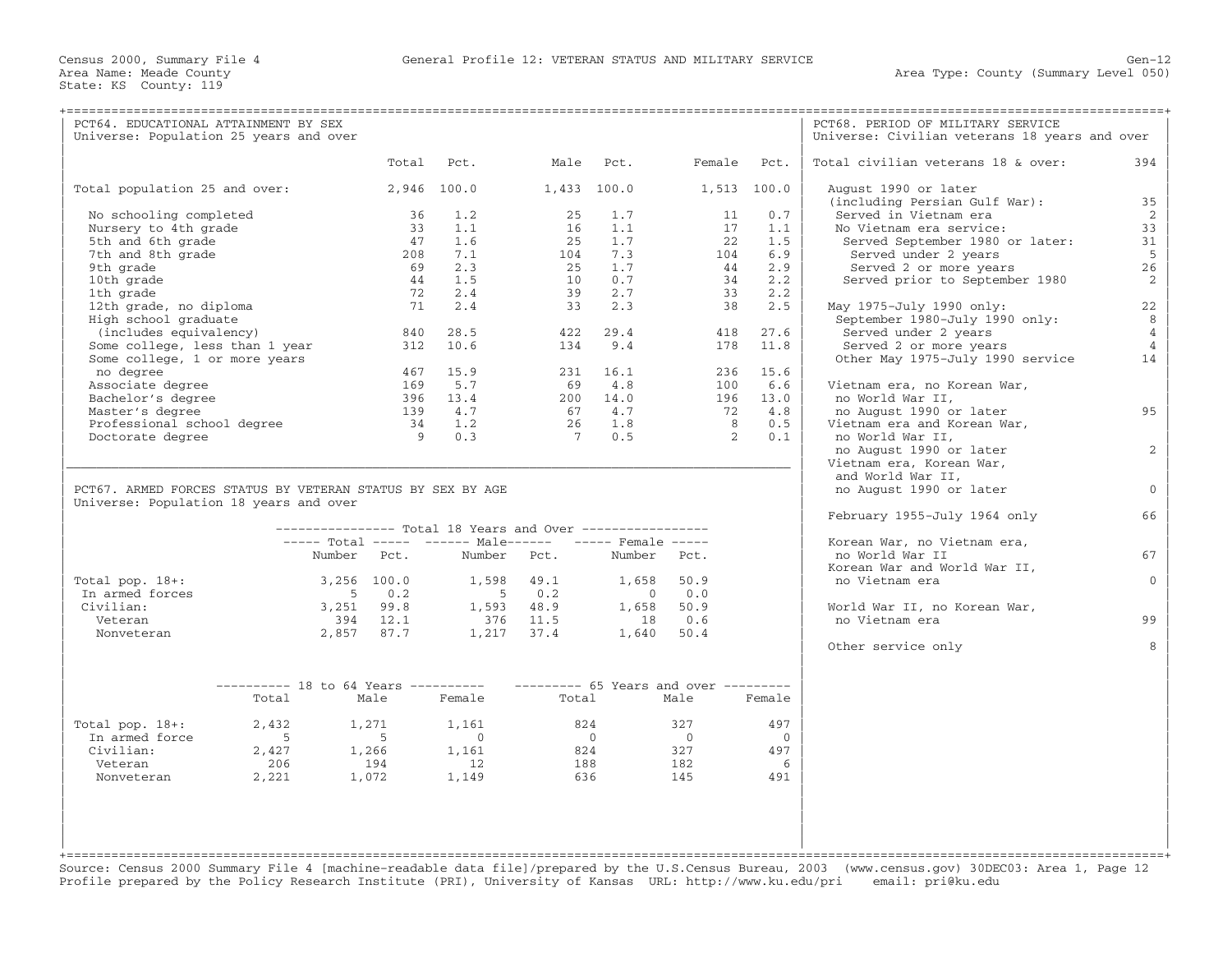| PCT64. EDUCATIONAL ATTAINMENT BY SEX                       |             |                                                           |                |                                     |             |                |             | PCT68. PERIOD OF MILITARY SERVICE                |                |
|------------------------------------------------------------|-------------|-----------------------------------------------------------|----------------|-------------------------------------|-------------|----------------|-------------|--------------------------------------------------|----------------|
| Universe: Population 25 years and over                     |             |                                                           |                |                                     |             |                |             | Universe: Civilian veterans 18 years and over    |                |
|                                                            |             | Total                                                     | Pct.           | Male                                | Pct.        | Female         | Pct.        | Total civilian veterans 18 & over:               | 394            |
| Total population 25 and over:                              |             |                                                           | 2,946 100.0    | $1,433$ 100.0                       |             |                | 1,513 100.0 | August 1990 or later                             |                |
|                                                            |             |                                                           |                |                                     |             |                |             | (including Persian Gulf War):                    | 35             |
| No schooling completed<br>Nursery to 4th grade             |             | 36<br>33                                                  | 1.2<br>1.1     | 25<br>16                            | 1.7<br>1.1  | 11<br>17       | 0.7<br>1.1  | Served in Vietnam era<br>No Vietnam era service: | 2<br>33        |
| 5th and 6th grade                                          |             | 47                                                        | 1.6            | 25                                  | 1.7         | 22             | 1.5         | Served September 1980 or later:                  | 31             |
| 7th and 8th grade                                          |             | 208                                                       | 7.1            | 104                                 | 7.3         | 104            | 6.9         | Served under 2 years                             | 5              |
| 9th grade                                                  |             | 69                                                        | 2.3            | 25                                  | 1.7         | 44             | 2.9         | Served 2 or more years                           | 26             |
| 10th grade                                                 |             | 44                                                        | 1.5            | 10                                  | 0.7         | 34             | 2.2         | Served prior to September 1980                   | 2              |
| 1th grade                                                  |             | 72                                                        | 2.4            | 39                                  | 2.7         | 33             | 2.2         |                                                  |                |
| 12th grade, no diploma                                     |             | 71                                                        | 2.4            | 33                                  | 2.3         | 38             | 2.5         | May 1975-July 1990 only:                         | 22             |
| High school graduate                                       |             |                                                           |                |                                     |             |                |             | September 1980-July 1990 only:                   | 8              |
| (includes equivalency)                                     |             | 840                                                       | 28.5           | 422                                 | 29.4        | 418            | 27.6        | Served under 2 years                             | $\overline{4}$ |
| Some college, less than 1 year                             |             | 312                                                       | 10.6           | 134                                 | 9.4         | 178            | 11.8        | Served 2 or more years                           | $\overline{4}$ |
| Some college, 1 or more years                              |             | 467                                                       | 15.9           |                                     | 231 16.1    |                | 236 15.6    | Other May 1975-July 1990 service                 | 14             |
| no degree<br>Associate degree                              |             | 169                                                       | 5.7            |                                     | 69 4.8      | 100            | 6.6         | Vietnam era, no Korean War,                      |                |
| Bachelor's degree                                          |             | 396                                                       | 13.4           |                                     | 200 14.0    |                | 196 13.0    | no World War II,                                 |                |
| Master's degree                                            |             | 139                                                       | 4.7            | 67                                  | 4.7         | 72             | 4.8         | no August 1990 or later                          | 95             |
| Professional school degree                                 |             | 34                                                        | 1.2            | 26                                  | 1.8         | 8              | 0.5         | Vietnam era and Korean War,                      |                |
| Doctorate degree                                           |             | -9                                                        | 0.3            | $\overline{7}$                      | 0.5         | $\overline{2}$ | 0.1         | no World War II,                                 |                |
|                                                            |             |                                                           |                |                                     |             |                |             | no August 1990 or later                          | 2              |
|                                                            |             |                                                           |                |                                     |             |                |             | Vietnam era, Korean War,                         |                |
|                                                            |             |                                                           |                |                                     |             |                |             | and World War II,                                |                |
| PCT67. ARMED FORCES STATUS BY VETERAN STATUS BY SEX BY AGE |             |                                                           |                |                                     |             |                |             | no August 1990 or later                          | $\Omega$       |
| Universe: Population 18 years and over                     |             |                                                           |                |                                     |             |                |             | February 1955-July 1964 only                     | 66             |
|                                                            |             | --------------- Total 18 Years and Over ----------------- |                |                                     |             |                |             |                                                  |                |
|                                                            |             | ----- Total ----- ------ Male------ ----- Female -----    |                |                                     |             |                |             | Korean War, no Vietnam era,                      |                |
|                                                            |             | Number Pct.                                               | Number         | Pct.                                | Number Pct. |                |             | no World War II                                  | 67             |
|                                                            |             |                                                           |                |                                     |             |                |             | Korean War and World War II,                     |                |
| Total pop. $18+:$                                          |             | 3,256 100.0                                               | 1,598          | 49.1                                | 1,658       | 50.9           |             | no Vietnam era                                   | $\Omega$       |
| In armed forces                                            |             | $-5$<br>0.2                                               | 5 <sub>5</sub> | 0.2                                 | $\bigcirc$  | 0.0            |             |                                                  |                |
| Civilian:                                                  |             | 3,251 99.8                                                |                | 1,593 48.9                          | 1,658       | 50.9           |             | World War II, no Korean War,                     |                |
| Veteran<br>Nonveteran                                      |             | 394 12.1<br>2,857 87.7                                    | 376            | 11.5                                | 18          | 0.6            |             | no Vietnam era                                   | 99             |
|                                                            |             |                                                           |                | 1,217 37.4                          |             | 1,640 50.4     |             | Other service only                               |                |
|                                                            |             |                                                           |                |                                     |             |                |             |                                                  |                |
|                                                            |             |                                                           |                |                                     |             |                |             |                                                  |                |
|                                                            |             | $------ 18$ to 64 Years ----------                        | Female         | $------ 65$ Years and over $------$ |             |                |             |                                                  |                |
|                                                            | Total       | Male                                                      |                | Total                               |             | Male           | Female      |                                                  |                |
| Total pop. $18+:$                                          | 2,432       | 1,271                                                     | 1,161          | 824                                 |             | 327            | 497         |                                                  |                |
| In armed force                                             | $5^{\circ}$ | $-5$                                                      | $\sim$ 0       | $\bigcap$                           |             | $\bigcap$      | $\Omega$    |                                                  |                |
| Civilian:                                                  | 2,427       | 1,266                                                     | 1,161          | 824                                 |             | 327            | 497         |                                                  |                |
| Veteran<br>Nonveteran                                      | 206         | 194                                                       | 12<br>1,149    | 188<br>636                          |             | 182<br>145     | 6<br>491    |                                                  |                |
|                                                            | 2,221       | 1,072                                                     |                |                                     |             |                |             |                                                  |                |
|                                                            |             |                                                           |                |                                     |             |                |             |                                                  |                |
|                                                            |             |                                                           |                |                                     |             |                |             |                                                  |                |
|                                                            |             |                                                           |                |                                     |             |                |             |                                                  |                |
|                                                            |             |                                                           |                |                                     |             |                |             |                                                  |                |
|                                                            |             |                                                           |                |                                     |             |                |             |                                                  |                |

Source: Census 2000 Summary File 4 [machine−readable data file]/prepared by the U.S.Census Bureau, 2003 (www.census.gov) 30DEC03: Area 1, Page 12 Profile prepared by the Policy Research Institute (PRI), University of Kansas URL: http://www.ku.edu/pri email: pri@ku.edu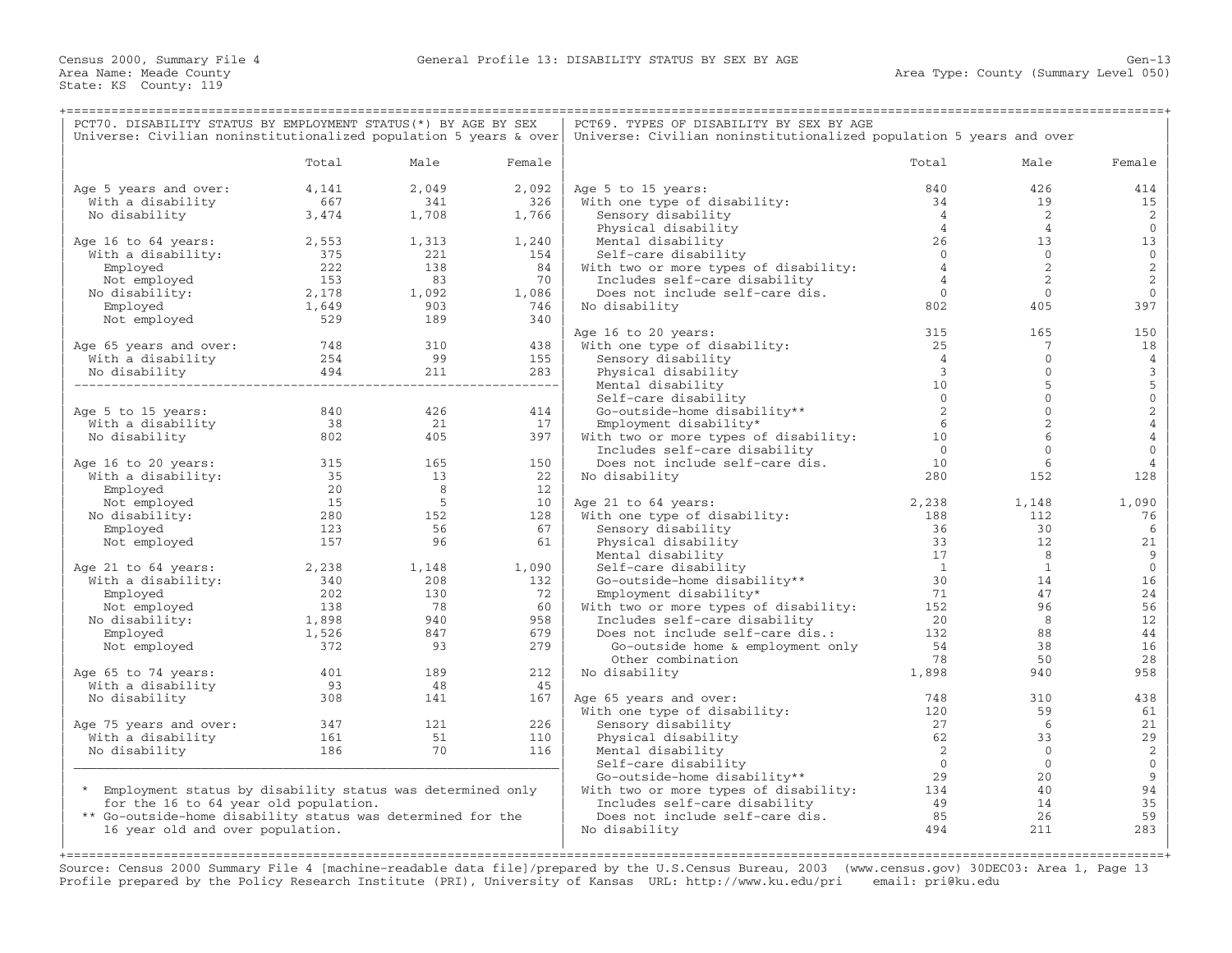| PCT70. DISABILITY STATUS BY EMPLOYMENT STATUS (*) BY AGE BY SEX<br>Universe: Civilian noninstitutionalized population 5 years & over |                  |             |           | PCT69. TYPES OF DISABILITY BY SEX BY AGE<br>Universe: Civilian noninstitutionalized population 5 years and over |                                  |                              |                                       |  |  |
|--------------------------------------------------------------------------------------------------------------------------------------|------------------|-------------|-----------|-----------------------------------------------------------------------------------------------------------------|----------------------------------|------------------------------|---------------------------------------|--|--|
|                                                                                                                                      | Total            | Male        | Female    |                                                                                                                 | Total                            | Male                         | Female                                |  |  |
| Age 5 years and over:                                                                                                                | 4,141            | 2,049       | 2,092     | Age 5 to 15 years:                                                                                              | 840                              | 426                          | 414                                   |  |  |
| With a disability                                                                                                                    | 667              | 341         | 326       | With one type of disability:                                                                                    | 34                               | 19                           | 15                                    |  |  |
| No disability                                                                                                                        | 3,474            | 1,708       | 1,766     | Sensory disability                                                                                              | $\overline{4}$<br>$\overline{4}$ | 2<br>$\overline{4}$          | 2<br>$\mathbf{0}$                     |  |  |
| Age 16 to 64 years:                                                                                                                  | 2,553            | 1,313       | 1,240     | Physical disability<br>Mental disability                                                                        | 26                               | 13                           | 13                                    |  |  |
| With a disability:                                                                                                                   | 375              | 221         | 154       | Self-care disability                                                                                            | $\overline{0}$                   | $\overline{0}$               | $\mathbb O$                           |  |  |
| Employed                                                                                                                             | 222              | 138         | 84        | With two or more types of disability:                                                                           | $\overline{4}$                   | 2                            | $\sqrt{2}$                            |  |  |
| Not employed                                                                                                                         | 153              | 83          | 70        | Includes self-care disability                                                                                   | $\overline{4}$                   | 2                            | $\overline{c}$                        |  |  |
| No disability:                                                                                                                       | 2,178            | 1,092       | 1,086     | Does not include self-care dis.                                                                                 | $\overline{0}$                   | $\mathbf{0}$                 | $\mathbf{0}$                          |  |  |
| Employed                                                                                                                             | 1,649            | 903         | 746       | No disability                                                                                                   | 802                              | 405                          | 397                                   |  |  |
| Not employed                                                                                                                         | 529              | 189         | 340       |                                                                                                                 |                                  |                              |                                       |  |  |
|                                                                                                                                      |                  |             |           | Age 16 to 20 years:                                                                                             | 315                              | 165                          | 150                                   |  |  |
| Age 65 years and over:                                                                                                               | 748              | 310         | 438       | With one type of disability:                                                                                    | 25                               | $7\phantom{.0}$              | 18                                    |  |  |
| With a disability                                                                                                                    | 254              | 99          | 155       | Sensory disability                                                                                              | $\overline{4}$                   | $\mathbf{0}$                 | $\overline{4}$                        |  |  |
| No disability                                                                                                                        |                  |             |           | Physical disability                                                                                             | $\overline{3}$                   | $\mathbf{0}$                 | $\begin{array}{c} 3 \\ 5 \end{array}$ |  |  |
|                                                                                                                                      |                  |             |           | Mental disability                                                                                               | 10                               | 5                            |                                       |  |  |
|                                                                                                                                      | 840              | 426         |           | Self-care disability                                                                                            | $\overline{0}$<br>2              | $\mathbf{0}$<br>$\mathbf{0}$ | $\,0\,$                               |  |  |
| Age 5 to 15 years:<br>With a disability                                                                                              | 38               | 21          | 414<br>17 | Go-outside-home disability**<br>Employment disability*                                                          | 6                                | 2                            | $\frac{2}{4}$                         |  |  |
| No disability                                                                                                                        | 802              | 405         | 397       | With two or more types of disability:                                                                           | 10                               | 6                            | $\bf{4}$                              |  |  |
|                                                                                                                                      |                  |             |           | Includes self-care disability                                                                                   | $\bigcirc$                       | $\Omega$                     | $\mathbf{O}$                          |  |  |
| Age 16 to 20 years:                                                                                                                  |                  | 165         | 150       | Does not include self-care dis.                                                                                 | 10                               | 6                            | 4                                     |  |  |
| With a disability:                                                                                                                   | $\frac{315}{35}$ | 13          | 22        | No disability                                                                                                   | 280                              | 152                          | 128                                   |  |  |
| Employed                                                                                                                             | 20               | 8           | 12        |                                                                                                                 |                                  |                              |                                       |  |  |
| Not employed                                                                                                                         | 15               | $5^{\circ}$ | 10        | Age 21 to 64 years:                                                                                             | 2,238                            | 1,148                        | 1,090                                 |  |  |
| No disability:                                                                                                                       | 280              | 152         | 128       | With one type of disability:                                                                                    | 188                              | 112                          | 76                                    |  |  |
| Employed                                                                                                                             | 123              | 56          | 67        | Sensory disability                                                                                              | 36                               | 30                           | 6                                     |  |  |
| Not employed                                                                                                                         | 157              | 96          | 61        | Physical disability                                                                                             | 33                               | 12                           | 21                                    |  |  |
|                                                                                                                                      |                  |             |           | Mental disability                                                                                               | 17                               | 8                            | 9                                     |  |  |
| Age 21 to 64 years:                                                                                                                  | 2,238            | 1,148       | 1,090     | Self-care disability                                                                                            | $\overline{1}$                   | $\overline{1}$               | $\mathbb O$                           |  |  |
| With a disability:                                                                                                                   | 340              | 208         | 132       | Go-outside-home disability**                                                                                    | 30                               | 14                           | 16                                    |  |  |
| Employed                                                                                                                             | 202              | 130         | 72        | Employment disability*                                                                                          | 71                               | 47                           | 24                                    |  |  |
| Not employed                                                                                                                         | 138              | 78<br>940   | 60<br>958 | With two or more types of disability:                                                                           | 152<br>20                        | 96<br>8                      | 56<br>12                              |  |  |
| No disability:<br>Employed                                                                                                           | 1,898<br>1,526   | 847         | 679       | Includes self-care disability<br>Does not include self-care dis.:                                               | 132                              | 88                           | $4\,4$                                |  |  |
| Not employed                                                                                                                         | 372              | 93          | 279       | Go-outside home & employment only                                                                               | 54                               | 38                           | 16                                    |  |  |
|                                                                                                                                      |                  |             |           | Other combination                                                                                               | 78                               | 50                           | 28                                    |  |  |
| Age 65 to 74 years:                                                                                                                  | 401              | 189         | 212       | No disability                                                                                                   | 1,898                            | 940                          | 958                                   |  |  |
| With a disability                                                                                                                    | 93               | 48          | 45        |                                                                                                                 |                                  |                              |                                       |  |  |
| No disability                                                                                                                        | 308              | 141         | 167       | Age 65 years and over:                                                                                          | 748                              | 310                          | 438                                   |  |  |
|                                                                                                                                      |                  |             |           | With one type of disability:                                                                                    | 120                              | 59                           | 61                                    |  |  |
| Age 75 years and over:                                                                                                               | 347              | 121         | 226       | Sensory disability                                                                                              | 27                               | 6                            | 21                                    |  |  |
| With a disability                                                                                                                    | 161              | 51          | 110       | Physical disability                                                                                             | 62                               | 33                           | 29                                    |  |  |
| No disability                                                                                                                        | 186              | 70          | 116       | Mental disability                                                                                               | $\overline{\phantom{0}}^2$       | $\overline{0}$               | $\sqrt{2}$                            |  |  |
|                                                                                                                                      |                  |             |           | Self-care disability                                                                                            | $\overline{0}$                   | $\overline{0}$               | $\mathbf 0$                           |  |  |
|                                                                                                                                      |                  |             |           | Go-outside-home disability**                                                                                    | 29                               | 20                           | 9                                     |  |  |
| * Employment status by disability status was determined only                                                                         |                  |             |           | With two or more types of disability: 134                                                                       |                                  | 40                           | 94                                    |  |  |
| for the 16 to 64 year old population.<br>** Go-outside-home disability status was determined for the                                 |                  |             |           | Includes self-care disability<br>Does not include self-care dis.                                                | 49<br>85                         | 14<br>26                     | 35<br>59                              |  |  |
| 16 year old and over population.                                                                                                     |                  |             |           | No disability                                                                                                   | 494                              | 211                          | 283                                   |  |  |
|                                                                                                                                      |                  |             |           |                                                                                                                 |                                  |                              |                                       |  |  |
|                                                                                                                                      |                  |             |           |                                                                                                                 |                                  |                              |                                       |  |  |

Source: Census 2000 Summary File 4 [machine−readable data file]/prepared by the U.S.Census Bureau, 2003 (www.census.gov) 30DEC03: Area 1, Page 13 Profile prepared by the Policy Research Institute (PRI), University of Kansas URL: http://www.ku.edu/pri email: pri@ku.edu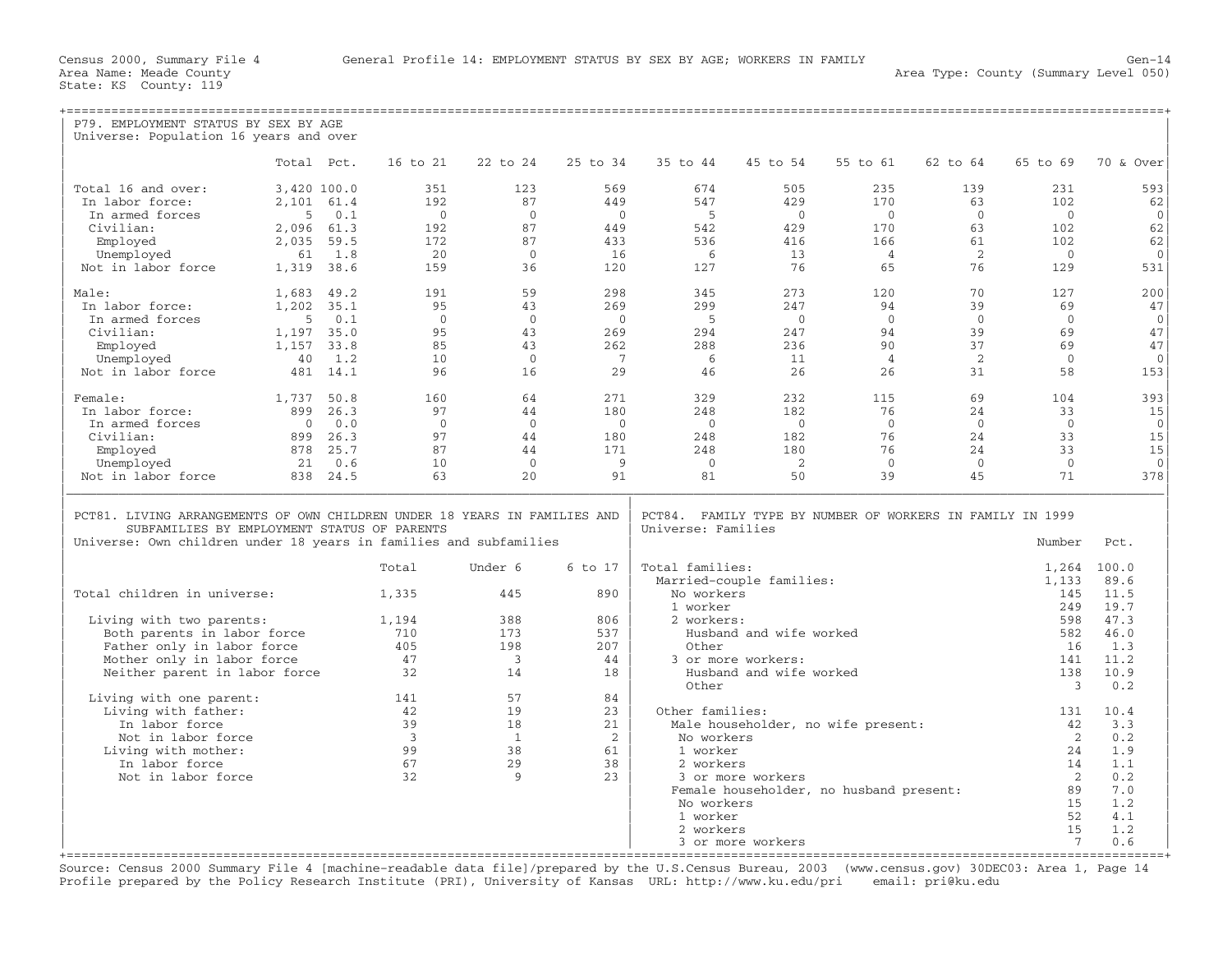| P79. EMPLOYMENT STATUS BY SEX BY AGE<br>Universe: Population 16 years and over                                                                                                                |             |          |                         |                |                |                    |                          |                                                           |                |                |              |
|-----------------------------------------------------------------------------------------------------------------------------------------------------------------------------------------------|-------------|----------|-------------------------|----------------|----------------|--------------------|--------------------------|-----------------------------------------------------------|----------------|----------------|--------------|
|                                                                                                                                                                                               |             |          |                         |                |                |                    |                          |                                                           |                |                |              |
|                                                                                                                                                                                               | Total Pct.  |          | 16 to 21                | 22 to 24       | 25 to 34       | 35 to 44           | 45 to 54                 | 55 to 61                                                  | 62 to 64       | 65 to 69       | 70 & Over    |
| Total 16 and over:                                                                                                                                                                            | 3,420 100.0 |          | 351                     | 123            | 569            | 674                | 505                      | 235                                                       | 139            | 231            | 593          |
| In labor force:                                                                                                                                                                               | 2,101 61.4  |          | 192                     | 87             | 449            | 547                | 429                      | 170                                                       | 63             | 102            | 62           |
| In armed forces                                                                                                                                                                               | .5          | 0.1      | $\Omega$                | $\Omega$       | $\bigcirc$     | $-5$               | $\Omega$                 | $\bigcirc$                                                | $\Omega$       | $\Omega$       | $\Omega$     |
| Civilian:                                                                                                                                                                                     | 2,096 61.3  |          | 192                     | 87             | 449            | 542                | 429                      | 170                                                       | 63             | 102            | 62           |
| Employed                                                                                                                                                                                      | 2,035       | 59.5     | 172                     | 87             | 433            | 536                | 416                      | 166                                                       | 61             | 102.           | 62           |
| Unemployed                                                                                                                                                                                    | 61          | 1.8      | 20                      | $\overline{0}$ | 16             | - 6                | 13                       | $\overline{4}$                                            | 2              | $\overline{0}$ | $\mathbf 0$  |
| Not in labor force                                                                                                                                                                            | 1,319 38.6  |          | 159                     | 36             | 120            | 127                | 76                       | 65                                                        | 76             | 129            | 531          |
| Male:                                                                                                                                                                                         | 1,683       | 49.2     | 191                     | 59             | 298            | 345                | 273                      | 120                                                       | 70             | 127            | 200          |
| In labor force:                                                                                                                                                                               | 1,202       | 35.1     | 95                      | 43             | 269            | 299                | 247                      | 94                                                        | 39             | 69             | 47           |
| In armed forces                                                                                                                                                                               | -5          | 0.1      | $\Omega$                | $\Omega$       | $\bigcap$      | $-5$               | $\bigcap$                | $\Omega$                                                  | $\Omega$       | $\Omega$       | $\mathbf{0}$ |
| Civilian:                                                                                                                                                                                     | 1,197 35.0  |          | 95                      | 43             | 269            | 294                | 247                      | 94                                                        | 39             | 69             | 47           |
| Employed                                                                                                                                                                                      | 1,157       | 33.8     | 85                      | 43             | 262            | 288                | 236                      | 90                                                        | 37             | 69             | 47           |
| Unemployed                                                                                                                                                                                    | 40          | 1.2      | 10                      | $\Omega$       | $\overline{7}$ | - 6                | 11                       | $\overline{4}$                                            | 2              | $\Omega$       | $\Omega$     |
| Not in labor force                                                                                                                                                                            |             | 481 14.1 | 96                      | 16             | 29             | 46                 | 26                       | 26                                                        | 31             | 58             | 153          |
| Female:                                                                                                                                                                                       | 1,737 50.8  |          | 160                     | 64             | 271            | 329                | 232                      | 115                                                       | 69             | 104            | 393          |
| In labor force:                                                                                                                                                                               | 899         | 26.3     | 97                      | 44             | 180            | 248                | 182                      | 76                                                        | 24             | 33             | 15           |
| In armed forces                                                                                                                                                                               | $\Omega$    | 0.0      | $\Omega$                | $\overline{0}$ | $\overline{0}$ | $\bigcirc$         | $\overline{0}$           | $\Omega$                                                  | $\Omega$       | $\Omega$       | $\Omega$     |
| Civilian:                                                                                                                                                                                     | 899         | 26.3     | 97                      | 44             | 180            | 248                | 182                      | 76                                                        | 24             | 33             | 15           |
| Employed                                                                                                                                                                                      | 878         | 25.7     | 87                      | 44             | 171            | 248                | 180                      | 76                                                        | 24             | 33             | 15           |
| Unemployed                                                                                                                                                                                    | 21          | 0.6      | 10                      | $\overline{0}$ | - 9            | $\bigcirc$         | - 2                      | $\Omega$                                                  | $\overline{0}$ | $\Omega$       | $\Omega$     |
| Not in labor force                                                                                                                                                                            |             | 838 24.5 | 63                      | 20             | 91             | 81                 | 50                       | 39                                                        | 45             | 71             | 378          |
| PCT81. LIVING ARRANGEMENTS OF OWN CHILDREN UNDER 18 YEARS IN FAMILIES AND<br>SUBFAMILIES BY EMPLOYMENT STATUS OF PARENTS<br>Universe: Own children under 18 years in families and subfamilies |             |          |                         |                |                | Universe: Families |                          | PCT84. FAMILY TYPE BY NUMBER OF WORKERS IN FAMILY IN 1999 |                | Number         | Pct.         |
|                                                                                                                                                                                               |             |          | Total                   | Under 6        | 6 to 17        | Total families:    |                          |                                                           |                | 1,264          | 100.0        |
|                                                                                                                                                                                               |             |          |                         |                |                |                    | Married-couple families: |                                                           |                | 1,133          | 89.6         |
| Total children in universe:                                                                                                                                                                   |             |          | 1,335                   | 445            | 890            | No workers         |                          |                                                           |                | 145            | 11.5         |
|                                                                                                                                                                                               |             |          |                         |                |                | 1 worker           |                          |                                                           |                | 249            | 19.7         |
| Living with two parents:                                                                                                                                                                      |             |          | 1,194                   | 388            | 806            | 2 workers:         |                          |                                                           |                | 598            | 47.3         |
| Both parents in labor force                                                                                                                                                                   |             |          | 710                     | 173            | 537            |                    | Husband and wife worked  |                                                           |                | 582            | 46.0         |
| Father only in labor force                                                                                                                                                                    |             |          | 405                     | 198            | 207            | Other              |                          |                                                           |                | 16             | 1.3          |
| Mother only in labor force                                                                                                                                                                    |             |          | 47                      | 3              | 44             |                    | 3 or more workers:       |                                                           |                | 141            | 11.2         |
| Neither parent in labor force                                                                                                                                                                 |             |          | 32                      | 14             | 18             | Other              | Husband and wife worked  |                                                           |                | 138<br>3       | 10.9<br>0.2  |
| Living with one parent:                                                                                                                                                                       |             |          | 141                     | 57             | 84             |                    |                          |                                                           |                |                |              |
| Living with father:                                                                                                                                                                           |             |          | 42                      | 19             | 23             | Other families:    |                          |                                                           |                | 131            | 10.4         |
| In labor force                                                                                                                                                                                |             |          | 39                      | 18             | 21             |                    |                          | Male householder, no wife present:                        |                | 42             | 3.3          |
| Not in labor force                                                                                                                                                                            |             |          | $\overline{\mathbf{3}}$ | $\overline{1}$ | $\overline{2}$ | No workers         |                          |                                                           |                | $\overline{2}$ | 0.2          |
| Living with mother:                                                                                                                                                                           |             |          | 99                      | 38             | 61             | 1 worker           |                          |                                                           |                | 2.4            | 1.9          |
| In labor force                                                                                                                                                                                |             |          | 67                      | 29             | 38             | 2 workers          |                          |                                                           |                | 14             | 1.1          |
| Not in labor force                                                                                                                                                                            |             |          | 32                      | $\mathsf{Q}$   | 2.3            |                    | 3 or more workers        |                                                           |                | 2              | 0.2          |
|                                                                                                                                                                                               |             |          |                         |                |                |                    |                          | Female householder, no husband present:                   |                | 89             | 7.0          |
|                                                                                                                                                                                               |             |          |                         |                |                | No workers         |                          |                                                           |                | 15             | 1.2          |
|                                                                                                                                                                                               |             |          |                         |                |                | 1 worker           |                          |                                                           |                | 52             | 4.1          |
|                                                                                                                                                                                               |             |          |                         |                |                | 2 workers          |                          |                                                           |                | 15             | 1.2          |
|                                                                                                                                                                                               |             |          |                         |                |                |                    | 3 or more workers        |                                                           |                | 7              | 0.6          |

+===================================================================================================================================================+ Source: Census 2000 Summary File 4 [machine−readable data file]/prepared by the U.S.Census Bureau, 2003 (www.census.gov) 30DEC03: Area 1, Page 14 Profile prepared by the Policy Research Institute (PRI), University of Kansas URL: http://www.ku.edu/pri email: pri@ku.edu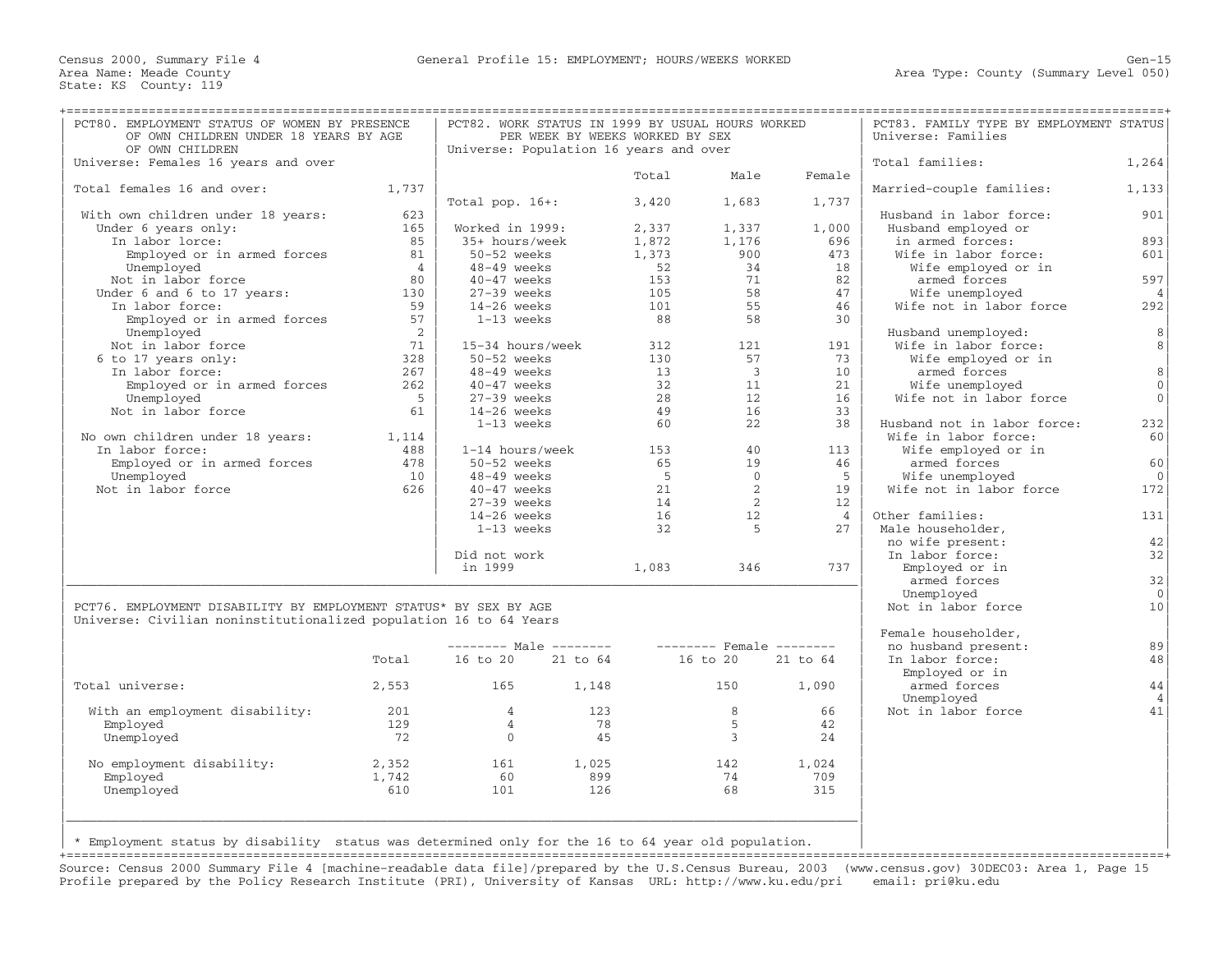| PCT80. EMPLOYMENT STATUS OF WOMEN BY PRESENCE<br>OF OWN CHILDREN UNDER 18 YEARS BY AGE             |                                          | PCT82. WORK STATUS IN 1999 BY USUAL HOURS WORKED<br>PER WEEK BY WEEKS WORKED BY SEX |     |                                                 |                          | PCT83. FAMILY TYPE BY EMPLOYMENT STATUS<br>Universe: Families |                             |                |
|----------------------------------------------------------------------------------------------------|------------------------------------------|-------------------------------------------------------------------------------------|-----|-------------------------------------------------|--------------------------|---------------------------------------------------------------|-----------------------------|----------------|
| OF OWN CHILDREN                                                                                    |                                          | Universe: Population 16 years and over                                              |     |                                                 |                          |                                                               |                             |                |
| Universe: Females 16 years and over                                                                |                                          |                                                                                     |     |                                                 |                          |                                                               | Total families:             | 1,264          |
|                                                                                                    |                                          |                                                                                     |     | Total                                           | Male                     | Female                                                        |                             |                |
| Total females 16 and over:                                                                         | 1,737                                    |                                                                                     |     |                                                 |                          |                                                               | Married-couple families:    | 1,133          |
|                                                                                                    |                                          | Total pop. $16+:$                                                                   |     | 3,420                                           | 1,683                    | 1,737                                                         |                             |                |
| With own children under 18 years:                                                                  | 623                                      |                                                                                     |     |                                                 |                          |                                                               | Husband in labor force:     | 901            |
| Under 6 years only:<br>$T = 1$ above 10000:                                                        | 165                                      | Worked in 1999:                                                                     |     | 2,337                                           | 1,337                    | 1,000                                                         | Husband employed or         |                |
| In labor lorce:                                                                                    | 85                                       | 35+ hours/week                                                                      |     | 1,872                                           | 1,176                    | 696                                                           | in armed forces:            | 893            |
| Employed or in armed forces                                                                        | 81                                       | 50-52 weeks                                                                         |     | 1,373                                           | 900                      | 473                                                           | Wife in labor force:        | 601            |
| Unemployed                                                                                         | $\overline{4}$                           | 48-49 weeks                                                                         |     | $\begin{array}{c} 52 \\ 153 \\ 105 \end{array}$ | 34                       | 18                                                            | Wife employed or in         |                |
| Not in labor force                                                                                 | 80                                       | 40-47 weeks                                                                         |     |                                                 | 71                       | 82                                                            | armed forces                | 597            |
| Under 6 and 6 to 17 years:                                                                         | $\begin{array}{c} 130 \\ 59 \end{array}$ | 27-39 weeks                                                                         |     |                                                 | 58                       | 47                                                            | Wife unemployed             | $\overline{4}$ |
| n labor force: 59<br>Employed or in armed forces 57<br>In labor force:                             |                                          | 14-26 weeks                                                                         |     | $\begin{array}{c} 101 \\ 88 \end{array}$        | 55                       | 46                                                            | Wife not in labor force     | 292            |
|                                                                                                    |                                          | 1-13 weeks                                                                          |     |                                                 | 58                       | 30                                                            |                             |                |
| Unemployed                                                                                         | $\overline{\phantom{a}}$                 |                                                                                     |     |                                                 |                          |                                                               | Husband unemployed:         | 8              |
| Not in labor force                                                                                 | 71                                       | 15-34 hours/week                                                                    |     | 312                                             | 121                      | 191                                                           | Wife in labor force:        | 8              |
| 6 to 17 years only:                                                                                | 328                                      | 50-52 weeks                                                                         |     | 130                                             | 57                       | 73                                                            | Wife employed or in         |                |
| In labor force:                                                                                    | 267                                      | 48-49 weeks                                                                         |     | 13                                              | $\overline{\mathbf{3}}$  | 10                                                            | armed forces                | 8 <sup>1</sup> |
| Employed or in armed forces 262                                                                    |                                          | 40-47 weeks                                                                         |     | 32                                              | 11                       | 21                                                            | Wife unemployed             | $\circ$        |
| Unemployed                                                                                         | $5^{\circ}$                              | 27-39 weeks                                                                         |     | 28                                              | 12                       | 16                                                            | Wife not in labor force     | $\overline{0}$ |
| Not in labor force                                                                                 | 61                                       | 14-26 weeks                                                                         |     | 49                                              | 16                       | 33                                                            |                             |                |
|                                                                                                    |                                          | 1-13 weeks                                                                          |     | 60                                              | 22                       | 38                                                            | Husband not in labor force: | 232            |
| No own children under 18 years: 1,114                                                              |                                          |                                                                                     |     |                                                 |                          |                                                               | Wife in labor force:        | 60             |
| In labor force:                                                                                    | 488                                      | 1-14 hours/week                                                                     |     | 153 and 153                                     | 40                       | 113                                                           | Wife employed or in         |                |
| Employed or in armed forces                                                                        | 478                                      | 50-52 weeks                                                                         |     | 65                                              | 19                       | 46                                                            | armed forces                | 60             |
| Unemployed                                                                                         | 10                                       | 48-49 weeks                                                                         |     | $5^{\circ}$                                     | $\overline{0}$           | 5 <sup>5</sup>                                                | Wife unemployed             | $\overline{0}$ |
| Not in labor force                                                                                 | 626                                      | 40-47 weeks                                                                         |     | 21                                              | $\overline{\phantom{0}}$ | 19                                                            | Wife not in labor force     | 172            |
|                                                                                                    |                                          | $27-39$ weeks                                                                       |     | 14                                              | $\overline{2}$           | 12                                                            |                             |                |
|                                                                                                    |                                          | 14-26 weeks                                                                         |     | 16                                              | 12                       | 4                                                             | Other families:             | 131            |
|                                                                                                    |                                          | 1-13 weeks                                                                          |     | 32                                              | $5^{\circ}$              | 27                                                            | Male householder,           |                |
|                                                                                                    |                                          |                                                                                     |     |                                                 |                          |                                                               | no wife present:            | 42             |
|                                                                                                    |                                          | Did not work                                                                        |     |                                                 |                          |                                                               | In labor force:             | 32             |
|                                                                                                    |                                          | in 1999                                                                             |     |                                                 | 1,083 346                | 737                                                           | Employed or in              |                |
|                                                                                                    |                                          |                                                                                     |     |                                                 |                          |                                                               | armed forces                | 32             |
|                                                                                                    |                                          |                                                                                     |     |                                                 |                          |                                                               | Unemployed                  | $\overline{0}$ |
| PCT76. EMPLOYMENT DISABILITY BY EMPLOYMENT STATUS* BY SEX BY AGE                                   |                                          |                                                                                     |     |                                                 |                          |                                                               | Not in labor force          | 10             |
| Universe: Civilian noninstitutionalized population 16 to 64 Years                                  |                                          |                                                                                     |     |                                                 |                          |                                                               |                             |                |
|                                                                                                    |                                          |                                                                                     |     |                                                 |                          |                                                               | Female householder,         |                |
|                                                                                                    |                                          | -------- Male -------- -------- Female --------                                     |     |                                                 |                          |                                                               | no husband present:         | 89             |
|                                                                                                    |                                          | Total 16 to 20 21 to 64 16 to 20 21 to 64                                           |     |                                                 |                          |                                                               | In labor force:             | 48             |
|                                                                                                    |                                          |                                                                                     |     |                                                 |                          |                                                               | Employed or in              |                |
| Total universe:                                                                                    |                                          | 2,553 165 1,148 150                                                                 |     |                                                 |                          | 1,090                                                         | armed forces                | 44             |
|                                                                                                    |                                          |                                                                                     |     |                                                 |                          |                                                               | Unemployed                  | $\overline{4}$ |
| With an employment disability:                                                                     | 201                                      | $\overline{4}$                                                                      | 123 |                                                 | 8 <sup>8</sup>           | 66                                                            | Not in labor force          | 41             |
| Employed                                                                                           | 129                                      | $\overline{4}$                                                                      | 78  |                                                 | $5\overline{)}$          | 42                                                            |                             |                |
| Unemployed                                                                                         | 72                                       | $\overline{0}$                                                                      | 45  |                                                 | $\overline{3}$           | 24                                                            |                             |                |
| No employment disability:                                                                          |                                          |                                                                                     |     |                                                 | 142                      | 1,024                                                         |                             |                |
| Employed                                                                                           | 1,742                                    | 2,352 161 1,025<br>60                                                               | 899 |                                                 | 74                       | 709                                                           |                             |                |
| Unemployed                                                                                         | 610                                      | 101                                                                                 | 126 |                                                 | 68                       | 315                                                           |                             |                |
|                                                                                                    |                                          |                                                                                     |     |                                                 |                          |                                                               |                             |                |
|                                                                                                    |                                          |                                                                                     |     |                                                 |                          |                                                               |                             |                |
|                                                                                                    |                                          |                                                                                     |     |                                                 |                          |                                                               |                             |                |
| * Employment status by disability status was determined only for the 16 to 64 year old population. |                                          |                                                                                     |     |                                                 |                          |                                                               |                             |                |
|                                                                                                    |                                          |                                                                                     |     |                                                 |                          |                                                               |                             |                |

| \* Employment status by disability status was determined only for the 16 to 64 year old population. | | +===================================================================================================================================================+

Source: Census 2000 Summary File 4 [machine−readable data file]/prepared by the U.S.Census Bureau, 2003 (www.census.gov) 30DEC03: Area 1, Page 15 Profile prepared by the Policy Research Institute (PRI), University of Kansas URL: http://www.ku.edu/pri email: pri@ku.edu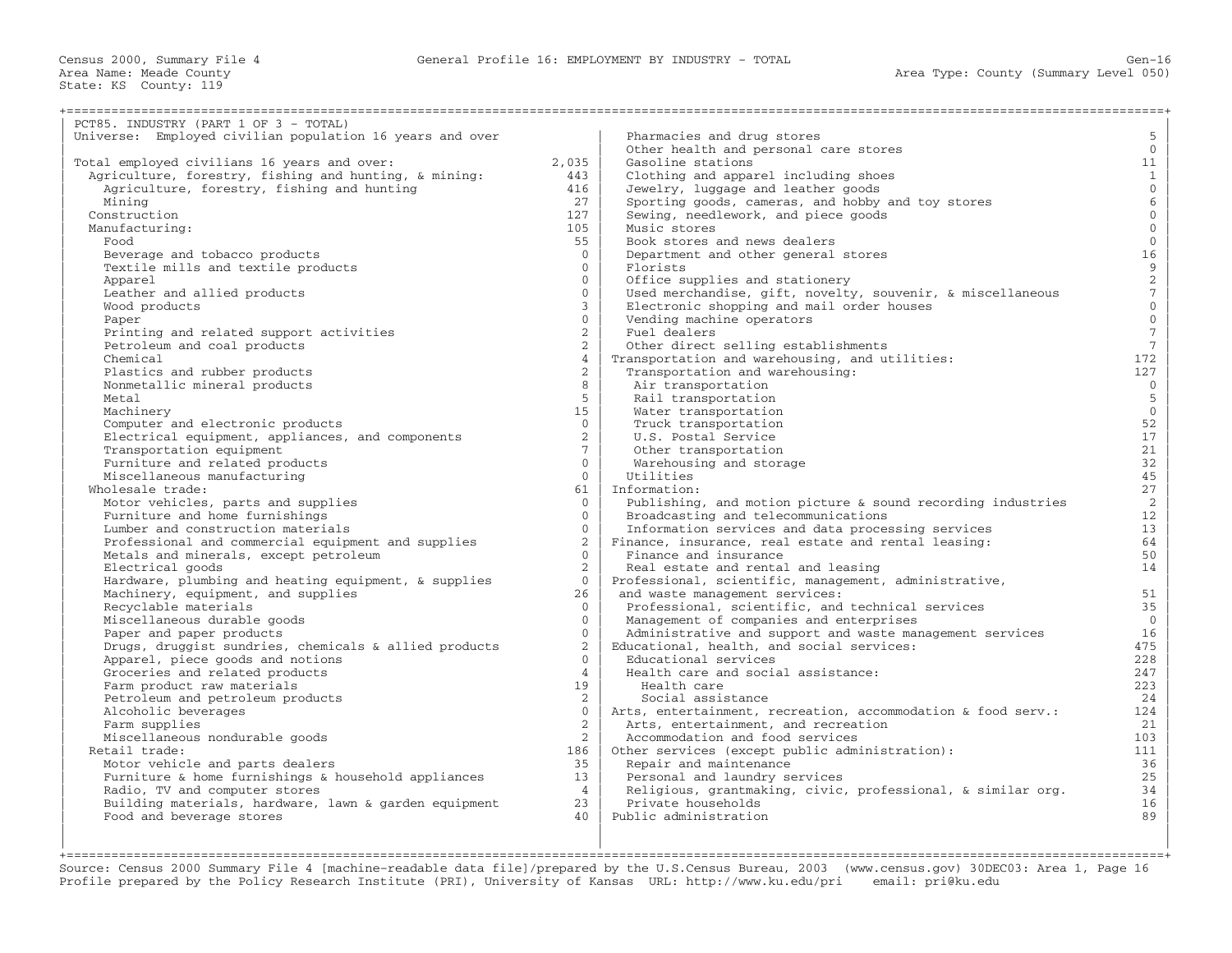Census 2000, Summary File 4 General Profile 16: EMPLOYMENT BY INDUSTRY − TOTAL Gen−16

State: KS County: 119

| PCT85. INDUSTRY (PART 1 OF 3 - TOTAL)                    |                 |                                                              |                                               |
|----------------------------------------------------------|-----------------|--------------------------------------------------------------|-----------------------------------------------|
| Universe: Employed civilian population 16 years and over |                 | Pharmacies and drug stores                                   | 5                                             |
|                                                          |                 | Other health and personal care stores                        | $\overline{0}$                                |
| Total employed civilians 16 years and over:              | 2,035           | Gasoline stations                                            | 11                                            |
| Agriculture, forestry, fishing and hunting, & mining:    | 443             | Clothing and apparel including shoes                         | $\mathbf{1}$                                  |
| Agriculture, forestry, fishing and hunting               | 416             | Jewelry, luggage and leather goods                           | $\overline{0}$                                |
| Mining                                                   | 27              | Sporting goods, cameras, and hobby and toy stores            | $\sqrt{6}$                                    |
| Construction                                             | 127             | Sewing, needlework, and piece goods                          | $\mathsf{O}\xspace$                           |
| Manufacturing:                                           | 105             | Music stores                                                 | $\mathsf{O}\xspace$                           |
| Food                                                     | 55              | Book stores and news dealers                                 | $\mathsf{O}\xspace$                           |
| Beverage and tobacco products                            | $\overline{0}$  | Department and other general stores                          | 16                                            |
| Textile mills and textile products                       | $\mathbf{0}$    | Florists                                                     |                                               |
| Apparel                                                  | $\mathbf{0}$    | Office supplies and stationery                               |                                               |
| Leather and allied products                              | $\mathbf{0}$    | Used merchandise, gift, novelty, souvenir, & miscellaneous   | $\begin{array}{c} 9 \\ 2 \\ 7 \end{array}$    |
| Wood products                                            | $\mathbf{3}$    | Electronic shopping and mail order houses                    |                                               |
| Paper                                                    | $\mathbf{0}$    | Vending machine operators                                    | $\begin{smallmatrix}0\\0\\0\end{smallmatrix}$ |
| Printing and related support activities                  | $\overline{2}$  | Fuel dealers                                                 | $\sqrt{7}$                                    |
| Petroleum and coal products                              | 2               | Other direct selling establishments                          | $7\phantom{.0}$                               |
|                                                          | $\overline{4}$  |                                                              | 172                                           |
| Chemical                                                 |                 | Transportation and warehousing, and utilities:               |                                               |
| Plastics and rubber products                             | $\overline{2}$  | Transportation and warehousing:                              | 127                                           |
| Nonmetallic mineral products                             | 8               | Air transportation                                           | $\overline{0}$                                |
| Metal                                                    | $5^{\circ}$     | Rail transportation                                          | $\overline{5}$                                |
| Machinery                                                | 15              | Water transportation                                         | $\mathbf{0}$                                  |
| Computer and electronic products                         | $\Omega$        | Truck transportation                                         | 52                                            |
| Electrical equipment, appliances, and components         | $\overline{2}$  | U.S. Postal Service                                          | 17                                            |
| Transportation equipment                                 | $7^{\circ}$     | Other transportation                                         | 21                                            |
| Furniture and related products                           | $\Omega$        | Warehousing and storage                                      | 32                                            |
| Miscellaneous manufacturing                              | $\Omega$        | Utilities                                                    | 45                                            |
| Wholesale trade:                                         | 61              | Information:                                                 | 27                                            |
| Motor vehicles, parts and supplies                       | $\Omega$        | Publishing, and motion picture & sound recording industries  | 2                                             |
| Furniture and home furnishings                           | $\Omega$        | Broadcasting and telecommunications                          | 12                                            |
| Lumber and construction materials                        | $\mathbf{0}$    | Information services and data processing services            | 13 <sup>1</sup>                               |
| Professional and commercial equipment and supplies       | 2               | Finance, insurance, real estate and rental leasing:          | 64                                            |
| Metals and minerals, except petroleum                    | $\Omega$        | Finance and insurance                                        | 50                                            |
| Electrical goods                                         | $\overline{2}$  | Real estate and rental and leasing                           | 14                                            |
| Hardware, plumbing and heating equipment, & supplies     | $\Omega$        | Professional, scientific, management, administrative,        |                                               |
| Machinery, equipment, and supplies                       | 26              | and waste management services:                               | 51                                            |
| Recyclable materials                                     | $\mathbf{0}$    | Professional, scientific, and technical services             | 35                                            |
| Miscellaneous durable goods                              | $\mathbf{0}$    | Management of companies and enterprises                      | $\overline{0}$                                |
| Paper and paper products                                 | $\mathbf{0}$    | Administrative and support and waste management services     | 16                                            |
| Drugs, druggist sundries, chemicals & allied products    | $\overline{2}$  | Educational, health, and social services:                    | 475                                           |
| Apparel, piece goods and notions                         | $\Omega$        | Educational services                                         | 228                                           |
| Groceries and related products                           | $\overline{4}$  | Health care and social assistance:                           | 247                                           |
| Farm product raw materials                               | 19              | Health care                                                  | 223                                           |
|                                                          |                 |                                                              |                                               |
| Petroleum and petroleum products                         | 2               | Social assistance                                            | 24                                            |
| Alcoholic beverages                                      | $\overline{0}$  | Arts, entertainment, recreation, accommodation & food serv.: | 124                                           |
| Farm supplies                                            | $\overline{2}$  | Arts, entertainment, and recreation                          | 21                                            |
| Miscellaneous nondurable goods                           | 2               | Accommodation and food services                              | 103                                           |
| Retail trade:                                            | 186             | Other services (except public administration):               | 111                                           |
| Motor vehicle and parts dealers                          | 3.5             | Repair and maintenance                                       | 36                                            |
| Furniture & home furnishings & household appliances      | 13 <sup>7</sup> | Personal and laundry services                                | 25                                            |
| Radio, TV and computer stores                            | $\overline{4}$  | Religious, grantmaking, civic, professional, & similar org.  | 34                                            |
| Building materials, hardware, lawn & garden equipment    | 23              | Private households                                           | 16                                            |
| Food and beverage stores                                 | 40              | Public administration                                        | 89                                            |
|                                                          |                 |                                                              |                                               |

| | | +===================================================================================================================================================+ Source: Census 2000 Summary File 4 [machine−readable data file]/prepared by the U.S.Census Bureau, 2003 (www.census.gov) 30DEC03: Area 1, Page 16 Profile prepared by the Policy Research Institute (PRI), University of Kansas URL: http://www.ku.edu/pri email: pri@ku.edu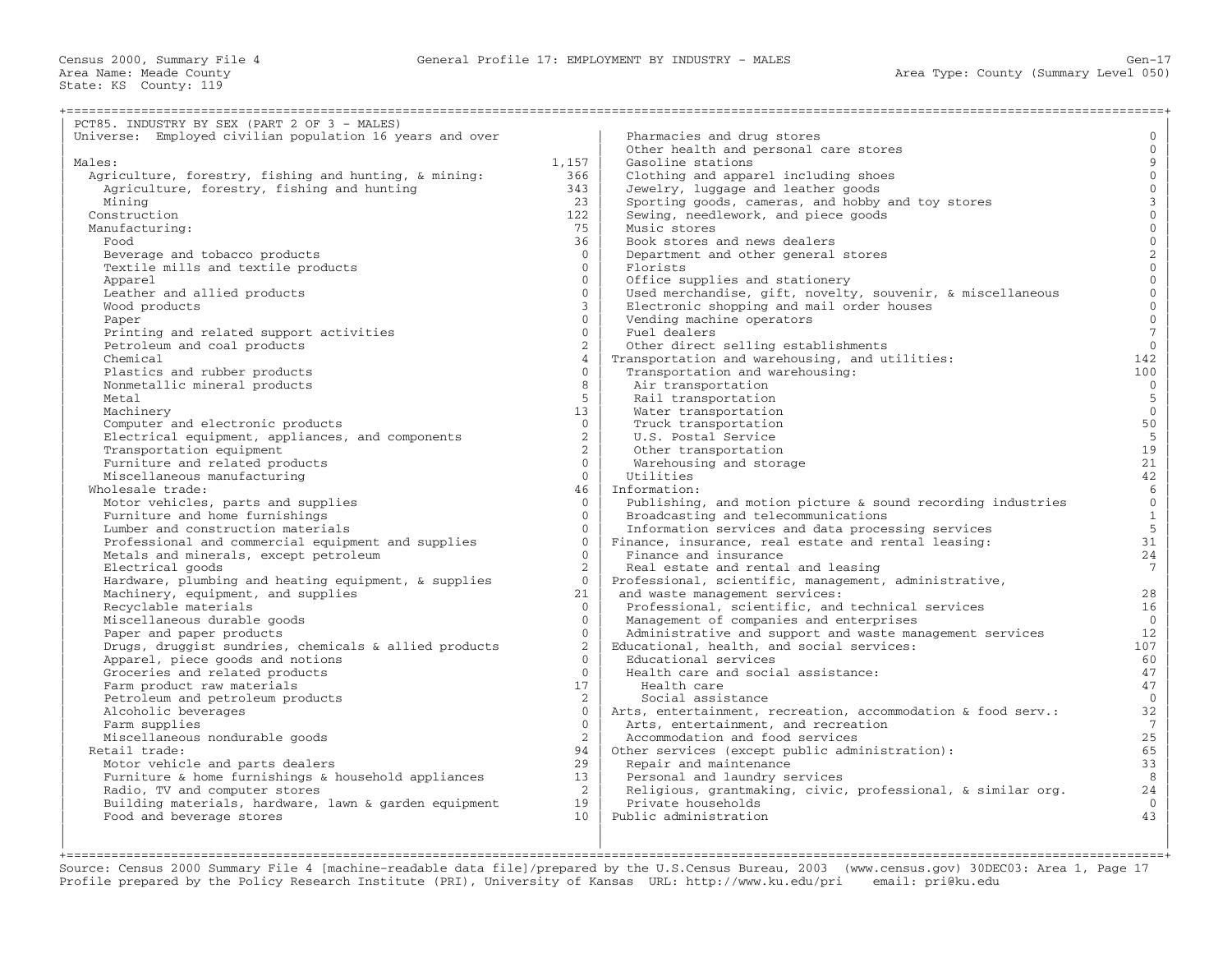| PCT85. INDUSTRY BY SEX (PART 2 OF 3 - MALES)             |                 |                                                              |                                       |
|----------------------------------------------------------|-----------------|--------------------------------------------------------------|---------------------------------------|
| Universe: Employed civilian population 16 years and over |                 | Pharmacies and drug stores                                   | $\mathbf{0}$                          |
|                                                          |                 | Other health and personal care stores                        | $\mathbf{0}$                          |
| Males:                                                   | 1,157           | Gasoline stations                                            | $\overline{9}$                        |
| Agriculture, forestry, fishing and hunting, & mining:    | 366             | Clothing and apparel including shoes                         | $\mathsf{O}\xspace$                   |
| Agriculture, forestry, fishing and hunting               | 343             | Jewelry, luggage and leather goods                           | $\mathsf{O}\xspace$                   |
| Mining                                                   | 2.3             | Sporting goods, cameras, and hobby and toy stores            |                                       |
| Construction                                             | 122             | Sewing, needlework, and piece goods                          | $\begin{array}{c} 3 \\ 0 \end{array}$ |
| Manufacturing:                                           | 75              | Music stores                                                 | $\overline{0}$                        |
| Food                                                     | 36              | Book stores and news dealers                                 | $\mathbf 0$                           |
| Beverage and tobacco products                            | $\Omega$        | Department and other general stores                          | $\overline{2}$                        |
| Textile mills and textile products                       | $\Omega$        | Florists                                                     | $\overline{0}$                        |
| Apparel                                                  | $\Omega$        | Office supplies and stationery                               | $\overline{0}$                        |
| Leather and allied products                              | $\Omega$        | Used merchandise, gift, novelty, souvenir, & miscellaneous   | $\mathsf{O}\xspace$                   |
| Wood products                                            | $\mathbf{3}$    | Electronic shopping and mail order houses                    | $\mathsf{O}\xspace$                   |
| Paper                                                    | $\Omega$        | Vending machine operators                                    | $\overline{0}$                        |
|                                                          | $\Omega$        | Fuel dealers                                                 | $\sqrt{7}$                            |
| Printing and related support activities                  | $\overline{2}$  |                                                              | $\overline{0}$                        |
| Petroleum and coal products                              |                 | Other direct selling establishments                          | 142                                   |
| Chemical                                                 | 4<br>$\Omega$   | Transportation and warehousing, and utilities:               |                                       |
| Plastics and rubber products                             |                 | Transportation and warehousing:                              | 100<br>$\overline{0}$                 |
| Nonmetallic mineral products                             | 8               | Air transportation                                           |                                       |
| Metal                                                    | 5               | Rail transportation                                          | $\mathsf S$                           |
| Machinery                                                | 13 <sup>1</sup> | Water transportation                                         | $\mathbf{0}$                          |
| Computer and electronic products                         | $\overline{0}$  | Truck transportation                                         | 50                                    |
| Electrical equipment, appliances, and components         | $\overline{2}$  | U.S. Postal Service                                          | $5\phantom{.0}$                       |
| Transportation equipment                                 | $\overline{2}$  | Other transportation                                         | 19                                    |
| Furniture and related products                           | $\Omega$        | Warehousing and storage                                      | 21                                    |
| Miscellaneous manufacturing                              | $\Omega$        | Utilities                                                    | 42                                    |
| Wholesale trade:                                         | 46              | Information:                                                 | $\epsilon$                            |
| Motor vehicles, parts and supplies                       | $\Omega$        | Publishing, and motion picture & sound recording industries  | $\overline{0}$                        |
| Furniture and home furnishings                           | $\Omega$        | Broadcasting and telecommunications                          | $\mathbf{1}$                          |
| Lumber and construction materials                        | $\Omega$        | Information services and data processing services            | 5                                     |
| Professional and commercial equipment and supplies       | $\Omega$        | Finance, insurance, real estate and rental leasing:          | 31                                    |
| Metals and minerals, except petroleum                    | $\Omega$        | Finance and insurance                                        | 24                                    |
| Electrical goods                                         | $\overline{2}$  | Real estate and rental and leasing                           | $7\phantom{.0}$                       |
| Hardware, plumbing and heating equipment, & supplies     | $\Omega$        | Professional, scientific, management, administrative,        |                                       |
| Machinery, equipment, and supplies                       | 21              | and waste management services:                               | 28                                    |
| Recyclable materials                                     | $\Omega$        | Professional, scientific, and technical services             | 16                                    |
| Miscellaneous durable goods                              | $\Omega$        | Management of companies and enterprises                      | $\overline{0}$                        |
| Paper and paper products                                 | $\Omega$        | Administrative and support and waste management services     | 12                                    |
| Drugs, druggist sundries, chemicals & allied products    | $\overline{2}$  | Educational, health, and social services:                    | 107                                   |
| Apparel, piece goods and notions                         | $\Omega$        | Educational services                                         | 60                                    |
| Groceries and related products                           | $\Omega$        | Health care and social assistance:                           | 47                                    |
| Farm product raw materials                               | 17              | Health care                                                  | 47                                    |
| Petroleum and petroleum products                         | $\overline{2}$  | Social assistance                                            | $\mathbf{0}$                          |
| Alcoholic beverages                                      | $\mathbf{0}$    | Arts, entertainment, recreation, accommodation & food serv.: | 32                                    |
| Farm supplies                                            | $\Omega$        | Arts, entertainment, and recreation                          | $7\overline{ }$                       |
| Miscellaneous nondurable goods                           | 2               | Accommodation and food services                              | 25                                    |
| Retail trade:                                            | 94              | Other services (except public administration):               | 65                                    |
| Motor vehicle and parts dealers                          | 29              | Repair and maintenance                                       | 33                                    |
| Furniture & home furnishings & household appliances      | 13              | Personal and laundry services                                | 8                                     |
| Radio, TV and computer stores                            | $\overline{2}$  | Religious, grantmaking, civic, professional, & similar org.  | 24                                    |
| Building materials, hardware, lawn & garden equipment    | 19              | Private households                                           | $\mathbf{0}$                          |
| Food and beverage stores                                 | 10              | Public administration                                        | 43                                    |
|                                                          |                 |                                                              |                                       |

| | | +===================================================================================================================================================+ Source: Census 2000 Summary File 4 [machine−readable data file]/prepared by the U.S.Census Bureau, 2003 (www.census.gov) 30DEC03: Area 1, Page 17 Profile prepared by the Policy Research Institute (PRI), University of Kansas URL: http://www.ku.edu/pri email: pri@ku.edu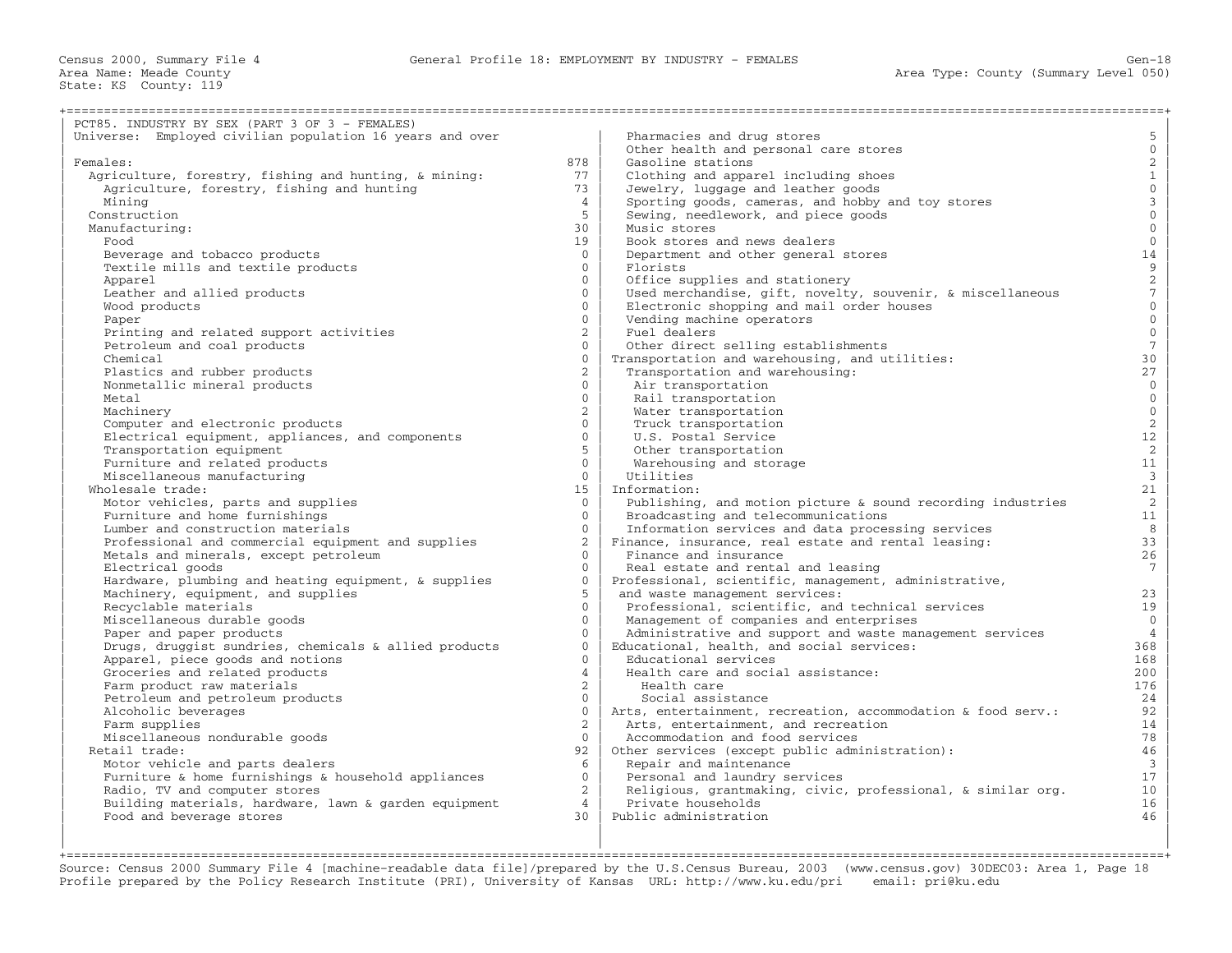| PCT85. INDUSTRY BY SEX (PART 3 OF 3 - FEMALES)           |                |                                                              |                                            |
|----------------------------------------------------------|----------------|--------------------------------------------------------------|--------------------------------------------|
| Universe: Employed civilian population 16 years and over |                | Pharmacies and drug stores                                   | 5                                          |
|                                                          |                | Other health and personal care stores                        | $\mathsf{O}\xspace$                        |
| Females:                                                 | 878            | Gasoline stations                                            |                                            |
| Agriculture, forestry, fishing and hunting, & mining:    | 77             | Clothing and apparel including shoes                         | $\begin{array}{c} 2 \\ 1 \end{array}$      |
| Agriculture, forestry, fishing and hunting               | 73             | Jewelry, luggage and leather goods                           | $\mathsf{O}\xspace$                        |
|                                                          | $\overline{4}$ | Sporting goods, cameras, and hobby and toy stores            |                                            |
| Mining                                                   | 5              |                                                              | $\begin{array}{c} 3 \\ 0 \end{array}$      |
| Construction                                             | 30             | Sewing, needlework, and piece goods<br>Music stores          | $\mathbf{0}$                               |
| Manufacturing:<br>Food                                   | 19             | Book stores and news dealers                                 | $\mathbb O$                                |
|                                                          |                |                                                              |                                            |
| Beverage and tobacco products                            | $\Omega$       | Department and other general stores                          | 14                                         |
| Textile mills and textile products                       | $\mathbf{0}$   | Florists                                                     | $\begin{array}{c} 9 \\ 2 \\ 7 \end{array}$ |
| Apparel                                                  | $\Omega$       | Office supplies and stationery                               |                                            |
| Leather and allied products                              | $\Omega$       | Used merchandise, gift, novelty, souvenir, & miscellaneous   |                                            |
| Wood products                                            | $\mathbf{0}$   | Electronic shopping and mail order houses                    | $\overline{0}$                             |
| Paper                                                    | $\Omega$       | Vending machine operators                                    | $\overline{0}$                             |
| Printing and related support activities                  | $\overline{2}$ | Fuel dealers                                                 | $\overline{0}$                             |
| Petroleum and coal products                              | $\Omega$       | Other direct selling establishments                          | $\frac{1}{7}$                              |
| Chemical                                                 | $\Omega$       | Transportation and warehousing, and utilities:               | 30                                         |
| Plastics and rubber products                             | $\overline{2}$ | Transportation and warehousing:                              | 27                                         |
| Nonmetallic mineral products                             | $\mathbf{0}$   | Air transportation                                           | $\overline{0}$                             |
| Metal                                                    | $\Omega$       | Rail transportation                                          | $\mathsf{O}\xspace$                        |
| Machinery                                                | $\overline{2}$ | Water transportation                                         | $\mathsf{O}\xspace$                        |
| Computer and electronic products                         | $\Omega$       | Truck transportation                                         | $\overline{a}$                             |
| Electrical equipment, appliances, and components         | $\Omega$       | U.S. Postal Service                                          | $12\,$                                     |
| Transportation equipment                                 | 5              | Other transportation                                         | $\overline{a}$                             |
| Furniture and related products                           | $\Omega$       | Warehousing and storage                                      | 11                                         |
| Miscellaneous manufacturing                              | $\overline{0}$ | Utilities                                                    | $\overline{\mathbf{3}}$                    |
| Wholesale trade:                                         | 15             | Information:                                                 | 21                                         |
| Motor vehicles, parts and supplies                       | $\Omega$       | Publishing, and motion picture & sound recording industries  | 2                                          |
| Furniture and home furnishings                           | $\Omega$       | Broadcasting and telecommunications                          | 11                                         |
| Lumber and construction materials                        | $\Omega$       | Information services and data processing services            | 8                                          |
| Professional and commercial equipment and supplies       | $\overline{2}$ | Finance, insurance, real estate and rental leasing:          | 33                                         |
| Metals and minerals, except petroleum                    | $\Omega$       | Finance and insurance                                        | 26                                         |
| Electrical goods                                         | $\Omega$       | Real estate and rental and leasing                           | $7\overline{ }$                            |
| Hardware, plumbing and heating equipment, & supplies     | $\Omega$       | Professional, scientific, management, administrative,        |                                            |
| Machinery, equipment, and supplies                       | 5              | and waste management services:                               | 23                                         |
| Recyclable materials                                     | $\Omega$       | Professional, scientific, and technical services             | 19                                         |
| Miscellaneous durable goods                              | $\Omega$       | Management of companies and enterprises                      | $\mathbf 0$                                |
| Paper and paper products                                 | $\Omega$       | Administrative and support and waste management services     | $\overline{4}$                             |
| Drugs, druggist sundries, chemicals & allied products    | $\Omega$       | Educational, health, and social services:                    | 368                                        |
| Apparel, piece goods and notions                         | $\Omega$       | Educational services                                         | 168                                        |
| Groceries and related products                           | $\overline{4}$ | Health care and social assistance:                           | 200                                        |
| Farm product raw materials                               | $\overline{2}$ | Health care                                                  | 176                                        |
| Petroleum and petroleum products                         | $\mathbf{0}$   | Social assistance                                            | 24                                         |
| Alcoholic beverages                                      | $\mathbf{0}$   | Arts, entertainment, recreation, accommodation & food serv.: | 92                                         |
| Farm supplies                                            | $\overline{2}$ | Arts, entertainment, and recreation                          | 14                                         |
| Miscellaneous nondurable goods                           | $\Omega$       | Accommodation and food services                              | 78                                         |
| Retail trade:                                            | 92             | Other services (except public administration):               | 46                                         |
| Motor vehicle and parts dealers                          | 6              | Repair and maintenance                                       | $\overline{3}$                             |
| Furniture & home furnishings & household appliances      | $\overline{0}$ | Personal and laundry services                                | 17                                         |
| Radio, TV and computer stores                            | $\overline{2}$ | Religious, grantmaking, civic, professional, & similar org.  | 10 <sub>1</sub>                            |
| Building materials, hardware, lawn & garden equipment    | $\overline{4}$ | Private households                                           | 16                                         |
| Food and beverage stores                                 | 30             | Public administration                                        | 46                                         |
|                                                          |                |                                                              |                                            |

+===================================================================================================================================================+ Source: Census 2000 Summary File 4 [machine−readable data file]/prepared by the U.S.Census Bureau, 2003 (www.census.gov) 30DEC03: Area 1, Page 18 Profile prepared by the Policy Research Institute (PRI), University of Kansas URL: http://www.ku.edu/pri email: pri@ku.edu

| | |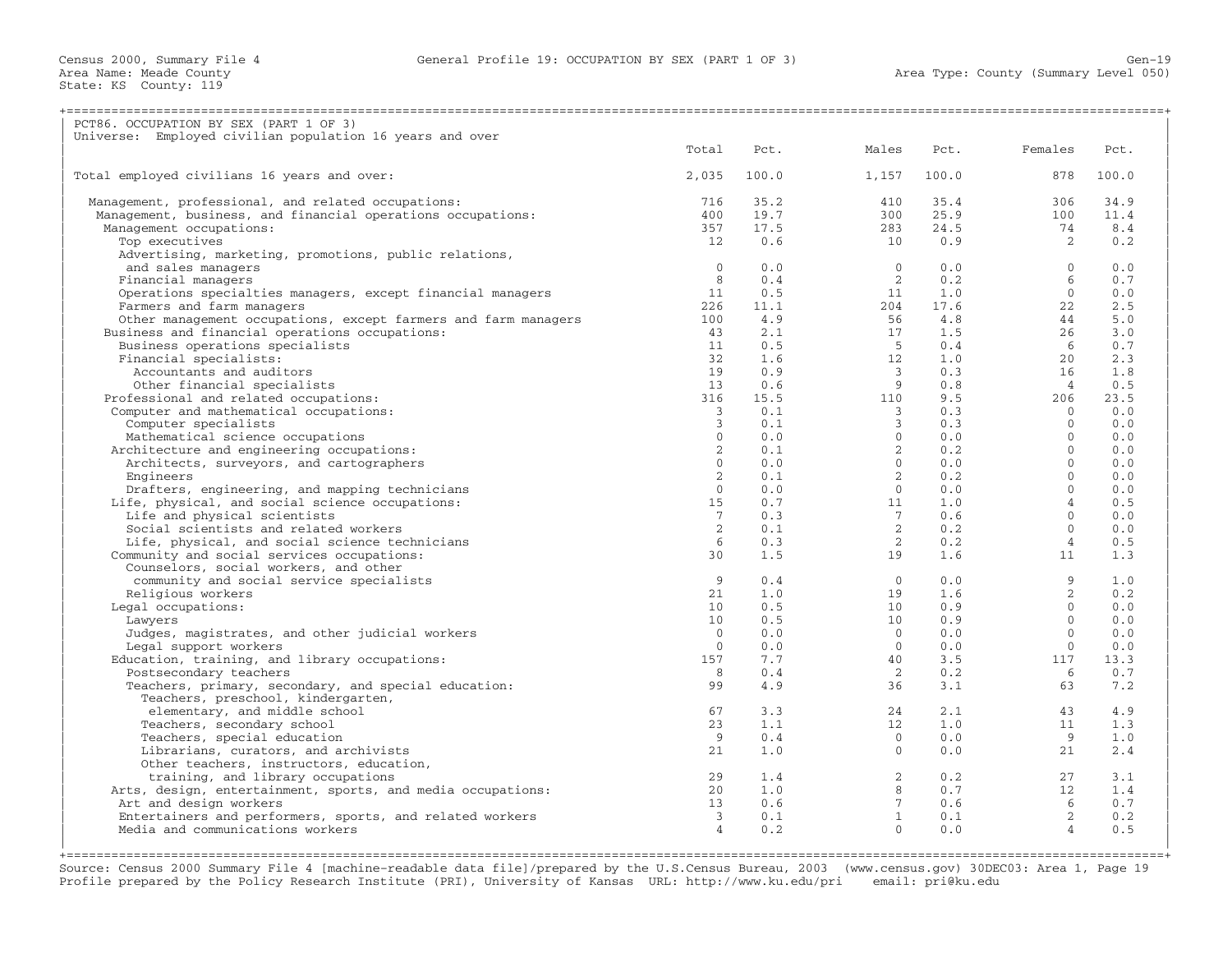Census 2000, Summary File 4 General Profile 19: OCCUPATION BY SEX (PART 1 OF 3) Gen−19

Area Name: Meade County<br>State: KS County: 119

| PCT86. OCCUPATION BY SEX (PART 1 OF 3)                                              |                         |                                                         |                                                                   |              |                                                        |       |
|-------------------------------------------------------------------------------------|-------------------------|---------------------------------------------------------|-------------------------------------------------------------------|--------------|--------------------------------------------------------|-------|
| Universe: Employed civilian population 16 years and over                            |                         |                                                         |                                                                   |              |                                                        |       |
|                                                                                     | Total                   | Pct.                                                    | Males                                                             | Pct.         | Females                                                | Pct.  |
| Total employed civilians 16 years and over:                                         | 2,035                   | 100.0                                                   | 1,157                                                             | 100.0        | 878                                                    | 100.0 |
| Management, professional, and related occupations:                                  | 716                     | 35.2                                                    | 410                                                               | 35.4         | 306                                                    | 34.9  |
| Management, business, and financial operations occupations:                         | 400                     | 19.7                                                    | 300                                                               | 25.9         | 100                                                    | 11.4  |
| Management occupations:                                                             | 357                     | 17.5                                                    | 283                                                               | 24.5         | 74                                                     | 8.4   |
| Top executives                                                                      | 12.                     | 0.6                                                     | 10                                                                | 0.9          | $\overline{2}$                                         | 0.2   |
| Advertising, marketing, promotions, public relations,                               |                         |                                                         |                                                                   |              |                                                        |       |
| and sales managers                                                                  | $\Omega$                | 0.0                                                     | $\overline{0}$                                                    | 0.0          | $\bigcap$                                              | 0.0   |
| Financial managers                                                                  | 8                       | 0.4                                                     | $\overline{2}$                                                    | 0.2          | 6                                                      | 0.7   |
| Operations specialties managers, except financial managers                          | 11                      | 0.5                                                     |                                                                   |              | $\bigcap$                                              | 0.0   |
| Farmers and farm managers                                                           | 226                     | 11.1                                                    | $\begin{array}{ccc} & 11 & 1.0 \\ 204 & 17.6 \end{array}$         |              | 22                                                     | 2.5   |
| Other management occupations, except farmers and farm managers                      | 100                     | 4.9                                                     |                                                                   | 4.8          | 44                                                     | 5.0   |
| Business and financial operations occupations:                                      | 43                      | 2.1                                                     | $\begin{array}{c} 56 \\ 17 \\ 5 \end{array}$                      | 1.5          | 26                                                     | 3.0   |
| Business operations specialists                                                     | 11                      |                                                         |                                                                   |              | 6                                                      | 0.7   |
| Financial specialists:                                                              | 32                      | $\begin{array}{c} 0.5 \\ 1.6 \\ 0.9 \\ 0.6 \end{array}$ | 12                                                                |              | $\begin{array}{c} 0.4 \\ 1.0 \\ 0.3 \end{array}$<br>20 | 2.3   |
| Accountants and auditors                                                            | 19                      |                                                         | $\frac{3}{9}$                                                     |              | 16                                                     | 1.8   |
| Other financial specialists                                                         | 13                      |                                                         |                                                                   | 0.8          | $\overline{4}$                                         | 0.5   |
| Professional and related occupations:                                               | 316                     |                                                         | $\begin{array}{ccc} 15.5 & 110 \\ 0.1 & 3 \\ 0.1 & 3 \end{array}$ | $9.5$<br>0.3 | 206                                                    | 23.5  |
| Computer and mathematical occupations:                                              | 3                       |                                                         |                                                                   |              | $\overline{0}$                                         | 0.0   |
| Computer specialists                                                                | 3                       |                                                         |                                                                   | 0.3          | $\bigcap$                                              | 0.0   |
| Mathematical science occupations                                                    | $\overline{0}$          | $\begin{array}{c} 0.0 \\ 0.1 \\ 0.0 \end{array}$        | $\overline{0}$                                                    | 0.0          | $\overline{0}$                                         | 0.0   |
| Architecture and engineering occupations:                                           | $\overline{2}$          |                                                         | $\overline{2}$                                                    | 0.2          | $\bigcirc$                                             | 0.0   |
| Architects, surveyors, and cartographers                                            | $\Omega$                |                                                         |                                                                   | 0.0          | $\Omega$                                               | 0.0   |
| Engineers                                                                           | $\overline{2}$          | $\begin{smallmatrix}0&.1\0&.0\end{smallmatrix}$         |                                                                   | 0.2          | $\Omega$                                               | 0.0   |
| Drafters, engineering, and mapping technicians                                      | $\Omega$                |                                                         | $\begin{array}{c} 2 \\ 0 \\ 2 \\ 0 \\ 11 \\ 7 \\ \end{array}$     | 0.0          | $\Omega$                                               | 0.0   |
| Life, physical, and social science occupations:                                     | 15                      | 0.7                                                     |                                                                   | 1.0          | $\overline{4}$                                         | 0.5   |
| Life and physical scientists                                                        | $7\overline{ }$         | 0.3                                                     |                                                                   | 0.6          | $\bigcirc$                                             | 0.0   |
| Social scientists and related workers                                               | 2                       | $0.1$<br>$0.3$                                          | $\overline{2}$                                                    | 0.2          | $\bigcirc$                                             | 0.0   |
| Life, physical, and social science technicians                                      | 6<br>30                 |                                                         | $\overline{2}$<br>19                                              | 0.2          | $\overline{4}$<br>11                                   | 0.5   |
| Community and social services occupations:<br>Counselors, social workers, and other |                         | 1.5                                                     |                                                                   | 1.6          |                                                        | 1.3   |
|                                                                                     | 9                       | 0.4                                                     | $\overline{0}$                                                    | 0.0          | 9                                                      | 1.0   |
| community and social service specialists<br>Religious workers                       | 21                      | 1.0                                                     | 19                                                                | 1.6          | $\overline{2}$                                         | 0.2   |
| Legal occupations:                                                                  | 10 <sup>°</sup>         | 0.5                                                     | 10                                                                | 0.9          | $\bigcirc$                                             | 0.0   |
| Lawyers                                                                             | 10 <sup>°</sup>         | 0.5                                                     | 10                                                                | 0.9          | $\bigcap$                                              | 0.0   |
| Judges, magistrates, and other judicial workers                                     | $\Omega$                | 0.0                                                     |                                                                   | 0.0          | $\bigcirc$                                             | 0.0   |
| Legal support workers                                                               | $\Omega$                | 0.0                                                     | $\begin{matrix}0\\0\end{matrix}$                                  | 0.0          | $\bigcirc$                                             | 0.0   |
| Education, training, and library occupations:                                       | 157                     | 7.7                                                     | 40                                                                | 3.5          | 117                                                    | 13.3  |
| Postsecondary teachers                                                              | 8                       | 0.4                                                     | $\sim$ 2                                                          | 0.2          | 6                                                      | 0.7   |
| Teachers, primary, secondary, and special education:                                | 99                      | 4.9                                                     | 36                                                                | 3.1          | 63                                                     | 7.2   |
| Teachers, preschool, kindergarten,                                                  |                         |                                                         |                                                                   |              |                                                        |       |
| elementary, and middle school                                                       | 67                      | 3.3                                                     | 24                                                                | 2.1          | 43                                                     | 4.9   |
| Teachers, secondary school                                                          | 23                      | 1.1                                                     | 12                                                                | 1.0          | 11                                                     | 1.3   |
| Teachers, special education                                                         | 9                       | 0.4                                                     | $\overline{0}$                                                    | 0.0          | - 9                                                    | 1.0   |
| Librarians, curators, and archivists                                                | 21                      | 1.0                                                     | $\bigcirc$                                                        | 0.0          | 21                                                     | 2.4   |
| Other teachers, instructors, education,                                             |                         |                                                         |                                                                   |              |                                                        |       |
| training, and library occupations                                                   | 29                      | 1.4                                                     | $\begin{array}{c} 2 \\ 8 \\ 7 \\ 1 \end{array}$                   | 0.2          | 27                                                     | 3.1   |
| Arts, design, entertainment, sports, and media occupations:                         | 20                      | 1.0                                                     |                                                                   | 0.7          | 12                                                     | 1.4   |
| Art and design workers                                                              | 13 <sup>7</sup>         | 0.6                                                     |                                                                   | 0.6          | $6\overline{6}$                                        | 0.7   |
| Entertainers and performers, sports, and related workers                            | $\overline{\mathbf{3}}$ | 0.1                                                     |                                                                   | 0.1          | $\overline{2}$                                         | 0.2   |
| Media and communications workers                                                    | $\overline{4}$          | 0.2                                                     | $\Omega$                                                          | 0.0          | $\overline{4}$                                         | 0.5   |
|                                                                                     |                         |                                                         |                                                                   |              |                                                        |       |
|                                                                                     |                         |                                                         |                                                                   |              |                                                        |       |

Source: Census 2000 Summary File 4 [machine−readable data file]/prepared by the U.S.Census Bureau, 2003 (www.census.gov) 30DEC03: Area 1, Page 19 Profile prepared by the Policy Research Institute (PRI), University of Kansas URL: http://www.ku.edu/pri email: pri@ku.edu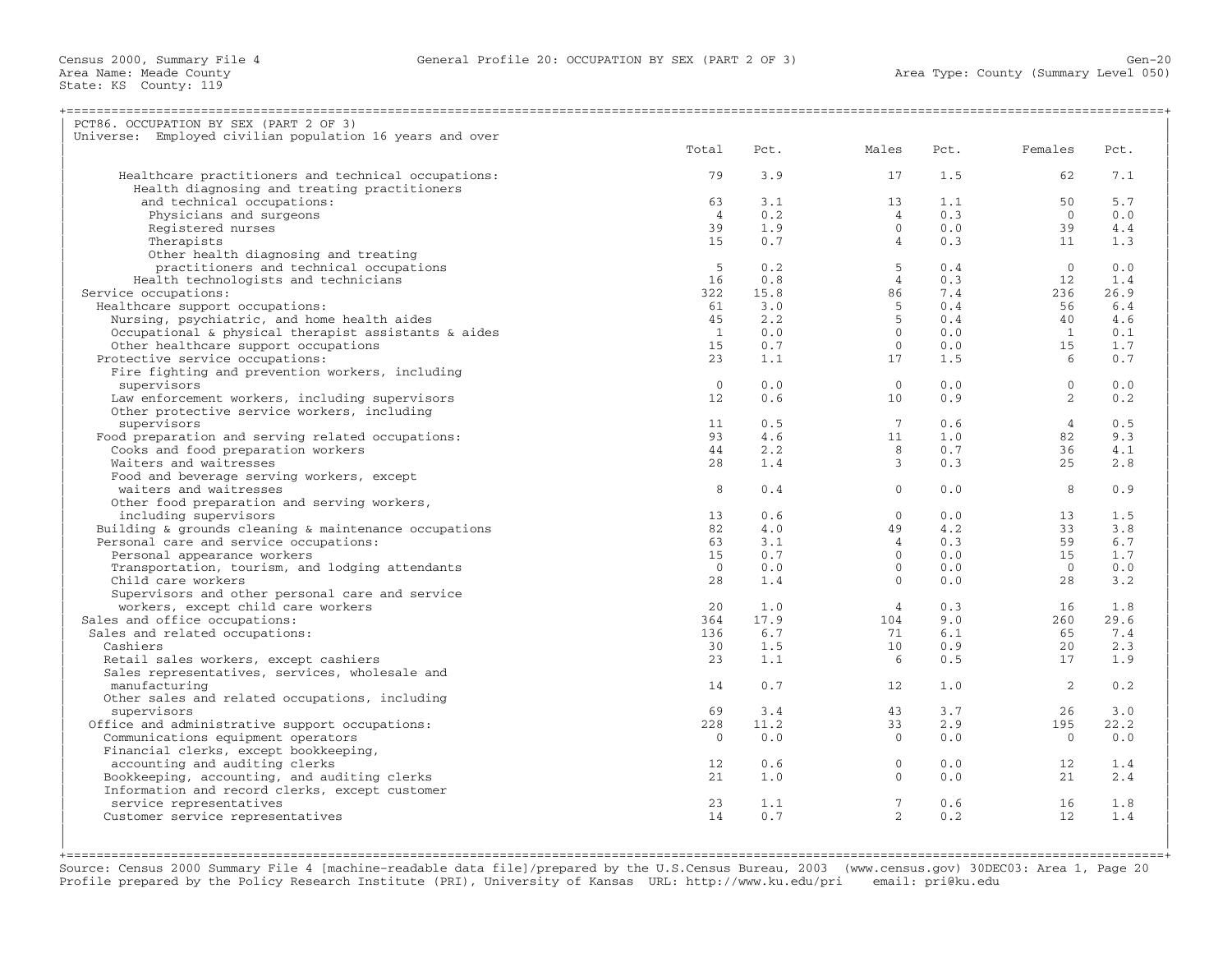| PCT86. OCCUPATION BY SEX (PART 2 OF 3)                      |                |      |                                                  |      |                |      |
|-------------------------------------------------------------|----------------|------|--------------------------------------------------|------|----------------|------|
| Universe: Employed civilian population 16 years and over    |                |      |                                                  |      |                |      |
|                                                             | Total          | Pct. | Males                                            | Pct. | Females        | Pct. |
|                                                             | 79             | 3.9  | 17                                               | 1.5  | 62             | 7.1  |
| Healthcare practitioners and technical occupations:         |                |      |                                                  |      |                |      |
| Health diagnosing and treating practitioners                |                |      |                                                  |      |                | 5.7  |
| and technical occupations:                                  | 63             | 3.1  | 13                                               | 1.1  | 50             |      |
| Physicians and surgeons                                     | $\overline{4}$ | 0.2  | 4                                                | 0.3  | $\bigcirc$     | 0.0  |
| Registered nurses                                           | 39             | 1.9  | $\circ$                                          | 0.0  | 39             | 4.4  |
| Therapists                                                  | 15             | 0.7  | 4                                                | 0.3  | 11             | 1.3  |
| Other health diagnosing and treating                        |                |      |                                                  |      |                |      |
| practitioners and technical occupations                     | - 5            | 0.2  | 5                                                | 0.4  | $\bigcirc$     | 0.0  |
| Health technologists and technicians                        | 16             | 0.8  | $\sim$ 4                                         | 0.3  | 12             | 1.4  |
| Service occupations:                                        | 322            | 15.8 | $\begin{array}{c} 86 \\ 5 \\ 5 \\ 0 \end{array}$ | 7.4  | 236            | 26.9 |
| Healthcare support occupations:                             | 61             | 3.0  |                                                  | 0.4  | 56             | 6.4  |
| Nursing, psychiatric, and home health aides                 | 45             | 2.2  |                                                  | 0.4  | 40             | 4.6  |
| Occupational & physical therapist assistants & aides        | $\overline{1}$ | 0.0  |                                                  | 0.0  | $\sim$ 1       | 0.1  |
| Other healthcare support occupations                        | 15             | 0.7  | $\overline{0}$                                   | 0.0  | 15             | 1.7  |
| Protective service occupations:                             | 23             | 1.1  | 17                                               | 1.5  | 6              | 0.7  |
| Fire fighting and prevention workers, including             |                |      |                                                  |      |                |      |
| supervisors                                                 | $\Omega$       | 0.0  | $\bigcirc$                                       | 0.0  | $\Omega$       | 0.0  |
| Law enforcement workers, including supervisors              | 12             | 0.6  | 10                                               | 0.9  | 2              | 0.2  |
| Other protective service workers, including                 |                |      |                                                  |      |                |      |
| supervisors                                                 | 11             | 0.5  | $\overline{7}$                                   | 0.6  | $\overline{4}$ | 0.5  |
| Food preparation and serving related occupations:           | 93             | 4.6  | 11                                               | 1.0  | 82             | 9.3  |
| Cooks and food preparation workers                          | 44             | 2.2  | 8 <sup>1</sup>                                   | 0.7  | 36             | 4.1  |
| Waiters and waitresses                                      | 28             | 1.4  | $\overline{3}$                                   | 0.3  | 25             | 2.8  |
| Food and beverage serving workers, except                   |                |      |                                                  |      |                |      |
| waiters and waitresses                                      | 8              | 0.4  | $\Omega$                                         | 0.0  | 8              | 0.9  |
| Other food preparation and serving workers,                 |                |      |                                                  |      |                |      |
| including supervisors                                       | 13             | 0.6  | $\circ$                                          | 0.0  | 13             | 1.5  |
| Building $\&$ grounds cleaning $\&$ maintenance occupations | 82             | 4.0  | 49                                               | 4.2  | 33             | 3.8  |
| Personal care and service occupations:                      | 63             | 3.1  | $\overline{4}$                                   | 0.3  | 59             | 6.7  |
| Personal appearance workers                                 | 15             | 0.7  | $\overline{0}$                                   | 0.0  | 15             | 1.7  |
| Transportation, tourism, and lodging attendants             | $\Omega$       | 0.0  | $\overline{0}$                                   | 0.0  | $\bigcirc$     | 0.0  |
| Child care workers                                          | 28             | 1.4  | $\bigcirc$                                       | 0.0  | 28             | 3.2  |
| Supervisors and other personal care and service             |                |      |                                                  |      |                |      |
| workers, except child care workers                          | 20             | 1.0  | 4                                                | 0.3  | 16             | 1.8  |
| Sales and office occupations:                               | 364            | 17.9 | 104                                              | 9.0  | 260            | 29.6 |
| Sales and related occupations:                              | 136            | 6.7  | 71                                               | 6.1  | 65             | 7.4  |
| Cashiers                                                    | 30             | 1.5  | 10                                               | 0.9  | 20             | 2.3  |
| Retail sales workers, except cashiers                       | 23             | 1.1  | 6                                                | 0.5  | 17             | 1.9  |
| Sales representatives, services, wholesale and              |                |      |                                                  |      |                |      |
| manufacturing                                               | 14             | 0.7  | 12                                               | 1.0  | 2              | 0.2  |
| Other sales and related occupations, including              |                |      |                                                  |      |                |      |
| supervisors                                                 | 69             | 3.4  | 43                                               | 3.7  | 26             | 3.0  |
| Office and administrative support occupations:              | 228            | 11.2 | 33                                               | 2.9  | 195            | 22.2 |
|                                                             | $\Omega$       | 0.0  | $\bigcirc$                                       | 0.0  | $\overline{0}$ | 0.0  |
| Communications equipment operators                          |                |      |                                                  |      |                |      |
| Financial clerks, except bookkeeping,                       |                |      |                                                  |      |                |      |
| accounting and auditing clerks                              | 12             | 0.6  | $\overline{0}$<br>$\bigcirc$                     | 0.0  | 12             | 1.4  |
| Bookkeeping, accounting, and auditing clerks                | 21             | 1.0  |                                                  | 0.0  | 21             | 2.4  |
| Information and record clerks, except customer              |                |      |                                                  |      |                |      |
| service representatives                                     | 23             | 1.1  | $\overline{7}$<br>$\overline{2}$                 | 0.6  | 16             | 1.8  |
| Customer service representatives                            | 14             | 0.7  |                                                  | 0.2  | 12             | 1.4  |
|                                                             |                |      |                                                  |      |                |      |
|                                                             |                |      |                                                  |      |                |      |

+===================================================================================================================================================+ Source: Census 2000 Summary File 4 [machine−readable data file]/prepared by the U.S.Census Bureau, 2003 (www.census.gov) 30DEC03: Area 1, Page 20 Profile prepared by the Policy Research Institute (PRI), University of Kansas URL: http://www.ku.edu/pri email: pri@ku.edu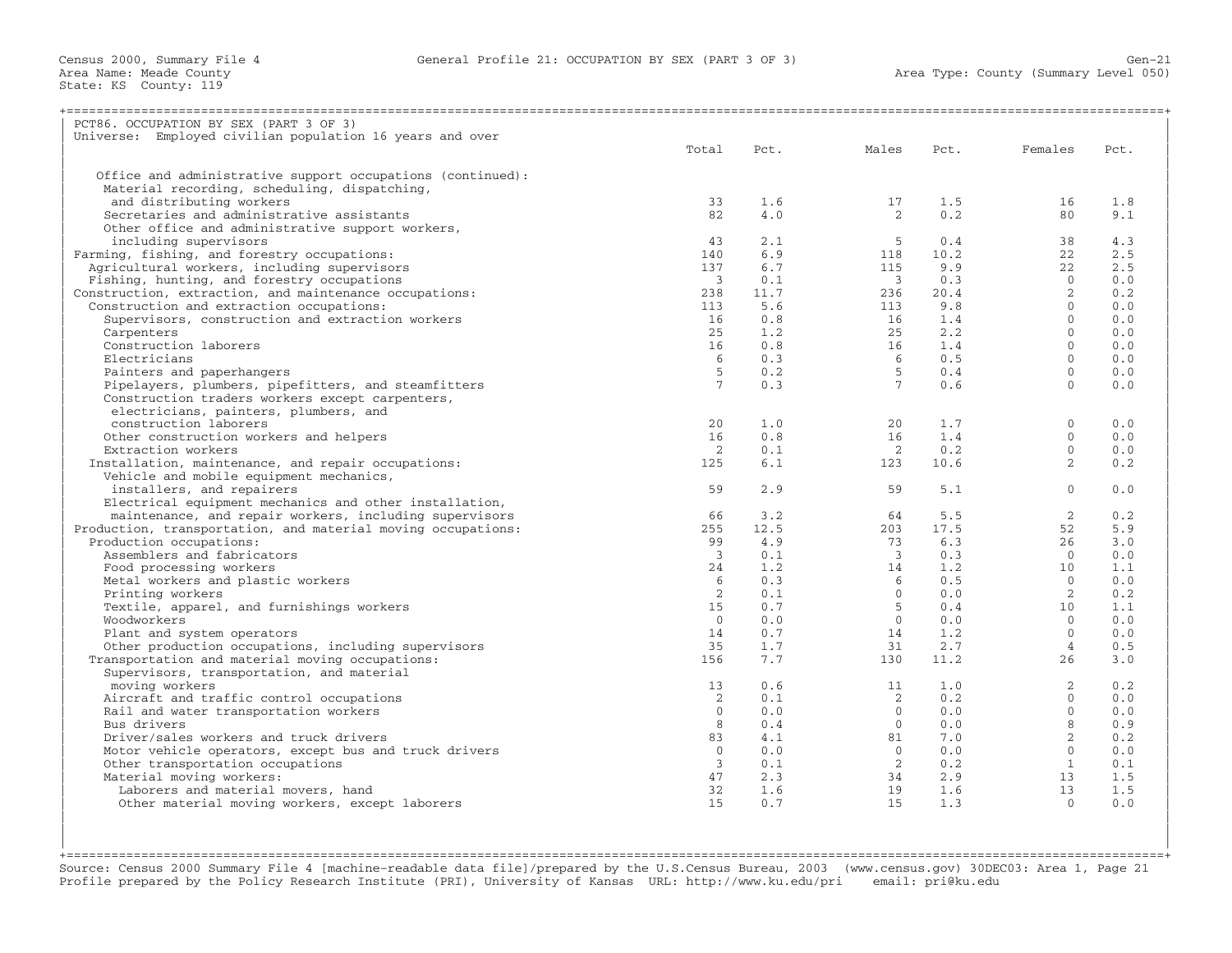| PCT86. OCCUPATION BY SEX (PART 3 OF 3)                                            |                            |      |                         |      |                |            |
|-----------------------------------------------------------------------------------|----------------------------|------|-------------------------|------|----------------|------------|
| Universe: Employed civilian population 16 years and over                          |                            |      |                         |      |                |            |
|                                                                                   | Total                      | Pct. | Males                   | Pct. | Females        | Pct.       |
|                                                                                   |                            |      |                         |      |                |            |
| Office and administrative support occupations (continued):                        |                            |      |                         |      |                |            |
| Material recording, scheduling, dispatching,                                      |                            |      |                         |      |                |            |
| and distributing workers                                                          | 33                         | 1.6  | 17                      | 1.5  | 16             | 1.8        |
| Secretaries and administrative assistants                                         | 82                         | 4.0  | $\overline{2}$          | 0.2  | 80             | 9.1        |
| Other office and administrative support workers,                                  |                            |      |                         |      |                |            |
| including supervisors                                                             | 43                         | 2.1  | -5                      | 0.4  | 38             | 4.3        |
| Farming, fishing, and forestry occupations:                                       | 140                        | 6.9  | 118                     | 10.2 | 22             | 2.5        |
| Agricultural workers, including supervisors                                       | 137                        | 6.7  | 115                     | 9.9  | 22             | 2.5        |
| Fishing, hunting, and forestry occupations                                        | $\overline{\mathbf{3}}$    | 0.1  | $\overline{\mathbf{3}}$ | 0.3  | $\Omega$       | 0.0        |
| Construction, extraction, and maintenance occupations:                            | 238                        | 11.7 | 236                     | 20.4 | 2              | 0.2        |
| Construction and extraction occupations:                                          | 113                        | 5.6  | 113                     | 9.8  | $\Omega$       | 0.0        |
| Supervisors, construction and extraction workers                                  | 16                         | 0.8  | 16                      | 1.4  | $\Omega$       | 0.0        |
| Carpenters                                                                        | 25                         | 1.2  | 25                      | 2.2  | $\Omega$       | 0.0        |
| Construction laborers                                                             | 16                         | 0.8  | 16                      | 1.4  | $\Omega$       | 0.0        |
| Electricians                                                                      | 6                          | 0.3  | $6\overline{6}$         | 0.5  | $\Omega$       | 0.0        |
| Painters and paperhangers                                                         | $5^{\circ}$                | 0.2  | 5                       | 0.4  | $\mathbf{0}$   | 0.0        |
| Pipelayers, plumbers, pipefitters, and steamfitters                               | $7^{\circ}$                | 0.3  | 7 <sup>7</sup>          | 0.6  | $\Omega$       | 0.0        |
| Construction traders workers except carpenters,                                   |                            |      |                         |      |                |            |
| electricians, painters, plumbers, and                                             |                            |      |                         |      |                |            |
| construction laborers                                                             | 20                         | 1.0  | 20                      | 1.7  | $\mathbf{0}$   | 0.0        |
| Other construction workers and helpers                                            | 16                         | 0.8  | 16                      | 1.4  | $\Omega$       | 0.0        |
| Extraction workers                                                                | 2                          | 0.1  | 2                       | 0.2  | $\Omega$       | 0.0        |
| Installation, maintenance, and repair occupations:                                | 125                        | 6.1  | 123                     | 10.6 | 2              | 0.2        |
| Vehicle and mobile equipment mechanics,                                           |                            |      |                         |      |                |            |
| installers, and repairers                                                         | 59                         | 2.9  | 59                      | 5.1  | $\Omega$       | 0.0        |
| Electrical equipment mechanics and other installation,                            |                            |      |                         |      |                |            |
| maintenance, and repair workers, including supervisors                            | 66                         | 3.2  | 64                      | 5.5  | 2              | 0.2        |
| Production, transportation, and material moving occupations:                      | 255                        | 12.5 | 203                     | 17.5 | 52             | 5.9        |
| Production occupations:                                                           | 99                         | 4.9  | 73                      | 6.3  | 26             | 3.0        |
| Assemblers and fabricators                                                        | $\overline{3}$             | 0.1  | $\overline{3}$          | 0.3  | $\Omega$       | 0.0        |
| Food processing workers                                                           | 24                         | 1.2  | 14                      | 1.2  | 10             | 1.1        |
| Metal workers and plastic workers                                                 | 6                          | 0.3  | 6                       | 0.5  | $\Omega$       | 0.0        |
| Printing workers                                                                  | 2                          | 0.1  | $\Omega$                | 0.0  | 2              | 0.2        |
| Textile, apparel, and furnishings workers                                         | 15                         | 0.7  | 5                       | 0.4  | 10             | 1.1        |
| Woodworkers                                                                       | $\Omega$                   | 0.0  | $\Omega$                | 0.0  | $\Omega$       | 0.0        |
|                                                                                   | 14                         | 0.7  | 14                      | 1.2  | $\Omega$       | 0.0        |
| Plant and system operators<br>Other production occupations, including supervisors | 35                         | 1.7  | 31                      | 2.7  | $\overline{4}$ | 0.5        |
| Transportation and material moving occupations:                                   | 156                        | 7.7  | 130                     | 11.2 | 26             | 3.0        |
|                                                                                   |                            |      |                         |      |                |            |
| Supervisors, transportation, and material                                         | 13                         | 0.6  | 11                      | 1.0  | 2              | 0.2        |
| moving workers                                                                    |                            |      |                         |      | $\Omega$       |            |
| Aircraft and traffic control occupations                                          | $\overline{2}$<br>$\Omega$ | 0.1  | 2<br>$\Omega$           | 0.2  | $\Omega$       | 0.0<br>0.0 |
| Rail and water transportation workers                                             |                            | 0.0  |                         | 0.0  | $\mathsf{R}$   |            |
| Bus drivers                                                                       | 8                          | 0.4  | $\Omega$                | 0.0  | 2              | 0.9        |
| Driver/sales workers and truck drivers                                            | 83<br>$\Omega$             | 4.1  | 81<br>$\Omega$          | 7.0  | $\Omega$       | 0.2        |
| Motor vehicle operators, except bus and truck drivers                             |                            | 0.0  |                         | 0.0  |                | 0.0        |
| Other transportation occupations                                                  | $\overline{3}$             | 0.1  | 2                       | 0.2  | <sup>1</sup>   | 0.1        |
| Material moving workers:                                                          | 47                         | 2.3  | 34                      | 2.9  | 13             | 1.5        |
| Laborers and material movers, hand                                                | 32                         | 1.6  | 19                      | 1.6  | 13             | 1.5        |
| Other material moving workers, except laborers                                    | 15                         | 0.7  | 15                      | 1.3  | $\Omega$       | 0.0        |
|                                                                                   |                            |      |                         |      |                |            |
|                                                                                   |                            |      |                         |      |                |            |

+===================================================================================================================================================+Source: Census 2000 Summary File 4 [machine−readable data file]/prepared by the U.S.Census Bureau, 2003 (www.census.gov) 30DEC03: Area 1, Page 21 Profile prepared by the Policy Research Institute (PRI), University of Kansas URL: http://www.ku.edu/pri email: pri@ku.edu

| |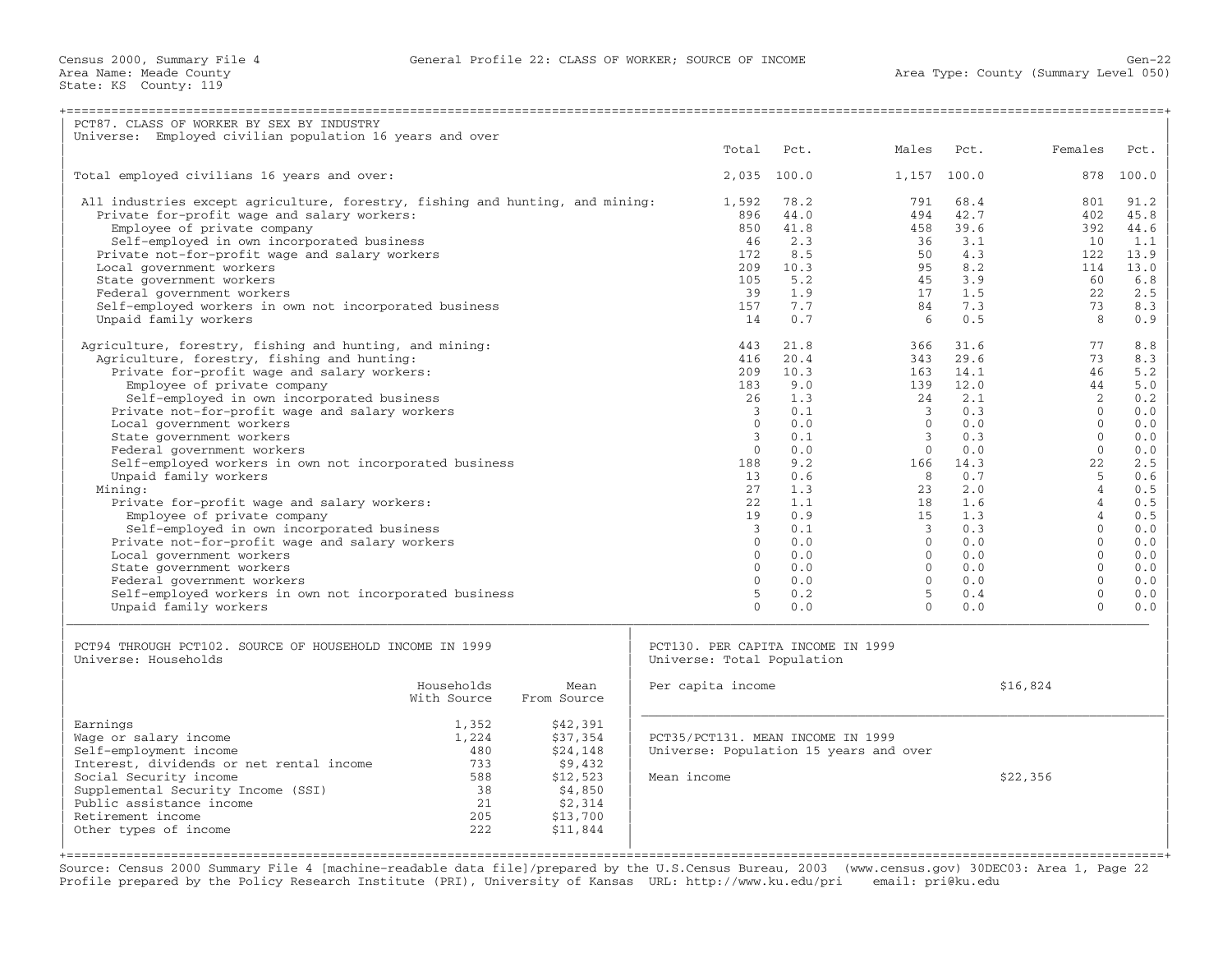| PCT87. CLASS OF WORKER BY SEX BY INDUSTRY                                       |             |             |                                        |             |                           |             |                      |            |
|---------------------------------------------------------------------------------|-------------|-------------|----------------------------------------|-------------|---------------------------|-------------|----------------------|------------|
| Universe: Employed civilian population 16 years and over                        |             |             |                                        |             |                           |             |                      |            |
|                                                                                 |             |             | Total                                  | Pct.        | Males                     | Pct.        | Females              | Pct.       |
| Total employed civilians 16 years and over:                                     |             |             |                                        | 2,035 100.0 | 1,157                     | 100.0       | 878                  | 100.0      |
| All industries except agriculture, forestry, fishing and hunting, and mining:   |             |             | 1,592                                  | 78.2        | 791                       | 68.4        | 801                  | 91.2       |
| Private for-profit wage and salary workers:                                     |             |             | 896                                    | 44.0        | 494                       | 42.7        | 402                  | 45.8       |
| Employee of private company                                                     |             |             | 850                                    | 41.8        | 458                       | 39.6        | 392                  | 44.6       |
| Self-employed in own incorporated business                                      |             |             | 46                                     | 2.3         | 36                        | 3.1         | 10                   | 1.1        |
| Private not-for-profit wage and salary workers                                  |             |             | 172                                    | 8.5         | 50                        | 4.3         | 122                  | 13.9       |
| Local government workers                                                        |             |             | 209                                    | 10.3        | 95                        | 8.2         | 114                  | 13.0       |
| State government workers                                                        |             |             | 105                                    | 5.2         | 45                        | 3.9         | 60                   | 6.8        |
| Federal government workers                                                      |             |             | 39                                     | 1.9         | 17                        | 1.5         | 22                   | 2.5        |
| Self-employed workers in own not incorporated business                          |             |             | 157                                    | 7.7         | 84                        | 7.3         | 73                   | 8.3        |
| Unpaid family workers                                                           |             |             | 14                                     | 0.7         | 6                         | 0.5         | 8                    | 0.9        |
| Agriculture, forestry, fishing and hunting, and mining:                         |             |             | 443                                    | 21.8        | 366                       | 31.6        | 77                   | 8.8        |
| Agriculture, forestry, fishing and hunting:                                     |             |             | 416                                    | 20.4        | 343                       | 29.6        | 73                   | 8.3        |
| Private for-profit wage and salary workers:                                     |             |             | 209                                    | 10.3        | 163                       | 14.1        | 46                   | 5.2        |
| Employee of private company                                                     |             |             | 183                                    | 9.0         | 139                       | 12.0        | 44                   | 5.0        |
| Self-employed in own incorporated business                                      |             |             | 26                                     | 1.3         | 24                        | 2.1         | 2                    | 0.2        |
| Private not-for-profit wage and salary workers                                  |             |             | $\overline{3}$                         | 0.1         | 3                         | 0.3         | $\Omega$             | 0.0        |
| Local government workers                                                        |             |             | $\Omega$                               | 0.0         | $\Omega$                  | 0.0         | $\Omega$             | 0.0        |
| State government workers                                                        |             |             | 3<br>$\Omega$                          | 0.1         | $\mathcal{E}$<br>$\Omega$ | 0.3         | $\Omega$<br>$\Omega$ | 0.0        |
| Federal government workers                                                      |             |             |                                        | 0.0<br>9.2  | 166                       | 0.0         | 22                   | 0.0<br>2.5 |
| Self-employed workers in own not incorporated business<br>Unpaid family workers |             |             | 188<br>13                              | 0.6         | 8                         | 14.3<br>0.7 | $\overline{5}$       | 0.6        |
| Mining:                                                                         |             |             | 27                                     | 1.3         | 23                        | 2.0         | $\overline{4}$       | 0.5        |
| Private for-profit wage and salary workers:                                     |             |             | 2.2 <sub>1</sub>                       | 1.1         | 18                        | 1.6         | $\overline{4}$       | 0.5        |
| Employee of private company                                                     |             |             | 19                                     | 0.9         | 15                        | 1.3         | $\overline{4}$       | 0.5        |
| Self-employed in own incorporated business                                      |             |             | $\mathbf{3}$                           | 0.1         | $\overline{3}$            | 0.3         | $\Omega$             | 0.0        |
| Private not-for-profit wage and salary workers                                  |             |             | $\Omega$                               | 0.0         | $\Omega$                  | 0.0         | $\Omega$             | 0.0        |
| Local government workers                                                        |             |             | $\Omega$                               | 0.0         | $\Omega$                  | 0.0         | $\Omega$             | 0.0        |
| State government workers                                                        |             |             | $\Omega$                               | 0.0         | $\Omega$                  | 0.0         | $\Omega$             | 0.0        |
| Federal government workers                                                      |             |             | $\Omega$                               | 0.0         | $\Omega$                  | 0.0         | $\Omega$             | 0.0        |
| Self-employed workers in own not incorporated business                          |             |             | 5                                      | 0.2         | 5                         | 0.4         | $\mathbf{0}$         | 0.0        |
| Unpaid family workers                                                           |             |             | $\Omega$                               | 0.0         | $\Omega$                  | 0.0         | $\Omega$             | 0.0        |
|                                                                                 |             |             |                                        |             |                           |             |                      |            |
| PCT94 THROUGH PCT102. SOURCE OF HOUSEHOLD INCOME IN 1999                        |             |             | PCT130. PER CAPITA INCOME IN 1999      |             |                           |             |                      |            |
| Universe: Households                                                            |             |             | Universe: Total Population             |             |                           |             |                      |            |
|                                                                                 | Households  | Mean        | Per capita income                      |             |                           |             | \$16,824             |            |
|                                                                                 | With Source | From Source |                                        |             |                           |             |                      |            |
| Earnings                                                                        | 1,352       | \$42,391    |                                        |             |                           |             |                      |            |
| Wage or salary income                                                           | 1,224       | \$37,354    | PCT35/PCT131. MEAN INCOME IN 1999      |             |                           |             |                      |            |
| Self-employment income                                                          | 480         | \$24,148    | Universe: Population 15 years and over |             |                           |             |                      |            |
| Interest, dividends or net rental income                                        | 733         | \$9,432     |                                        |             |                           |             |                      |            |
| Social Security income                                                          | 588         | \$12,523    | Mean income                            |             |                           |             | \$22,356             |            |
| Supplemental Security Income (SSI)                                              | 38          | \$4,850     |                                        |             |                           |             |                      |            |
| Public assistance income                                                        | 21          | \$2,314     |                                        |             |                           |             |                      |            |
| Retirement income                                                               | 205         | \$13,700    |                                        |             |                           |             |                      |            |
| Other types of income                                                           | 222         | \$11,844    |                                        |             |                           |             |                      |            |
|                                                                                 |             |             |                                        |             |                           |             |                      |            |

Source: Census 2000 Summary File 4 [machine−readable data file]/prepared by the U.S.Census Bureau, 2003 (www.census.gov) 30DEC03: Area 1, Page 22 Profile prepared by the Policy Research Institute (PRI), University of Kansas URL: http://www.ku.edu/pri email: pri@ku.edu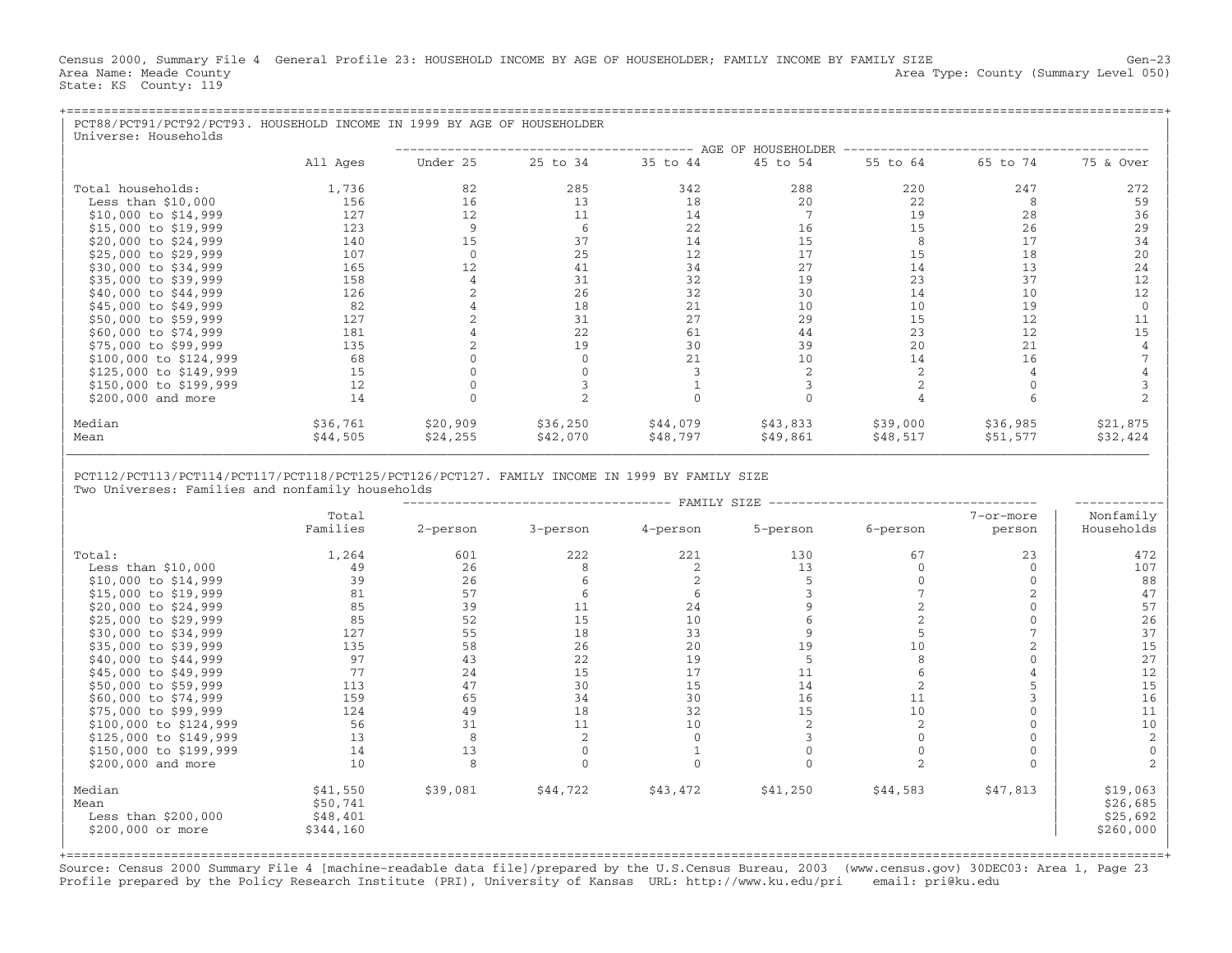Census 2000, Summary File 4 General Profile 23: HOUSEHOLD INCOME BY AGE OF HOUSEHOLDER; FAMILY INCOME BY FAMILY SIZE Gen−23 Area Name: Meade County **Area Type: County (Summary Level 050)** Area Type: County (Summary Level 050) State: KS County: 119

| PCT88/PCT91/PCT92/PCT93. HOUSEHOLD INCOME IN 1999 BY AGE OF HOUSEHOLDER<br>Universe: Households |          |          |          |          |                    |          |          |           |
|-------------------------------------------------------------------------------------------------|----------|----------|----------|----------|--------------------|----------|----------|-----------|
|                                                                                                 |          |          |          |          | AGE OF HOUSEHOLDER |          |          |           |
|                                                                                                 | All Ages | Under 25 | 25 to 34 | 35 to 44 | 45 to 54           | 55 to 64 | 65 to 74 | 75 & Over |
| Total households:                                                                               | 1,736    | 82       | 285      | 342      | 288                | 220      | 247      | 272       |
| Less than $$10,000$                                                                             | 156      | 16       | 13       | 18       | 20                 | 22       | 8        | 59        |
| $$10,000$ to $$14,999$                                                                          | 127      | 12       | 11       | 14       |                    | 19       | 28       | 36        |
| \$15,000 to \$19,999                                                                            | 123      | 9        | -6       | 22       | 16                 | 15       | 26       | 29        |
| \$20,000 to \$24,999                                                                            | 140      | 15       | 37       | 14       | 15                 | 8        | 17       | 34        |
| \$25,000 to \$29,999                                                                            | 107      |          | 25       | 12       | 17                 | 15       | 18       | 20        |
| \$30,000 to \$34,999                                                                            | 165      | 12       | 41       | 34       | 27                 | 14       | 13       | 24        |
| \$35,000 to \$39,999                                                                            | 158      |          | 31       | 32       | 19                 | 23       | 37       | 12        |
| \$40,000 to \$44,999                                                                            | 126      |          | 26       | 32       | 30                 | 14       | 10       | 12        |
| \$45,000 to \$49,999                                                                            | 82       |          | 18       | 21       | 10                 | 10       | 19       |           |
| \$50,000 to \$59,999                                                                            | 127      |          | 31       | 27       | 29                 | 15       | 12       | 11        |
| \$60,000 to \$74,999                                                                            | 181      |          | 22       | 61       | 44                 | 23       | 12       | 15        |
| \$75,000 to \$99,999                                                                            | 135      |          | 19       | 30       | 39                 | 20       | 21       |           |
| \$100,000 to \$124,999                                                                          | 68       |          |          | 21       | 10                 | 14       | 16       |           |
| \$125,000 to \$149,999                                                                          | 15       |          |          |          |                    |          |          |           |
| \$150,000 to \$199,999                                                                          | 12       |          |          |          |                    |          |          |           |
| \$200,000 and more                                                                              | 14       |          |          |          |                    |          |          |           |
| Median                                                                                          | \$36,761 | \$20,909 | \$36,250 | \$44,079 | \$43,833           | \$39,000 | \$36,985 | \$21,875  |
| Mean                                                                                            | \$44,505 | \$24,255 | \$42,070 | \$48,797 | \$49,861           | \$48,517 | \$51,577 | \$32,424  |

| |

| −−−−−−−−−−−−−−−−−−−−−−−−−−−−−−−−−−−− FAMILY SIZE −−−−−−−−−−−−−−−−−−−−−−−−−−−−−−−−−−−− −−−−−−−−−−−−|

| PCT112/PCT113/PCT114/PCT117/PCT118/PCT125/PCT126/PCT127. FAMILY INCOME IN 1999 BY FAMILY SIZE |

Two Universes: Families and nonfamily households

|                                                             | Total<br>Families                             | 2-person | 3-person | 4-person | 5-person | 6-person | 7-or-more<br>person | Nonfamily<br>Households                       |
|-------------------------------------------------------------|-----------------------------------------------|----------|----------|----------|----------|----------|---------------------|-----------------------------------------------|
| Total:                                                      | 1,264                                         | 601      | 222      | 221      | 130      | 67       | 23                  | 472                                           |
| Less than $$10,000$                                         | 49                                            | 26       |          |          | 13       |          |                     | 107                                           |
| \$10,000 to \$14,999                                        | 39                                            | 26       |          |          |          |          |                     | 88                                            |
| \$15,000 to \$19,999                                        | 81                                            | 57       |          |          |          |          |                     | 47                                            |
| \$20,000 to \$24,999                                        | 85                                            | 39       |          | 24       |          |          |                     | 57                                            |
| \$25,000 to \$29,999                                        | 85                                            | 52       | 15       | 10       |          |          |                     | 26                                            |
| \$30,000 to \$34,999                                        | 127                                           | 55       | 18       | 33       |          |          |                     | 37                                            |
| \$35,000 to \$39,999                                        | 135                                           | 58       | 26       | 20       | 19       | 10       |                     | 15                                            |
| \$40,000 to \$44,999                                        | 97                                            | 43       | 22       | 19       |          |          |                     | 27                                            |
| \$45,000 to \$49,999                                        | 77                                            | 24       | 15       | 17       | 11       |          |                     | 12                                            |
| \$50,000 to \$59,999                                        | 113                                           | 47       | 30       | 15       | 14       |          |                     | 15                                            |
| \$60,000 to \$74,999                                        | 159                                           | 65       | 34       | 30       | 16       | 11       |                     | 16                                            |
| \$75,000 to \$99,999                                        | 124                                           | 49       | 18       | 32       | 15       | 10       |                     | 11                                            |
| \$100,000 to \$124,999                                      | 56                                            | 31       | 11       | 10       |          |          |                     | 10                                            |
| \$125,000 to \$149,999                                      | 13                                            |          |          |          |          |          |                     |                                               |
| \$150,000 to \$199,999                                      | 14                                            | 13       |          |          |          |          |                     |                                               |
| \$200,000 and more                                          | 10                                            |          |          |          |          |          |                     |                                               |
| Median<br>Mean<br>Less than $$200,000$<br>\$200,000 or more | \$41,550<br>\$50,741<br>\$48,401<br>\$344,160 | \$39,081 | \$44,722 | \$43,472 | \$41,250 | \$44,583 | \$47,813            | \$19,063<br>\$26,685<br>\$25,692<br>\$260,000 |

Source: Census 2000 Summary File 4 [machine−readable data file]/prepared by the U.S.Census Bureau, 2003 (www.census.gov) 30DEC03: Area 1, Page 23 Profile prepared by the Policy Research Institute (PRI), University of Kansas URL: http://www.ku.edu/pri email: pri@ku.edu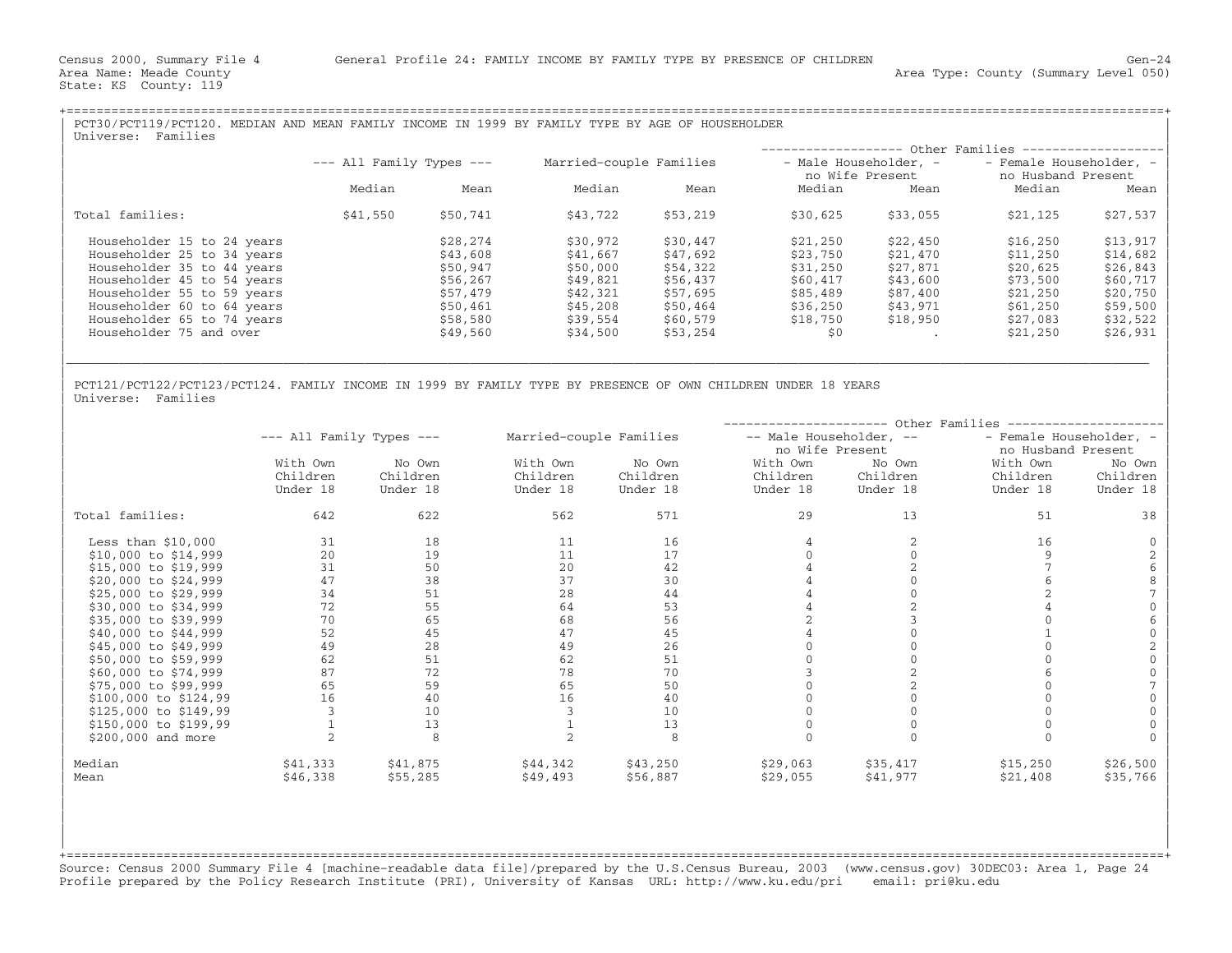State: KS County: 119

| PCT30/PCT119/PCT120. MEDIAN AND MEAN FAMILY INCOME IN 1999 BY FAMILY TYPE BY AGE OF HOUSEHOLDER<br>Families<br>Universe: |                              |          |                         |          |                                          |          |                                               |           |
|--------------------------------------------------------------------------------------------------------------------------|------------------------------|----------|-------------------------|----------|------------------------------------------|----------|-----------------------------------------------|-----------|
|                                                                                                                          |                              |          |                         |          |                                          |          | ------------------ Other Families ----------  |           |
|                                                                                                                          | $---$ All Family Types $---$ |          | Married-couple Families |          | - Male Householder, -<br>no Wife Present |          | - Female Householder, -<br>no Husband Present |           |
|                                                                                                                          | Median                       | Mean     | Median                  | Mean     | Median                                   | Mean     | Median                                        | Mean      |
| Total families:                                                                                                          | \$41,550                     | \$50,741 | \$43,722                | \$53,219 | \$30,625                                 | \$33,055 | \$21,125                                      | \$27,537  |
| Householder 15 to 24 years                                                                                               |                              | \$28,274 | \$30,972                | \$30,447 | \$21,250                                 | \$22,450 | \$16,250                                      | \$13,917  |
| Householder 25 to 34 years                                                                                               |                              | \$43,608 | \$41,667                | \$47,692 | \$23,750                                 | \$21,470 | \$11,250                                      | \$14,682  |
| Householder 35 to 44 years                                                                                               |                              | \$50,947 | \$50,000                | \$54,322 | \$31,250                                 | \$27,871 | \$20,625                                      | \$26,843  |
| Householder 45 to 54 years                                                                                               |                              | \$56,267 | \$49,821                | \$56,437 | \$60,417                                 | \$43,600 | \$73,500                                      | $$60,717$ |
| Householder 55 to 59 years                                                                                               |                              | \$57,479 | \$42,321                | \$57,695 | \$85,489                                 | \$87,400 | \$21,250                                      | $$20,750$ |
| Householder 60 to 64 years                                                                                               |                              | \$50,461 | \$45,208                | \$50,464 | \$36,250                                 | \$43,971 | \$61,250                                      | \$59,500  |
| Householder 65 to 74 years                                                                                               |                              | \$58,580 | \$39,554                | \$60,579 | \$18,750                                 | \$18,950 | \$27,083                                      | \$32,522  |
| Householder 75 and over                                                                                                  |                              | \$49,560 | \$34,500                | \$53,254 | \$0                                      |          | \$21,250                                      | \$26,931  |
|                                                                                                                          |                              |          |                         |          |                                          |          |                                               |           |

| |

| |

PCT121/PCT122/PCT123/PCT124. FAMILY INCOME IN 1999 BY FAMILY TYPE BY PRESENCE OF OWN CHILDREN UNDER 18 YEARS<br>Universe: Families | Universe: Families | Northern Communication | Northern Communication | Northern Communication | Northern Communication | Northern Communication | Northern Communication | Northern Communication | Northern Communication |

|                         |                              |          | Other Families          |          |                         |          |                         |          |
|-------------------------|------------------------------|----------|-------------------------|----------|-------------------------|----------|-------------------------|----------|
|                         | $---$ All Family Types $---$ |          | Married-couple Families |          | -- Male Householder, -- |          | - Female Householder, - |          |
|                         |                              |          |                         |          | no Wife Present         |          | no Husband Present      |          |
|                         | With Own                     | No Own   | With Own                | No Own   | With Own                | No Own   | With Own                | No Own   |
|                         | Children                     | Children | Children                | Children | Children                | Children | Children                | Children |
|                         | Under 18                     | Under 18 | Under 18                | Under 18 | Under 18                | Under 18 | Under 18                | Under 18 |
| Total families:         | 642                          | 622      | 562                     | 571      | 29                      | 13       | 51                      | 38       |
| Less than $$10,000$     | 31                           | 18       | 11                      | 16       |                         |          | 16                      |          |
| \$10,000 to \$14,999    | 20                           | 19       | 11                      | 17       |                         |          |                         |          |
| \$15,000 to \$19,999    | 31                           | 50       | 20                      | 42       |                         |          |                         |          |
| \$20,000 to \$24,999    | 47                           | 38       | 37                      | 30       |                         |          |                         |          |
| \$25,000 to \$29,999    | 34                           | 51       | 28                      | 44       |                         |          |                         |          |
| \$30,000 to \$34,999    | 72                           | 55       | 64                      | 53       |                         |          |                         |          |
| \$35,000 to \$39,999    | 70                           | 65       | 68                      | 56       |                         |          |                         |          |
| \$40,000 to \$44,999    | 52                           | 45       | 47                      | 45       |                         |          |                         |          |
| \$45,000 to \$49,999    | 49                           | 28       | 49                      | 26       |                         |          |                         |          |
| \$50,000 to \$59,999    | 62                           | 51       | 62                      | 51       |                         |          |                         |          |
| \$60,000 to \$74,999    | 87                           | 72       | 78                      | 70       |                         |          |                         |          |
| \$75,000 to \$99,999    | 65                           | 59       | 65                      | 50       |                         |          |                         |          |
| $$100,000$ to $$124,99$ | 16                           | 40       | 16                      | 40       |                         |          |                         |          |
| \$125,000 to \$149,99   |                              | 10       |                         | 10       |                         |          |                         |          |
| \$150,000 to \$199,99   |                              | 13       |                         | 13       |                         |          |                         |          |
| \$200,000 and more      |                              | 8        |                         |          |                         |          |                         |          |
| Median                  | \$41,333                     | \$41,875 | \$44,342                | \$43,250 | \$29,063                | \$35,417 | \$15,250                | \$26,500 |
| Mean                    | \$46,338                     | \$55,285 | \$49,493                | \$56,887 | \$29,055                | \$41,977 | \$21,408                | \$35,766 |

+===================================================================================================================================================+Source: Census 2000 Summary File 4 [machine−readable data file]/prepared by the U.S.Census Bureau, 2003 (www.census.gov) 30DEC03: Area 1, Page 24 Profile prepared by the Policy Research Institute (PRI), University of Kansas URL: http://www.ku.edu/pri email: pri@ku.edu

| | | | | | | |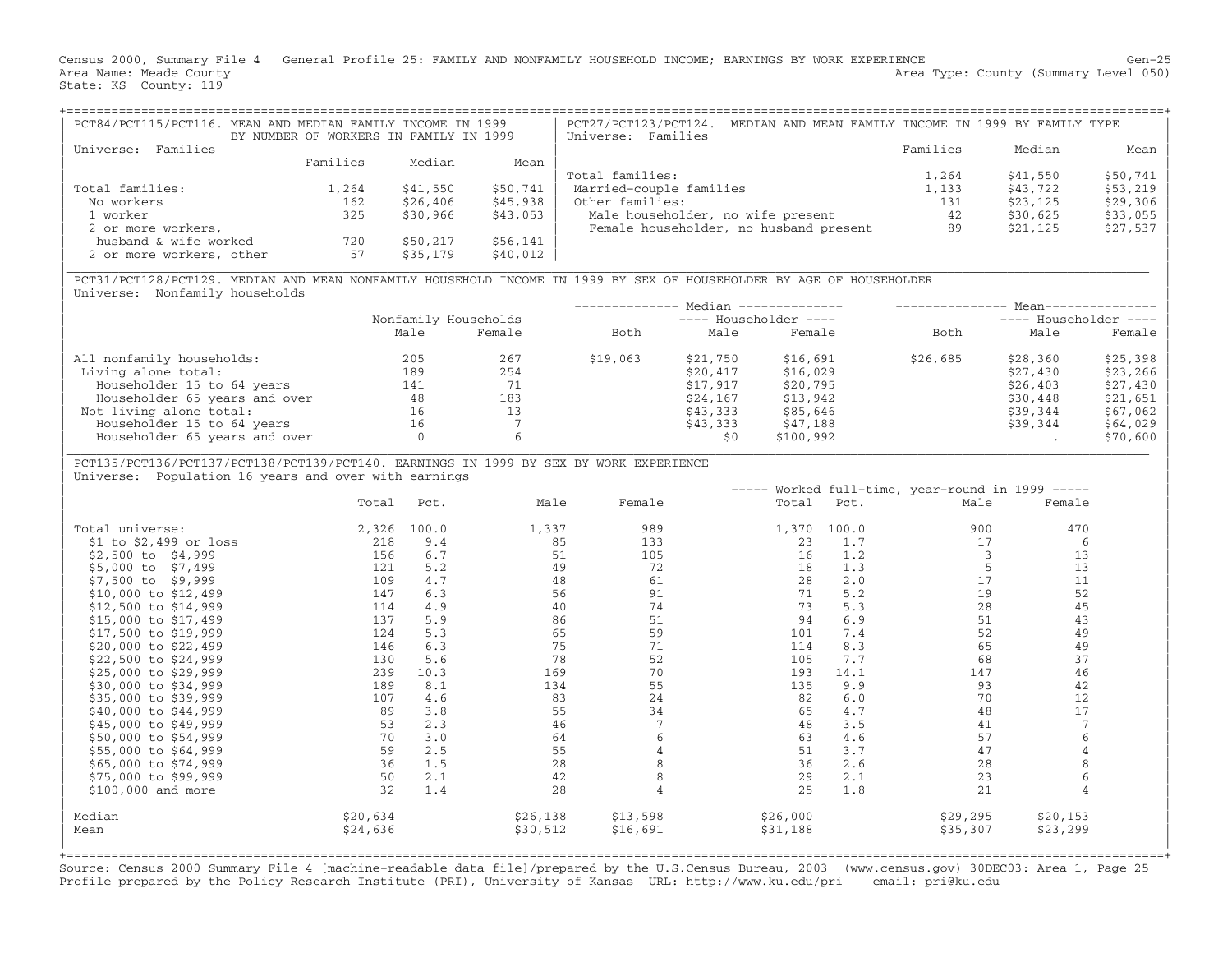Census 2000, Summary File 4 General Profile 25: FAMILY AND NONFAMILY HOUSEHOLD INCOME; EARNINGS BY WORK EXPERIENCE Gen−25 Area Name: Meade County **Area Type: County Area Type: County (Summary Level 050)** State: KS County: 119

| PCT84/PCT115/PCT116. MEAN AND MEDIAN FAMILY INCOME IN 1999 | BY NUMBER OF WORKERS IN FAMILY IN 1999 |          |          | MEDIAN AND MEAN FAMILY INCOME IN 1999 BY FAMILY TYPE<br>PCT27/PCT123/PCT124.<br>Universe: Families |          |          |           |
|------------------------------------------------------------|----------------------------------------|----------|----------|----------------------------------------------------------------------------------------------------|----------|----------|-----------|
| Families<br>Universe:                                      |                                        |          |          |                                                                                                    | Families | Median   | Mean      |
|                                                            | Families                               | Median   | Mean     |                                                                                                    |          |          |           |
|                                                            |                                        |          |          | Total families:                                                                                    | 1,264    | \$41,550 | $$50,741$ |
| Total families:                                            | 1,264                                  | \$41,550 | \$50,741 | Married-couple families                                                                            | 1,133    | \$43,722 | $$53,219$ |
| No workers                                                 | 162                                    | \$26,406 | \$45,938 | Other families:                                                                                    | 131      | \$23,125 | $$29,306$ |
| 1 worker                                                   | 325                                    | \$30,966 | \$43,053 | Male householder, no wife present                                                                  | 42       | \$30,625 | $$33,055$ |
| 2 or more workers,                                         |                                        |          |          | Female householder, no husband present                                                             | 89       | \$21,125 | $$27,537$ |
| husband & wife worked                                      | 720                                    | \$50,217 | \$56,141 |                                                                                                    |          |          |           |
| 2 or more workers, other                                   | 57                                     | \$35,179 | \$40,012 |                                                                                                    |          |          |           |

|\_\_\_\_\_\_\_\_\_\_\_\_\_\_\_\_\_\_\_\_\_\_\_\_\_\_\_\_\_\_\_\_\_\_\_\_\_\_\_\_\_\_\_\_\_\_\_\_\_\_\_\_\_\_\_\_\_\_\_\_\_\_\_\_\_\_\_\_\_\_\_\_\_\_\_\_\_\_\_\_\_\_\_\_\_\_\_\_\_\_\_\_\_\_\_\_\_\_\_\_\_\_\_\_\_\_\_\_\_\_\_\_\_\_\_\_\_\_\_\_\_\_\_\_\_\_\_\_\_\_\_\_\_\_\_\_\_\_\_\_\_\_\_\_\_ |

| PCT31/PCT128/PCT129. MEDIAN AND MEAN NONFAMILY HOUSEHOLD INCOME IN 1999 BY SEX OF HOUSEHOLDER BY AGE OF HOUSEHOLDER | Universe: Nonfamily households

|      |        |                      |          |           | $Mean--$                                         |                       |          |  |
|------|--------|----------------------|----------|-----------|--------------------------------------------------|-----------------------|----------|--|
|      |        |                      |          |           |                                                  | ---- Householder ---- |          |  |
| Male | Female | Both                 | Male     | Female    | Both                                             | Male                  | Female   |  |
| 205  | 267    | \$19,063             | \$21,750 | \$16,691  | \$26,685                                         | \$28,360              | \$25,398 |  |
| 189  | 254    |                      | \$20,417 | \$16,029  |                                                  | \$27,430              | \$23,266 |  |
| 141  | 71     |                      | \$17,917 | \$20,795  |                                                  | \$26,403              | \$27,430 |  |
| 48   | 183    |                      | \$24,167 | \$13,942  |                                                  | \$30,448              | \$21,651 |  |
| 16   | 13     |                      | \$43,333 | \$85,646  |                                                  | \$39,344              | \$67,062 |  |
| 16   |        |                      | \$43,333 | \$47,188  |                                                  | \$39,344              | \$64,029 |  |
|      |        |                      | \$0      | \$100,992 |                                                  |                       | \$70,600 |  |
|      |        | Nonfamily Households |          |           | Median --------------<br>$---$ Householder $---$ |                       |          |  |

| PCT135/PCT136/PCT137/PCT138/PCT139/PCT140. EARNINGS IN 1999 BY SEX BY WORK EXPERIENCE |

Universe: Population 16 years and over with earnings

|                          |          |       |          |          | ------   |       | Worked full-time, year-round in 1999 ----- |          |  |
|--------------------------|----------|-------|----------|----------|----------|-------|--------------------------------------------|----------|--|
|                          | Total    | Pct.  | Male     | Female   | Total    | Pct.  | Male                                       | Female   |  |
| Total universe:          | 2,326    | 100.0 | 1,337    | 989      | 1,370    | 100.0 | 900                                        | 470      |  |
| $$1$ to $$2,499$ or loss | 218      | 9.4   | 85       | 133      | 23       | 1.7   | 17                                         | 6        |  |
| \$2,500 to \$4,999       | 156      | 6.7   | 51       | 105      | 16       | 1.2   |                                            | 13       |  |
| \$5,000 to \$7,499       | 121      | 5.2   | 49       | 72       | 18       | 1.3   |                                            | 13       |  |
| \$7,500 to \$9,999       | 109      | 4.7   | 48       | 61       | 28       | 2.0   | 17                                         | 11       |  |
| \$10,000 to \$12,499     | 147      | 6.3   | 56       | 91       | 71       | 5.2   | 19                                         | 52       |  |
| \$12,500 to \$14,999     | 114      | 4.9   | 40       | 74       | 73       | 5.3   | 28                                         | 45       |  |
| \$15,000 to \$17,499     | 137      | 5.9   | 86       | 51       | 94       | 6.9   | 51                                         | 43       |  |
| \$17,500 to \$19,999     | 124      | 5.3   | 65       | 59       | 101      | 7.4   | 52                                         | 49       |  |
| \$20,000 to \$22,499     | 146      | 6.3   | 75       | 71       | 114      | 8.3   | 65                                         | 49       |  |
| \$22,500 to \$24,999     | 130      | 5.6   | 78       | 52       | 105      | 7.7   | 68                                         | 37       |  |
| \$25,000 to \$29,999     | 239      | 10.3  | 169      | 70       | 193      | 14.1  | 147                                        | 46       |  |
| \$30,000 to \$34,999     | 189      | 8.1   | 134      | 55       | 135      | 9.9   | 93                                         | 42       |  |
| \$35,000 to \$39,999     | 107      | 4.6   | 83       | 24       | 82       | 6.0   | 70                                         | 12       |  |
| \$40,000 to \$44,999     | 89       | 3.8   | 55       | 34       | 65       | 4.7   | 48                                         | 17       |  |
| \$45,000 to \$49,999     | 53       | 2.3   | 46       |          | 48       | 3.5   | 41                                         |          |  |
| \$50,000 to \$54,999     | 70       | 3.0   | 64       |          | 63       | 4.6   | 57                                         | 6        |  |
| \$55,000 to \$64,999     | 59       | 2.5   | 55       |          | 51       | 3.7   | 47                                         |          |  |
| \$65,000 to \$74,999     | 36       | 1.5   | 28       |          | 36       | 2.6   | 28                                         | 8        |  |
| \$75,000 to \$99,999     | 50       | 2.1   | 42       |          | 29       | 2.1   | 23                                         | 6        |  |
| $$100,000$ and more      | 32       | 1.4   | 28       |          | 25       | 1.8   | 21                                         |          |  |
| Median                   | \$20,634 |       | \$26,138 | \$13,598 | \$26,000 |       | \$29,295                                   | \$20,153 |  |
| Mean                     | \$24,636 |       | \$30,512 | \$16,691 | \$31,188 |       | \$35,307                                   | \$23,299 |  |
|                          |          |       |          |          |          |       |                                            |          |  |

+===================================================================================================================================================+Source: Census 2000 Summary File 4 [machine−readable data file]/prepared by the U.S.Census Bureau, 2003 (www.census.gov) 30DEC03: Area 1, Page 25 Profile prepared by the Policy Research Institute (PRI), University of Kansas URL: http://www.ku.edu/pri email: pri@ku.edu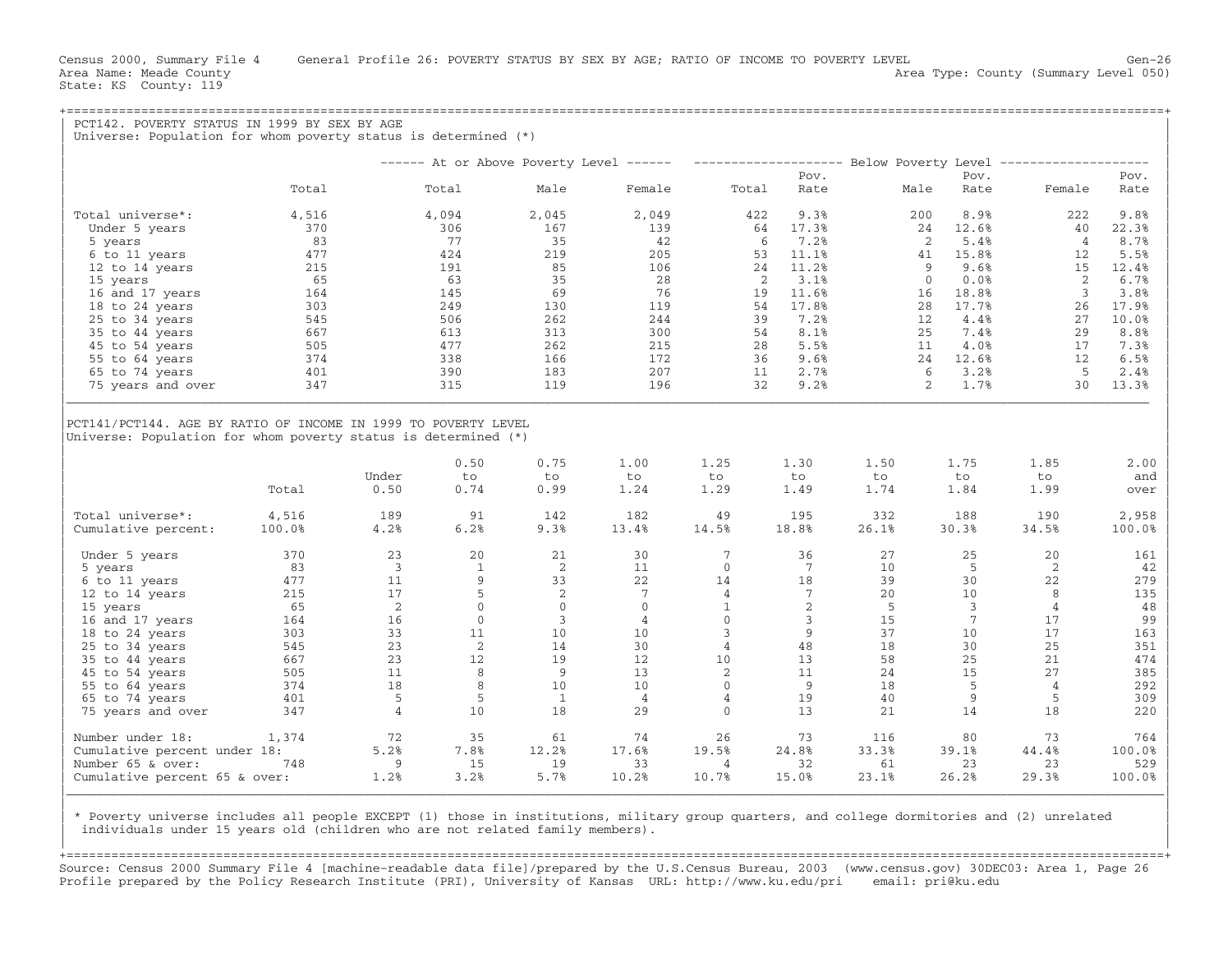State: KS County: 119

|                                                                                                                                                                                      | Universe: Population for whom poverty status is determined (*) | PCT142. POVERTY STATUS IN 1999 BY SEX BY AGE |                    |                    |                                         |                    |                    |                    |                        |                    |                                                                                                                  |
|--------------------------------------------------------------------------------------------------------------------------------------------------------------------------------------|----------------------------------------------------------------|----------------------------------------------|--------------------|--------------------|-----------------------------------------|--------------------|--------------------|--------------------|------------------------|--------------------|------------------------------------------------------------------------------------------------------------------|
|                                                                                                                                                                                      |                                                                |                                              |                    |                    | $----$ At or Above Poverty Level $----$ |                    |                    |                    |                        |                    |                                                                                                                  |
|                                                                                                                                                                                      |                                                                |                                              |                    |                    |                                         |                    | Pov.               |                    | Pov.                   |                    | Pov.                                                                                                             |
|                                                                                                                                                                                      | Total                                                          |                                              | Total              | Male               | Female                                  | Total              | Rate               | Male               | Rate                   | Female             | Rate                                                                                                             |
| Total universe*:                                                                                                                                                                     | 4,516                                                          |                                              | 4,094              | 2,045              | 2,049                                   | 422                | 9.3%               | 200                | 8.9%                   | 222                | 9.8%                                                                                                             |
| Under 5 years                                                                                                                                                                        | 370                                                            |                                              | 306                | 167                | 139                                     | 64                 | 17.3%              |                    | 24<br>12.6%            | 40                 | 22.3%                                                                                                            |
| 5 years                                                                                                                                                                              | 83                                                             |                                              | 77                 | 35                 | 42                                      | 6                  | 7.2%               |                    | 2<br>5.4%              | $\overline{4}$     | 8.7%                                                                                                             |
| 6 to 11 years                                                                                                                                                                        | 477                                                            |                                              | 424                | 219                | 205                                     | 53                 | 11.1%              |                    | 15.8%<br>41            | 12                 | 5.5%                                                                                                             |
| 12 to 14 years                                                                                                                                                                       | 215                                                            |                                              | 191                | 85                 | 106                                     | 24                 | 11.2%              |                    | 9<br>9.6%              | 15                 | 12.4%                                                                                                            |
| 15 years                                                                                                                                                                             | 65                                                             |                                              | 63                 | 35                 | 28                                      | 2                  | 3.1%               |                    | $\mathbf{0}$<br>0.0%   | 2                  | 6.7%                                                                                                             |
| 16 and 17 years                                                                                                                                                                      | 164                                                            |                                              | 145                | 69                 | 76                                      | 19                 | 11.6%              | 16                 | 18.8%                  | $\overline{3}$     | 3.8%                                                                                                             |
| 18 to 24 years                                                                                                                                                                       | 303                                                            |                                              | 249                | 130                | 119                                     | 54                 | 17.8%              |                    | 28<br>17.7%            | 26                 | 17.9%                                                                                                            |
| 25 to 34 years                                                                                                                                                                       | 545                                                            |                                              | 506                | 262                | 244                                     | 39                 | 7.2%               |                    | 4.4%<br>12             | 27                 | 10.0%                                                                                                            |
| 35 to 44 years                                                                                                                                                                       | 667                                                            |                                              | 613                | 313                | 300                                     | 54                 | 8.1%               |                    | 25<br>7.4%             | 29                 | 8.8%                                                                                                             |
| 45 to 54 years                                                                                                                                                                       | 505                                                            |                                              | 477                | 262                | 215                                     | 28                 | 5.5%               |                    | 4.0%<br>11             | 17                 | 7.3%                                                                                                             |
| 55 to 64 years                                                                                                                                                                       | 374                                                            |                                              | 338                | 166                | 172                                     | 36                 | 9.6%               |                    | 24<br>12.6%            | 12                 | 6.5%                                                                                                             |
| 65 to 74 years                                                                                                                                                                       | 401                                                            |                                              | 390                | 183                | 207                                     | 11                 | 2.7%               |                    | 6<br>3.2%              | - 5                | 2.4%                                                                                                             |
| 75 years and over                                                                                                                                                                    | 347                                                            |                                              | 315                | 119                | 196                                     | 32                 | 9.2%               |                    | $\overline{2}$<br>1.7% | 30                 | 13.3%                                                                                                            |
|                                                                                                                                                                                      |                                                                |                                              |                    |                    |                                         |                    |                    |                    |                        |                    |                                                                                                                  |
|                                                                                                                                                                                      | Total                                                          | Under<br>0.50                                | 0.50<br>to<br>0.74 | 0.75<br>to<br>0.99 | 1.00<br>to<br>1.24                      | 1.25<br>to<br>1.29 | 1.30<br>to<br>1.49 | 1.50<br>to<br>1.74 | 1.75<br>to<br>1.84     | 1.85<br>to<br>1.99 |                                                                                                                  |
|                                                                                                                                                                                      | 4,516                                                          | 189                                          | 91                 | 142                | 182                                     | 49                 | 195                | 332                | 188                    | 190                |                                                                                                                  |
|                                                                                                                                                                                      | 100.0%                                                         | 4.2%                                         | 6.2%               | 9.3%               | 13.4%                                   | 14.5%              | 18.8%              | 26.1%              | 30.3%                  | 34.5%              |                                                                                                                  |
| Under 5 years                                                                                                                                                                        | 370                                                            | 23                                           | 20                 | 21                 | 30                                      | $7\phantom{.0}$    | 36                 | 27                 | 25                     | 20                 |                                                                                                                  |
| 5 years                                                                                                                                                                              | 83                                                             | $\overline{3}$                               | $\mathbf{1}$       | 2                  | 11                                      | $\mathbf{0}$       | 7                  | 10                 | -5                     | 2                  |                                                                                                                  |
| 6 to 11 years                                                                                                                                                                        | 477                                                            | 11                                           | 9                  | 33                 | 22                                      | 14                 | 18                 | 39                 | 30                     | 22                 |                                                                                                                  |
| 12 to 14 years                                                                                                                                                                       | 215                                                            | 17                                           | 5                  | 2                  | 7                                       | $\overline{4}$     | 7                  | 20                 | 10                     | 8                  |                                                                                                                  |
| 15 years                                                                                                                                                                             | 65                                                             | 2                                            | $\mathbf 0$        | $\Omega$           | $\Omega$                                | $\mathbf{1}$       | 2                  | -5                 | $\overline{3}$         | $\overline{4}$     |                                                                                                                  |
| 16 and 17 years                                                                                                                                                                      | 164                                                            | 16                                           | $\mathbf 0$        | 3                  | $\overline{4}$                          | $\mathbf{0}$       | 3                  | 15                 | 7                      | 17                 |                                                                                                                  |
| 18 to 24 years                                                                                                                                                                       | 303                                                            | 33                                           | 11                 | 10                 | 10                                      | 3                  | 9                  | 37                 | 10                     | 17                 |                                                                                                                  |
| 25 to 34 years                                                                                                                                                                       | 545                                                            | 23                                           | 2                  | 14                 | 30                                      | $\overline{4}$     | 48                 | 18                 | 30                     | 25                 |                                                                                                                  |
| 35 to 44 years                                                                                                                                                                       | 667                                                            | 23                                           | 12                 | 19                 | 12                                      | 10                 | 13                 | 58                 | 25                     | 21                 |                                                                                                                  |
| 45 to 54 years                                                                                                                                                                       | 505                                                            | 11                                           | 8                  | 9                  | 13                                      | 2                  | 11                 | 24                 | 15                     | 27                 |                                                                                                                  |
| 55 to 64 years                                                                                                                                                                       | 374                                                            | 18                                           | 8                  | 10                 | 10                                      | $\Omega$           | 9                  | 18                 | - 5                    | 4                  | 2.00<br>and<br>over<br>2,958<br>100.0%<br>161<br>42<br>279<br>135<br>48<br>99<br>163<br>351<br>474<br>385<br>292 |
|                                                                                                                                                                                      | 401                                                            | 5                                            | 5                  | $\mathbf{1}$       | $\overline{4}$                          | $\overline{4}$     | 19                 | 40                 | 9                      | 5                  | 309                                                                                                              |
| 65 to 74 years<br>75 years and over                                                                                                                                                  | 347                                                            | $\overline{4}$                               | 10                 | 18                 | 29                                      | $\Omega$           | 13                 | 21                 | 14                     | 18                 |                                                                                                                  |
|                                                                                                                                                                                      | 1,374                                                          | 72                                           | 35                 | 61                 | 74                                      | 26                 | 73                 | 116                | 80                     | 73                 |                                                                                                                  |
|                                                                                                                                                                                      |                                                                | 5.2%                                         | 7.8%               |                    | 17.6%                                   | 19.5%              | 24.8%              | 33.3%              | 39.1%                  | 44.4%              |                                                                                                                  |
| Universe: Population for whom poverty status is determined $(*)$<br>Total universe*:<br>Cumulative percent:<br>Number under 18:<br>Cumulative percent under 18:<br>Number 65 & over: | 748                                                            | 9                                            | 15                 | 12.2%<br>19        | 33                                      | $\overline{4}$     | 32                 | 61                 | 23                     | 23                 | 220<br>764<br>100.0%<br>529                                                                                      |

| \* Poverty universe includes all people EXCEPT (1) those in institutions, military group quarters, and college dormitories and (2) unrelated | individuals under 15 years old (children who are not related family members).

+===================================================================================================================================================+Source: Census 2000 Summary File 4 [machine−readable data file]/prepared by the U.S.Census Bureau, 2003 (www.census.gov) 30DEC03: Area 1, Page 26 Profile prepared by the Policy Research Institute (PRI), University of Kansas URL: http://www.ku.edu/pri email: pri@ku.edu

|\_\_\_\_\_\_\_\_\_\_\_\_\_\_\_\_\_\_\_\_\_\_\_\_\_\_\_\_\_\_\_\_\_\_\_\_\_\_\_\_\_\_\_\_\_\_\_\_\_\_\_\_\_\_\_\_\_\_\_\_\_\_\_\_\_\_\_\_\_\_\_\_\_\_\_\_\_\_\_\_\_\_\_\_\_\_\_\_\_\_\_\_\_\_\_\_\_\_\_\_\_\_\_\_\_\_\_\_\_\_\_\_\_\_\_\_\_\_\_\_\_\_\_\_\_\_\_\_\_\_\_\_\_\_\_\_\_\_\_\_\_\_\_\_\_\_\_| | |

| |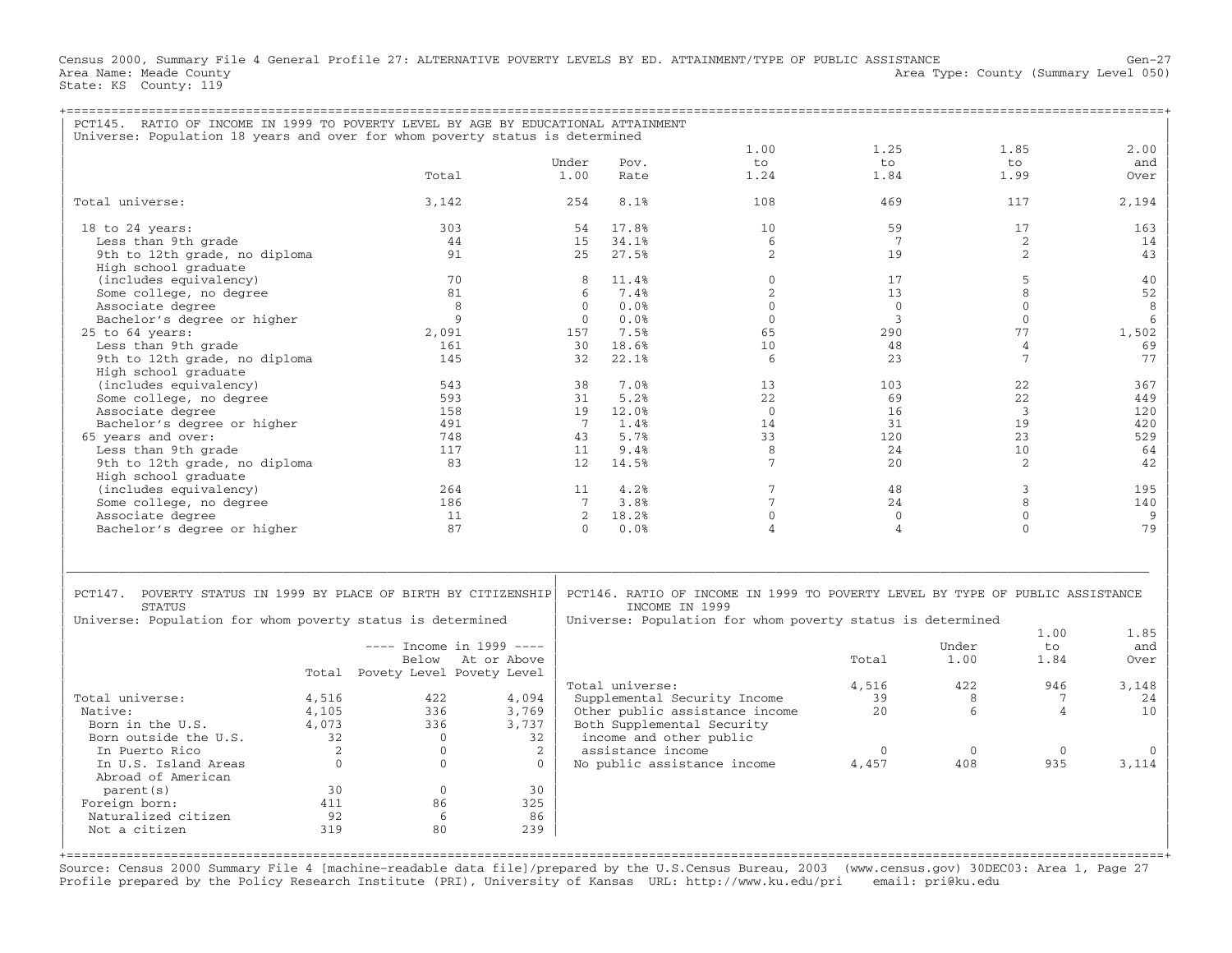Census 2000, Summary File 4 General Profile 27: ALTERNATIVE POVERTY LEVELS BY ED. ATTAINMENT/TYPE OF PUBLIC ASSISTANCE Gen−27 Area Name: Meade County **Area County** Level 050) Area Type: County (Summary Level 050) State: KS County: 119

| PCT145. RATIO OF INCOME IN 1999 TO POVERTY LEVEL BY AGE BY EDUCATIONAL ATTAINMENT                                                              |               |                                 |                   |                 |                         |                                                                                                                                             |                   |                     |                     |       |
|------------------------------------------------------------------------------------------------------------------------------------------------|---------------|---------------------------------|-------------------|-----------------|-------------------------|---------------------------------------------------------------------------------------------------------------------------------------------|-------------------|---------------------|---------------------|-------|
| Universe: Population 18 years and over for whom poverty status is determined                                                                   |               |                                 |                   |                 |                         | 1.00                                                                                                                                        | 1.25              |                     | 1.85                | 2.00  |
|                                                                                                                                                |               |                                 |                   | Under           | Pov.                    | to                                                                                                                                          | to                |                     | to                  | and   |
|                                                                                                                                                |               | Total                           |                   | 1.00            | Rate                    | 1.24                                                                                                                                        | 1.84              |                     | 1.99                | Over  |
| Total universe:                                                                                                                                |               | 3,142                           |                   | 254             | 8.1%                    | 108                                                                                                                                         | 469               |                     | 117                 | 2,194 |
| $18$ to $24$ years:                                                                                                                            |               | 303                             |                   | 54              | 17.8%                   | 10                                                                                                                                          | 59                |                     | 17                  | 163   |
| Less than 9th grade                                                                                                                            |               | 44                              |                   | 15              | 34.1%                   | $6\overline{6}$                                                                                                                             | 7                 |                     | 2                   | 14    |
| 9th to 12th grade, no diploma<br>High school graduate                                                                                          |               | 91                              |                   | 2.5             | 27.5%                   | 2                                                                                                                                           | 19                |                     | 2                   | 43    |
| (includes equivalency)                                                                                                                         |               | 70                              |                   | 8               | 11.4%                   | $\Omega$                                                                                                                                    | 17                |                     | 5                   | 40    |
| Some college, no degree                                                                                                                        |               | 81                              |                   | 6               | 7.4%                    | 2                                                                                                                                           | 13                |                     | 8                   | 52    |
|                                                                                                                                                |               |                                 | 8                 | $\Omega$        | 0.0%                    | $\Omega$                                                                                                                                    | $\overline{0}$    |                     | $\mathbf{0}$        | 8     |
| Associate degree                                                                                                                               |               |                                 |                   |                 |                         |                                                                                                                                             |                   |                     |                     |       |
| Bachelor's degree or higher                                                                                                                    |               |                                 | Q                 | $\Omega$        | 0.0%                    | $\Omega$                                                                                                                                    | 3                 |                     | $\Omega$            | 6     |
| $25$ to $64$ years:                                                                                                                            |               | 2,091                           |                   | 157             | 7.5%                    | 65                                                                                                                                          | 290               |                     | 77                  | 1,502 |
| Less than 9th grade                                                                                                                            |               | 161                             |                   | 30              | 18.6%                   | 10                                                                                                                                          | 48                |                     | $\overline{4}$      | 69    |
| 9th to 12th grade, no diploma                                                                                                                  |               | 145                             |                   | 32              | 22.1%                   | 6                                                                                                                                           | 23                |                     | $7\phantom{.0}$     | 77    |
| High school graduate                                                                                                                           |               |                                 |                   |                 |                         |                                                                                                                                             |                   |                     |                     |       |
| (includes equivalency)                                                                                                                         |               | 543                             |                   | 38              | 7.0%                    | 13                                                                                                                                          | 103               |                     | 22                  | 367   |
| Some college, no degree                                                                                                                        |               | 593                             |                   | 31              | 5.2%                    | 22                                                                                                                                          | 69                |                     | 22                  | 449   |
| Associate degree                                                                                                                               |               | 158                             |                   | 19              | 12.0%                   | $\Omega$                                                                                                                                    | 16                |                     | $\overline{3}$      | 120   |
| Bachelor's degree or higher                                                                                                                    |               | 491                             |                   | $7\phantom{.0}$ | 1.4%                    | 14                                                                                                                                          | 31                |                     | 19                  | 420   |
| 65 years and over:                                                                                                                             |               | 748                             |                   | 43              | 5.7%                    | 33                                                                                                                                          | 120               |                     | 23                  | 529   |
| Less than 9th grade                                                                                                                            |               | 117                             |                   | 11              | 9.4%                    | 8                                                                                                                                           | 24                |                     | 10                  | 64    |
|                                                                                                                                                |               | 83                              |                   |                 |                         | 7                                                                                                                                           | 2.0               |                     |                     |       |
| 9th to 12th grade, no diploma                                                                                                                  |               |                                 |                   | 12              | 14.5%                   |                                                                                                                                             |                   |                     | 2                   | 42    |
| High school graduate                                                                                                                           |               |                                 |                   |                 |                         |                                                                                                                                             |                   |                     |                     |       |
| (includes equivalency)                                                                                                                         |               | 264                             |                   | 11              | 4.2%                    | 7                                                                                                                                           | 48                |                     | $\mathbf{3}$        | 195   |
| Some college, no degree                                                                                                                        |               | 186                             |                   | $7\overline{ }$ | 3.8%                    | 7                                                                                                                                           | 24                |                     | 8                   | 140   |
| Associate degree                                                                                                                               |               | 11                              |                   | 2               | 18.2%                   | $\Omega$                                                                                                                                    | $\mathbf{0}$      |                     | $\Omega$            | 9     |
| Bachelor's degree or higher                                                                                                                    |               | 87                              |                   | $\cap$          | 0.0%                    | Δ                                                                                                                                           | $\overline{4}$    |                     | $\Omega$            | 79    |
| PCT147. POVERTY STATUS IN 1999 BY PLACE OF BIRTH BY CITIZENSHIP<br><b>STATUS</b><br>Universe: Population for whom poverty status is determined |               |                                 |                   |                 | TNCOME TN 1999          | PCT146. RATIO OF INCOME IN 1999 TO POVERTY LEVEL BY TYPE OF PUBLIC ASSISTANCE<br>Universe: Population for whom poverty status is determined |                   |                     |                     |       |
|                                                                                                                                                |               |                                 |                   |                 |                         |                                                                                                                                             |                   |                     | 1.00                | 1.85  |
|                                                                                                                                                |               | $---$ Income in 1999 $---$      |                   |                 |                         |                                                                                                                                             |                   | Under               | to                  | and   |
|                                                                                                                                                |               |                                 | Below At or Above |                 |                         |                                                                                                                                             | Total             | 1.00                | 1.84                | Over  |
|                                                                                                                                                |               | Total Povety Level Povety Level |                   |                 |                         |                                                                                                                                             |                   |                     |                     |       |
|                                                                                                                                                |               |                                 |                   |                 | Total universe:         |                                                                                                                                             | 4,516             | 422                 | 946                 | 3,148 |
| Total universe:                                                                                                                                | 4,516         | 422                             | 4,094             |                 |                         | Supplemental Security Income                                                                                                                | 39                | 8                   | 7                   | 24    |
| Native:                                                                                                                                        | 4,105         | 336                             | 3,769             |                 |                         | Other public assistance income                                                                                                              | 20                | 6                   | $\overline{4}$      | 10    |
| Born in the U.S.                                                                                                                               | 4,073         | 336                             | 3,737             |                 |                         | Both Supplemental Security                                                                                                                  |                   |                     |                     |       |
|                                                                                                                                                |               | $\Omega$                        |                   |                 |                         |                                                                                                                                             |                   |                     |                     |       |
| Born outside the U.S.                                                                                                                          | 32            |                                 | 32                |                 | income and other public |                                                                                                                                             |                   |                     |                     |       |
| In Puerto Rico<br>In U.S. Island Areas                                                                                                         | 2<br>$\Omega$ | $\mathbf{0}$<br>$\Omega$        | 2<br>$\Omega$     |                 | assistance income       | No public assistance income                                                                                                                 | $\Omega$<br>4,457 | $\mathbf{0}$<br>408 | $\mathbf{0}$<br>935 | 3,114 |
| Abroad of American                                                                                                                             |               |                                 |                   |                 |                         |                                                                                                                                             |                   |                     |                     |       |
| parent (s)                                                                                                                                     | 30            | $\mathbf{0}$                    | 30                |                 |                         |                                                                                                                                             |                   |                     |                     |       |
| Foreign born:                                                                                                                                  | 411           | 86                              | 325               |                 |                         |                                                                                                                                             |                   |                     |                     |       |
| Naturalized citizen                                                                                                                            | 92            | 6                               | 86                |                 |                         |                                                                                                                                             |                   |                     |                     |       |
| Not a citizen                                                                                                                                  | 319           | 80                              | 239               |                 |                         |                                                                                                                                             |                   |                     |                     |       |
|                                                                                                                                                |               |                                 |                   |                 |                         |                                                                                                                                             |                   |                     |                     |       |

Source: Census 2000 Summary File 4 [machine−readable data file]/prepared by the U.S.Census Bureau, 2003 (www.census.gov) 30DEC03: Area 1, Page 27 Profile prepared by the Policy Research Institute (PRI), University of Kansas URL: http://www.ku.edu/pri email: pri@ku.edu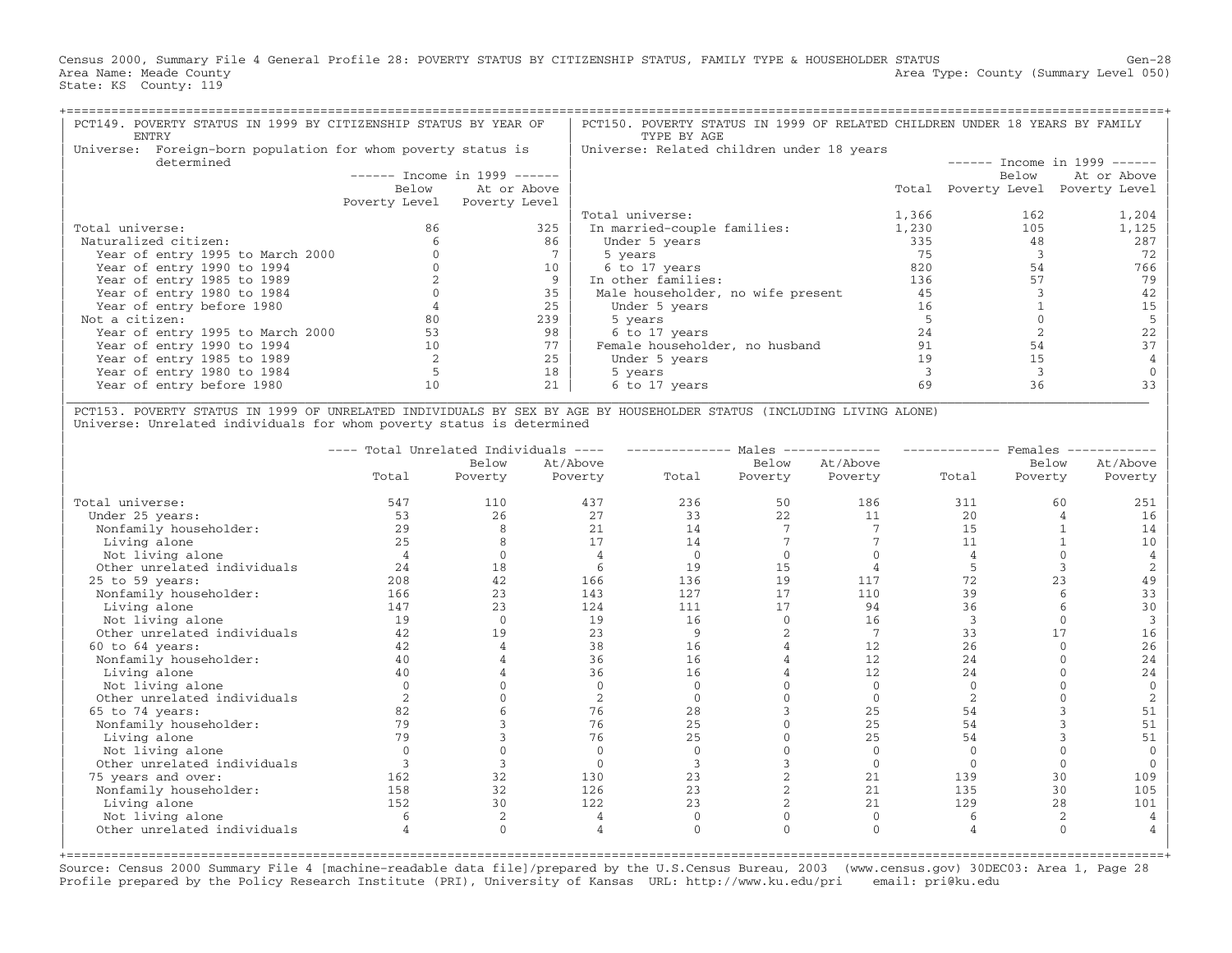Census 2000, Summary File 4 General Profile 28: POVERTY STATUS BY CITIZENSHIP STATUS, FAMILY TYPE & HOUSEHOLDER STATUS Gen−28 Area Name: Meade County **Area Type: County Area Type: County (Summary Level 050)** State: KS County: 119

| PCT149. POVERTY STATUS IN 1999 BY CITIZENSHIP STATUS BY YEAR OF<br>ENTRY |       |                               | PCT150. POVERTY STATUS IN 1999 OF RELATED CHILDREN UNDER 18 YEARS BY FAMILY<br>TYPE BY AGE |       |                     |                               |
|--------------------------------------------------------------------------|-------|-------------------------------|--------------------------------------------------------------------------------------------|-------|---------------------|-------------------------------|
| Foreign-born population for whom poverty status is<br>Universe:          |       |                               | Universe: Related children under 18 years                                                  |       |                     |                               |
| determined                                                               |       |                               |                                                                                            |       |                     | $-----$ Income in 1999 ------ |
|                                                                          |       | $-----$ Income in 1999 $----$ |                                                                                            |       | Below               | At or Above                   |
|                                                                          | Below | At or Above                   |                                                                                            |       | Total Poverty Level | Poverty Level                 |
|                                                                          |       | Poverty Level Poverty Level   |                                                                                            |       |                     |                               |
|                                                                          |       |                               | Total universe:                                                                            | 1,366 | 162                 | 1,204                         |
| Total universe:                                                          | 86    | 325                           | In married-couple families:                                                                | 1,230 | 105                 | 1,125                         |
| Naturalized citizen:                                                     |       | 86                            | Under 5 years                                                                              | 335   | 48                  | 287                           |
| Year of entry 1995 to March 2000                                         |       |                               | 5 years                                                                                    | 75    |                     | 72                            |
| Year of entry 1990 to 1994                                               |       | 10                            | 6 to 17 years                                                                              | 820   | 54                  | 766                           |
| Year of entry 1985 to 1989                                               |       |                               | In other families:                                                                         | 136   |                     | 79                            |
| Year of entry 1980 to 1984                                               |       | 35                            | Male householder, no wife present                                                          | 45    |                     | 42                            |
| Year of entry before 1980                                                |       | 25                            | Under 5 years                                                                              | 16    |                     |                               |
| Not a citizen:                                                           |       | 239                           | 5 years                                                                                    |       |                     |                               |
| Year of entry 1995 to March 2000                                         | 53    | 98                            | 6 to 17 years                                                                              | 24    |                     | 22                            |
| Year of entry 1990 to 1994                                               | 10    | 77                            | Female householder, no husband                                                             | 91    | 54                  |                               |
| Year of entry 1985 to 1989                                               |       |                               | Under 5 years                                                                              | 19    | 15                  |                               |
| Year of entry 1980 to 1984                                               |       | 18                            | 5 years                                                                                    |       |                     |                               |
| Year of entry before 1980                                                | 10    |                               | 6 to 17 years                                                                              | 69    | 36                  |                               |

| PCT153. POVERTY STATUS IN 1999 OF UNRELATED INDIVIDUALS BY SEX BY AGE BY HOUSEHOLDER STATUS (INCLUDING LIVING ALONE) | Universe: Unrelated individuals for whom poverty status is determined

|                             | $\qquad \qquad - - - -$ | Total Unrelated Individuals |                |       | Males          |          | Females |          |          |
|-----------------------------|-------------------------|-----------------------------|----------------|-------|----------------|----------|---------|----------|----------|
|                             |                         | Below                       | At/Above       |       | Below          | At/Above |         | Below    | At/Above |
|                             | Total                   | Poverty                     | Poverty        | Total | Poverty        | Poverty  | Total   | Poverty  | Poverty  |
| Total universe:             | 547                     | 110                         | 437            | 236   | 50             | 186      | 311     | 60       | 251      |
| Under 25 years:             | 53                      | 26                          | 27             | 33    | 22             | 11       | 20      |          | 16       |
| Nonfamily householder:      | 29                      | 8                           | 21             | 14    |                |          | 15      |          | 14       |
| Living alone                | 25                      |                             | 17             | 14    |                |          | 11      |          | 10       |
| Not living alone            |                         |                             |                |       |                |          |         |          |          |
| Other unrelated individuals | 24                      | 18                          | 6              | 19    | 15             |          |         |          |          |
| $25$ to $59$ years:         | 208                     | 42                          | 166            | 136   | 19             | 117      | 72      | 2.3      | 49       |
| Nonfamily householder:      | 166                     | 23                          | 143            | 127   | 17             | 110      | 39      |          | 33       |
| Living alone                | 147                     | 23                          | 124            | 111   | 17             | 94       | 36      |          | 30       |
| Not living alone            | 19                      | $\Omega$                    | 19             | 16    |                | 16       | 3       |          |          |
| Other unrelated individuals | 42                      | 19                          | 23             | 9     | $\overline{2}$ | 7        | 33      | 17       | 16       |
| $60$ to $64$ years:         | 42                      |                             | 38             | 16    |                | 12       | 2.6     | $\cap$   | 26       |
| Nonfamily householder:      | 40                      |                             | 36             | 16    |                | 12       | 24      |          | 24       |
| Living alone                | 40                      |                             | 36             | 16    |                | 12       | 24      |          | 24       |
| Not living alone            |                         |                             | $\Omega$       |       |                | $\Omega$ |         |          | $\Omega$ |
| Other unrelated individuals |                         |                             | $\mathfrak{D}$ |       |                |          |         |          |          |
| 65 to 74 years:             | 82                      |                             | 76             | 28    |                | 25       | 54      |          | 51       |
| Nonfamily householder:      | 79                      |                             | 76             | 25    |                | 25       | 54      |          | 51       |
| Living alone                | 79                      |                             | 76             | 25    |                | 25       | 54      |          | 51       |
| Not living alone            |                         |                             | $\mathbf{0}$   |       |                |          |         |          |          |
| Other unrelated individuals |                         |                             | $\Omega$       |       |                | $\Omega$ |         | $\cap$   |          |
| 75 years and over:          | 162                     | 32                          | 130            | 23    |                | 21       | 139     | 30       | 109      |
| Nonfamily householder:      | 158                     | 32                          | 126            | 23    |                | 21       | 135     | 30       | 105      |
| Living alone                | 152                     | 30                          | 122            | 23    |                | 21       | 129     | 28       | 101      |
| Not living alone            |                         |                             |                |       |                |          |         |          |          |
| Other unrelated individuals |                         | $\Omega$                    |                |       |                |          |         | $\Omega$ |          |
|                             |                         |                             |                |       |                |          |         |          |          |

+===================================================================================================================================================+ Source: Census 2000 Summary File 4 [machine−readable data file]/prepared by the U.S.Census Bureau, 2003 (www.census.gov) 30DEC03: Area 1, Page 28 Profile prepared by the Policy Research Institute (PRI), University of Kansas URL: http://www.ku.edu/pri email: pri@ku.edu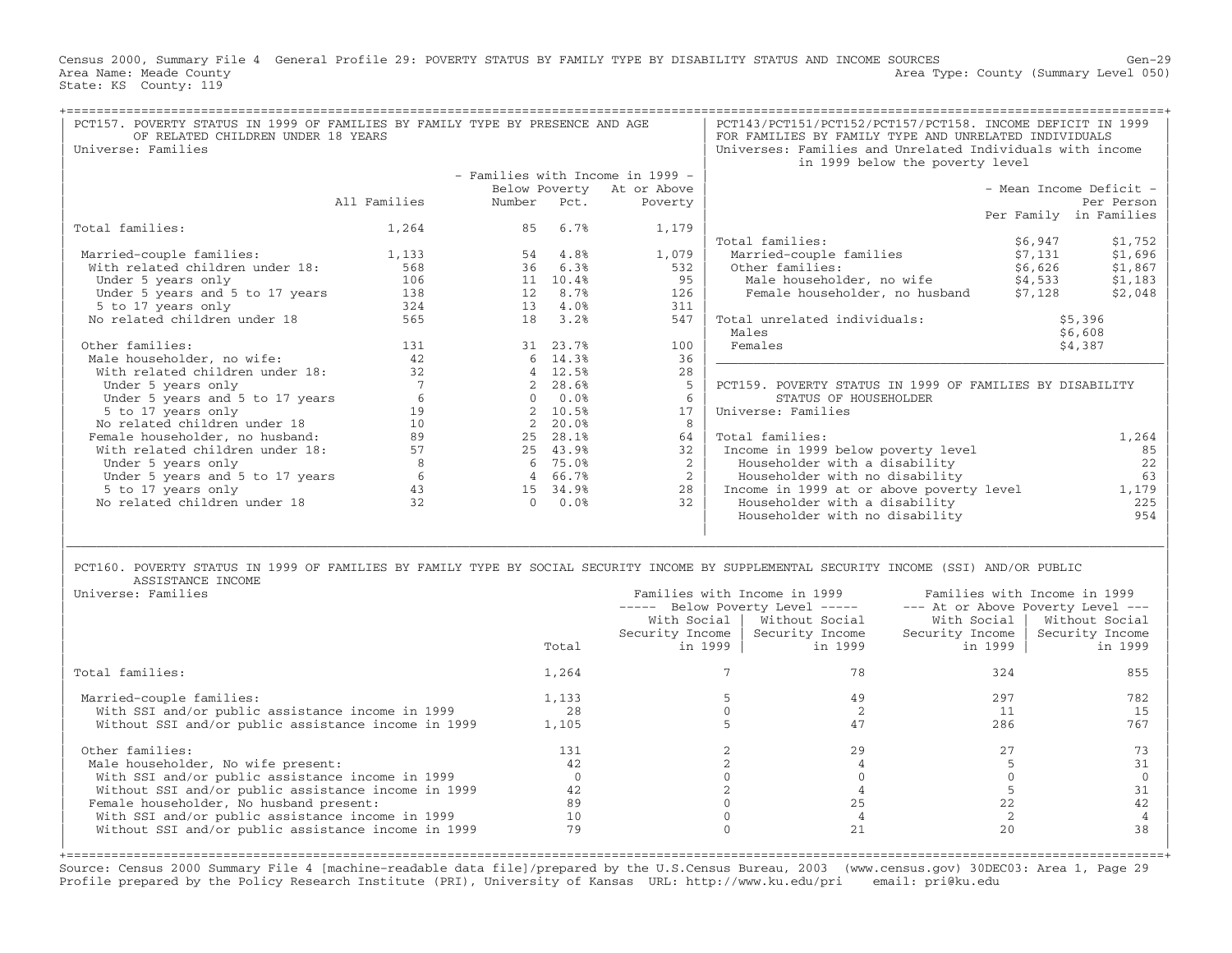Census 2000, Summary File 4 General Profile 29: POVERTY STATUS BY FAMILY TYPE BY DISABILITY STATUS AND INCOME SOURCES Gen−29 Area Name: Meade County **Area County** Level 050) Area Type: County (Summary Level 050) State: KS County: 119

| PCT157. POVERTY STATUS IN 1999 OF FAMILIES BY FAMILY TYPE BY PRESENCE AND AGE |                              |        |          |                                  | PCT143/PCT151/PCT152/PCT157/PCT158. INCOME DEFICIT IN 1999                                                                              |         |                         |
|-------------------------------------------------------------------------------|------------------------------|--------|----------|----------------------------------|-----------------------------------------------------------------------------------------------------------------------------------------|---------|-------------------------|
| OF RELATED CHILDREN UNDER 18 YEARS                                            |                              |        |          |                                  | FOR FAMILIES BY FAMILY TYPE AND UNRELATED INDIVIDUALS                                                                                   |         |                         |
| Universe: Families                                                            |                              |        |          |                                  | Universes: Families and Unrelated Individuals with income                                                                               |         |                         |
|                                                                               |                              |        |          |                                  | in 1999 below the poverty level                                                                                                         |         |                         |
|                                                                               |                              |        |          | - Families with Income in 1999 - |                                                                                                                                         |         |                         |
|                                                                               |                              |        |          | Below Poverty At or Above        |                                                                                                                                         |         | - Mean Income Deficit - |
|                                                                               | All Families                 | Number | Pct.     | Poverty                          |                                                                                                                                         |         | Per Person              |
|                                                                               |                              |        |          |                                  |                                                                                                                                         |         | Per Family in Families  |
| Total families:                                                               | 1,264                        |        | 85 6.7%  | 1,179                            |                                                                                                                                         |         |                         |
|                                                                               |                              |        |          |                                  | Total families:                                                                                                                         | \$6,947 | \$1,752                 |
| Married-couple families:                                                      | 1,133                        |        | 54 4.8%  | 1,079                            | Married-couple families                                                                                                                 | \$7,131 | \$1,696                 |
| With related children under 18:                                               | 568                          | 36     | 6.3%     | 532                              | Other families:                                                                                                                         | \$6,626 | \$1,867                 |
| Under 5 years only                                                            | 106                          |        | 11 10.4% | 9.5                              | Male householder, no wife \$4,533<br>Female householder, no husband \$7,128                                                             |         | \$1,183                 |
| Under 5 years and 5 to 17 years                                               | 138                          | 12     | 8.7%     | 126                              |                                                                                                                                         |         | \$2,048                 |
| 5 to 17 years only                                                            | 324                          |        | 13 4.0%  | 311                              |                                                                                                                                         |         |                         |
| No related children under 18                                                  | 565                          | 18     | 3.2%     | 547                              | Total unrelated individuals:                                                                                                            |         | \$5,396                 |
|                                                                               |                              |        |          |                                  | Males                                                                                                                                   |         | \$6,608                 |
| Other families:                                                               | 131                          |        | 31 23.7% | 100                              | Females                                                                                                                                 |         | \$4,387                 |
| Male householder, no wife:                                                    | 42                           |        | 6, 14.3% | 36                               |                                                                                                                                         |         |                         |
| With related children under 18:                                               | 32                           |        | 12.5%    | 28                               |                                                                                                                                         |         |                         |
| Under 5 years only                                                            | $7\phantom{.0}\phantom{.0}7$ |        | 28.6%    | 5                                | PCT159. POVERTY STATUS IN 1999 OF FAMILIES BY DISABILITY                                                                                |         |                         |
| Under 5 years and 5 to 17 years                                               | 6                            |        | 0.0%     | 6                                | STATUS OF HOUSEHOLDER                                                                                                                   |         |                         |
| 5 to 17 years only                                                            | 19                           |        | 10.5%    | 17                               | Universe: Families                                                                                                                      |         |                         |
| No related children under 18                                                  | 10                           |        | 20.0%    | 8                                |                                                                                                                                         |         |                         |
| Female householder, no husband:                                               | 89                           |        | 25 28.1% | 64                               | Total families:                                                                                                                         |         | 1,264                   |
| With related children under 18:                                               | 57                           |        | 25 43.9% | 32                               | Income in 1999 below poverty level                                                                                                      |         | 85                      |
| Under 5 years only                                                            | 8                            |        | 6 75.0%  | $\overline{2}$                   | Householder with a disability                                                                                                           |         | 22                      |
| Under 5 years and 5 to 17 years                                               | 6                            |        | 4 66.7%  | $2^{\circ}$                      | Householder with no disability                                                                                                          |         | 63                      |
| 5 to 17 years only                                                            | 43                           |        | 15 34.9% | 28                               | Income in 1999 at or above poverty level                                                                                                |         | 1,179                   |
| No related children under 18                                                  | 32                           |        | 0.0%     | 32                               | Householder with a disability                                                                                                           |         | 225                     |
|                                                                               |                              |        |          |                                  | Householder with no disability                                                                                                          |         | 954                     |
|                                                                               |                              |        |          |                                  |                                                                                                                                         |         |                         |
|                                                                               |                              |        |          |                                  |                                                                                                                                         |         |                         |
|                                                                               |                              |        |          |                                  |                                                                                                                                         |         |                         |
|                                                                               |                              |        |          |                                  | PCT160. POVERTY STATUS IN 1999 OF FAMILIES BY FAMILY TYPE BY SOCIAL SECURITY INCOME BY SUPPLEMENTAL SECURITY INCOME (SSI) AND/OR PUBLIC |         |                         |
| ASSISTANCE INCOME<br>$-  -$                                                   |                              |        |          |                                  | $\overline{\phantom{a}}$                                                                                                                |         |                         |

| Universe: Families                                  |       |           | Families with Income in 1999<br>----- Below Poverty Level ----- |                              | Families with Income in 1999<br>--- At or Above Poverty Level --- |
|-----------------------------------------------------|-------|-----------|-----------------------------------------------------------------|------------------------------|-------------------------------------------------------------------|
|                                                     |       |           | With Social   Without Social                                    | With Social                  | Without Social                                                    |
|                                                     | Total | in 1999 l | Security Income   Security Income<br>in 1999                    | Security Income  <br>in 1999 | Security Income<br>in 1999                                        |
| Total families:                                     | 1,264 |           |                                                                 | 324                          | 855                                                               |
| Married-couple families:                            | 1,133 |           | 49                                                              | 297                          | 782                                                               |
| With SSI and/or public assistance income in 1999    | 28    |           |                                                                 |                              | 15                                                                |
| Without SSI and/or public assistance income in 1999 | 1,105 |           |                                                                 | 286                          | 767                                                               |
| Other families:                                     | 131   |           | 29                                                              |                              |                                                                   |
| Male householder, No wife present:                  |       |           |                                                                 |                              |                                                                   |
| With SSI and/or public assistance income in 1999    |       |           |                                                                 |                              |                                                                   |
| Without SSI and/or public assistance income in 1999 | 42    |           |                                                                 |                              |                                                                   |
| Female householder, No husband present:             | 89    |           |                                                                 |                              |                                                                   |
| With SSI and/or public assistance income in 1999    | 10    |           |                                                                 |                              |                                                                   |
| Without SSI and/or public assistance income in 1999 | 79    |           |                                                                 | 20                           | 38                                                                |
|                                                     |       |           |                                                                 |                              |                                                                   |

Source: Census 2000 Summary File 4 [machine−readable data file]/prepared by the U.S.Census Bureau, 2003 (www.census.gov) 30DEC03: Area 1, Page 29 Profile prepared by the Policy Research Institute (PRI), University of Kansas URL: http://www.ku.edu/pri email: pri@ku.edu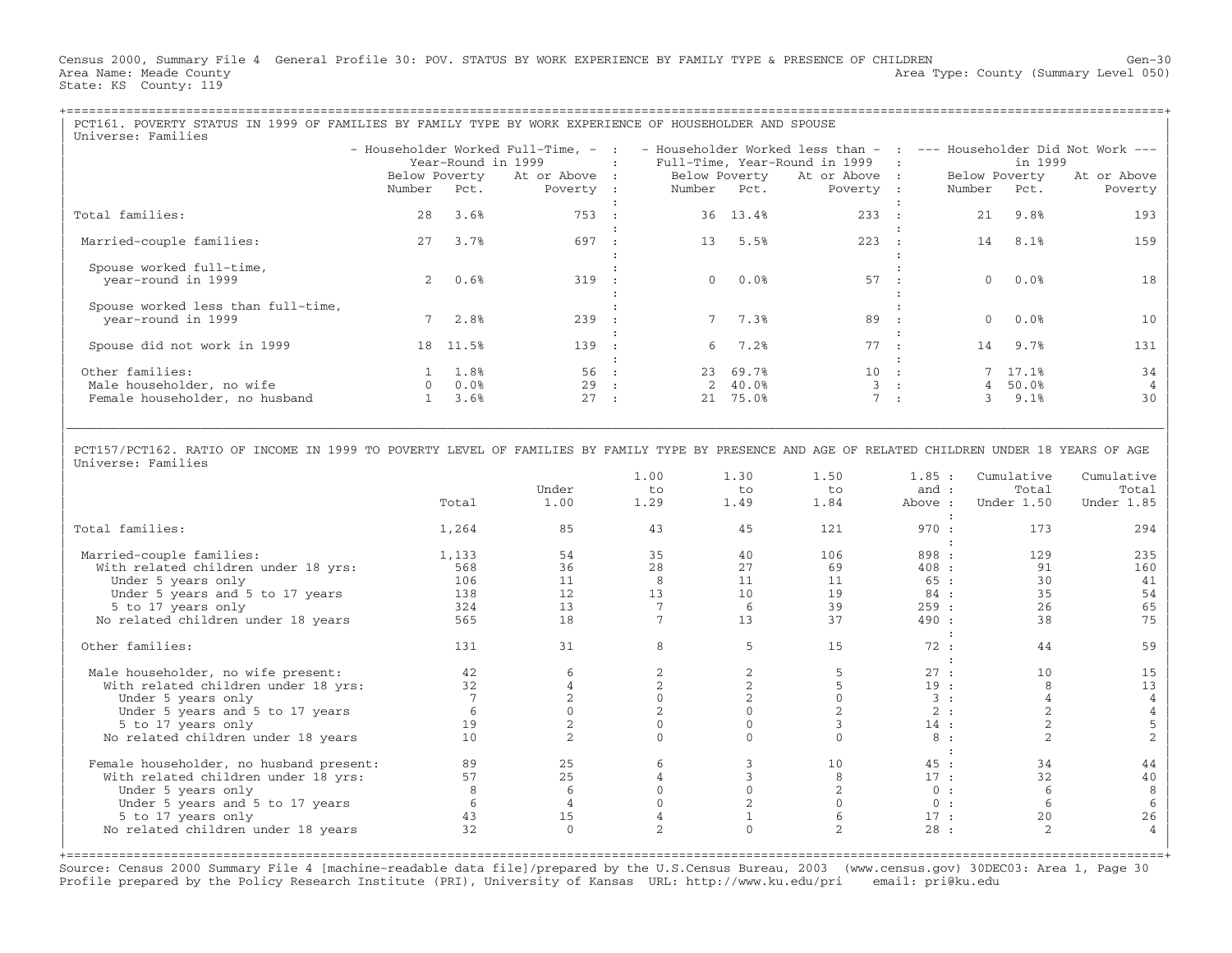Census 2000, Summary File 4 General Profile 30: POV. STATUS BY WORK EXPERIENCE BY FAMILY TYPE & PRESENCE OF CHILDREN Gen−30 Area Name: Meade County **Area Type: County Area Type: County (Summary Level 050)** State: KS County: 119

| PCT161. POVERTY STATUS IN 1999 OF FAMILIES BY FAMILY TYPE BY WORK EXPERIENCE OF HOUSEHOLDER AND SPOUSE<br>Universe: Families |                                                                                     |                                            |                                            |              |             |                     |                                                                                                                                              |  |                                           |                  |                        |
|------------------------------------------------------------------------------------------------------------------------------|-------------------------------------------------------------------------------------|--------------------------------------------|--------------------------------------------|--------------|-------------|---------------------|----------------------------------------------------------------------------------------------------------------------------------------------|--|-------------------------------------------|------------------|------------------------|
|                                                                                                                              |                                                                                     | Year-Round in 1999                         | <b>Contract Contract Contract Contract</b> |              |             |                     | - Householder Worked Full-Time, - : - Householder Worked less than - : --- Householder Did Not Work ---<br>Full-Time, Year-Round in 1999   : |  |                                           | in 1999          |                        |
|                                                                                                                              | Below Poverty At or Above : Below Poverty At or Above :<br>Number Pct.<br>Poverty : |                                            |                                            |              |             |                     |                                                                                                                                              |  | Below Poverty<br>Number Pct.<br>Poverty : |                  | At or Above<br>Poverty |
| Total families:                                                                                                              | 28                                                                                  | 3.6%                                       | 753 :                                      |              | Number Pct. | 36 13.4%            | 233 :                                                                                                                                        |  | $21 -$                                    | 9.8%             | 193                    |
|                                                                                                                              |                                                                                     |                                            |                                            |              |             |                     |                                                                                                                                              |  |                                           |                  |                        |
| Married-couple families:                                                                                                     | 2.7                                                                                 | 3.7%                                       | 697                                        |              |             | 13 5.5%             | 223 :                                                                                                                                        |  | 14                                        | 8.1%             | 159                    |
| Spouse worked full-time,<br>vear-round in 1999                                                                               |                                                                                     | 20.6%                                      | 319 :                                      |              |             | 0.0%                | 57 :                                                                                                                                         |  |                                           | 0.0%             | 18                     |
| Spouse worked less than full-time,<br>year-round in 1999                                                                     |                                                                                     | 7 2.8%                                     | 239                                        |              |             | 7 7.3%              | 89                                                                                                                                           |  |                                           | $0.0$ %          | 1 O                    |
| Spouse did not work in 1999                                                                                                  |                                                                                     | 18 11.5%                                   | 139                                        |              |             | 6, 7.2              | 77 :                                                                                                                                         |  |                                           | 14 9.7%          | 131                    |
| Other families:<br>Male householder, no wife                                                                                 |                                                                                     | $1 \quad 1.8\%$<br>$0 \t 0.0$ <sup>8</sup> | 56:<br>29                                  |              |             | 23 69.7%<br>2 40.0% | $10 \cdot$ :                                                                                                                                 |  | 4                                         | 7 17.1%<br>50.0% | 34                     |
| Female householder, no husband                                                                                               |                                                                                     | 3.6%                                       | 27                                         | $\mathbf{r}$ | 21          | 75.0%               |                                                                                                                                              |  |                                           | 9.1%             | 30                     |
|                                                                                                                              |                                                                                     |                                            |                                            |              |             |                     |                                                                                                                                              |  |                                           |                  |                        |

| | | PCT157/PCT162. RATIO OF INCOME IN 1999 TO POVERTY LEVEL OF FAMILIES BY FAMILY TYPE BY PRESENCE AND AGE OF RELATED CHILDREN UNDER 18 YEARS OF AGE | | Universe: Families |

|\_\_\_\_\_\_\_\_\_\_\_\_\_\_\_\_\_\_\_\_\_\_\_\_\_\_\_\_\_\_\_\_\_\_\_\_\_\_\_\_\_\_\_\_\_\_\_\_\_\_\_\_\_\_\_\_\_\_\_\_\_\_\_\_\_\_\_\_\_\_\_\_\_\_\_\_\_\_\_\_\_\_\_\_\_\_\_\_\_\_\_\_\_\_\_\_\_\_\_\_\_\_\_\_\_\_\_\_\_\_\_\_\_\_\_\_\_\_\_\_\_\_\_\_\_\_\_\_\_\_\_\_\_\_\_\_\_\_\_\_\_\_\_\_\_\_\_|

|                                         |       |              | 1.00 | 1.30 | 1.50 | 1.85:   | Cumulative | Cumulative |
|-----------------------------------------|-------|--------------|------|------|------|---------|------------|------------|
|                                         |       | Under        | to   | to   | to   | and :   | Total      | Total      |
|                                         | Total | 1.00         | 1.29 | 1.49 | 1.84 | Above : | Under 1.50 | Under 1.85 |
| Total families:                         | 1,264 | 85           | 43   | 45   | 121  | 970:    | 173        | 294        |
| Married-couple families:                | 1,133 | 54           | 35   | 40   | 106  | 898 :   | 129        | 235        |
| With related children under 18 yrs:     | 568   | 36           | 28   | 27   | 69   | 408:    | 91         | 160        |
| Under 5 years only                      | 106   | 11           | 8    | 11   | 11   | 65 :    | 30         | 41         |
| Under 5 years and 5 to 17 years         | 138   | 12           | 13   | 10   | 19   | 84 :    | 35         | 54         |
| 5 to 17 years only                      | 324   | 13           |      | 6    | 39   | 259:    | 26         | 65         |
| No related children under 18 years      | 565   | 18           |      | 13   | 37   | 490:    | 38         | 75         |
| Other families:                         | 131   | 31           | 8    | 5    | 15   | 72:     | 44         | 59         |
| Male householder, no wife present:      | 42    |              |      |      |      | 27:     | 10         | 15         |
| With related children under 18 yrs:     | 32    |              |      |      |      | 19:     |            | 13         |
| Under 5 years only                      |       |              |      |      |      | 3:      |            |            |
| Under 5 years and 5 to 17 years         |       |              |      |      |      | 2:      |            |            |
| 5 to 17 years only                      | 19    |              |      |      |      | 14:     |            |            |
| No related children under 18 years      | 10    |              |      |      |      | 8:      |            |            |
|                                         |       |              |      |      |      |         |            |            |
| Female householder, no husband present: | 89    | 25           |      |      | 10   | 45:     | 34         | 44         |
| With related children under 18 yrs:     | 57    | 25           |      |      |      | 17:     | 32         | 40         |
| Under 5 years only                      |       |              |      |      |      | 0:      |            |            |
| Under 5 years and 5 to 17 years         |       |              |      |      |      | 0:      | -6         |            |
| 5 to 17 years only                      | 43    | 15           |      |      |      | 17:     | 2.0        | 26         |
| No related children under 18 years      | 32    | $\mathbf{0}$ | 2.   |      | 2    | 28:     | 2          |            |
|                                         |       |              |      |      |      |         |            |            |

Source: Census 2000 Summary File 4 [machine−readable data file]/prepared by the U.S.Census Bureau, 2003 (www.census.gov) 30DEC03: Area 1, Page 30 Profile prepared by the Policy Research Institute (PRI), University of Kansas URL: http://www.ku.edu/pri email: pri@ku.edu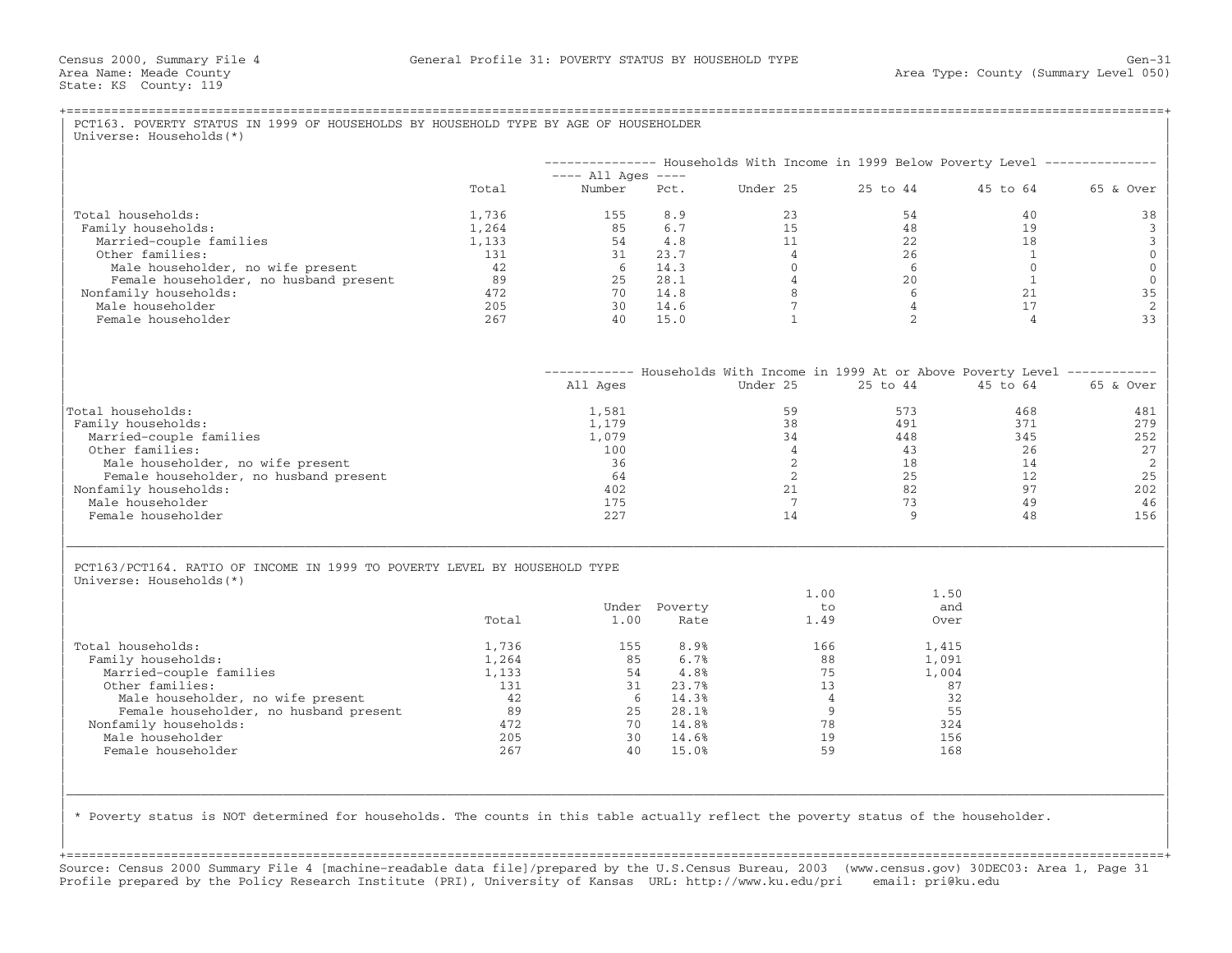|                                                                             |           |                                |               | -------------- Households With Income in 1999 Below Poverty Level -------------- |                |                            |              |
|-----------------------------------------------------------------------------|-----------|--------------------------------|---------------|----------------------------------------------------------------------------------|----------------|----------------------------|--------------|
|                                                                             | Total     | $---$ All Ages $---$<br>Number | Pct.          | Under 25                                                                         | 25 to 44       | 45 to 64                   | 65 & Over    |
|                                                                             |           |                                |               |                                                                                  |                |                            |              |
| Total households:                                                           | 1,736     | 155                            | 8.9           | 23                                                                               | 54             | 40                         | 38           |
| Family households:                                                          | 1,264     | 85                             | 6.7           | 1.5                                                                              | 48             | 19                         | $\mathbf{3}$ |
| Married-couple families                                                     | 1,133     | 54                             | 4.8           | 11                                                                               | 2.2.           | 18                         |              |
| Other families:                                                             | 131<br>42 | 31<br>- 6                      | 23.7<br>14.3  | $\overline{4}$<br>$\Omega$                                                       | 26<br>-6       | $\overline{1}$<br>$\Omega$ |              |
| Male householder, no wife present<br>Female householder, no husband present | 89        | 25                             | 28.1          | $\overline{4}$                                                                   | 20             | 1                          |              |
| Nonfamily households:                                                       | 472       | 70                             | 14.8          | 8                                                                                | 6              | 21                         | 35           |
| Male householder                                                            | 205       | 30                             | 14.6          | $7\overline{ }$                                                                  | $\overline{4}$ | 17                         |              |
| Female householder                                                          | 267       | 40                             | 15.0          | $\mathbf{1}$                                                                     | $\overline{a}$ | $\overline{4}$             | 33           |
|                                                                             |           |                                |               |                                                                                  |                |                            |              |
|                                                                             |           |                                |               | ----------- Households With Income in 1999 At or Above Poverty Level ----------- |                |                            |              |
|                                                                             |           | All Ages                       |               | Under 25                                                                         | 25 to 44       | 45 to 64                   | 65 & Over    |
| Total households:                                                           |           | 1,581                          |               | 59                                                                               | 573            | 468                        | 481          |
| Family households:                                                          |           | 1,179                          |               | 38                                                                               | 491            | 371                        | 279          |
| Married-couple families                                                     |           | 1,079                          |               | 34                                                                               | 448            | 345                        | 252          |
| Other families:                                                             |           | 100                            |               | $\overline{4}$                                                                   | 43             | 26                         | 27           |
| Male householder, no wife present                                           |           | 36                             |               | 2                                                                                | 18             | 14                         |              |
| Female householder, no husband present                                      |           | 64                             |               | 2                                                                                | 25             | 12                         | 25           |
| Nonfamily households:                                                       |           | 402                            |               | 21                                                                               | 82             | 97                         | 202          |
| Male householder                                                            |           | 175                            |               | $7\phantom{.0}$                                                                  | 73             | 49                         | 46           |
| Female householder                                                          |           | 227                            |               | 14                                                                               | 9              | 48                         | 156          |
| PCT163/PCT164. RATIO OF INCOME IN 1999 TO POVERTY LEVEL BY HOUSEHOLD TYPE   |           |                                |               |                                                                                  |                |                            |              |
| Universe: Households (*)                                                    |           |                                |               |                                                                                  |                |                            |              |
|                                                                             |           |                                |               | 1.00                                                                             | 1.50           |                            |              |
|                                                                             |           |                                | Under Poverty | $t \circ$                                                                        | and            |                            |              |
|                                                                             | Total     | 1.00                           | Rate          | 1.49                                                                             | Over           |                            |              |
| Total households:                                                           | 1,736     | 155                            | 8.9%          | 166                                                                              | 1,415          |                            |              |
| Family households:                                                          | 1,264     | 85                             | 6.7%          | 88                                                                               | 1,091          |                            |              |
| Married-couple families                                                     | 1,133     | 54                             | 4.8%          | 75                                                                               | 1,004          |                            |              |
| Other families:                                                             | 131       | 31                             | 23.7%         | 13                                                                               | 87             |                            |              |
| Male householder, no wife present                                           | 42        | 6                              | 14.3%         | $\overline{4}$                                                                   | 32             |                            |              |
| Female householder, no husband present                                      | 89        | 25                             | 28.1%         | 9                                                                                | 55             |                            |              |
| Nonfamily households:                                                       | 472       | 70                             | 14.8%         | 78                                                                               | 324            |                            |              |
| Male householder                                                            | 205       | 30                             | 14.6%         | 19                                                                               | 156            |                            |              |
| Female householder                                                          | 267       | 40                             | 15.0%         | 59                                                                               | 168            |                            |              |
|                                                                             |           |                                |               |                                                                                  |                |                            |              |

+===================================================================================================================================================+Source: Census 2000 Summary File 4 [machine−readable data file]/prepared by the U.S.Census Bureau, 2003 (www.census.gov) 30DEC03: Area 1, Page 31 Profile prepared by the Policy Research Institute (PRI), University of Kansas URL: http://www.ku.edu/pri email: pri@ku.edu

| |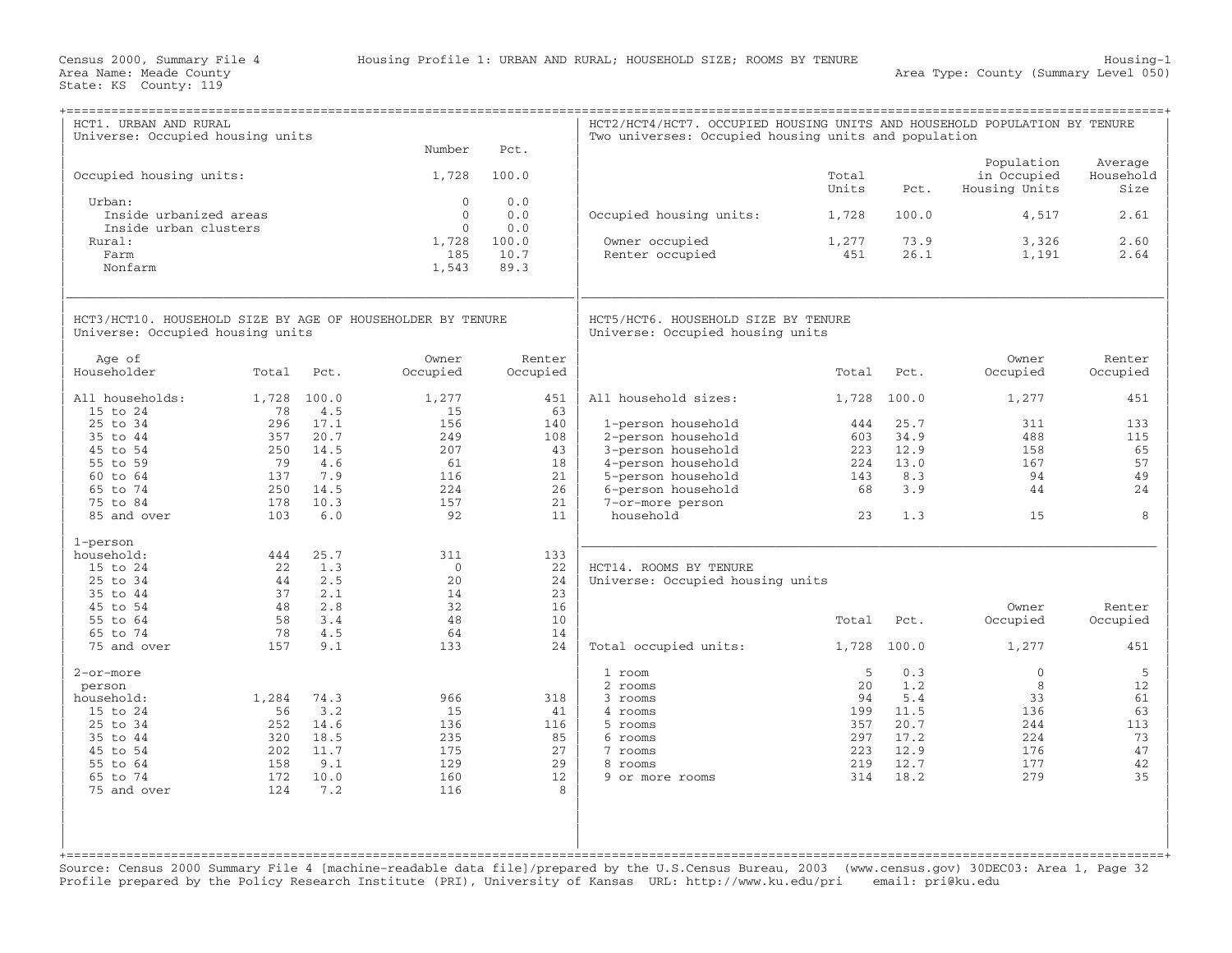| HCT1. URBAN AND RURAL<br>Universe: Occupied housing units                                      |             |              | Number                            | Pct.                         | HCT2/HCT4/HCT7. OCCUPIED HOUSING UNITS AND HOUSEHOLD POPULATION BY TENURE<br>Two universes: Occupied housing units and population |                |              |                                            |                              |
|------------------------------------------------------------------------------------------------|-------------|--------------|-----------------------------------|------------------------------|-----------------------------------------------------------------------------------------------------------------------------------|----------------|--------------|--------------------------------------------|------------------------------|
| Occupied housing units:                                                                        |             |              | 1,728                             | 100.0                        |                                                                                                                                   | Total<br>Units | Pct.         | Population<br>in Occupied<br>Housing Units | Average<br>Household<br>Size |
| Urban:<br>Inside urbanized areas                                                               |             |              | $\Omega$<br>$\Omega$              | 0.0<br>0.0                   | Occupied housing units:                                                                                                           | 1,728          | 100.0        | 4,517                                      | 2.61                         |
| Inside urban clusters<br>Rural:<br>Farm<br>Nonfarm                                             |             |              | $\Omega$<br>1,728<br>185<br>1,543 | 0.0<br>100.0<br>10.7<br>89.3 | Owner occupied<br>Renter occupied                                                                                                 | 1,277<br>451   | 73.9<br>26.1 | 3,326<br>1,191                             | 2.60<br>2.64                 |
| HCT3/HCT10. HOUSEHOLD SIZE BY AGE OF HOUSEHOLDER BY TENURE<br>Universe: Occupied housing units |             |              |                                   |                              | HCT5/HCT6. HOUSEHOLD SIZE BY TENURE<br>Universe: Occupied housing units                                                           |                |              |                                            |                              |
| Age of<br>Householder                                                                          | Total       | Pct.         | Owner<br>Occupied                 | Renter<br>Occupied           |                                                                                                                                   | Total          | Pct.         | Owner<br>Occupied                          | Renter<br>Occupied           |
| All households:<br>15 to 24                                                                    | 1,728<br>78 | 100.0<br>4.5 | 1,277<br>15                       | 451<br>63                    | All household sizes:                                                                                                              | 1,728          | 100.0        | 1,277                                      | 451                          |
| 25 to 34                                                                                       | 296         | 17.1         | 156                               | 140                          | 1-person household                                                                                                                | 444            | 25.7         | 311                                        | 133                          |
| 35 to 44                                                                                       | 357         | 20.7         | 249                               | 108<br>43                    | 2-person household                                                                                                                | 603            | 34.9         | 488                                        | 115                          |
| 45 to 54<br>55 to 59                                                                           | 250<br>79   | 14.5<br>4.6  | 207<br>61                         | 18                           | 3-person household<br>4-person household                                                                                          | 223<br>224     | 12.9<br>13.0 | 158<br>167                                 | 65<br>57                     |
| 60 to 64                                                                                       | 137         | 7.9          | 116                               | 21                           | 5-person household                                                                                                                | 143            | 8.3          | 94                                         | 49                           |
| 65 to 74                                                                                       | 250         | 14.5         | 224                               | 26                           | 6-person household                                                                                                                | 68             | 3.9          | 44                                         | 24                           |
| 75 to 84                                                                                       | 178         | 10.3         | 157                               | 21                           | 7-or-more person                                                                                                                  |                |              |                                            |                              |
| 85 and over                                                                                    | 103         | 6.0          | 92                                | 11                           | household                                                                                                                         | 23             | 1.3          | 15                                         | 8                            |
| 1-person<br>household:                                                                         | 444         | 25.7         | 311                               | 133                          |                                                                                                                                   |                |              |                                            |                              |
| 15 to 24                                                                                       | 22          | 1.3          | $\Omega$                          | 22                           | HCT14. ROOMS BY TENURE                                                                                                            |                |              |                                            |                              |
| 25 to 34                                                                                       | 44          | 2.5          | 20                                | 24                           | Universe: Occupied housing units                                                                                                  |                |              |                                            |                              |
| 35 to 44                                                                                       | 37          | 2.1          | 14                                | 23                           |                                                                                                                                   |                |              |                                            |                              |
| 45 to 54                                                                                       | 48          | 2.8          | 32                                | 16                           |                                                                                                                                   |                |              | Owner                                      | Renter                       |
| 55 to 64                                                                                       | 58          | 3.4          | 48                                | 10                           |                                                                                                                                   | Total          | Pct.         | Occupied                                   | Occupied                     |
| 65 to 74                                                                                       | 78          | 4.5          | 64                                | 14                           |                                                                                                                                   |                |              |                                            |                              |
| 75 and over                                                                                    | 157         | 9.1          | 133                               | 24                           | Total occupied units:                                                                                                             | 1,728          | 100.0        | 1,277                                      | 451                          |
| 2-or-more                                                                                      |             |              |                                   |                              | 1 room                                                                                                                            | 5              | 0.3          | $\mathbf{0}$                               | 5                            |
| person                                                                                         |             |              |                                   |                              | 2 rooms                                                                                                                           | 20             | 1.2          | 8                                          | 12                           |
| household:                                                                                     | 1,284       | 74.3         | 966                               | 318                          | 3 rooms                                                                                                                           | 94             | 5.4          | 33                                         | 61                           |
| 15 to 24                                                                                       | 56          | 3.2          | 15                                | 41<br>116                    | 4 rooms                                                                                                                           | 199            | 11.5<br>20.7 | 136                                        | 63                           |
| 25 to 34<br>35 to 44                                                                           | 252<br>320  | 14.6<br>18.5 | 136<br>235                        | 85                           | 5 rooms<br>6 rooms                                                                                                                | 357<br>297     | 17.2         | 244<br>224                                 | 113<br>73                    |
| 45 to 54                                                                                       | 202         | 11.7         | 175                               | 27                           | 7 rooms                                                                                                                           | 223            | 12.9         | 176                                        | 47                           |
| 55 to 64                                                                                       | 158         | 9.1          | 129                               | 29                           | 8 rooms                                                                                                                           | 219            | 12.7         | 177                                        | 42                           |
| 65 to 74                                                                                       | 172         | 10.0         | 160                               | 12                           | 9 or more rooms                                                                                                                   | 314            | 18.2         | 279                                        | 35                           |
| 75 and over                                                                                    | 124         | 7.2          | 116                               | $\mathsf{R}$                 |                                                                                                                                   |                |              |                                            |                              |
|                                                                                                |             |              |                                   |                              |                                                                                                                                   |                |              |                                            |                              |

Source: Census 2000 Summary File 4 [machine−readable data file]/prepared by the U.S.Census Bureau, 2003 (www.census.gov) 30DEC03: Area 1, Page 32 Profile prepared by the Policy Research Institute (PRI), University of Kansas URL: http://www.ku.edu/pri email: pri@ku.edu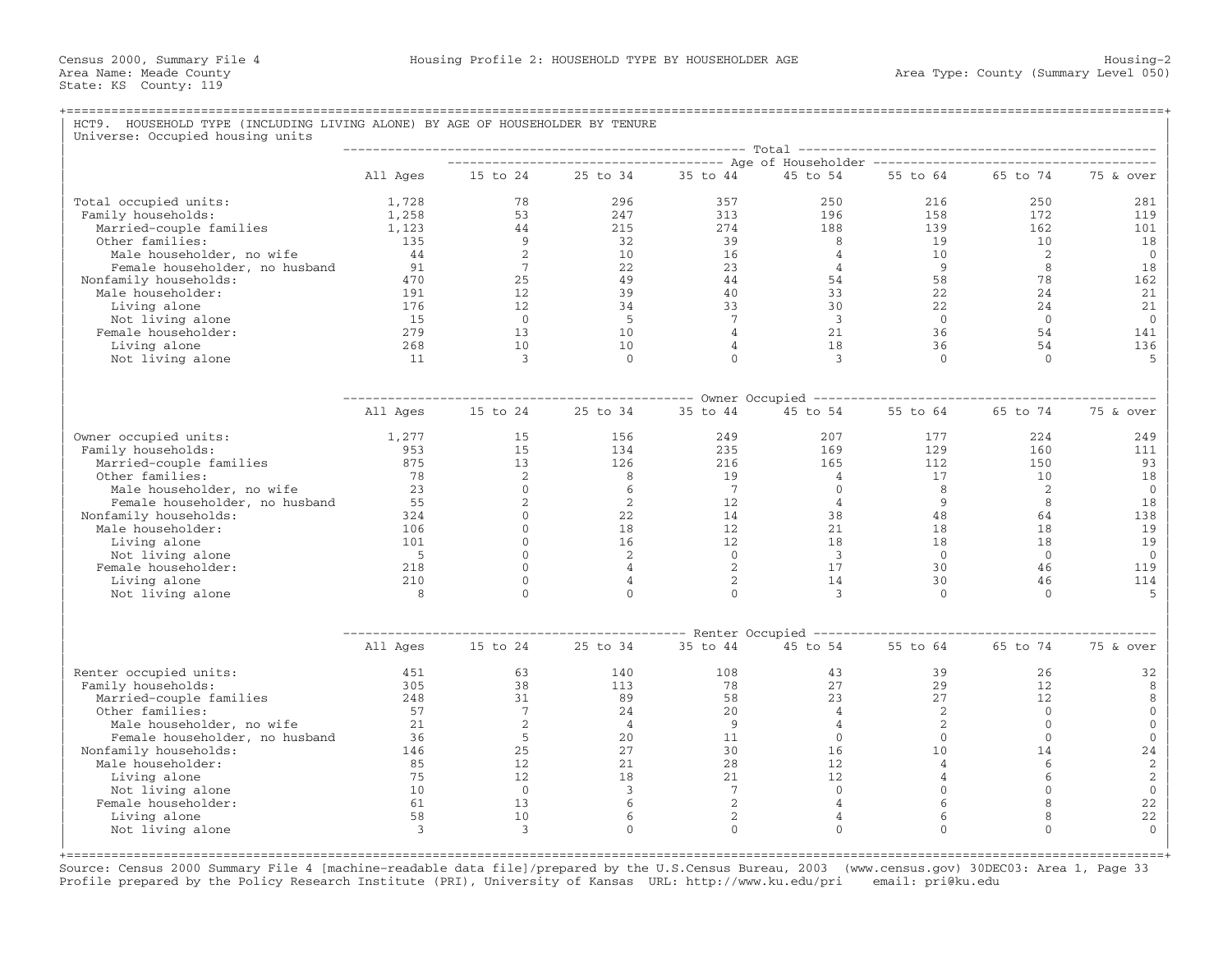## +===================================================================================================================================================+HCT9. HOUSEHOLD TYPE (INCLUDING LIVING ALONE) BY AGE OF HOUSEHOLDER BY TENURE | Universe: Occupied housing units |

|                                |          |                 |                |                 | Total                                                                        |                |                |                |
|--------------------------------|----------|-----------------|----------------|-----------------|------------------------------------------------------------------------------|----------------|----------------|----------------|
|                                | All Ages | 15 to 24        | 25 to 34       | 35 to 44        | ----------- Age of Householder ---------------------------------<br>45 to 54 | 55 to 64       | 65 to 74       | 75 & over      |
|                                |          |                 |                |                 |                                                                              |                |                |                |
| Total occupied units:          | 1,728    | 78              | 296            | 357             | 250                                                                          | 216            | 250            | 281            |
| Family households:             | 1,258    | 53              | 247            | 313             | 196                                                                          | 158            | 172            | 119            |
| Married-couple families        | 1,123    | 44              | 215            | 274             | 188                                                                          | 139            | 162            | 101            |
| Other families:                | 135      | -9              | 32             | 39              | 8                                                                            | 19             | 10             | 18             |
| Male householder, no wife      | 44       | 2               | 10             | 16              | $\overline{4}$                                                               | 10             | 2              | $\mathbf 0$    |
| Female householder, no husband | 91       | $7\phantom{.0}$ | 22             | 23              | $\overline{4}$                                                               | 9              | 8              | 18             |
| Nonfamily households:          | 470      | 25              | 49             | 44              | 54                                                                           | 58             | 78             | 162            |
| Male householder:              | 191      | 12              | 39             | 40              | 33                                                                           | 22             | 2.4            | 21             |
| Living alone                   | 176      | 12              | 34             | 33              | 30                                                                           | 22             | 24             | 21             |
| Not living alone               | 15       | $\overline{0}$  | $-5$           | $7\overline{ }$ | $\overline{3}$                                                               | $\overline{0}$ | $\overline{0}$ | $\mathbf{0}$   |
| Female householder:            | 279      | 13              | 10             | $\overline{4}$  | 21                                                                           | 36             | 54             | 141            |
| Living alone                   | 268      | 10              | 10             | 4               | 18                                                                           | 36             | 54             | 136            |
| Not living alone               | 11       | 3               | $\Omega$       | $\Omega$        | 3                                                                            | $\Omega$       | $\Omega$       | $\overline{5}$ |
|                                |          |                 |                |                 |                                                                              |                |                |                |
|                                |          |                 |                |                 | ------------ Owner Occupied -------                                          |                |                |                |
|                                | All Ages | 15 to 24        | 25 to 34       | 35 to 44        | 45 to 54                                                                     | 55 to 64       | 65 to 74       | 75 & over      |
| Owner occupied units:          | 1,277    | 15              | 156            | 249             | 207                                                                          | 177            | 224            | 249            |
| Family households:             | 953      | 15              | 134            | 235             | 169                                                                          | 129            | 160            | 111            |
| Married-couple families        | 875      | 13              | 126            | 216             | 165                                                                          | 112            | 150            | 93             |
| Other families:                | 78       | 2               | 8              | 19              | $\overline{4}$                                                               | 17             | 10             | 18             |
| Male householder, no wife      | 23       | $\Omega$        | 6              | $7\phantom{.0}$ | $\mathbf{0}$                                                                 | 8              | 2              | $\mathbf{0}$   |
| Female householder, no husband | 55       | 2               | 2              | 12              | $\overline{4}$                                                               | 9              | 8              | 18             |
| Nonfamily households:          | 324      | $\Omega$        | 22             | 14              | 38                                                                           | 48             | 64             | 138            |
| Male householder:              | 106      | $\Omega$        | 18             | 12              | 2.1                                                                          | 18             | 18             | 19             |
| Living alone                   | 101      | $\mathbf{0}$    | 16             | 12              | 18                                                                           | 18             | 18             | 19             |
| Not living alone               | $-5$     | $\Omega$        | 2              | $\overline{0}$  | $\overline{3}$                                                               | $\Omega$       | $\Omega$       | $\mathbf{0}$   |
| Female householder:            | 218      | $\Omega$        | $\overline{4}$ | 2               | 17                                                                           | 30             | 46             | 119            |
| Living alone                   | 210      | $\mathbf{0}$    | 4              | 2               | 14                                                                           | 30             | 46             | 114            |
| Not living alone               | 8        | $\Omega$        | $\Omega$       | $\Omega$        | $\mathbf{3}$                                                                 | $\Omega$       | $\Omega$       | 5              |
|                                |          |                 |                |                 |                                                                              |                |                |                |
|                                |          |                 |                |                 | ----- Renter Occupied -----------                                            |                |                |                |
|                                | All Ages | 15 to 24        | 25 to 34       | 35 to 44        | 45 to 54                                                                     | 55 to 64       | 65 to 74       | 75 & over      |
| Renter occupied units:         | 451      | 63              | 140            | 108             | 43                                                                           | 39             | 26             | 32             |
| Family households:             | 305      | 38              | 113            | 78              | 27                                                                           | 29             | 12             | 8              |
| Married-couple families        | 248      | 31              | 89             | 58              | 23                                                                           | 27             | 12             | 8              |
| Other families:                | 57       | $7\phantom{.0}$ | 24             | 20              | $\overline{4}$                                                               | 2              | $\mathbf{0}$   | $\mathbf{0}$   |
| Male householder, no wife      | 21       | 2               | $\overline{4}$ | 9               | $\overline{4}$                                                               | $\overline{2}$ | $\mathbf{0}$   | $\mathbf{0}$   |
| Female householder, no husband | 36       | 5               | 20             | 11              | $\overline{0}$                                                               | $\mathbf{0}$   | $\Omega$       | $\mathbf{0}$   |
| Nonfamily households:          | 146      | 25              | 27             | 30              | 16                                                                           | 10             | 14             | $2\,4$         |
| Male householder:              | 85       | 12              | 21             | 28              | 12                                                                           | $\overline{4}$ | 6              | $\sqrt{2}$     |
| Living alone                   | 75       | 12              | 18             | 21              | 12                                                                           | 4              | 6              | 2              |
| Not living alone               | 10       | $\overline{0}$  | 3              | 7               | $\mathbf{0}$                                                                 | $\mathbf{0}$   | $\mathbf{0}$   | $\mathbb O$    |
| Female householder:            | 61       | 13              | 6              | 2               | $\overline{4}$                                                               | 6              | 8              | 22             |
| Living alone                   | 58       | 10              | 6              | 2               | $\overline{4}$                                                               | 6              | 8              | 22             |
| Not living alone               | 3        | $\overline{3}$  | $\Omega$       | $\Omega$        | $\Omega$                                                                     | $\Omega$       | $\Omega$       | $\Omega$       |
|                                |          |                 |                |                 |                                                                              |                |                |                |

Source: Census 2000 Summary File 4 [machine−readable data file]/prepared by the U.S.Census Bureau, 2003 (www.census.gov) 30DEC03: Area 1, Page 33 Profile prepared by the Policy Research Institute (PRI), University of Kansas URL: http://www.ku.edu/pri email: pri@ku.edu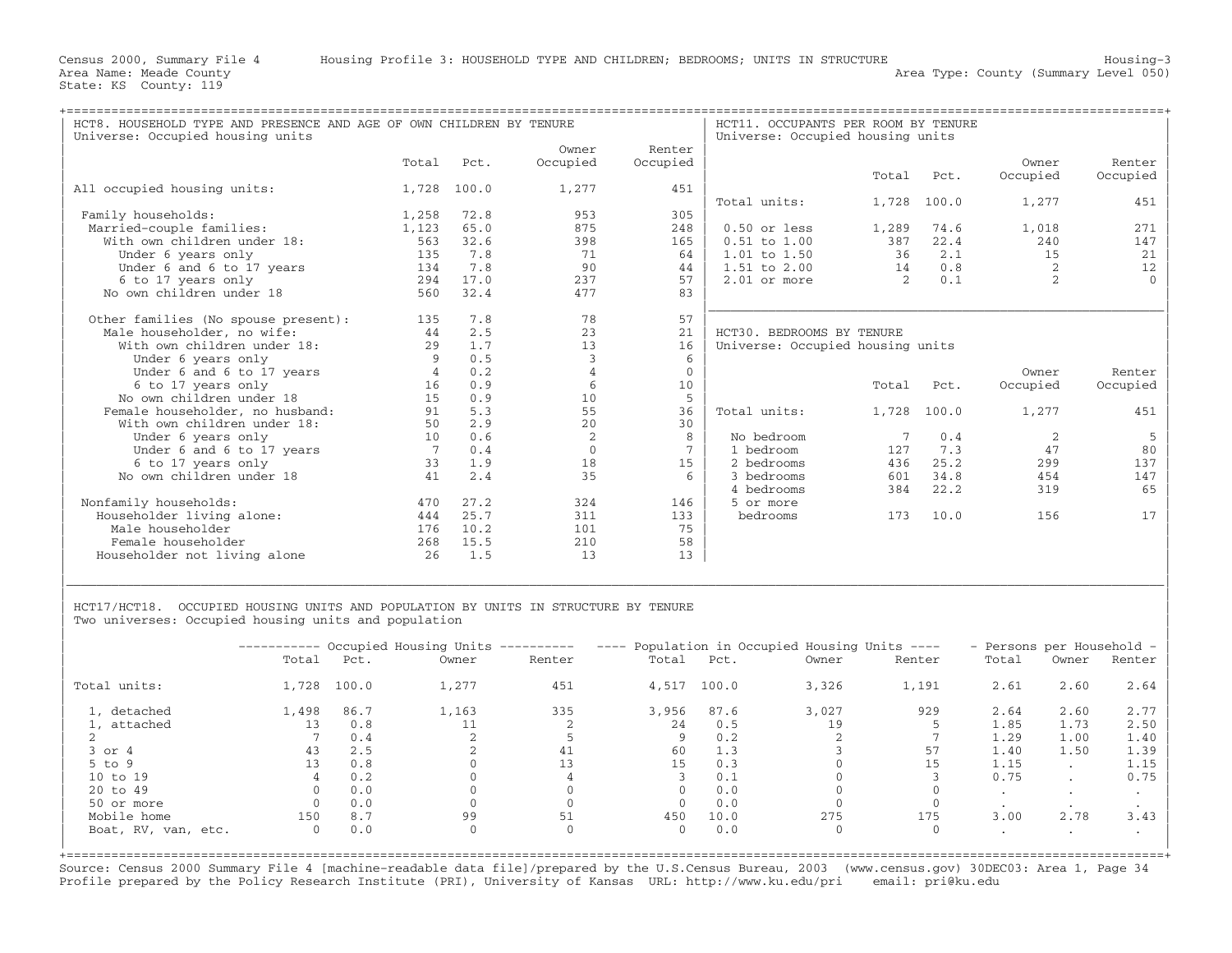| HCT8. HOUSEHOLD TYPE AND PRESENCE AND AGE OF OWN CHILDREN BY TENURE |       |       | HCT11. OCCUPANTS PER ROOM BY TENURE |              |                                  |               |       |                |          |
|---------------------------------------------------------------------|-------|-------|-------------------------------------|--------------|----------------------------------|---------------|-------|----------------|----------|
| Universe: Occupied housing units                                    |       |       |                                     |              | Universe: Occupied housing units |               |       |                |          |
|                                                                     |       |       | Owner                               | Renter       |                                  |               |       |                |          |
|                                                                     | Total | Pct.  | Occupied                            | Occupied     |                                  |               |       | Owner          | Renter   |
|                                                                     |       |       |                                     |              |                                  | Total         | Pct.  | Occupied       | Occupied |
| All occupied housing units:                                         | 1,728 | 100.0 | 1,277                               | 451          |                                  |               |       |                |          |
|                                                                     |       |       |                                     |              | Total units:                     | 1,728         | 100.0 | 1,277          | 451      |
| Family households:                                                  | 1,258 | 72.8  | 953                                 | 305          |                                  |               |       |                |          |
| Married-couple families:                                            | 1,123 | 65.0  | 875                                 | 248          | $0.50$ or less                   | 1,289         | 74.6  | 1,018          | 271      |
| With own children under 18:                                         | 563   | 32.6  | 398                                 | 165          | $0.51$ to $1.00$                 | 387           | 22.4  | 240            | 147      |
| Under 6 years only                                                  | 135   | 7.8   | 71                                  | 64           | $1.01$ to $1.50$                 | 36            | 2.1   | 15             | 21       |
| Under 6 and 6 to 17 years                                           | 134   | 7.8   | 90                                  | 44           | $1.51$ to $2.00$                 | 14            | 0.8   | 2              | 12       |
| 6 to 17 years only                                                  | 294   | 17.0  | 237                                 | 57           | $2.01$ or more                   | $\mathcal{L}$ | 0.1   | $\overline{2}$ |          |
| No own children under 18                                            | 560   | 32.4  | 477                                 | 83           |                                  |               |       |                |          |
|                                                                     |       |       |                                     |              |                                  |               |       |                |          |
| Other families (No spouse present):                                 | 135   | 7.8   | 78                                  | 57           |                                  |               |       |                |          |
| Male householder, no wife:                                          | 44    | 2.5   | 23                                  | 21           | HCT30. BEDROOMS BY TENURE        |               |       |                |          |
| With own children under 18:                                         | 29    | 1.7   | 13                                  | 16           | Universe: Occupied housing units |               |       |                |          |
| Under 6 years only                                                  | 9     | 0.5   | 3                                   | 6            |                                  |               |       |                |          |
| Under 6 and 6 to 17 years                                           | 4     | 0.2   | 4                                   | $\mathbf{0}$ |                                  |               |       | Owner          | Renter   |
| 6 to 17 years only                                                  | 16    | 0.9   | 6                                   | 10           |                                  | Total         | Pct.  | Occupied       | Occupied |
| No own children under 18                                            | 15    | 0.9   | 10                                  | 5            |                                  |               |       |                |          |
| Female householder, no husband:                                     | 91    | 5.3   | 55                                  | 36           | Total units:                     | 1,728         | 100.0 | 1,277          | 451      |
| With own children under 18:                                         | 50    | 2.9   | 20                                  | 30           |                                  |               |       |                |          |
| Under 6 years only                                                  | 10    | 0.6   | 2                                   | 8            | No bedroom                       |               | 0.4   | 2              | 5        |
| Under 6 and 6 to 17 years                                           |       | 0.4   | $\Omega$                            | 7            | 1 bedroom                        | 127           | 7.3   | 47             | 80       |
| 6 to 17 years only                                                  | 33    | 1.9   | 18                                  | 15           | 2 bedrooms                       | 436           | 25.2  | 299            | 137      |
| No own children under 18                                            | 41    | 2.4   | 35                                  | 6            | 3 bedrooms                       | 601           | 34.8  | 454            | 147      |
|                                                                     |       |       |                                     |              | 4 bedrooms                       | 384           | 22.2  | 319            | 65       |
| Nonfamily households:                                               | 470   | 27.2  | 324                                 | 146          | 5 or more                        |               |       |                |          |
| Householder living alone:                                           | 444   | 25.7  | 311                                 | 133          | bedrooms                         | 173           | 10.0  | 156            | 17       |
| Male householder                                                    | 176   | 10.2  | 101                                 | 75           |                                  |               |       |                |          |
| Female householder                                                  | 268   | 15.5  | 210                                 | 58           |                                  |               |       |                |          |
| Householder not living alone                                        | 26    | 1.5   | 13                                  | 13           |                                  |               |       |                |          |
|                                                                     |       |       |                                     |              |                                  |               |       |                |          |
|                                                                     |       |       |                                     |              |                                  |               |       |                |          |

HCT17/HCT18. OCCUPIED HOUSING UNITS AND POPULATION BY UNITS IN STRUCTURE BY TENURE Two universes: Occupied housing units and population

|                     |          |       | ---------- Occupied Housing Units ---------- |        | ---- Population in Occupied Housing Units ---- |       |          | - Persons per Household - |         |           |        |
|---------------------|----------|-------|----------------------------------------------|--------|------------------------------------------------|-------|----------|---------------------------|---------|-----------|--------|
|                     | Total    | Pct.  | Owner                                        | Renter | Total                                          | Pct.  | Owner    | Renter                    | Total   | Owner     | Renter |
| Total units:        | 1,728    | 100.0 | 1,277                                        | 451    | 4,517                                          | 100.0 | 3,326    | 1,191                     | 2.61    | 2.60      | 2.64   |
| 1, detached         | 1,498    | 86.7  | 1,163                                        | 335    | 3,956                                          | 87.6  | 3,027    | 929                       | 2.64    | 2.60      | 2.77   |
| 1, attached         |          | 0.8   |                                              |        | 24                                             | 0.5   | 19       |                           | 1.85    | 1.73      | 2.50   |
|                     |          | 0.4   |                                              |        |                                                | 0.2   |          |                           | 1.29    | 1.00      | 1.40   |
| $3$ or $4$          | 43       | 2.5   |                                              |        | 60                                             | 1.3   |          | 57                        | 1.40    | 1.50      | 1.39   |
| $5$ to $9$          |          | 0.8   |                                              | 13     | 15                                             | 0.3   |          | 15                        | 1.15    | $\cdot$   | 1.15   |
| 10 to 19            |          | 0.2   |                                              | 4      |                                                | 0.1   |          |                           | 0.75    | $\cdot$   | 0.75   |
| 20 to 49            |          | 0.0   |                                              |        |                                                | 0.0   |          |                           | $\cdot$ | $\cdot$   |        |
| 50 or more          |          | 0.0   |                                              |        |                                                | 0.0   |          |                           |         |           |        |
| Mobile home         | 150      | 8.7   | 99                                           |        | 450                                            | 10.0  | 275      | 175                       | 3.00    | 2.78      | 3.43   |
| Boat, RV, van, etc. | $\Omega$ | 0.0   | $\Omega$                                     | 0      | $\Omega$                                       | 0.0   | $\Omega$ |                           | $\cdot$ | $\bullet$ |        |

|\_\_\_\_\_\_\_\_\_\_\_\_\_\_\_\_\_\_\_\_\_\_\_\_\_\_\_\_\_\_\_\_\_\_\_\_\_\_\_\_\_\_\_\_\_\_\_\_\_\_\_\_\_\_\_\_\_\_\_\_\_\_\_\_\_\_\_\_\_\_\_\_\_\_\_\_\_\_\_\_\_\_\_\_\_\_\_\_\_\_\_\_\_\_\_\_\_\_\_\_\_\_\_\_\_\_\_\_\_\_\_\_\_\_\_\_\_\_\_\_\_\_\_\_\_\_\_\_\_\_\_\_\_\_\_\_\_\_\_\_\_\_\_\_\_\_\_| | |

+===================================================================================================================================================+Source: Census 2000 Summary File 4 [machine−readable data file]/prepared by the U.S.Census Bureau, 2003 (www.census.gov) 30DEC03: Area 1, Page 34 Profile prepared by the Policy Research Institute (PRI), University of Kansas URL: http://www.ku.edu/pri email: pri@ku.edu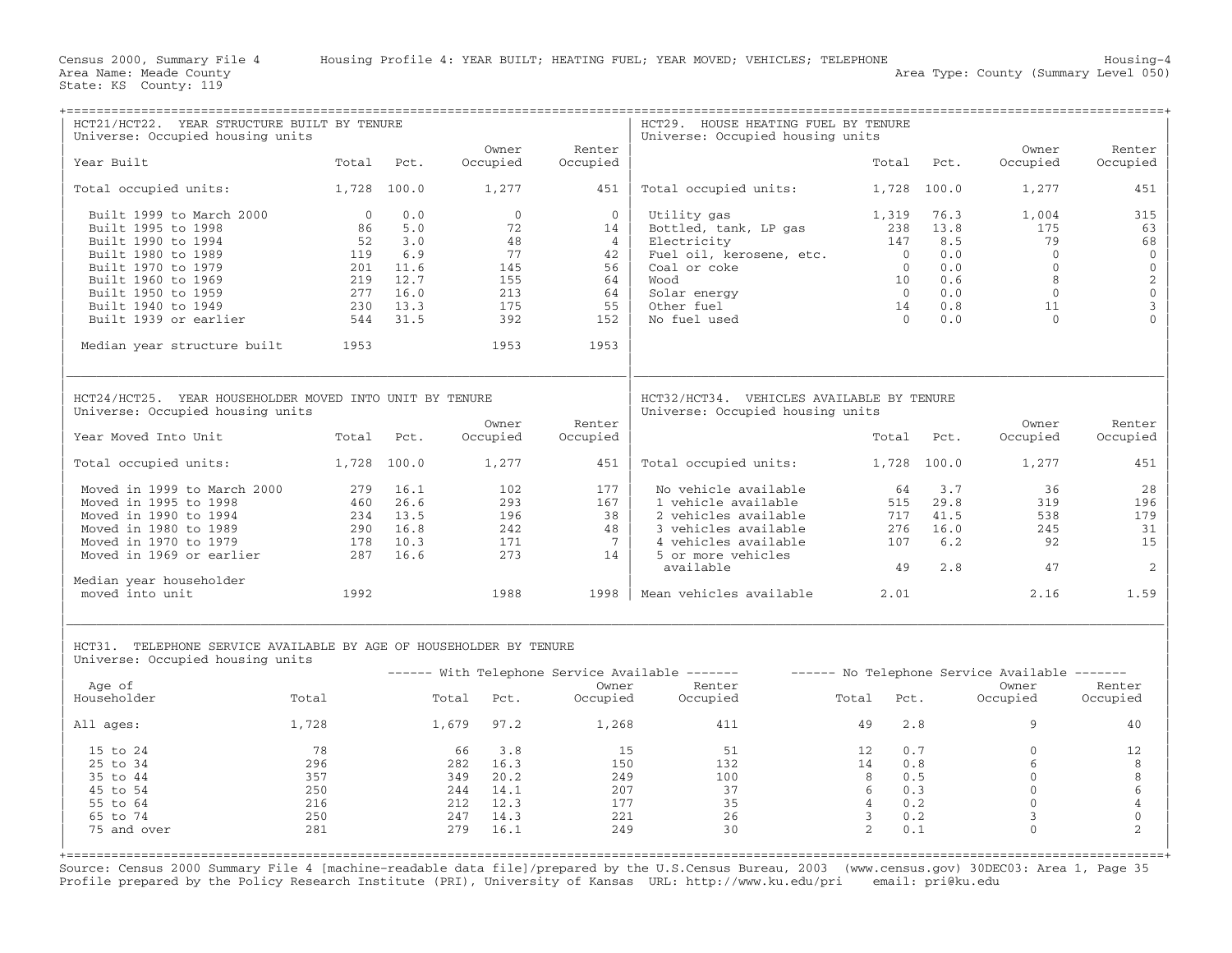| HCT21/HCT22. YEAR STRUCTURE BUILT BY TENURE<br>Universe: Occupied housing units                                  |             |              |                            |                    | HCT29. HOUSE HEATING FUEL BY TENURE<br>Universe: Occupied housing units       |                     |                  |                                                        |                                      |
|------------------------------------------------------------------------------------------------------------------|-------------|--------------|----------------------------|--------------------|-------------------------------------------------------------------------------|---------------------|------------------|--------------------------------------------------------|--------------------------------------|
| Year Built                                                                                                       | Total       | Pct.         | Owner<br>Occupied          | Renter<br>Occupied |                                                                               | Total               |                  | Owner<br>Occupied<br>Pct.                              | Renter<br>Occupied                   |
| Total occupied units:                                                                                            | 1,728 100.0 |              | 1,277                      | 451                | Total occupied units:                                                         |                     | 1,728 100.0      | 1,277                                                  | 451                                  |
| Built 1999 to March 2000                                                                                         | $\bigcirc$  | 0.0          | $\Omega$                   | $\Omega$           | Utility gas                                                                   | 1,319               |                  | 76.3<br>1,004                                          | 315                                  |
| Built 1995 to 1998                                                                                               | 86          | 5.0          | 72                         | 14                 | Bottled, tank, LP gas                                                         | 238                 |                  | 13.8<br>175                                            | 63                                   |
| Built 1990 to 1994                                                                                               | 52          | 3.0          | 48                         | $\overline{4}$     | Electricity                                                                   | 147                 |                  | 8.5<br>79                                              | 68                                   |
| Built 1980 to 1989                                                                                               | 119         | 6.9          | 77                         | 42                 | Fuel oil, kerosene, etc.                                                      | $\overline{0}$      |                  | 0.0<br>$\Omega$                                        | $\mathbb O$                          |
| Built 1970 to 1979                                                                                               | 201         | 11.6         | 145                        | 56                 | Coal or coke                                                                  |                     | $\overline{0}$   | 0.0<br>$\overline{0}$                                  | $\mathbb O$                          |
| Built 1960 to 1969                                                                                               | 219         | 12.7         | 155                        | 64                 | booM                                                                          |                     | 10               | 8<br>0.6                                               | $\begin{matrix} 2 \\ 0 \end{matrix}$ |
| Built 1950 to 1959<br>Built 1940 to 1949                                                                         | 277<br>230  | 16.0<br>13.3 | 213<br>175                 | 64<br>55           | Solar energy<br>Other fuel                                                    |                     | $\bigcirc$<br>14 | 0.0<br>$\Omega$<br>0.8<br>11                           | 3                                    |
| Built 1939 or earlier                                                                                            | 544         | 31.5         | 392                        | 152                | No fuel used                                                                  |                     | $\Omega$         | 0.0<br>$\Omega$                                        |                                      |
| Median year structure built                                                                                      | 1953        |              | 1953                       | 1953               |                                                                               |                     |                  |                                                        |                                      |
| HCT24/HCT25. YEAR HOUSEHOLDER MOVED INTO UNIT BY TENURE<br>Universe: Occupied housing units                      |             |              | Owner                      | Renter             | HCT32/HCT34. VEHICLES AVAILABLE BY TENURE<br>Universe: Occupied housing units |                     |                  | Owner                                                  | Renter                               |
| Year Moved Into Unit                                                                                             | Total       | Pct.         | Occupied                   | Occupied           |                                                                               | Total               |                  | Occupied<br>Pct.                                       | Occupied                             |
| Total occupied units:                                                                                            | 1,728 100.0 |              | 1,277                      | 451                | Total occupied units:                                                         |                     | 1,728 100.0      | 1,277                                                  | 451                                  |
| Moved in 1999 to March 2000                                                                                      | 279         | 16.1         | 102                        | 177                | No vehicle available                                                          |                     | 64               | 3.7<br>36                                              | 28                                   |
| Moved in 1995 to 1998                                                                                            | 460         | 26.6         | 293                        | 167                | 1 vehicle available                                                           |                     | 515              | 29.8<br>319                                            | 196                                  |
| Moved in 1990 to 1994                                                                                            | 234         | 13.5         | 196                        | 38                 | 2 vehicles available                                                          |                     | 717              | 41.5<br>538                                            | 179                                  |
| Moved in 1980 to 1989                                                                                            | 290         | 16.8         | 242                        | 48                 | 3 vehicles available                                                          |                     | 276              | 16.0<br>245                                            | 31                                   |
| Moved in 1970 to 1979                                                                                            | 178         | 10.3         | 171                        | 7                  | 4 vehicles available                                                          |                     | 107              | 6.2<br>92                                              | 15                                   |
| Moved in 1969 or earlier                                                                                         | 287         | 16.6         | 273                        | 14                 | 5 or more vehicles<br>available                                               |                     | 49               | 2.8<br>47                                              | 2                                    |
| Median year householder                                                                                          |             |              |                            |                    |                                                                               |                     |                  |                                                        |                                      |
| moved into unit                                                                                                  | 1992        |              | 1988                       | 1998               | Mean vehicles available                                                       | 2.01                |                  | 2.16                                                   | 1.59                                 |
| HCT31. TELEPHONE SERVICE AVAILABLE BY AGE OF HOUSEHOLDER BY TENURE<br>Universe: Occupied housing units<br>Age of |             |              |                            | Owner              | ------ With Telephone Service Available -------<br>Renter                     |                     |                  | ------ No Telephone Service Available -------<br>Owner | Renter                               |
| Householder                                                                                                      | Total       |              | Total<br>Pct.              | Occupied           | Occupied                                                                      | Total               | Pct.             | Occupied                                               | Occupied                             |
| All ages:                                                                                                        | 1,728       |              | 1,679 97.2                 | 1,268              | 411                                                                           | 49                  | 2.8              | 9                                                      | 40                                   |
| 15 to 24                                                                                                         | 78          |              | 3.8<br>66                  | 15                 | 51                                                                            | 12                  | 0.7              | $\mathbf{0}$                                           | 12                                   |
| 25 to 34                                                                                                         | 296         |              | 16.3<br>282                | 150                | 132                                                                           | 14                  | 0.8              | 6                                                      | 8                                    |
| 35 to 44                                                                                                         | 357         |              | 349 20.2                   | 249                | 100                                                                           | 8                   | 0.5              | $\mathbb O$                                            | 8                                    |
| 45 to 54                                                                                                         | 250         |              | 244<br>14.1                | 207                | 37                                                                            | 6                   | 0.3              | $\mathbf{0}$                                           | 6                                    |
| 55 to 64<br>65 to 74                                                                                             | 216<br>250  |              | 212<br>12.3<br>247<br>14.3 | 177<br>221         | 35<br>26                                                                      | $\overline{4}$<br>3 | 0.2<br>0.2       | $\mathbf{0}$<br>3                                      | $\overline{4}$<br>$\mathbf{0}$       |
| 75 and over                                                                                                      | 281         |              | 279<br>16.1                | 249                | 30                                                                            | $\mathfrak{D}$      | 0.1              | $\Omega$                                               | $\mathfrak{D}$                       |
|                                                                                                                  |             |              |                            |                    |                                                                               |                     |                  |                                                        |                                      |

Source: Census 2000 Summary File 4 [machine−readable data file]/prepared by the U.S.Census Bureau, 2003 (www.census.gov) 30DEC03: Area 1, Page 35 Profile prepared by the Policy Research Institute (PRI), University of Kansas URL: http://www.ku.edu/pri email: pri@ku.edu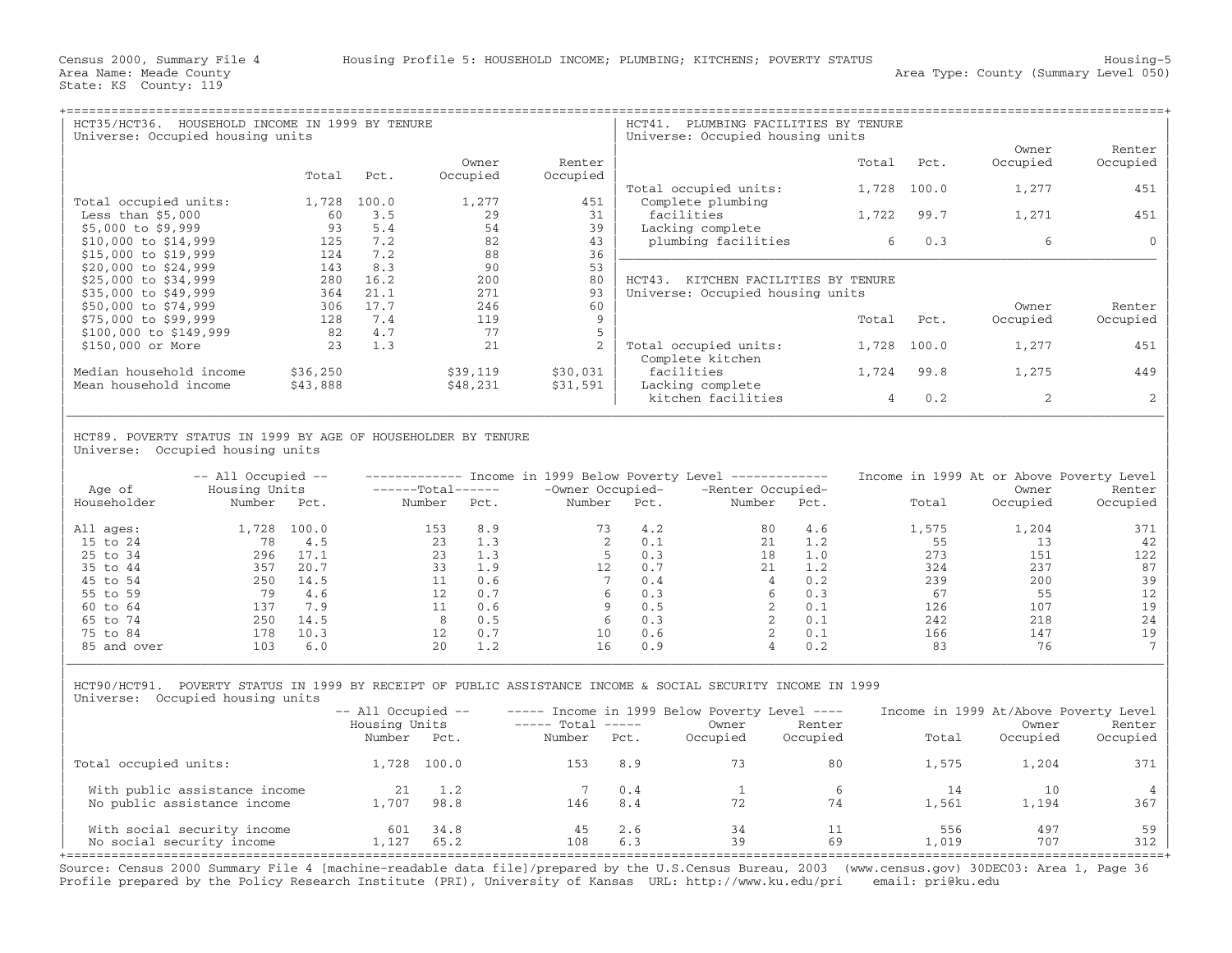| HCT35/HCT36.<br>HOUSEHOLD INCOME IN 1999 BY TENURE<br>Universe: Occupied housing units |          |       |          |          | HCT41.<br>PLUMBING FACILITIES BY TENURE<br>Universe: Occupied housing units |       |       |                |          |  |  |
|----------------------------------------------------------------------------------------|----------|-------|----------|----------|-----------------------------------------------------------------------------|-------|-------|----------------|----------|--|--|
|                                                                                        |          |       |          |          |                                                                             |       |       | Owner          | Renter   |  |  |
|                                                                                        |          |       | Owner    | Renter   |                                                                             | Total | Pct.  | Occupied       | Occupied |  |  |
|                                                                                        | Total    | Pct.  | Occupied | Occupied |                                                                             |       |       |                |          |  |  |
|                                                                                        |          |       |          |          | Total occupied units:                                                       | 1,728 | 100.0 | 1,277          | 451      |  |  |
| Total occupied units:                                                                  | 1,728    | 100.0 | 1,277    | 451      | Complete plumbing                                                           |       |       |                |          |  |  |
| Less than $$5,000$                                                                     | 60       | 3.5   | 29       | 31       | facilities                                                                  | 1,722 | 99.7  | 1,271          | 451      |  |  |
| $$5,000$ to \$9,999                                                                    | 93       | 5.4   | 54       | 39       | Lacking complete                                                            |       |       |                |          |  |  |
| \$10,000 to \$14,999                                                                   | 125      | 7.2   | 82       | 43       | plumbing facilities                                                         | 6     | 0.3   | 6              |          |  |  |
| $$15,000$ to $$19,999$                                                                 | 124      | 7.2   | 88       | 36       |                                                                             |       |       |                |          |  |  |
| \$20,000 to \$24,999                                                                   | 143      | 8.3   | 90       | 53       |                                                                             |       |       |                |          |  |  |
| \$25,000 to \$34,999                                                                   | 280      | 16.2  | 200      | 80       | HCT43.<br>KITCHEN FACILITIES BY TENURE                                      |       |       |                |          |  |  |
| \$35,000 to \$49,999                                                                   | 364      | 21.1  | 271      | 93       | Universe: Occupied housing units                                            |       |       |                |          |  |  |
| \$50,000 to \$74,999                                                                   | 306      | 17.7  | 246      | 60       |                                                                             |       |       | Owner          | Renter   |  |  |
| \$75,000 to \$99,999                                                                   | 128      | 7.4   | 119      | 9        |                                                                             | Total | Pct.  | Occupied       | Occupied |  |  |
| $$100,000$ to $$149,999$                                                               | 82       | 4.7   | 77       |          |                                                                             |       |       |                |          |  |  |
| \$150,000 or More                                                                      | 23       | 1.3   | 21       |          | Total occupied units:                                                       | 1,728 | 100.0 | 1,277          | 451      |  |  |
|                                                                                        |          |       |          |          | Complete kitchen                                                            |       |       |                |          |  |  |
| Median household income                                                                | \$36,250 |       | \$39,119 | \$30,031 | facilities                                                                  | 1,724 | 99.8  | 1,275          | 449      |  |  |
| Mean household income                                                                  | \$43,888 |       | \$48,231 | \$31,591 | Lacking complete                                                            |       |       |                |          |  |  |
|                                                                                        |          |       |          |          | kitchen facilities                                                          | 4     | 0.2   | $\mathfrak{D}$ |          |  |  |

| | HCT89. POVERTY STATUS IN 1999 BY AGE OF HOUSEHOLDER BY TENURE Universe: Occupied housing units

| Age of      | $--$ All Occupied $--$<br>Housing Units |       | $---Total---$ |      | Income in 1999 Below Poverty Level<br>-Owner Occupied- |      | ______________<br>-Renter Occupied- |      | Income in 1999 At or Above Poverty Level | Owner    | Renter   |
|-------------|-----------------------------------------|-------|---------------|------|--------------------------------------------------------|------|-------------------------------------|------|------------------------------------------|----------|----------|
| Householder | Number                                  | Pct.  | Number        | Pct. | Number                                                 | Pct. | Number                              | Pct. | Total                                    | Occupied | Occupied |
| All ages:   | 1,728                                   | 100.0 | 153           | 8.9  | 73                                                     | 4.2  | 80                                  | 4.6  | 1,575                                    | 1,204    | 371      |
| 15 to 24    | 78                                      | 4.5   | 23            | 1.3  |                                                        | 0.1  | 2.1                                 | 1.2  | 55                                       | 13       | 42       |
| 25 to 34    | 296                                     | 17.1  | 23            | 1.3  |                                                        | 0.3  | 18                                  | 1.0  | 273                                      | 151      | 122      |
| 35 to 44    | 357                                     | 20.7  | 33            | 1.9  | 12                                                     | 0.7  | 21                                  | 1.2  | 324                                      | 237      | 87       |
| 45 to 54    | 250                                     | 14.5  |               | 0.6  |                                                        | 0.4  | 4                                   | 0.2  | 239                                      | 200      | 39       |
| 55 to 59    | 79                                      | 4.6   | 12.           | 0.7  |                                                        | 0.3  |                                     | 0.3  | 67                                       | 55       | 12       |
| 60 to 64    | 137                                     | 7.9   |               | 0.6  |                                                        | 0.5  |                                     | 0.1  | 126                                      | 107      | 19       |
| 65 to 74    | 250                                     | 14.5  |               | 0.5  | h                                                      | 0.3  |                                     | 0.1  | 242                                      | 218      | 24       |
| 75 to 84    | 178                                     | 10.3  | 12            | 0.7  | 10                                                     | 0.6  |                                     | 0.1  | 166                                      | 147      | 19       |
| 85 and over | 103                                     | 6.0   | 20            | 1.2  | 16                                                     | 0.9  | 4                                   | 0.2  | 83                                       | 76       |          |

| |

| HCT90/HCT91. POVERTY STATUS IN 1999 BY RECEIPT OF PUBLIC ASSISTANCE INCOME & SOCIAL SECURITY INCOME IN 1999 | Universe: Occupied housing units

|                                                          | $--$ All Occupied $--$  |              |                             |            | $---$ Income in 1999 Below Poverty Level $---$ |                    | Income in 1999 At/Above Poverty Level |                   |                    |  |
|----------------------------------------------------------|-------------------------|--------------|-----------------------------|------------|------------------------------------------------|--------------------|---------------------------------------|-------------------|--------------------|--|
|                                                          | Housing Units<br>Number | Pct.         | $---$ Total $---$<br>Number | Pct.       | Owner<br>Occupied                              | Renter<br>Occupied | Total                                 | Owner<br>Occupied | Renter<br>Occupied |  |
| Total occupied units:                                    |                         | 1,728 100.0  | 153                         | 8.9        |                                                | 80                 | 1,575                                 | 1,204             | 371                |  |
| With public assistance income                            |                         | 1.2          |                             | 0.4        |                                                |                    | 14                                    | 10                |                    |  |
| No public assistance income                              | 1,707                   | 98.8         | 146                         | 8.4        |                                                | 74                 | 1,561                                 | 1,194             | 367                |  |
| With social security income<br>No social security income | 601<br>1,127            | 34.8<br>65.2 | 108                         | 2.6<br>6.3 | 34<br>39                                       | 69                 | 556<br>⊥,019                          | 497<br>707        | 59  <br>312        |  |

Source: Census 2000 Summary File 4 [machine−readable data file]/prepared by the U.S.Census Bureau, 2003 (www.census.gov) 30DEC03: Area 1, Page 36 Profile prepared by the Policy Research Institute (PRI), University of Kansas URL: http://www.ku.edu/pri email: pri@ku.edu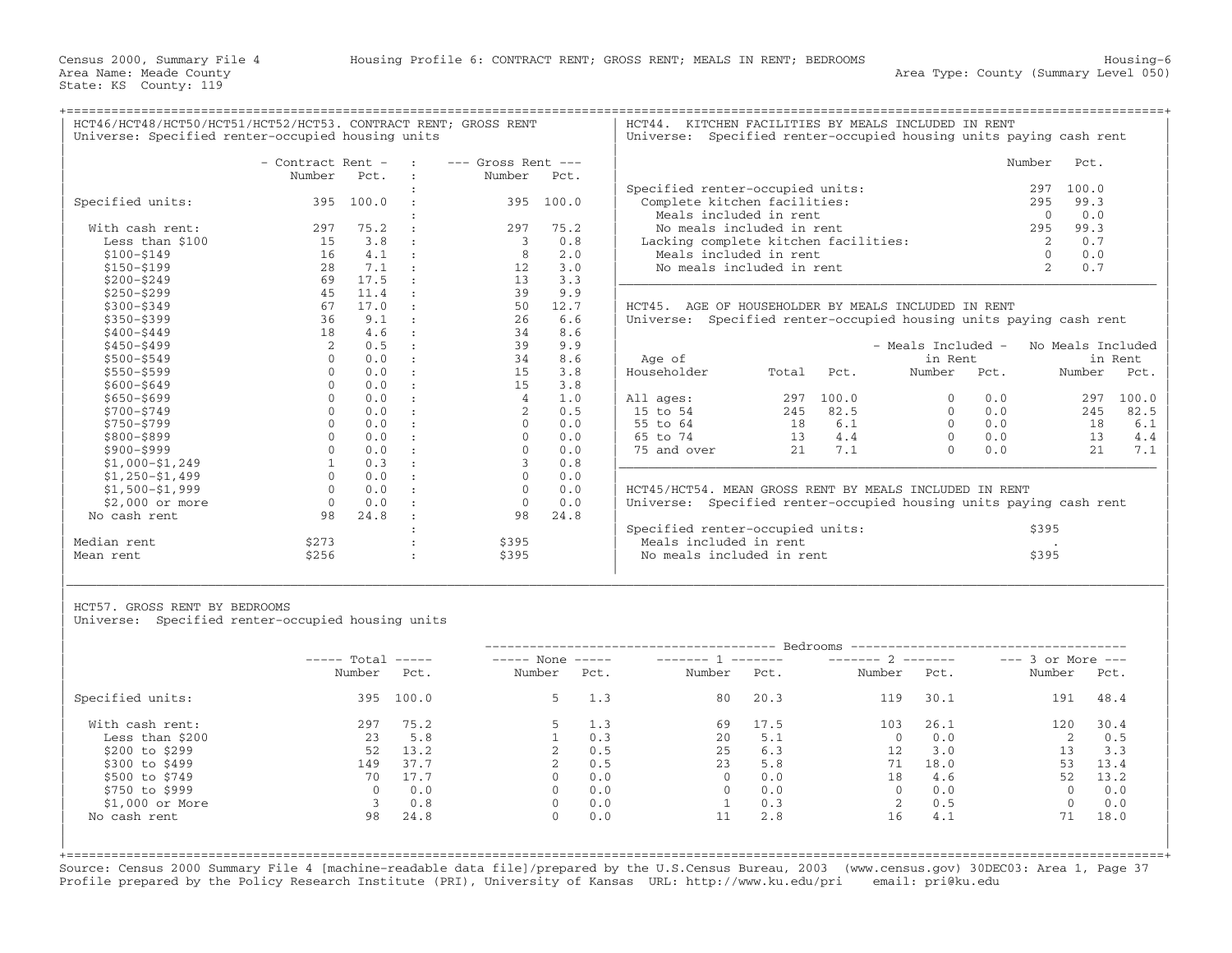+===================================================================================================================================================+

HCT46/HCT48/HCT50/HCT51/HCT52/HCT53. CONTRACT RENT; GROSS RENT | HCT44. KITCHEN FACILITIES BY MEALS INCLUDED IN RENT<br>| Universe: Specified renter-occupied housing units | Universe: Specified renter-occupied housing units p

Universe: Specified renter-occupied housing units paying cash rent

|                   | - Contract Rent - |       | $---$ Gross Rent $---$ |       |             |                                                                    |       |                    | Number<br>Pct. |                       |         |
|-------------------|-------------------|-------|------------------------|-------|-------------|--------------------------------------------------------------------|-------|--------------------|----------------|-----------------------|---------|
|                   | Number            | Pct.  | Number                 | Pct.  |             |                                                                    |       |                    |                |                       |         |
|                   |                   |       |                        |       |             | Specified renter-occupied units:                                   |       |                    |                | 100.0<br>297          |         |
| Specified units:  | 395               | 100.0 | 395                    | 100.0 |             | Complete kitchen facilities:                                       |       |                    |                | 99.3<br>295           |         |
|                   |                   |       |                        |       |             | Meals included in rent                                             |       |                    |                | 0.0<br>$\Omega$       |         |
| With cash rent:   | 297               | 75.2  | 297                    | 75.2  |             | No meals included in rent                                          |       |                    |                | 295<br>99.3           |         |
| Less than \$100   | 15                | 3.8   | 3                      | 0.8   |             | Lacking complete kitchen facilities:                               |       |                    |                | 0.7                   |         |
| $$100 - $149$     | 16                | 4.1   | 8                      | 2.0   |             | Meals included in rent                                             |       |                    |                | 0.0                   |         |
| $$150 - $199$     | 28                | 7.1   | 12                     | 3.0   |             | No meals included in rent                                          |       |                    |                | $\overline{2}$<br>0.7 |         |
| $$200 - $249$     | 69                | 17.5  | 13                     | 3.3   |             |                                                                    |       |                    |                |                       |         |
| $$250 - $299$     | 45                | 11.4  | 39                     | 9.9   |             |                                                                    |       |                    |                |                       |         |
| $$300 - $349$     | 67                | 17.0  | 50                     | 12.7  |             | HCT45. AGE OF HOUSEHOLDER BY MEALS INCLUDED IN RENT                |       |                    |                |                       |         |
| $$350 - $399$     | 36                | 9.1   | 26                     | 6.6   |             | Universe: Specified renter-occupied housing units paying cash rent |       |                    |                |                       |         |
| $$400 - $449$     | 18                | 4.6   | 34                     | 8.6   |             |                                                                    |       |                    |                |                       |         |
| $$450 - $499$     | 2                 | 0.5   | 39                     | 9.9   |             |                                                                    |       | - Meals Included - |                | No Meals Included     |         |
| $$500 - $549$     | $\Omega$          | 0.0   | 34                     | 8.6   | Age of      |                                                                    |       | in Rent            |                |                       | in Rent |
| \$550-\$599       | $\Omega$          | 0.0   | 15                     | 3.8   | Householder | Total                                                              | Pct.  | Number             | Pct.           | Number                | Pct.    |
| $$600 - $649$     |                   | 0.0   | 15                     | 3.8   |             |                                                                    |       |                    |                |                       |         |
| $$650 - $699$     |                   | 0.0   | 4                      | 1.0   | All ages:   | 297                                                                | 100.0 |                    | 0.0            | 297                   | 100.0   |
| $$700 - $749$     | $\Omega$          | 0.0   |                        | 0.5   | 15 to 54    | 245                                                                | 82.5  | $\Omega$           | 0.0            | 245                   | 82.5    |
| \$750-\$799       |                   | 0.0   |                        | 0.0   | 55 to 64    | 18                                                                 | 6.1   |                    | 0.0            | 18                    | 6.1     |
| \$800-\$899       | $\Omega$          | 0.0   | $\Omega$               | 0.0   | 65 to 74    | 13                                                                 | 4.4   | $\Omega$           | 0.0            | 13                    | 4.4     |
| \$900-\$999       |                   | 0.0   |                        | 0.0   | 75 and over | 2.1                                                                | 7.1   |                    | 0.0            | 21                    | 7.1     |
| $$1,000-S1,249$   |                   | 0.3   |                        | 0.8   |             |                                                                    |       |                    |                |                       |         |
| $$1,250-51,499$   | $\Omega$          | 0.0   | $\Omega$               | 0.0   |             |                                                                    |       |                    |                |                       |         |
| $$1,500 - $1,999$ |                   | 0.0   |                        | 0.0   |             | HCT45/HCT54. MEAN GROSS RENT BY MEALS INCLUDED IN RENT             |       |                    |                |                       |         |
| $$2.000$ or more  | $\Omega$          | 0.0   | $\Omega$               | 0.0   |             | Universe: Specified renter-occupied housing units paying cash rent |       |                    |                |                       |         |
| No cash rent      | 98                | 24.8  | 98                     | 24.8  |             |                                                                    |       |                    |                |                       |         |
|                   |                   |       |                        |       |             | Specified renter-occupied units:                                   |       |                    |                | \$395                 |         |
| Median rent       | \$273             |       | \$395                  |       |             | Meals included in rent                                             |       |                    |                |                       |         |
| Mean rent         | \$256             |       | \$395                  |       |             | No meals included in rent                                          |       |                    |                | \$395                 |         |

|                  | - Contract Rent -   |           | $\sim$ $\sim$ $\sim$ $\sim$ | $---$ Gross Rent $---$ |           |                                      | Number | Pct.  |
|------------------|---------------------|-----------|-----------------------------|------------------------|-----------|--------------------------------------|--------|-------|
|                  | Number              | Pct.      |                             | Number                 | Pct.      |                                      |        |       |
|                  |                     |           |                             |                        |           | Specified renter-occupied units:     | 297    | 100.0 |
| Specified units: |                     | 395 100.0 |                             |                        | 395 100.0 | Complete kitchen facilities:         | 295    | 99.3  |
|                  |                     |           |                             |                        |           | Meals included in rent               |        | 0.0   |
| With cash rent:  | 297                 | 75.2      |                             | 297                    | 75.2      | No meals included in rent            | 295    | 99.3  |
| Less than \$100  | 15.                 | 3.8       |                             |                        | 0.8       | Lacking complete kitchen facilities: |        | 0.7   |
| \$100-\$149      | 16                  | 4.1       |                             |                        | 2.0       | Meals included in rent               |        | 0.0   |
| $$150 - $199$    | 28                  | 7.1       |                             |                        | 3.0       | No meals included in rent            |        | 0.7   |
| ches concs       | $\epsilon$ $\Omega$ | 17 E      |                             |                        |           |                                      |        |       |

DER BY MEALS INCLUDED IN RENT enter-occupied housing units paying cash rent

| Age of      |       |       | - Meals Included -<br>in Rent                  |             | No Meals Included | in Rent |  |  |  |
|-------------|-------|-------|------------------------------------------------|-------------|-------------------|---------|--|--|--|
| Householder | Total | Pct.  | Number                                         | Pct.        | Number            | Pct.    |  |  |  |
| All ages:   | 297   | 100.0 | $\Omega$                                       | 0.0         | 297               | 100.0   |  |  |  |
| 15 to 54    | 245   | 82.5  |                                                | 0.0         | 245               | 82.5    |  |  |  |
| 55 to 64    | 18    | 6.1   | $\Omega$                                       | 0.0         | 18                | 6.1     |  |  |  |
| 65 to 74    | 13    | 4.4   |                                                | 0.0         | 13                | 4.4     |  |  |  |
| 75 and over | 2.1   | 7.1   |                                                | 0.0         | 2.1               | 7.1     |  |  |  |
|             |       |       | HCT45/HCT54. MEAN GROSS RENT BY MEALS INCLUDED | RENT<br>IN. |                   |         |  |  |  |

|             |       |       | Specified renter-occupied units: | \$395 |
|-------------|-------|-------|----------------------------------|-------|
| Median rent |       | \$395 | Meals included in rent           |       |
| Mean rent   | \$256 | \$395 | No meals included in rent        | \$395 |
|             |       |       |                                  |       |

| | HCT57. GROSS RENT BY BEDROOMS

Universe: Specified renter-occupied housing units

|                  | $---$ Total | $\qquad \qquad - - - - -$ | $---$ None | $\qquad \qquad - - - - -$ |          | -- Bedrooms<br>________ | $------ 2$  |      | $---$ 3 or More $---$ |      |
|------------------|-------------|---------------------------|------------|---------------------------|----------|-------------------------|-------------|------|-----------------------|------|
|                  | Number      | Pct.                      | Number     | Pct.                      | Number   | Pct.                    | Number      | Pct. | Number                | Pct. |
| Specified units: | 395         | 100.0                     | 5.         | 1.3                       | 80       | 20.3                    | 119         | 30.1 | 191                   | 48.4 |
| With cash rent:  | 297         | 75.2                      |            | 1.3                       | 69       | 17.5                    | 103         | 26.1 | 120                   | 30.4 |
| Less than \$200  | 23          | 5.8                       |            | 0.3                       | 20       | 5.1                     | $\mathbf 0$ | 0.0  |                       | 0.5  |
| \$200 to \$299   | 52          | 13.2                      |            | 0.5                       | 25       | 6.3                     | 12          | 3.0  | 13                    | 3.3  |
| \$300 to \$499   | 149         | 37.7                      |            | 0.5                       | 23       | 5.8                     | 71          | 18.0 | 53                    | 13.4 |
| \$500 to \$749   | 70          | 17.7                      | $\Omega$   | 0.0                       | $\Omega$ | 0.0                     | 18          | 4.6  | 52                    | 13.2 |
| \$750 to \$999   |             | 0.0                       | $\Omega$   | 0.0                       |          | 0.0                     | $\Omega$    | 0.0  | $\Omega$              | 0.0  |
| $$1,000$ or More |             | 0.8                       | $\Omega$   | 0.0                       |          | 0.3                     | 2           | 0.5  | $\mathbf{0}$          | 0.0  |
| No cash rent     | 98          | 24.8                      | 0          | 0.0                       | 11       | 2.8                     | 16          | 4.1  | 71                    | 18.0 |

|\_\_\_\_\_\_\_\_\_\_\_\_\_\_\_\_\_\_\_\_\_\_\_\_\_\_\_\_\_\_\_\_\_\_\_\_\_\_\_\_\_\_\_\_\_\_\_\_\_\_\_\_\_\_\_\_\_\_\_\_\_\_\_\_\_\_\_\_\_\_\_\_\_\_\_\_\_\_\_\_\_\_\_\_\_\_\_\_\_\_\_\_\_\_\_\_\_\_\_\_\_\_\_\_\_\_\_\_\_\_\_\_\_\_\_\_\_\_\_\_\_\_\_\_\_\_\_\_\_\_\_\_\_\_\_\_\_\_\_\_\_\_\_\_\_\_\_|

+===================================================================================================================================================+Source: Census 2000 Summary File 4 [machine−readable data file]/prepared by the U.S.Census Bureau, 2003 (www.census.gov) 30DEC03: Area 1, Page 37 Profile prepared by the Policy Research Institute (PRI), University of Kansas URL: http://www.ku.edu/pri email: pri@ku.edu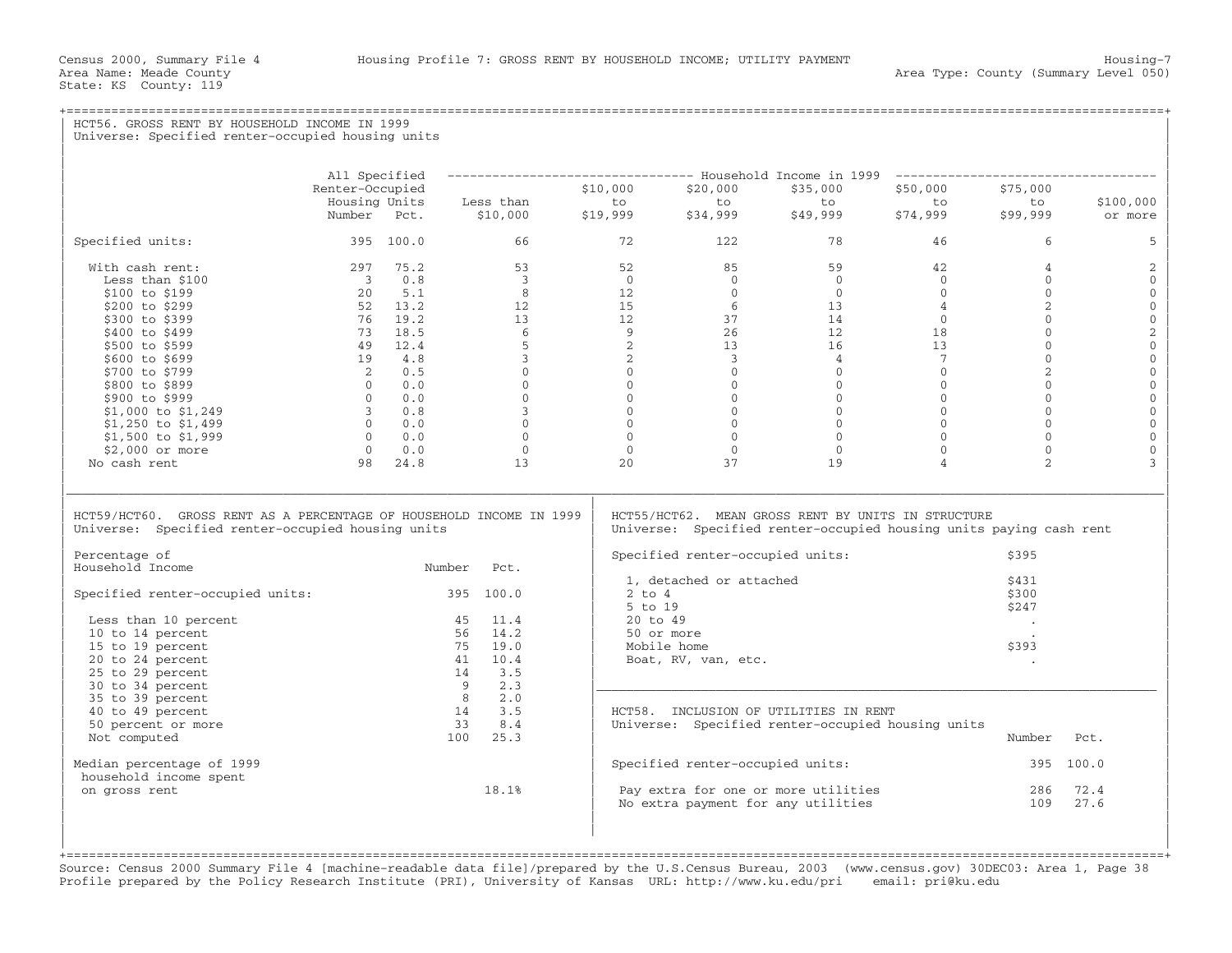State: KS County: 119

+===================================================================================================================================================+

## HCT56. GROSS RENT BY HOUSEHOLD INCOME IN 1999 Universe: Specified renter-occupied housing units | | | | | All Specified −−−−−−−−−−−−−−−−−−−−−−−−−−−−−−−−− Household Income in 1999 −−−−−−−−−−−−−−−−−−−−−−−−−−−−−−−−−−− | | Renter−Occupied \$10,000 \$20,000 \$35,000 \$50,000 \$75,000 | | Housing Units Less than to to to to to \$100,000 | | Number Pct. \$10,000 \$19,999 \$34,999 \$49,999 \$74,999 \$99,999 or more | | | | Specified units: 395 100.0 66 72 122 78 46 6 5 | | | | With cash rent: 297 75.2 53 52 85 59 42 4 2 | | Less than \$100 3 0.8 3 0 0 0 0 0 0 | | \$100 to \$199 20 5.1 8 12 0 0 0 0 0 | | \$200 to \$299 52 13.2 12 15 6 13 4 2 0 | | \$300 to \$399 76 19.2 13 12 37 14 0 0 0 | | \$400 to \$499 73 18.5 6 9 26 12 18 0 2 | | \$500 to \$599 49 12.4 5 2 13 16 13 0 0 | | \$600 to \$699 19 4.8 3 2 3 4 7 0 0 | | \$700 to \$799 2 0.5 0 0 0 0 0 2 0 | | \$800 to \$899 0 0.0 0 0 0 0 0 0 0 | | \$900 to \$999 0 0.0 0 0 0 0 0 0 0 | | \$1,000 to \$1,249 3 0.8 3 0 0 0 0 0 0 | | \$1,250 to \$1,499 0 0.0 0 0 0 0 0 0 0 | | \$1,500 to \$1,999 0 0.0 0 0 0 0 0 0 0 | | \$2,000 or more 0 0.0 0 0 0 0 0 0 0 | | No cash rent 98 24.8 13 20 37 19 4 2 3 | | | |\_\_\_\_\_\_\_\_\_\_\_\_\_\_\_\_\_\_\_\_\_\_\_\_\_\_\_\_\_\_\_\_\_\_\_\_\_\_\_\_\_\_\_\_\_\_\_\_\_\_\_\_\_\_\_\_\_\_\_\_\_\_\_\_\_\_\_\_\_\_\_\_\_\_\_\_\_\_\_\_\_\_\_\_\_\_\_\_\_\_\_\_\_\_\_\_\_\_\_\_\_\_\_\_\_\_\_\_\_\_\_\_\_\_\_\_\_\_\_\_\_\_\_\_\_\_\_\_\_\_\_\_\_\_\_\_\_\_\_\_\_\_\_\_\_\_\_| | | | HCT59/HCT60. GROSS RENT AS A PERCENTAGE OF HOUSEHOLD INCOME IN 1999 | HCT55/HCT62. MEAN GROSS RENT BY UNITS IN STRUCTURE<br>Universe: Specified renter-occupied housing units | Universe: Specified renter-occupied housing units Universe: Specified renter-occupied housing units paying cash rent | | | | Percentage of | Specified renter−occupied units: \$395 | Number Pct. Specified fencer occupied units.<br>1. detached or attached 3431  $\vert$  1, detached or attached  $\vert$  31  $\vert$ | Specified renter−occupied units: 395 100.0 | 2 to 4 \$300 |  $\vert$  5 to 19  $\vert$  5 to 19  $\vert$  5 to 19  $\vert$  5 to 19  $\vert$  5 to 19  $\vert$  5 to 19  $\vert$  5 to 19  $\vert$  5 10  $\vert$  5 10  $\vert$  5 10  $\vert$  5 10  $\vert$  5 10  $\vert$  5 10  $\vert$  5 10  $\vert$  5 10  $\vert$  5 10  $\vert$  5 10  $\vert$  5 10  $\vert$  5 10  $\vert$  5 10  $\vert$  Less than 10 percent  $\vert$  45  $\vert$  11.4  $\vert$  20 to 49 .  $\vert$  . |  $10$  to 14 percent  $56$   $14.2$  |  $50$  or more .  $\qquad \qquad$ | 15 to 19 percent 75 19.0 | Mobile home \$393 | | 20 to 24 percent 41 10.4 | Boat, RV, van, etc. . | | 25 to 29 percent 14 3.5 | | | 30 to 34 percent 9 2.3 |\_\_\_\_\_\_\_\_\_\_\_\_\_\_\_\_\_\_\_\_\_\_\_\_\_\_\_\_\_\_\_\_\_\_\_\_\_\_\_\_\_\_\_\_\_\_\_\_\_\_\_\_\_\_\_\_\_\_\_\_\_\_\_\_\_\_\_\_\_\_\_\_\_\_\_ | | 35 to 39 percent 8 2.0 | | | 40 to 49 percent 14 3.5 | HCT58. INCLUSION OF UTILITIES IN RENT | | 50 percent or more 33 8.4 | Universe: Specified renter−occupied housing units | | Not computed 100 25.3 | Number Pct. | | | | | Median percentage of 1999 | Specified renter−occupied units: 395 100.0 | household income spent<br>on gross rent  $18.1%$  $|$  on gross rent  $18.1$   $18.1$   $18$   $18$   $18$   $19.1$   $19.1$   $19.1$   $19.1$   $19.1$   $19.1$   $19.1$   $19.1$   $19.1$   $19.1$   $19.1$   $19.1$   $19.1$   $19.1$   $19.1$   $19.1$   $19.1$   $19.1$   $19.1$   $19.1$   $19.1$   $19.1$   $19.1$   $19.1$   $19.1$  $\vert$  No extra payment for any utilities  $\vert$  109  $\vert$  27.6  $\vert$ | | | | | |

+===================================================================================================================================================+Source: Census 2000 Summary File 4 [machine−readable data file]/prepared by the U.S.Census Bureau, 2003 (www.census.gov) 30DEC03: Area 1, Page 38 Profile prepared by the Policy Research Institute (PRI), University of Kansas URL: http://www.ku.edu/pri email: pri@ku.edu

| |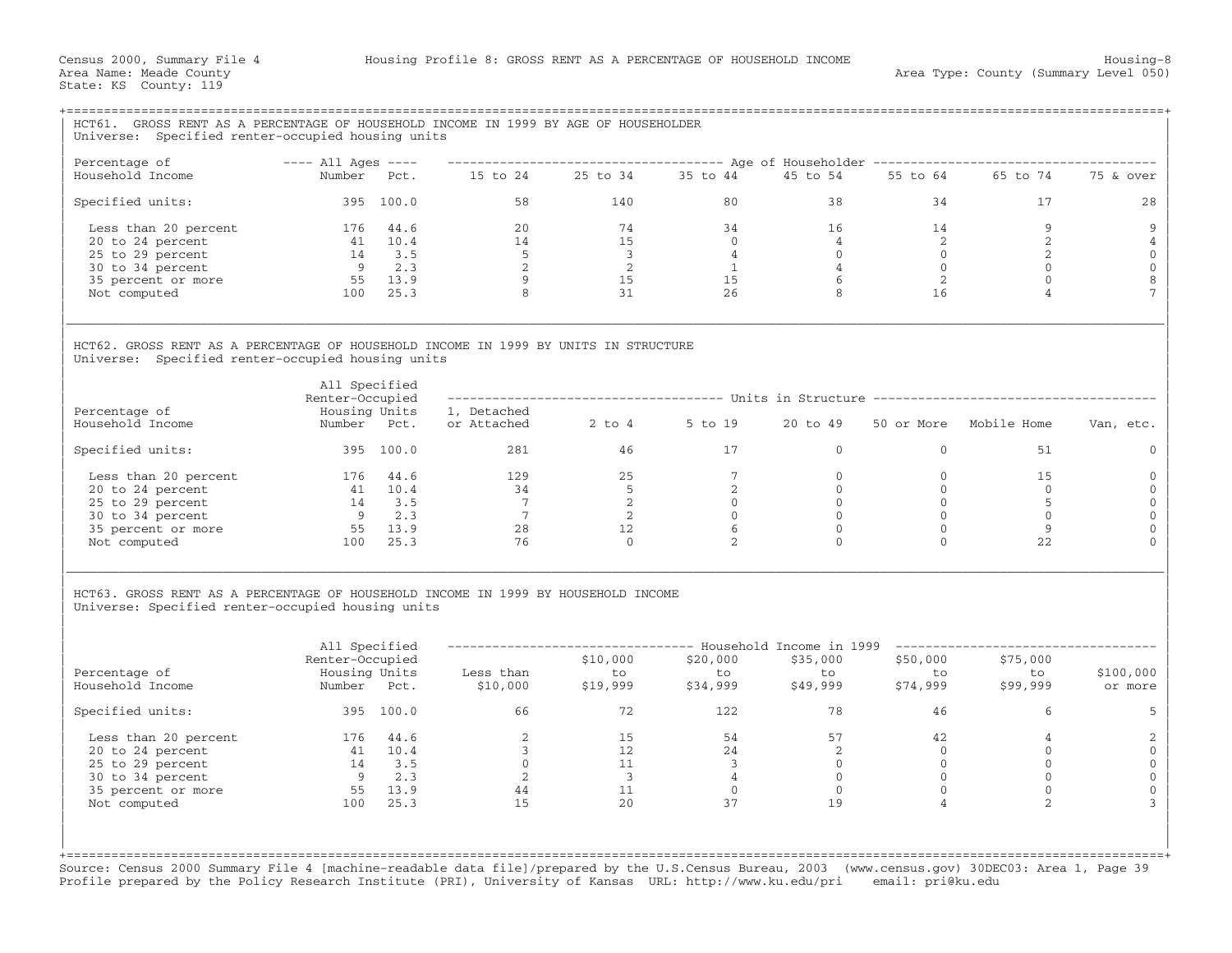| GROSS RENT AS A PERCENTAGE OF HOUSEHOLD INCOME IN 1999 BY AGE OF HOUSEHOLDER                                                                                                |                                                                  |            |                                                                                                                                                                          |                                                                                         |                            |                            |                                                                                    |                                |                      |  |  |
|-----------------------------------------------------------------------------------------------------------------------------------------------------------------------------|------------------------------------------------------------------|------------|--------------------------------------------------------------------------------------------------------------------------------------------------------------------------|-----------------------------------------------------------------------------------------|----------------------------|----------------------------|------------------------------------------------------------------------------------|--------------------------------|----------------------|--|--|
| Universe: Specified renter-occupied housing units                                                                                                                           |                                                                  |            |                                                                                                                                                                          |                                                                                         |                            |                            |                                                                                    |                                |                      |  |  |
| Percentage of                                                                                                                                                               | $---$ All Ages $---$                                             |            |                                                                                                                                                                          |                                                                                         |                            |                            | ------------------------------------ Age of Householder -------------------------- |                                |                      |  |  |
| Household Income                                                                                                                                                            | Number Pct.                                                      |            | 15 to 24 25 to 34 35 to 44                                                                                                                                               |                                                                                         |                            | 45 to 54                   |                                                                                    | 55 to 64 65 to 74              | 75 & over            |  |  |
| Specified units:                                                                                                                                                            |                                                                  | 395 100.0  | 58                                                                                                                                                                       | 140                                                                                     | 80                         | 38                         | 34                                                                                 | 17                             | 28                   |  |  |
| Less than 20 percent                                                                                                                                                        | 176 44.6                                                         |            | 20                                                                                                                                                                       | 74                                                                                      | 34                         | 16                         | 14                                                                                 | 9                              | 9                    |  |  |
| 20 to 24 percent                                                                                                                                                            |                                                                  | 41 10.4    | 14                                                                                                                                                                       | 15                                                                                      | $\overline{0}$             | $\overline{4}$             | 2                                                                                  | 2                              | 4                    |  |  |
| 25 to 29 percent                                                                                                                                                            |                                                                  | 14 3.5     | $5^{\circ}$                                                                                                                                                              | $\overline{\mathbf{3}}$                                                                 | $\overline{4}$             | $\overline{0}$             | $\overline{0}$                                                                     | 2                              | $\mathbf 0$          |  |  |
| 30 to 34 percent                                                                                                                                                            |                                                                  | $9 \t 2.3$ | $\overline{2}$                                                                                                                                                           | $\overline{\phantom{a}}$                                                                | $\mathbf{1}$               | $\overline{4}$             | $\overline{0}$                                                                     | $\mathbf{0}$                   | $\mathbf 0$          |  |  |
| 35 percent or more                                                                                                                                                          |                                                                  | 55 13.9    | $\overline{9}$                                                                                                                                                           | 15                                                                                      | 15                         | 6                          | 2                                                                                  | $\Omega$                       | $\,8\,$              |  |  |
| Not computed                                                                                                                                                                |                                                                  | 100 25.3   | 8                                                                                                                                                                        | 31                                                                                      | 26                         | 8                          | 16                                                                                 | 4                              | $\overline{7}$       |  |  |
| Universe: Specified renter-occupied housing units<br>Percentage of<br>Household Income                                                                                      | All Specified<br>Renter-Occupied<br>Housing Units<br>Number Pct. |            | ---------------        Units in Structure ------------------------------<br>1, Detached<br>$2$ to $4$<br>5 to 19<br>20 to 49<br>Mobile Home<br>50 or More<br>or Attached |                                                                                         |                            |                            |                                                                                    |                                | Van, etc.            |  |  |
| Specified units:                                                                                                                                                            |                                                                  | 395 100.0  | 281                                                                                                                                                                      | 46                                                                                      | 17                         | $\overline{0}$             | $\mathbf{0}$                                                                       | 51                             | $\Omega$             |  |  |
|                                                                                                                                                                             |                                                                  |            |                                                                                                                                                                          |                                                                                         |                            |                            |                                                                                    |                                |                      |  |  |
| Less than 20 percent                                                                                                                                                        | 176 44.6                                                         |            | 129                                                                                                                                                                      | 25                                                                                      | $7\overline{ }$            | $\overline{0}$             | $\mathbf{0}$                                                                       | 15                             | $\Omega$             |  |  |
| 20 to 24 percent                                                                                                                                                            |                                                                  | 41 10.4    | 34                                                                                                                                                                       | $5^{\circ}$                                                                             | 2                          | $\overline{0}$             | $\mathbf{0}$                                                                       | $\overline{0}$                 | $\mathbf{0}$         |  |  |
| 25 to 29 percent                                                                                                                                                            |                                                                  | 14 3.5     | $\overline{7}$                                                                                                                                                           | $\overline{2}$                                                                          | $\Omega$                   | $\Omega$                   | $\Omega$                                                                           | $5^{\circ}$                    | $\mathbf 0$          |  |  |
| 30 to 34 percent                                                                                                                                                            |                                                                  | $9 \t 2.3$ | $\overline{7}$                                                                                                                                                           | 2                                                                                       | $\Omega$                   | $\Omega$                   | $\Omega$                                                                           | $\Omega$                       | $\mathbf{0}$         |  |  |
| 35 percent or more                                                                                                                                                          | 55 13.9                                                          |            | 28                                                                                                                                                                       | 12                                                                                      | 6                          | $\overline{0}$<br>$\Omega$ | $\mathbf{0}$<br>$\Omega$                                                           | 9                              | $\mathbf{0}$         |  |  |
| Not computed                                                                                                                                                                |                                                                  | 100 25.3   | 76                                                                                                                                                                       | $\circ$                                                                                 | 2                          |                            |                                                                                    | 22                             | $\Omega$             |  |  |
| HCT63. GROSS RENT AS A PERCENTAGE OF HOUSEHOLD INCOME IN 1999 BY HOUSEHOLD INCOME<br>Universe: Specified renter-occupied housing units<br>Percentage of<br>Household Income | All Specified<br>Renter-Occupied<br>Housing Units<br>Number Pct. |            | Less than<br>\$10,000                                                                                                                                                    | -------------------------------- Household Income in 1999<br>\$10,000<br>to<br>\$19,999 | \$20,000<br>to<br>\$34,999 | \$35,000<br>to<br>\$49,999 | _________________<br>\$50,000<br>to<br>\$74,999                                    | \$75,000<br>to<br>\$99,999     | \$100,000<br>or more |  |  |
|                                                                                                                                                                             |                                                                  |            |                                                                                                                                                                          |                                                                                         |                            |                            |                                                                                    |                                |                      |  |  |
| Specified units:                                                                                                                                                            |                                                                  | 395 100.0  | 66                                                                                                                                                                       | 72                                                                                      | 122                        | 78                         | 46                                                                                 | 6                              | 5                    |  |  |
| Less than 20 percent                                                                                                                                                        | 176 44.6                                                         |            | 2                                                                                                                                                                        | 15                                                                                      | 54                         | 57                         | 42                                                                                 | $\overline{4}$                 | $\overline{c}$       |  |  |
| 20 to 24 percent                                                                                                                                                            |                                                                  | 41 10.4    | $\overline{3}$                                                                                                                                                           | 12                                                                                      | 24                         | 2                          | $\overline{0}$                                                                     | $\mathbf{0}$                   | $\mathbf 0$          |  |  |
| 25 to 29 percent                                                                                                                                                            |                                                                  | 14 3.5     | $\overline{0}$                                                                                                                                                           | 11                                                                                      | $\overline{\mathbf{3}}$    | $\overline{0}$             | $\overline{0}$                                                                     | $\mathbf{0}$                   | $\mathbf 0$          |  |  |
| 30 to 34 percent                                                                                                                                                            |                                                                  | $9 \t 2.3$ | $\overline{\phantom{0}}$ 2                                                                                                                                               | $\overline{\mathbf{3}}$                                                                 | $\overline{4}$             | $\overline{0}$             | $\overline{0}$                                                                     | $\mathbf{0}$                   | $\mathbf{0}$         |  |  |
| 35 percent or more                                                                                                                                                          |                                                                  | 55 13.9    | 44                                                                                                                                                                       | 11                                                                                      | $\overline{0}$             | $\overline{0}$             | $\mathbf{0}$<br>$\overline{4}$                                                     | $\mathbf{0}$<br>$\overline{2}$ | $\mathbf{0}$         |  |  |
| Not computed                                                                                                                                                                |                                                                  | 100 25.3   | 15                                                                                                                                                                       | 20                                                                                      | 37                         | 19                         |                                                                                    |                                | 3                    |  |  |

Source: Census 2000 Summary File 4 [machine−readable data file]/prepared by the U.S.Census Bureau, 2003 (www.census.gov) 30DEC03: Area 1, Page 39 Profile prepared by the Policy Research Institute (PRI), University of Kansas URL: http://www.ku.edu/pri email: pri@ku.edu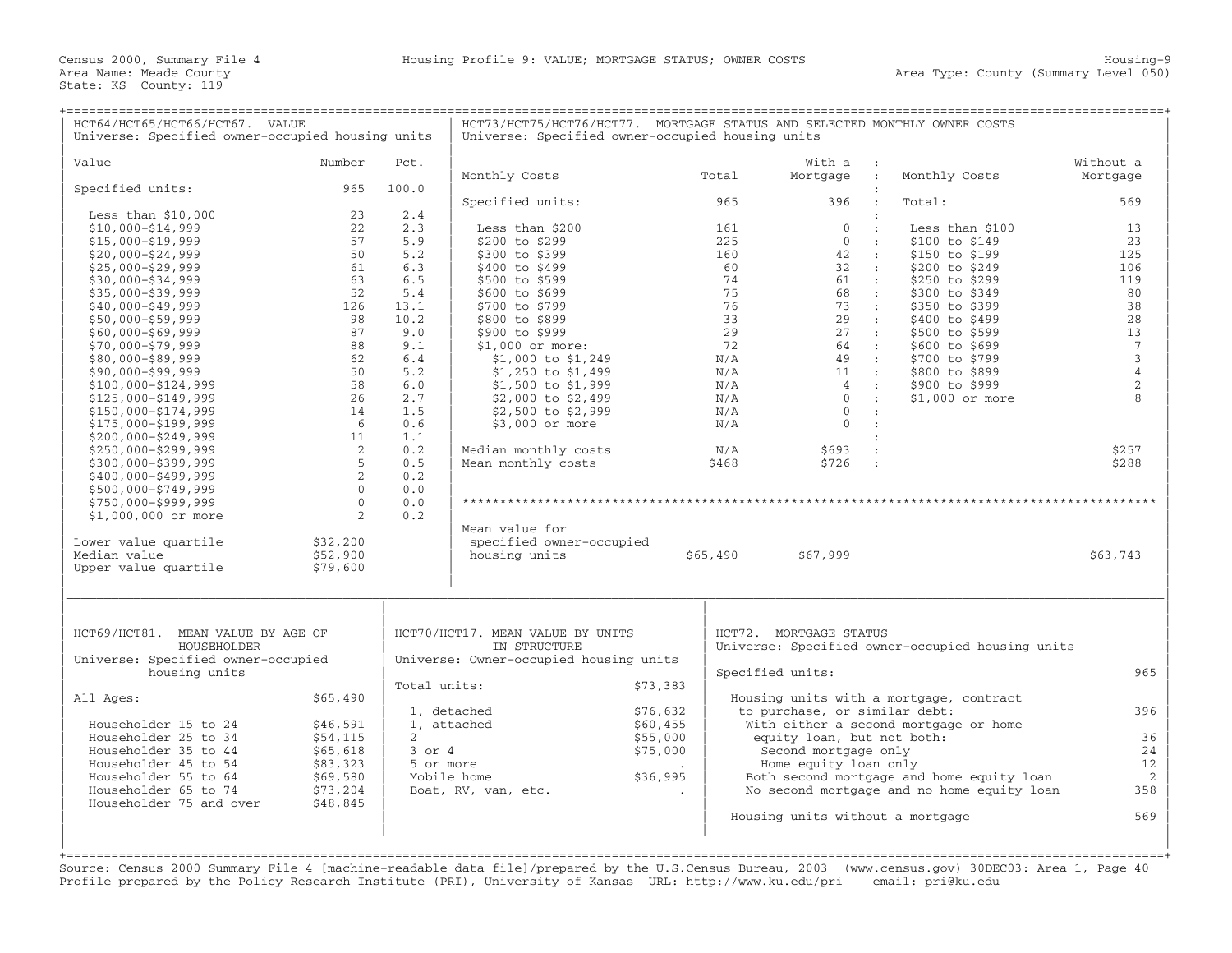| HCT64/HCT65/HCT66/HCT67. VALUE<br>Universe: Specified owner-occupied housing units |                |              | HCT73/HCT75/HCT76/HCT77. MORTGAGE STATUS AND SELECTED MONTHLY OWNER COSTS<br>Universe: Specified owner-occupied housing units |          |          |                                  |                                                  |                 |
|------------------------------------------------------------------------------------|----------------|--------------|-------------------------------------------------------------------------------------------------------------------------------|----------|----------|----------------------------------|--------------------------------------------------|-----------------|
|                                                                                    |                |              |                                                                                                                               |          |          |                                  |                                                  |                 |
| Value                                                                              | Number         | Pct.         |                                                                                                                               |          |          | With a                           |                                                  | Without a       |
|                                                                                    |                |              | Monthly Costs                                                                                                                 |          | Total    | Mortgage :                       | Monthly Costs                                    | Mortgage        |
| Specified units:                                                                   | 965            | 100.0        |                                                                                                                               |          |          |                                  |                                                  |                 |
|                                                                                    |                |              | Specified units:                                                                                                              |          | 965      | 396                              | Total:                                           | 569             |
| Less than $$10,000$<br>$$10,000 - $14,999$                                         | 23<br>22       | 2.4<br>2.3   | Less than \$200                                                                                                               |          | 161      | $\Omega$                         | $\cdot$ :<br>Less than \$100                     | 13              |
| $$15,000 - $19,999$                                                                | 57             | 5.9          | \$200 to \$299                                                                                                                |          | 225      | $\mathbf{0}$<br>$\sim$ 1.        | \$100 to \$149                                   | 23              |
| $$20,000 - $24,999$                                                                | 50             | 5.2          | \$300 to \$399                                                                                                                |          | 160      | 42                               | \$150 to \$199<br>$\sim$ 100 $\sim$              | 125             |
| $$25,000 - $29,999$                                                                | 61             | 6.3          | \$400 to \$499                                                                                                                |          | 60       | 32<br>$\sim$ 100                 | \$200 to \$249                                   | 106             |
| $$30,000 - $34,999$                                                                | 63             | 6.5          | \$500 to \$599                                                                                                                |          | 74       | 61 :                             | \$250 to \$299                                   | 119             |
| $$35,000 - $39,999$                                                                | 52             | 5.4          | \$600 to \$699                                                                                                                |          | 75       | 68<br>$\sim$ 1.1                 | \$300 to \$349                                   | 80              |
| $$40,000 - $49,999$                                                                | 126            | 13.1         | \$700 to \$799                                                                                                                |          | 76       | 73<br>$\sim 100$                 | \$350 to \$399                                   | 38              |
| $$50,000 - $59,999$                                                                | 98             | 10.2         | \$800 to \$899                                                                                                                |          | 33       | $29$ :                           | \$400 to \$499                                   | 28              |
| $$60,000 - $69,999$                                                                | 87             | 9.0          | \$900 to \$999                                                                                                                |          | 29       | 27 :                             | \$500 to \$599                                   | 13              |
| $$70,000 - $79,999$                                                                | 88             | 9.1          | $$1,000$ or more:                                                                                                             |          | 72       | 64 :                             | \$600 to \$699                                   | $7\phantom{.0}$ |
| $$80,000 - $89,999$                                                                | 62             | 6.4          | \$1,000 to \$1,249                                                                                                            |          | N/A      | 49 :                             | \$700 to \$799                                   | $\mathsf 3$     |
| $$90,000 - $99,999$                                                                | 50             | 5.2          | \$1,250 to \$1,499                                                                                                            |          | N/A      | $11$ :                           | \$800 to \$899                                   | $\sqrt{4}$      |
| $$100,000 - $124,999$                                                              | 58             | 6.0          | \$1,500 to \$1,999                                                                                                            |          | N/A      | 4                                | \$900 to \$999<br>$\sim$ 100 $\pm$               | $\sqrt{2}$      |
| \$125,000-\$149,999                                                                | 26             | 2.7          | \$2,000 to \$2,499                                                                                                            |          | N/A      | $\overline{0}$<br>$\sim$ 100     | $$1,000$ or more                                 | $\mathsf{R}$    |
| \$150,000-\$174,999                                                                | 14             | 1.5          | \$2,500 to \$2,999                                                                                                            |          | N/A      | $\Omega$                         | $\cdot$ :                                        |                 |
| \$175,000-\$199,999                                                                | - 6            | 0.6          | \$3,000 or more                                                                                                               |          | N/A      | $\Omega$<br>$\mathbf{r}$         |                                                  |                 |
| \$200,000-\$249,999                                                                | 11             | 1.1          |                                                                                                                               |          |          |                                  | $\cdot$                                          |                 |
| \$250,000-\$299,999                                                                | 2              | 0.2          | Median monthly costs                                                                                                          |          | N/A      | \$693                            | $\ddot{\phantom{a}}$                             | \$257           |
| \$300,000-\$399,999                                                                | 5              | 0.5          | Mean monthly costs                                                                                                            |          | \$468    | \$726<br>$\sim 10$               |                                                  | \$288           |
| $$400,000 - $499,999$                                                              | 2              | 0.2          |                                                                                                                               |          |          |                                  |                                                  |                 |
| \$500,000-\$749,999                                                                | $\overline{0}$ | 0.0          |                                                                                                                               |          |          |                                  |                                                  |                 |
| \$750,000-\$999,999                                                                | $\mathbf{0}$   | 0.0          |                                                                                                                               |          |          |                                  |                                                  |                 |
| $$1,000,000$ or more                                                               | 2              | 0.2          |                                                                                                                               |          |          |                                  |                                                  |                 |
|                                                                                    |                |              | Mean value for                                                                                                                |          |          |                                  |                                                  |                 |
| Lower value quartile                                                               | \$32,200       |              | specified owner-occupied                                                                                                      |          |          |                                  |                                                  |                 |
| Median value                                                                       | \$52,900       |              | housing units                                                                                                                 |          | \$65,490 | \$67,999                         |                                                  | \$63,743        |
| Upper value quartile                                                               | \$79,600       |              |                                                                                                                               |          |          |                                  |                                                  |                 |
| HCT69/HCT81. MEAN VALUE BY AGE OF                                                  |                |              | HCT70/HCT17. MEAN VALUE BY UNITS                                                                                              |          |          | HCT72. MORTGAGE STATUS           |                                                  |                 |
| HOUSEHOLDER                                                                        |                |              | IN STRUCTURE                                                                                                                  |          |          |                                  | Universe: Specified owner-occupied housing units |                 |
| Universe: Specified owner-occupied                                                 |                |              | Universe: Owner-occupied housing units                                                                                        |          |          |                                  |                                                  |                 |
| housing units                                                                      |                |              |                                                                                                                               |          |          | Specified units:                 |                                                  | 965             |
|                                                                                    |                | Total units: |                                                                                                                               | \$73,383 |          |                                  |                                                  |                 |
| All Ages:                                                                          | \$65,490       |              | 1, detached                                                                                                                   | \$76,632 |          | to purchase, or similar debt:    | Housing units with a mortgage, contract          | 396             |
| Householder 15 to 24                                                               | \$46,591       |              | 1, attached                                                                                                                   | \$60,455 |          |                                  | With either a second mortgage or home            |                 |
| Householder 25 to 34                                                               | \$54,115       | $2^{\circ}$  |                                                                                                                               | \$55,000 |          | equity loan, but not both:       |                                                  | 36              |
| Householder 35 to 44                                                               | \$65,618       | $3$ or $4$   |                                                                                                                               | \$75,000 |          | Second mortgage only             |                                                  | 24              |
| Householder 45 to 54                                                               | \$83,323       | 5 or more    |                                                                                                                               |          |          | Home equity loan only            |                                                  | 12              |
| Householder 55 to 64                                                               | \$69,580       |              | Mobile home                                                                                                                   | \$36,995 |          |                                  | Both second mortgage and home equity loan        | 2               |
| Householder 65 to 74                                                               | \$73,204       |              | Boat, RV, van, etc.                                                                                                           |          |          |                                  | No second mortgage and no home equity loan       | 358             |
| Householder 75 and over                                                            | \$48,845       |              |                                                                                                                               |          |          |                                  |                                                  |                 |
|                                                                                    |                |              |                                                                                                                               |          |          | Housing units without a mortgage |                                                  | 569             |
|                                                                                    |                |              |                                                                                                                               |          |          |                                  |                                                  |                 |
|                                                                                    |                |              |                                                                                                                               |          |          |                                  |                                                  |                 |
|                                                                                    |                |              |                                                                                                                               |          |          |                                  |                                                  |                 |

Source: Census 2000 Summary File 4 [machine−readable data file]/prepared by the U.S.Census Bureau, 2003 (www.census.gov) 30DEC03: Area 1, Page 40 Profile prepared by the Policy Research Institute (PRI), University of Kansas URL: http://www.ku.edu/pri email: pri@ku.edu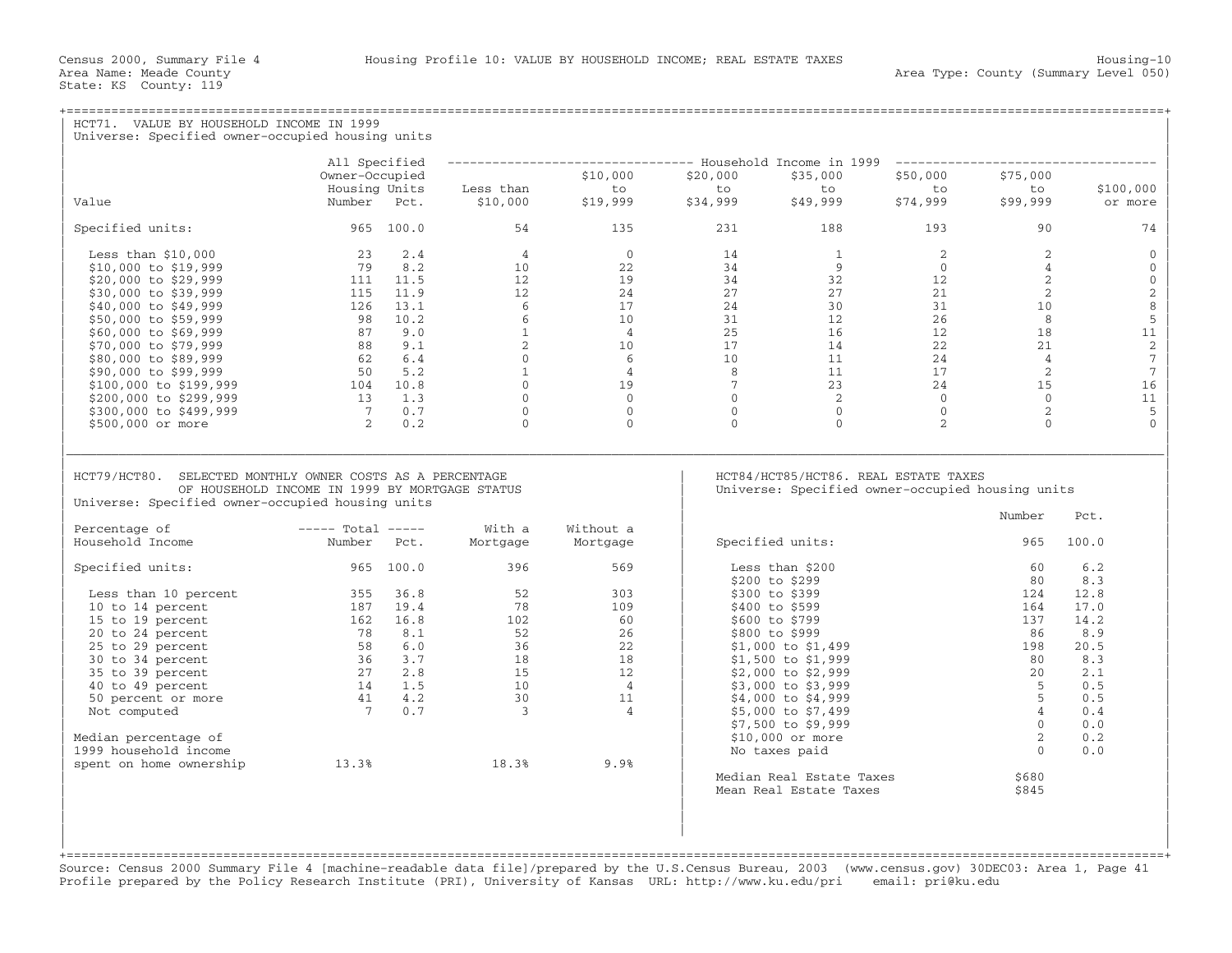| ======================================<br>HCT71. VALUE BY HOUSEHOLD INCOME IN 1999<br>Universe: Specified owner-occupied housing units                          |                                                                     |             |                                                                                                            |                                                                                    |                 |                          |                |                 |                 |
|-----------------------------------------------------------------------------------------------------------------------------------------------------------------|---------------------------------------------------------------------|-------------|------------------------------------------------------------------------------------------------------------|------------------------------------------------------------------------------------|-----------------|--------------------------|----------------|-----------------|-----------------|
|                                                                                                                                                                 |                                                                     |             |                                                                                                            |                                                                                    |                 |                          |                |                 |                 |
|                                                                                                                                                                 | All Specified                                                       |             |                                                                                                            | -------------------------------- Household Income in 1999 ------------------------ |                 |                          |                |                 |                 |
|                                                                                                                                                                 | Owner-Occupied                                                      |             |                                                                                                            | \$10,000                                                                           | \$20,000        | \$35,000                 | \$50,000       | \$75,000        |                 |
|                                                                                                                                                                 | Housing Units                                                       |             | Less than                                                                                                  | to                                                                                 | to              | to                       | to             | to              | \$100,000       |
| Value                                                                                                                                                           | Number Pct.                                                         |             | \$10,000                                                                                                   | \$19,999                                                                           | \$34,999        | \$49,999                 | \$74,999       | \$99,999        | or more         |
| Specified units:                                                                                                                                                | 965 100.0                                                           |             | 54                                                                                                         | 135                                                                                | 231             | 188                      | 193            | 90              | 74              |
| Less than $$10.000$                                                                                                                                             |                                                                     | $23 \t 2.4$ | $\overline{4}$                                                                                             | $\Omega$                                                                           | 14              | $\overline{1}$           | 2              | 2               | $\Omega$        |
| \$10,000 to \$19,999                                                                                                                                            |                                                                     | 79 8.2      | 10 <sup>°</sup>                                                                                            | 22                                                                                 | 34              | 9                        | $\overline{0}$ | $\overline{4}$  | $\Omega$        |
| \$20,000 to \$29,999                                                                                                                                            |                                                                     | 111 11.5    | 12 <sup>°</sup>                                                                                            | 19                                                                                 | 34              | 32                       | 12             | 2               | $\mathbf 0$     |
| \$30,000 to \$39,999                                                                                                                                            | 115 11.9                                                            |             | 12                                                                                                         | 24                                                                                 | 27              | 27                       | 21             | 2               | $\sqrt{2}$      |
| \$40,000 to \$49,999                                                                                                                                            | 126                                                                 | 13.1        | 6                                                                                                          | 17                                                                                 | 24              | 30                       | 31             | 10 <sup>°</sup> | 8               |
| \$50,000 to \$59,999                                                                                                                                            |                                                                     | 98 10.2     | 6                                                                                                          | 10 <sup>°</sup>                                                                    | 31              | 12                       | 26             | 8               | $\mathsf S$     |
| \$60,000 to \$69,999                                                                                                                                            | 87 9.0                                                              |             | $\mathbf{1}$                                                                                               | $\overline{4}$                                                                     | 25              | 16                       | 12             | 18              | 11              |
| \$70,000 to \$79,999                                                                                                                                            | 88 9.1                                                              |             | 2                                                                                                          | 10                                                                                 | 17              | 14                       | 22             | 21              | 2               |
| \$80,000 to \$89,999                                                                                                                                            |                                                                     |             | $\circ$                                                                                                    | 6                                                                                  | 10 <sup>°</sup> | 11                       | 24             | $\overline{4}$  | $7\phantom{.0}$ |
| \$90,000 to \$99,999                                                                                                                                            | $\begin{array}{ccc} 62 & 6.4 \\ 50 & 5.2 \\ 104 & 10.8 \end{array}$ |             | 1                                                                                                          | $\overline{4}$                                                                     | 8               | 11                       | 17             | 2               | $7\phantom{.0}$ |
| \$100,000 to \$199,999                                                                                                                                          |                                                                     |             | $\overline{0}$                                                                                             | 19                                                                                 | $\overline{7}$  | 23                       | 24             | 15              | 16              |
| \$200,000 to \$299,999                                                                                                                                          | 13 1.3                                                              |             | $\mathbf{0}$                                                                                               | $\Omega$                                                                           | $\overline{0}$  | $\overline{2}$           | $\overline{0}$ | $\Omega$        | 11              |
| \$300,000 to \$499,999                                                                                                                                          | $7 \qquad 0.7$                                                      |             | $\mathbf 0$                                                                                                | $\circ$                                                                            | $\overline{0}$  | $\overline{0}$           | $\overline{0}$ | 2               | 5               |
| \$500,000 or more                                                                                                                                               |                                                                     | 2 0.2       | $\Omega$                                                                                                   | $\Omega$                                                                           | $\Omega$        | $\Omega$                 | $\overline{2}$ | $\Omega$        | $\Omega$        |
| HCT79/HCT80. SELECTED MONTHLY OWNER COSTS AS A PERCENTAGE<br>OF HOUSEHOLD INCOME IN 1999 BY MORTGAGE STATUS<br>Universe: Specified owner-occupied housing units |                                                                     |             | HCT84/HCT85/HCT86. REAL ESTATE TAXES<br>Universe: Specified owner-occupied housing units<br>Number<br>Pct. |                                                                                    |                 |                          |                |                 |                 |
| Percentage of<br>Household Income                                                                                                                               | $---$ Total $---$<br>Number                                         | Pct.        | With a<br>Mortgage                                                                                         | Without a<br>Mortgage                                                              |                 | Specified units:         |                | 965             | 100.0           |
|                                                                                                                                                                 |                                                                     |             |                                                                                                            |                                                                                    |                 |                          |                |                 |                 |
| Specified units:                                                                                                                                                | 965 100.0                                                           |             | 396                                                                                                        | 569                                                                                |                 | Less than \$200          |                | 60              | 6.2             |
|                                                                                                                                                                 |                                                                     |             |                                                                                                            |                                                                                    |                 | \$200 to \$299           |                | 80              | 8.3             |
| Less than 10 percent                                                                                                                                            | 355                                                                 | 36.8        | 52                                                                                                         | 303                                                                                |                 | \$300 to \$399           |                | 124             | 12.8            |
| 10 to 14 percent                                                                                                                                                |                                                                     | 187 19.4    | 78                                                                                                         | 109                                                                                |                 | \$400 to \$599           |                | 164             | 17.0            |
| 15 to 19 percent                                                                                                                                                | 162 16.8                                                            |             | 102                                                                                                        | 60                                                                                 |                 | \$600 to \$799           |                | 137             | 14.2            |
| 20 to 24 percent                                                                                                                                                | 78                                                                  | 8.1         | 52                                                                                                         | 26                                                                                 |                 | \$800 to \$999           |                | 86              | 8.9             |
| 25 to 29 percent                                                                                                                                                | 58 6.0                                                              |             | 36                                                                                                         | 22                                                                                 |                 | $$1,000$ to $$1,499$     |                | 198             | 20.5            |
| 30 to 34 percent                                                                                                                                                | $\begin{array}{rrr} & 36 & 3.7 \\ 27 & 2.8 \\ 14 & 1.5 \end{array}$ |             | 18                                                                                                         | 18                                                                                 |                 | \$1,500 to \$1,999       |                | 80              | 8.3             |
| 35 to 39 percent                                                                                                                                                |                                                                     |             | 15                                                                                                         | 12                                                                                 |                 | $$2,000$ to $$2,999$     |                | 20              | 2.1             |
| 40 to 49 percent                                                                                                                                                |                                                                     |             | 10                                                                                                         | $\overline{4}$                                                                     |                 | \$3,000 to \$3,999       |                | -5              | 0.5             |
| 50 percent or more                                                                                                                                              | 41 4.2                                                              |             | 30                                                                                                         | 11                                                                                 |                 | \$4,000 to \$4,999       |                | 5               | 0.5             |
| Not computed                                                                                                                                                    | $7\overline{ }$                                                     | 0.7         | $\overline{\mathbf{3}}$                                                                                    | $\overline{4}$                                                                     |                 | \$5,000 to \$7,499       |                | $\overline{4}$  | 0.4             |
|                                                                                                                                                                 |                                                                     |             |                                                                                                            |                                                                                    |                 | \$7,500 to \$9,999       |                | $\Omega$        | 0.0             |
| Median percentage of                                                                                                                                            |                                                                     |             |                                                                                                            |                                                                                    |                 | $$10,000$ or more        |                | 2               | 0.2             |
| 1999 household income                                                                                                                                           |                                                                     |             |                                                                                                            |                                                                                    |                 | No taxes paid            |                | $\Omega$        | 0.0             |
| spent on home ownership                                                                                                                                         | 13.3%                                                               |             | 18.3%                                                                                                      | 9.9%                                                                               |                 |                          |                |                 |                 |
|                                                                                                                                                                 |                                                                     |             |                                                                                                            |                                                                                    |                 | Median Real Estate Taxes |                | \$680           |                 |
|                                                                                                                                                                 |                                                                     |             |                                                                                                            |                                                                                    |                 | Mean Real Estate Taxes   |                | \$845           |                 |
|                                                                                                                                                                 |                                                                     |             |                                                                                                            |                                                                                    |                 |                          |                |                 |                 |
|                                                                                                                                                                 |                                                                     |             |                                                                                                            |                                                                                    |                 |                          |                |                 |                 |
|                                                                                                                                                                 |                                                                     |             |                                                                                                            |                                                                                    |                 |                          |                |                 |                 |

+===================================================================================================================================================+Source: Census 2000 Summary File 4 [machine−readable data file]/prepared by the U.S.Census Bureau, 2003 (www.census.gov) 30DEC03: Area 1, Page 41 Profile prepared by the Policy Research Institute (PRI), University of Kansas URL: http://www.ku.edu/pri email: pri@ku.edu

| |